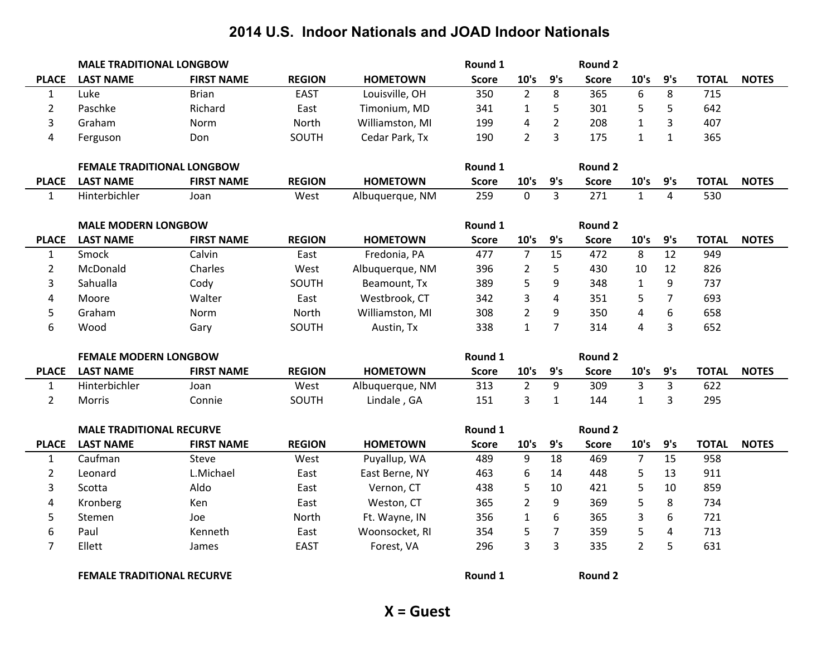|                         | <b>MALE TRADITIONAL LONGBOW</b>   |                   |               |                 | Round 1             |                |                | <b>Round 2</b>      |                  |                |              |              |
|-------------------------|-----------------------------------|-------------------|---------------|-----------------|---------------------|----------------|----------------|---------------------|------------------|----------------|--------------|--------------|
| <b>PLACE</b>            | <b>LAST NAME</b>                  | <b>FIRST NAME</b> | <b>REGION</b> | <b>HOMETOWN</b> | <b>Score</b>        | 10's           | 9's            | <b>Score</b>        | 10's             | 9's            | <b>TOTAL</b> | <b>NOTES</b> |
| $\mathbf{1}$            | Luke                              | <b>Brian</b>      | <b>EAST</b>   | Louisville, OH  | 350                 | $\overline{2}$ | 8              | 365                 | $\boldsymbol{6}$ | 8              | 715          |              |
| $\overline{2}$          | Paschke                           | Richard           | East          | Timonium, MD    | 341                 | $\mathbf{1}$   | 5              | 301                 | 5                | 5              | 642          |              |
| 3                       | Graham                            | Norm              | North         | Williamston, MI | 199                 | 4              | $\overline{2}$ | 208                 | $\mathbf{1}$     | 3              | 407          |              |
| $\overline{\mathbf{4}}$ | Ferguson                          | Don               | SOUTH         | Cedar Park, Tx  | 190                 | $\overline{2}$ | 3              | 175                 | $\mathbf{1}$     | $\mathbf{1}$   | 365          |              |
|                         | <b>FEMALE TRADITIONAL LONGBOW</b> |                   |               |                 | Round 1             |                |                | <b>Round 2</b>      |                  |                |              |              |
|                         |                                   | <b>FIRST NAME</b> | <b>REGION</b> | <b>HOMETOWN</b> |                     | 10's           | 9's            |                     | 10's             | 9's            | <b>TOTAL</b> | <b>NOTES</b> |
| <b>PLACE</b>            | <b>LAST NAME</b><br>Hinterbichler |                   |               |                 | <b>Score</b><br>259 | $\mathbf 0$    | $\overline{3}$ | <b>Score</b><br>271 | $\mathbf{1}$     | $\overline{4}$ | 530          |              |
| $\mathbf{1}$            |                                   | Joan              | West          | Albuquerque, NM |                     |                |                |                     |                  |                |              |              |
|                         | <b>MALE MODERN LONGBOW</b>        |                   |               |                 | Round 1             |                |                | Round 2             |                  |                |              |              |
| <b>PLACE</b>            | <b>LAST NAME</b>                  | <b>FIRST NAME</b> | <b>REGION</b> | <b>HOMETOWN</b> | <b>Score</b>        | 10's           | 9's            | <b>Score</b>        | 10's             | 9's            | <b>TOTAL</b> | <b>NOTES</b> |
| $\mathbf 1$             | Smock                             | Calvin            | East          | Fredonia, PA    | 477                 | $\overline{7}$ | 15             | 472                 | 8                | 12             | 949          |              |
| $\overline{2}$          | McDonald                          | Charles           | West          | Albuquerque, NM | 396                 | $\overline{2}$ | 5              | 430                 | 10               | 12             | 826          |              |
| 3                       | Sahualla                          | Cody              | SOUTH         | Beamount, Tx    | 389                 | 5              | 9              | 348                 | $\mathbf{1}$     | 9              | 737          |              |
| 4                       | Moore                             | Walter            | East          | Westbrook, CT   | 342                 | 3              | 4              | 351                 | 5                | $\overline{7}$ | 693          |              |
| 5                       | Graham                            | Norm              | North         | Williamston, MI | 308                 | $\overline{2}$ | 9              | 350                 | 4                | 6              | 658          |              |
| 6                       | Wood                              | Gary              | SOUTH         | Austin, Tx      | 338                 | $\mathbf{1}$   | $\overline{7}$ | 314                 | 4                | $\overline{3}$ | 652          |              |
|                         |                                   |                   |               |                 |                     |                |                |                     |                  |                |              |              |
|                         | <b>FEMALE MODERN LONGBOW</b>      |                   |               |                 | Round 1             |                |                | <b>Round 2</b>      |                  |                |              |              |
| <b>PLACE</b>            | <b>LAST NAME</b>                  | <b>FIRST NAME</b> | <b>REGION</b> | <b>HOMETOWN</b> | <b>Score</b>        | 10's           | 9's            | <b>Score</b>        | 10's             | 9's            | <b>TOTAL</b> | <b>NOTES</b> |
| $\mathbf{1}$            | Hinterbichler                     | Joan              | West          | Albuquerque, NM | 313                 | $\overline{2}$ | 9              | 309                 | $\overline{3}$   | $\overline{3}$ | 622          |              |
| $\overline{2}$          | Morris                            | Connie            | SOUTH         | Lindale, GA     | 151                 | 3              | $\mathbf{1}$   | 144                 | $\mathbf{1}$     | $\overline{3}$ | 295          |              |
|                         | <b>MALE TRADITIONAL RECURVE</b>   |                   |               |                 | Round 1             |                |                | Round 2             |                  |                |              |              |
| <b>PLACE</b>            | <b>LAST NAME</b>                  | <b>FIRST NAME</b> | <b>REGION</b> | <b>HOMETOWN</b> | <b>Score</b>        | 10's           | 9's            | <b>Score</b>        | 10's             | 9's            | <b>TOTAL</b> | <b>NOTES</b> |
| $\mathbf{1}$            | Caufman                           | Steve             | West          | Puyallup, WA    | 489                 | 9              | 18             | 469                 | $\overline{7}$   | 15             | 958          |              |
| $\overline{2}$          | Leonard                           | L.Michael         | East          | East Berne, NY  | 463                 | 6              | 14             | 448                 | 5                | 13             | 911          |              |
| 3                       | Scotta                            | Aldo              | East          | Vernon, CT      | 438                 | 5              | 10             | 421                 | 5                | 10             | 859          |              |
| 4                       | Kronberg                          | Ken               | East          | Weston, CT      | 365                 | $\overline{2}$ | 9              | 369                 | 5                | 8              | 734          |              |
| 5                       | Stemen                            | Joe               | North         | Ft. Wayne, IN   | 356                 | $\mathbf{1}$   | 6              | 365                 | 3                | 6              | 721          |              |
| 6                       | Paul                              | Kenneth           | East          | Woonsocket, RI  | 354                 | 5              | $\overline{7}$ | 359                 | 5                | 4              | 713          |              |
| $\overline{7}$          | Ellett                            | James             | <b>EAST</b>   | Forest, VA      | 296                 | 3              | 3              | 335                 | $\overline{2}$   | 5              | 631          |              |
|                         |                                   |                   |               |                 |                     |                |                |                     |                  |                |              |              |
|                         | <b>FEMALE TRADITIONAL RECURVE</b> |                   |               |                 | Round 1             |                |                | <b>Round 2</b>      |                  |                |              |              |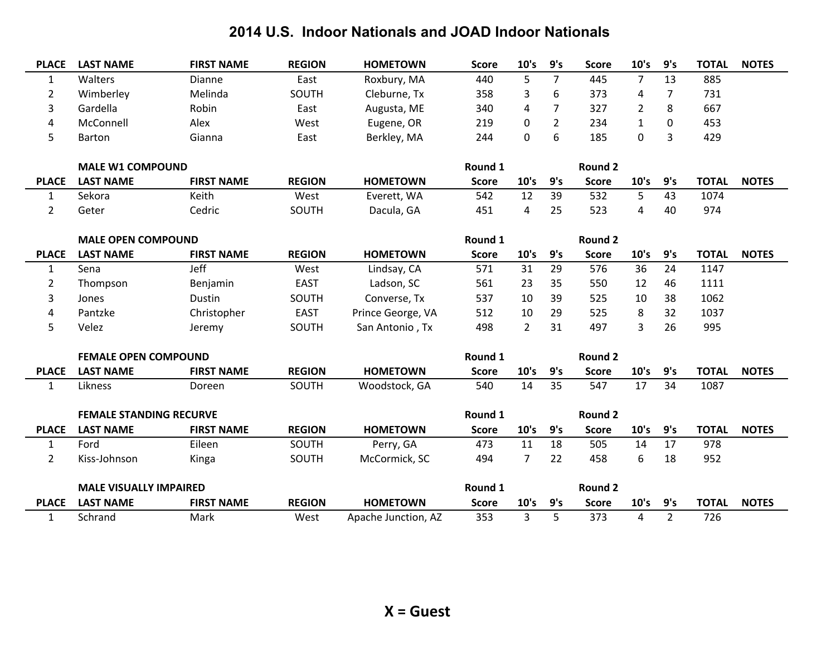| <b>PLACE</b>   | <b>LAST NAME</b>               | <b>FIRST NAME</b> | <b>REGION</b> | <b>HOMETOWN</b>     | <b>Score</b> | 10's           | 9's            | <b>Score</b>   | 10's           | 9's            | <b>TOTAL</b> | <b>NOTES</b> |
|----------------|--------------------------------|-------------------|---------------|---------------------|--------------|----------------|----------------|----------------|----------------|----------------|--------------|--------------|
| $\mathbf{1}$   | Walters                        | Dianne            | East          | Roxbury, MA         | 440          | 5              | $\overline{7}$ | 445            | $\overline{7}$ | 13             | 885          |              |
| $\overline{2}$ | Wimberley                      | Melinda           | SOUTH         | Cleburne, Tx        | 358          | 3              | 6              | 373            | 4              | 7              | 731          |              |
| 3              | Gardella                       | Robin             | East          | Augusta, ME         | 340          | 4              | $\overline{7}$ | 327            | $\overline{2}$ | 8              | 667          |              |
| 4              | McConnell                      | Alex              | West          | Eugene, OR          | 219          | 0              | $\overline{2}$ | 234            | $\mathbf{1}$   | $\mathbf 0$    | 453          |              |
| 5              | Barton                         | Gianna            | East          | Berkley, MA         | 244          | $\mathbf 0$    | 6              | 185            | 0              | 3              | 429          |              |
|                |                                |                   |               |                     |              |                |                |                |                |                |              |              |
|                | <b>MALE W1 COMPOUND</b>        |                   |               |                     | Round 1      |                |                | <b>Round 2</b> |                |                |              |              |
| <b>PLACE</b>   | <b>LAST NAME</b>               | <b>FIRST NAME</b> | <b>REGION</b> | <b>HOMETOWN</b>     | <b>Score</b> | 10's           | 9's            | <b>Score</b>   | 10's           | 9's            | <b>TOTAL</b> | <b>NOTES</b> |
| 1              | Sekora                         | Keith             | West          | Everett, WA         | 542          | 12             | 39             | 532            | 5              | 43             | 1074         |              |
| $\overline{2}$ | Geter                          | Cedric            | SOUTH         | Dacula, GA          | 451          | 4              | 25             | 523            | 4              | 40             | 974          |              |
|                |                                |                   |               |                     |              |                |                |                |                |                |              |              |
|                | <b>MALE OPEN COMPOUND</b>      |                   |               |                     | Round 1      |                |                | <b>Round 2</b> |                |                |              |              |
| <b>PLACE</b>   | <b>LAST NAME</b>               | <b>FIRST NAME</b> | <b>REGION</b> | <b>HOMETOWN</b>     | <b>Score</b> | 10's           | 9's            | <b>Score</b>   | 10's           | 9's            | <b>TOTAL</b> | <b>NOTES</b> |
| $\mathbf{1}$   | Sena                           | Jeff              | West          | Lindsay, CA         | 571          | 31             | 29             | 576            | 36             | 24             | 1147         |              |
| $\overline{2}$ | Thompson                       | Benjamin          | <b>EAST</b>   | Ladson, SC          | 561          | 23             | 35             | 550            | 12             | 46             | 1111         |              |
| 3              | Jones                          | Dustin            | SOUTH         | Converse, Tx        | 537          | 10             | 39             | 525            | 10             | 38             | 1062         |              |
| 4              | Pantzke                        | Christopher       | <b>EAST</b>   | Prince George, VA   | 512          | 10             | 29             | 525            | 8              | 32             | 1037         |              |
| 5              | Velez                          | Jeremy            | SOUTH         | San Antonio, Tx     | 498          | $\overline{2}$ | 31             | 497            | 3              | 26             | 995          |              |
|                |                                |                   |               |                     |              |                |                |                |                |                |              |              |
|                | <b>FEMALE OPEN COMPOUND</b>    |                   |               |                     | Round 1      |                |                | <b>Round 2</b> |                |                |              |              |
| <b>PLACE</b>   | <b>LAST NAME</b>               | <b>FIRST NAME</b> | <b>REGION</b> | <b>HOMETOWN</b>     | <b>Score</b> | 10's           | 9's            | <b>Score</b>   | 10's           | 9's            | <b>TOTAL</b> | <b>NOTES</b> |
| $\mathbf{1}$   | Likness                        | Doreen            | SOUTH         | Woodstock, GA       | 540          | 14             | 35             | 547            | 17             | 34             | 1087         |              |
|                |                                |                   |               |                     |              |                |                |                |                |                |              |              |
|                | <b>FEMALE STANDING RECURVE</b> |                   |               |                     | Round 1      |                |                | <b>Round 2</b> |                |                |              |              |
| <b>PLACE</b>   | <b>LAST NAME</b>               | <b>FIRST NAME</b> | <b>REGION</b> | <b>HOMETOWN</b>     | <b>Score</b> | 10's           | 9's            | <b>Score</b>   | 10's           | 9's            | <b>TOTAL</b> | <b>NOTES</b> |
| $\mathbf{1}$   | Ford                           | Eileen            | SOUTH         | Perry, GA           | 473          | 11             | 18             | 505            | 14             | 17             | 978          |              |
| $\overline{2}$ | Kiss-Johnson                   | Kinga             | SOUTH         | McCormick, SC       | 494          | $\overline{7}$ | 22             | 458            | 6              | 18             | 952          |              |
|                |                                |                   |               |                     |              |                |                |                |                |                |              |              |
|                | <b>MALE VISUALLY IMPAIRED</b>  |                   |               |                     | Round 1      |                |                | <b>Round 2</b> |                |                |              |              |
| <b>PLACE</b>   | <b>LAST NAME</b>               | <b>FIRST NAME</b> | <b>REGION</b> | <b>HOMETOWN</b>     | <b>Score</b> | 10's           | 9's            | <b>Score</b>   | 10's           | 9's            | <b>TOTAL</b> | <b>NOTES</b> |
| $\mathbf{1}$   | Schrand                        | Mark              | West          | Apache Junction, AZ | 353          | 3              | 5              | 373            | 4              | $\overline{2}$ | 726          |              |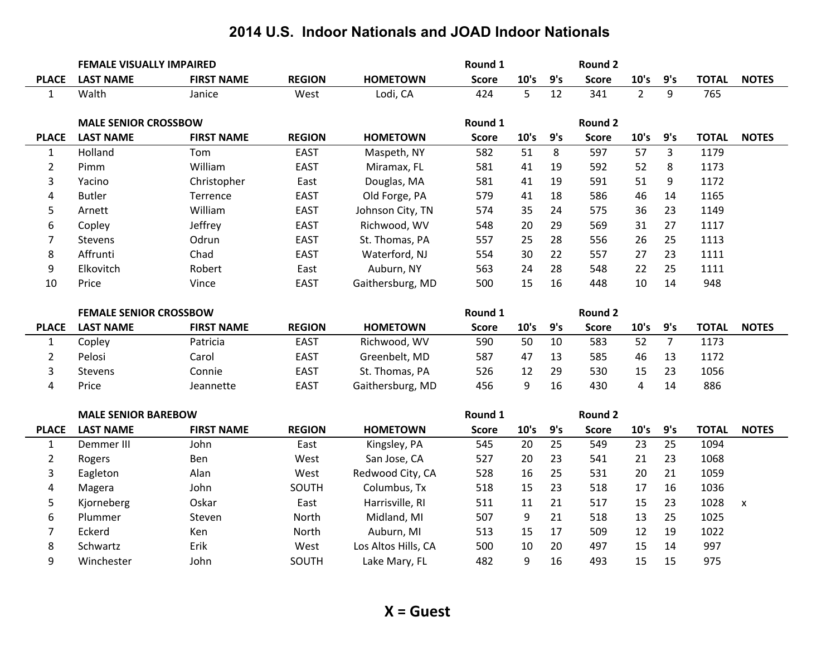|                | <b>FEMALE VISUALLY IMPAIRED</b> |                   |               |                     | Round 1      |      |     | Round 2        |                |                |              |                    |
|----------------|---------------------------------|-------------------|---------------|---------------------|--------------|------|-----|----------------|----------------|----------------|--------------|--------------------|
| <b>PLACE</b>   | <b>LAST NAME</b>                | <b>FIRST NAME</b> | <b>REGION</b> | <b>HOMETOWN</b>     | <b>Score</b> | 10's | 9's | <b>Score</b>   | 10's           | 9's            | <b>TOTAL</b> | <b>NOTES</b>       |
| $\mathbf{1}$   | Walth                           | Janice            | West          | Lodi, CA            | 424          | 5    | 12  | 341            | $\overline{2}$ | 9              | 765          |                    |
|                |                                 |                   |               |                     |              |      |     |                |                |                |              |                    |
|                | <b>MALE SENIOR CROSSBOW</b>     |                   |               |                     | Round 1      |      |     | Round 2        |                |                |              |                    |
| <b>PLACE</b>   | <b>LAST NAME</b>                | <b>FIRST NAME</b> | <b>REGION</b> | <b>HOMETOWN</b>     | <b>Score</b> | 10's | 9's | <b>Score</b>   | 10's           | 9's            | <b>TOTAL</b> | <b>NOTES</b>       |
| $\mathbf{1}$   | Holland                         | Tom               | <b>EAST</b>   | Maspeth, NY         | 582          | 51   | 8   | 597            | 57             | $\overline{3}$ | 1179         |                    |
| $\overline{2}$ | Pimm                            | William           | <b>EAST</b>   | Miramax, FL         | 581          | 41   | 19  | 592            | 52             | 8              | 1173         |                    |
| 3              | Yacino                          | Christopher       | East          | Douglas, MA         | 581          | 41   | 19  | 591            | 51             | 9              | 1172         |                    |
| 4              | <b>Butler</b>                   | Terrence          | <b>EAST</b>   | Old Forge, PA       | 579          | 41   | 18  | 586            | 46             | 14             | 1165         |                    |
| 5              | Arnett                          | William           | <b>EAST</b>   | Johnson City, TN    | 574          | 35   | 24  | 575            | 36             | 23             | 1149         |                    |
| 6              | Copley                          | Jeffrey           | <b>EAST</b>   | Richwood, WV        | 548          | 20   | 29  | 569            | 31             | 27             | 1117         |                    |
| 7              | <b>Stevens</b>                  | Odrun             | <b>EAST</b>   | St. Thomas, PA      | 557          | 25   | 28  | 556            | 26             | 25             | 1113         |                    |
| 8              | Affrunti                        | Chad              | <b>EAST</b>   | Waterford, NJ       | 554          | 30   | 22  | 557            | 27             | 23             | 1111         |                    |
| 9              | Elkovitch                       | Robert            | East          | Auburn, NY          | 563          | 24   | 28  | 548            | 22             | 25             | 1111         |                    |
| 10             | Price                           | Vince             | <b>EAST</b>   | Gaithersburg, MD    | 500          | 15   | 16  | 448            | 10             | 14             | 948          |                    |
|                | <b>FEMALE SENIOR CROSSBOW</b>   |                   |               |                     | Round 1      |      |     | <b>Round 2</b> |                |                |              |                    |
|                |                                 |                   |               |                     |              |      |     |                |                |                |              |                    |
|                |                                 |                   |               |                     |              |      |     |                |                |                |              |                    |
| <b>PLACE</b>   | <b>LAST NAME</b>                | <b>FIRST NAME</b> | <b>REGION</b> | <b>HOMETOWN</b>     | <b>Score</b> | 10's | 9's | <b>Score</b>   | 10's           | 9's            | <b>TOTAL</b> | <b>NOTES</b>       |
| $\mathbf{1}$   | Copley                          | Patricia          | <b>EAST</b>   | Richwood, WV        | 590          | 50   | 10  | 583            | 52             | $\overline{7}$ | 1173         |                    |
| $\overline{2}$ | Pelosi                          | Carol             | <b>EAST</b>   | Greenbelt, MD       | 587          | 47   | 13  | 585            | 46             | 13             | 1172         |                    |
| 3              | Stevens                         | Connie            | <b>EAST</b>   | St. Thomas, PA      | 526          | 12   | 29  | 530            | 15             | 23             | 1056         |                    |
| 4              | Price                           | Jeannette         | <b>EAST</b>   | Gaithersburg, MD    | 456          | 9    | 16  | 430            | 4              | 14             | 886          |                    |
|                | <b>MALE SENIOR BAREBOW</b>      |                   |               |                     | Round 1      |      |     | <b>Round 2</b> |                |                |              |                    |
| <b>PLACE</b>   | <b>LAST NAME</b>                | <b>FIRST NAME</b> | <b>REGION</b> | <b>HOMETOWN</b>     | <b>Score</b> | 10's | 9's | <b>Score</b>   | 10's           | 9's            | <b>TOTAL</b> | <b>NOTES</b>       |
| $\mathbf{1}$   | Demmer III                      | John              | East          | Kingsley, PA        | 545          | 20   | 25  | 549            | 23             | 25             | 1094         |                    |
| $\overline{2}$ | Rogers                          | Ben               | West          | San Jose, CA        | 527          | 20   | 23  | 541            | 21             | 23             | 1068         |                    |
| 3              | Eagleton                        | Alan              | West          | Redwood City, CA    | 528          | 16   | 25  | 531            | 20             | 21             | 1059         |                    |
| 4              | Magera                          | John              | SOUTH         | Columbus, Tx        | 518          | 15   | 23  | 518            | 17             | 16             | 1036         |                    |
| 5              | Kjorneberg                      | Oskar             | East          | Harrisville, RI     | 511          | 11   | 21  | 517            | 15             | 23             | 1028         | $\pmb{\mathsf{x}}$ |
| 6              | Plummer                         | Steven            | North         | Midland, MI         | 507          | 9    | 21  | 518            | 13             | 25             | 1025         |                    |
| 7              | Eckerd                          | Ken               | North         | Auburn, MI          | 513          | 15   | 17  | 509            | 12             | 19             | 1022         |                    |
| 8              | Schwartz                        | Erik              | West          | Los Altos Hills, CA | 500          | 10   | 20  | 497            | 15             | 14             | 997          |                    |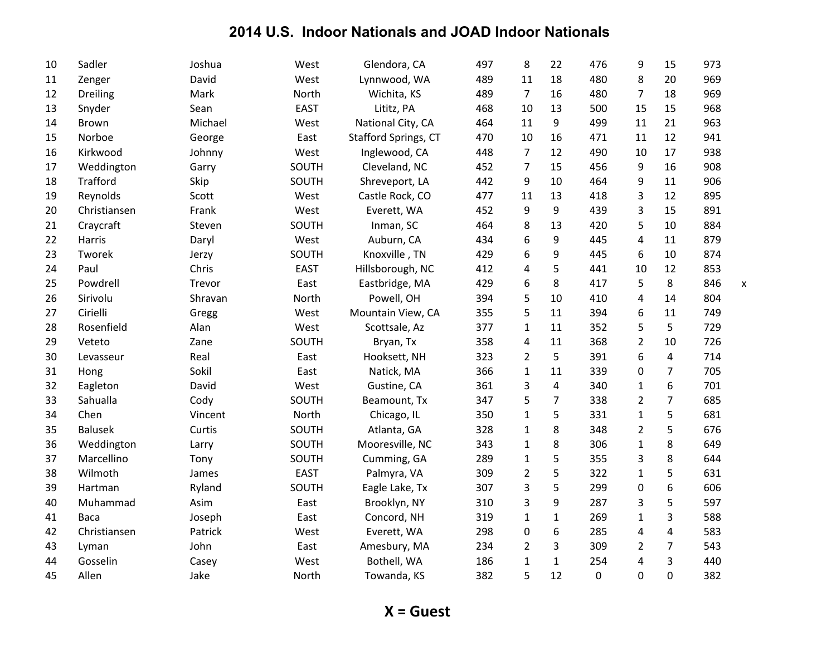| 10 | Sadler         | Joshua  | West        | Glendora, CA         | 497 | 8              | 22             | 476         | 9              | 15             | 973 |   |
|----|----------------|---------|-------------|----------------------|-----|----------------|----------------|-------------|----------------|----------------|-----|---|
| 11 | Zenger         | David   | West        | Lynnwood, WA         | 489 | 11             | 18             | 480         | 8              | 20             | 969 |   |
| 12 | Dreiling       | Mark    | North       | Wichita, KS          | 489 | 7              | 16             | 480         | $\overline{7}$ | 18             | 969 |   |
| 13 | Snyder         | Sean    | <b>EAST</b> | Lititz, PA           | 468 | 10             | 13             | 500         | 15             | 15             | 968 |   |
| 14 | <b>Brown</b>   | Michael | West        | National City, CA    | 464 | 11             | 9              | 499         | 11             | 21             | 963 |   |
| 15 | Norboe         | George  | East        | Stafford Springs, CT | 470 | 10             | 16             | 471         | 11             | 12             | 941 |   |
| 16 | Kirkwood       | Johnny  | West        | Inglewood, CA        | 448 | 7              | 12             | 490         | 10             | 17             | 938 |   |
| 17 | Weddington     | Garry   | SOUTH       | Cleveland, NC        | 452 | $\overline{7}$ | 15             | 456         | 9              | 16             | 908 |   |
| 18 | Trafford       | Skip    | SOUTH       | Shreveport, LA       | 442 | 9              | 10             | 464         | 9              | 11             | 906 |   |
| 19 | Reynolds       | Scott   | West        | Castle Rock, CO      | 477 | 11             | 13             | 418         | 3              | 12             | 895 |   |
| 20 | Christiansen   | Frank   | West        | Everett, WA          | 452 | 9              | 9              | 439         | 3              | 15             | 891 |   |
| 21 | Craycraft      | Steven  | SOUTH       | Inman, SC            | 464 | 8              | 13             | 420         | 5              | 10             | 884 |   |
| 22 | Harris         | Daryl   | West        | Auburn, CA           | 434 | 6              | 9              | 445         | 4              | 11             | 879 |   |
| 23 | Tworek         | Jerzy   | SOUTH       | Knoxville, TN        | 429 | 6              | 9              | 445         | 6              | 10             | 874 |   |
| 24 | Paul           | Chris   | <b>EAST</b> | Hillsborough, NC     | 412 | 4              | 5              | 441         | 10             | 12             | 853 |   |
| 25 | Powdrell       | Trevor  | East        | Eastbridge, MA       | 429 | 6              | 8              | 417         | 5              | 8              | 846 | X |
| 26 | Sirivolu       | Shravan | North       | Powell, OH           | 394 | 5              | 10             | 410         | 4              | 14             | 804 |   |
| 27 | Cirielli       | Gregg   | West        | Mountain View, CA    | 355 | 5              | 11             | 394         | 6              | 11             | 749 |   |
| 28 | Rosenfield     | Alan    | West        | Scottsale, Az        | 377 | 1              | 11             | 352         | 5              | 5              | 729 |   |
| 29 | Veteto         | Zane    | SOUTH       | Bryan, Tx            | 358 | 4              | 11             | 368         | $\overline{2}$ | 10             | 726 |   |
| 30 | Levasseur      | Real    | East        | Hooksett, NH         | 323 | $\overline{2}$ | 5              | 391         | 6              | 4              | 714 |   |
| 31 | Hong           | Sokil   | East        | Natick, MA           | 366 | $\mathbf{1}$   | 11             | 339         | 0              | $\overline{7}$ | 705 |   |
| 32 | Eagleton       | David   | West        | Gustine, CA          | 361 | 3              | 4              | 340         | $\mathbf{1}$   | 6              | 701 |   |
| 33 | Sahualla       | Cody    | SOUTH       | Beamount, Tx         | 347 | 5              | $\overline{7}$ | 338         | $\overline{2}$ | $\overline{7}$ | 685 |   |
| 34 | Chen           | Vincent | North       | Chicago, IL          | 350 | $\mathbf{1}$   | 5              | 331         | $\mathbf{1}$   | 5              | 681 |   |
| 35 | <b>Balusek</b> | Curtis  | SOUTH       | Atlanta, GA          | 328 | $\mathbf{1}$   | 8              | 348         | $\overline{2}$ | 5              | 676 |   |
| 36 | Weddington     | Larry   | SOUTH       | Mooresville, NC      | 343 | $\mathbf{1}$   | 8              | 306         | $\mathbf{1}$   | 8              | 649 |   |
| 37 | Marcellino     | Tony    | SOUTH       | Cumming, GA          | 289 | 1              | 5              | 355         | 3              | 8              | 644 |   |
| 38 | Wilmoth        | James   | <b>EAST</b> | Palmyra, VA          | 309 | $\overline{2}$ | 5              | 322         | $\mathbf{1}$   | 5              | 631 |   |
| 39 | Hartman        | Ryland  | SOUTH       | Eagle Lake, Tx       | 307 | 3              | 5              | 299         | 0              | 6              | 606 |   |
| 40 | Muhammad       | Asim    | East        | Brooklyn, NY         | 310 | 3              | 9              | 287         | 3              | 5              | 597 |   |
| 41 | Baca           | Joseph  | East        | Concord, NH          | 319 | $\mathbf{1}$   | $\mathbf{1}$   | 269         | $\mathbf{1}$   | 3              | 588 |   |
| 42 | Christiansen   | Patrick | West        | Everett, WA          | 298 | 0              | 6              | 285         | 4              | 4              | 583 |   |
| 43 | Lyman          | John    | East        | Amesbury, MA         | 234 | $\overline{2}$ | 3              | 309         | $\overline{2}$ | 7              | 543 |   |
| 44 | Gosselin       | Casey   | West        | Bothell, WA          | 186 | $\mathbf{1}$   | $\mathbf{1}$   | 254         | 4              | 3              | 440 |   |
| 45 | Allen          | Jake    | North       | Towanda, KS          | 382 | 5              | 12             | $\mathbf 0$ | 0              | $\overline{0}$ | 382 |   |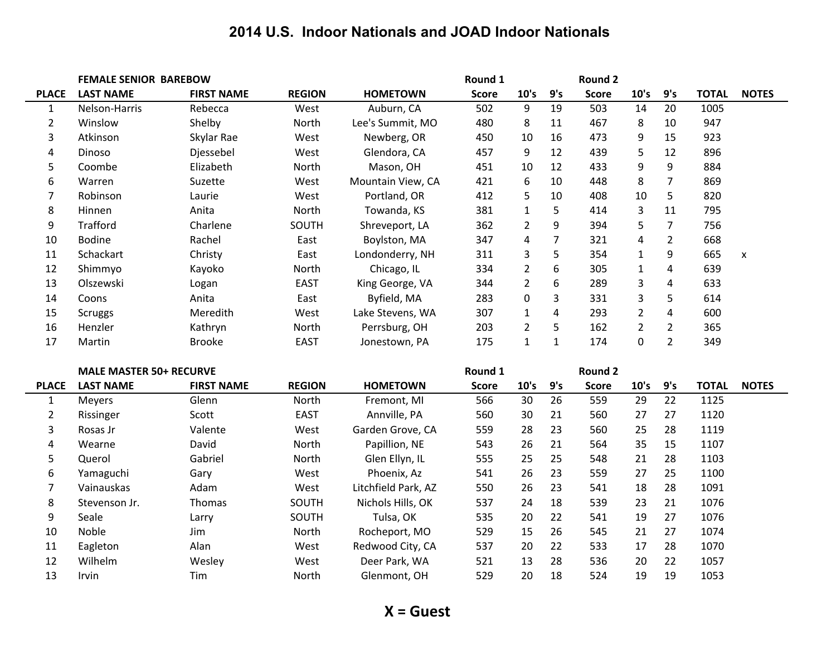|                | <b>FEMALE SENIOR BAREBOW</b>   |                   |               |                     | Round 1      |                |                | <b>Round 2</b> |                |                         |              |              |
|----------------|--------------------------------|-------------------|---------------|---------------------|--------------|----------------|----------------|----------------|----------------|-------------------------|--------------|--------------|
| <b>PLACE</b>   | <b>LAST NAME</b>               | <b>FIRST NAME</b> | <b>REGION</b> | <b>HOMETOWN</b>     | <b>Score</b> | 10's           | 9's            | <b>Score</b>   | 10's           | 9's                     | <b>TOTAL</b> | <b>NOTES</b> |
| $\mathbf{1}$   | Nelson-Harris                  | Rebecca           | West          | Auburn, CA          | 502          | 9              | 19             | 503            | 14             | 20                      | 1005         |              |
| $\overline{2}$ | Winslow                        | Shelby            | North         | Lee's Summit, MO    | 480          | 8              | 11             | 467            | 8              | 10                      | 947          |              |
| 3              | Atkinson                       | Skylar Rae        | West          | Newberg, OR         | 450          | 10             | 16             | 473            | 9              | 15                      | 923          |              |
| 4              | Dinoso                         | Djessebel         | West          | Glendora, CA        | 457          | 9              | 12             | 439            | 5              | 12                      | 896          |              |
| 5              | Coombe                         | Elizabeth         | North         | Mason, OH           | 451          | 10             | 12             | 433            | 9              | 9                       | 884          |              |
| 6              | Warren                         | Suzette           | West          | Mountain View, CA   | 421          | 6              | 10             | 448            | 8              | $\overline{7}$          | 869          |              |
| 7              | Robinson                       | Laurie            | West          | Portland, OR        | 412          | 5              | 10             | 408            | 10             | 5                       | 820          |              |
| 8              | Hinnen                         | Anita             | North         | Towanda, KS         | 381          | $\mathbf{1}$   | $\sqrt{5}$     | 414            | 3              | 11                      | 795          |              |
| 9              | <b>Trafford</b>                | Charlene          | SOUTH         | Shreveport, LA      | 362          | $\overline{2}$ | 9              | 394            | 5              | $\overline{7}$          | 756          |              |
| 10             | <b>Bodine</b>                  | Rachel            | East          | Boylston, MA        | 347          | 4              | $\overline{7}$ | 321            | 4              | $\overline{2}$          | 668          |              |
| 11             | Schackart                      | Christy           | East          | Londonderry, NH     | 311          | 3              | 5              | 354            | $\mathbf{1}$   | 9                       | 665          | X            |
| 12             | Shimmyo                        | Kayoko            | North         | Chicago, IL         | 334          | $\overline{2}$ | 6              | 305            | $\mathbf{1}$   | $\overline{4}$          | 639          |              |
| 13             | Olszewski                      | Logan             | <b>EAST</b>   | King George, VA     | 344          | $\overline{2}$ | 6              | 289            | 3              | $\overline{\mathbf{4}}$ | 633          |              |
| 14             | Coons                          | Anita             | East          | Byfield, MA         | 283          | 0              | 3              | 331            | 3              | 5                       | 614          |              |
| 15             | <b>Scruggs</b>                 | Meredith          | West          | Lake Stevens, WA    | 307          | $\mathbf{1}$   | 4              | 293            | $\overline{2}$ | $\overline{4}$          | 600          |              |
| 16             | Henzler                        | Kathryn           | North         | Perrsburg, OH       | 203          | $\overline{2}$ | 5              | 162            | $\overline{2}$ | $\overline{2}$          | 365          |              |
| 17             | Martin                         | <b>Brooke</b>     | <b>EAST</b>   | Jonestown, PA       | 175          | $\mathbf{1}$   | $\mathbf 1$    | 174            | 0              | $\overline{2}$          | 349          |              |
|                | <b>MALE MASTER 50+ RECURVE</b> |                   |               |                     | Round 1      |                |                | <b>Round 2</b> |                |                         |              |              |
| <b>PLACE</b>   | <b>LAST NAME</b>               | <b>FIRST NAME</b> | <b>REGION</b> | <b>HOMETOWN</b>     | <b>Score</b> | 10's           | 9's            | <b>Score</b>   | 10's           | 9's                     | <b>TOTAL</b> | <b>NOTES</b> |
| $\mathbf{1}$   | Meyers                         | Glenn             | North         | Fremont, MI         | 566          | 30             | 26             | 559            | 29             | 22                      | 1125         |              |
| $\overline{2}$ | Rissinger                      | Scott             | <b>EAST</b>   | Annville, PA        | 560          | 30             | 21             | 560            | 27             | 27                      | 1120         |              |
| 3              | Rosas Jr                       | Valente           | West          | Garden Grove, CA    | 559          | 28             | 23             | 560            | 25             | 28                      | 1119         |              |
| 4              | Wearne                         | David             | North         | Papillion, NE       | 543          | 26             | 21             | 564            | 35             | 15                      | 1107         |              |
| 5              | Querol                         | Gabriel           | North         | Glen Ellyn, IL      | 555          | 25             | 25             | 548            | 21             | 28                      | 1103         |              |
| 6              | Yamaguchi                      | Gary              | West          | Phoenix, Az         | 541          | 26             | 23             | 559            | 27             | 25                      | 1100         |              |
| 7              | Vainauskas                     | Adam              | West          | Litchfield Park, AZ | 550          | 26             | 23             | 541            | 18             | 28                      | 1091         |              |
| 8              | Stevenson Jr.                  | Thomas            | SOUTH         | Nichols Hills, OK   | 537          | 24             | 18             | 539            | 23             | 21                      | 1076         |              |
| 9              | Seale                          | Larry             | SOUTH         | Tulsa, OK           | 535          | 20             | 22             | 541            | 19             | 27                      | 1076         |              |
| 10             | Noble                          | Jim               | North         | Rocheport, MO       | 529          | 15             | 26             | 545            | 21             | 27                      | 1074         |              |
| 11             | Eagleton                       | Alan              | West          | Redwood City, CA    | 537          | 20             | 22             | 533            | 17             | 28                      | 1070         |              |
| 12             | Wilhelm                        | Wesley            | West          | Deer Park, WA       | 521          | 13             | 28             | 536            | 20             | 22                      | 1057         |              |
| 13             | Irvin                          | Tim               | North         | Glenmont, OH        | 529          | 20             | 18             | 524            | 19             | 19                      | 1053         |              |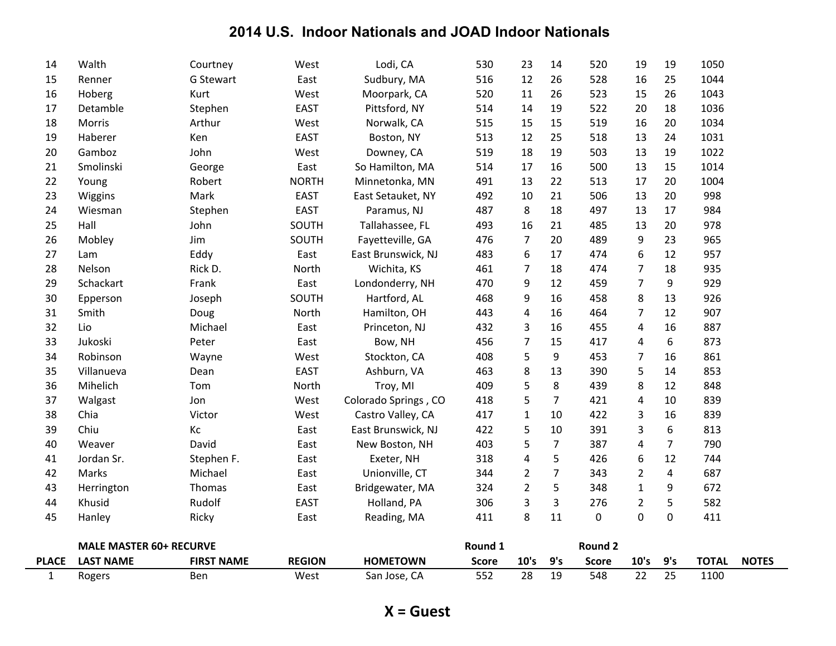| $\mathbf{1}$ | Rogers                         | Ben               | West          | San Jose, CA         | 552          | 28               | 19             | 548          | 22             | 25               | 1100         |              |
|--------------|--------------------------------|-------------------|---------------|----------------------|--------------|------------------|----------------|--------------|----------------|------------------|--------------|--------------|
| <b>PLACE</b> | <b>LAST NAME</b>               | <b>FIRST NAME</b> | <b>REGION</b> | <b>HOMETOWN</b>      | <b>Score</b> | 10's             | 9's            | <b>Score</b> | 10's           | 9's              | <b>TOTAL</b> | <b>NOTES</b> |
|              | <b>MALE MASTER 60+ RECURVE</b> |                   |               |                      | Round 1      |                  |                | Round 2      |                |                  |              |              |
|              |                                |                   |               |                      |              |                  |                |              |                |                  |              |              |
| 45           | Hanley                         | Ricky             | East          | Reading, MA          | 411          | 8                | 11             | 0            | 0              | $\mathbf 0$      | 411          |              |
| 44           | Herrington<br>Khusid           | Rudolf            | <b>EAST</b>   | Holland, PA          | 306          | $\mathbf{3}$     | 3              | 276          | $\overline{2}$ | 5                | 582          |              |
| 43           |                                | Thomas            | East          | Bridgewater, MA      | 324          | $\overline{2}$   | 5              | 348          | $\mathbf{1}$   | 9                | 672          |              |
| 42           | Marks                          | Michael           | East          | Unionville, CT       | 344          | $\overline{2}$   | $\overline{7}$ | 343          | $\overline{2}$ | $\overline{4}$   | 687          |              |
| 41           | Jordan Sr.                     | Stephen F.        | East          | Exeter, NH           | 318          | $\overline{4}$   | 5              | 426          | 6              | 12               | 744          |              |
| 40           | Weaver                         | David             | East          | New Boston, NH       | 403          | 5                | $\overline{7}$ | 387          | 4              | $\overline{7}$   | 790          |              |
| 39           | Chiu                           | Кc                | East          | East Brunswick, NJ   | 422          | 5                | 10             | 391          | 3              | $\boldsymbol{6}$ | 813          |              |
| 38           | Chia                           | Victor            | West          | Castro Valley, CA    | 417          | $\mathbf{1}$     | 10             | 422          | 3              | 16               | 839          |              |
| 37           | Walgast                        | Jon               | West          | Colorado Springs, CO | 418          | 5                | $\overline{7}$ | 421          | 4              | 10               | 839          |              |
| 36           | Mihelich                       | Tom               | North         | Troy, MI             | 409          | 5                | 8              | 439          | 8              | 12               | 848          |              |
| 35           | Villanueva                     | Dean              | <b>EAST</b>   | Ashburn, VA          | 463          | 8                | 13             | 390          | 5              | 14               | 853          |              |
| 34           | Robinson                       | Wayne             | West          | Stockton, CA         | 408          | 5                | 9              | 453          | 7              | 16               | 861          |              |
| 33           | Jukoski                        | Peter             | East          | Bow, NH              | 456          | $\overline{7}$   | 15             | 417          | 4              | 6                | 873          |              |
| 32           | Lio                            | Michael           | East          | Princeton, NJ        | 432          | 3                | 16             | 455          | 4              | 16               | 887          |              |
| 31           | Smith                          | Doug              | North         | Hamilton, OH         | 443          | $\overline{4}$   | 16             | 464          | $\overline{7}$ | 12               | 907          |              |
| 30           | Epperson                       | Joseph            | SOUTH         | Hartford, AL         | 468          | 9                | 16             | 458          | 8              | 13               | 926          |              |
| 29           | Schackart                      | Frank             | East          | Londonderry, NH      | 470          | 9                | 12             | 459          | $\overline{7}$ | 9                | 929          |              |
| 28           | Nelson                         | Rick D.           | North         | Wichita, KS          | 461          | $\overline{7}$   | 18             | 474          | $\overline{7}$ | 18               | 935          |              |
| 27           | Lam                            | Eddy              | East          | East Brunswick, NJ   | 483          | $\boldsymbol{6}$ | 17             | 474          | 6              | 12               | 957          |              |
| 26           | Mobley                         | Jim               | SOUTH         | Fayetteville, GA     | 476          | $\overline{7}$   | 20             | 489          | 9              | 23               | 965          |              |
| 25           | Hall                           | John              | SOUTH         | Tallahassee, FL      | 493          | 16               | 21             | 485          | 13             | 20               | 978          |              |
| 24           | Wiesman                        | Stephen           | <b>EAST</b>   | Paramus, NJ          | 487          | 8                | 18             | 497          | 13             | 17               | 984          |              |
| 23           | Wiggins                        | Mark              | <b>EAST</b>   | East Setauket, NY    | 492          | 10               | 21             | 506          | 13             | 20               | 998          |              |
| 22           | Young                          | Robert            | <b>NORTH</b>  | Minnetonka, MN       | 491          | 13               | 22             | 513          | 17             | 20               | 1004         |              |
| 21           | Smolinski                      | George            | East          | So Hamilton, MA      | 514          | 17               | 16             | 500          | 13             | 15               | 1014         |              |
| 20           | Gamboz                         | John              | West          | Downey, CA           | 519          | 18               | 19             | 503          | 13             | 19               | 1022         |              |
| 19           | Haberer                        | Ken               | <b>EAST</b>   | Boston, NY           | 513          | 12               | 25             | 518          | 13             | 24               | 1031         |              |
| 18           | Morris                         | Arthur            | West          | Norwalk, CA          | 515          | 15               | 15             | 519          | 16             | 20               | 1034         |              |
| 17           | Detamble                       | Stephen           | <b>EAST</b>   | Pittsford, NY        | 514          | 14               | 19             | 522          | 20             | 18               | 1036         |              |
| 16           | Hoberg                         | Kurt              | West          | Moorpark, CA         | 520          | 11               | 26             | 523          | 15             | 26               | 1043         |              |
| 15           | Renner                         | G Stewart         | East          | Sudbury, MA          | 516          | 12               | 26             | 528          | 16             | 25               | 1044         |              |
| 14           | Walth                          | Courtney          | West          | Lodi, CA             | 530          | 23               | 14             | 520          | 19             | 19               | 1050         |              |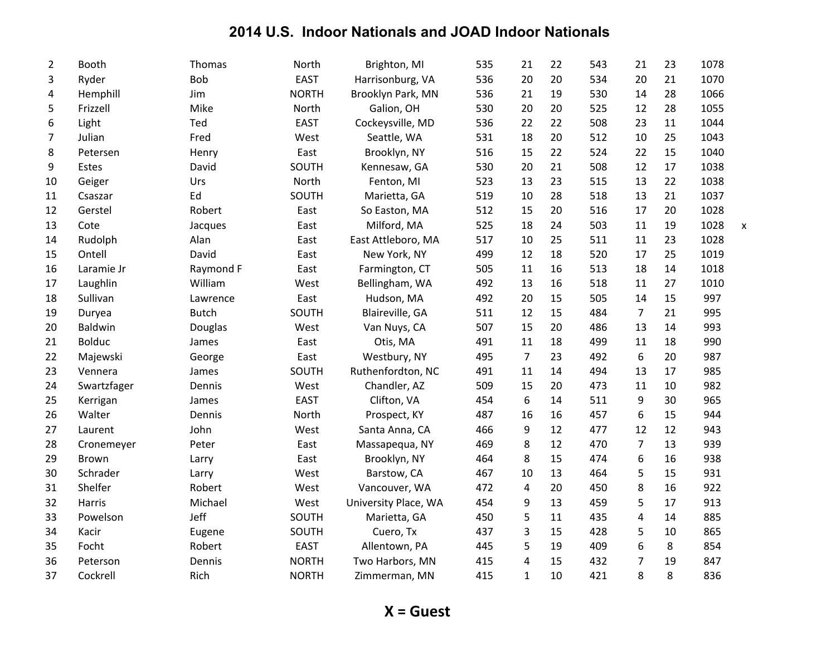| $\overline{2}$ | Booth         | Thomas       | North        | Brighton, MI         | 535 | 21             | 22 | 543 | 21             | 23 | 1078 |   |
|----------------|---------------|--------------|--------------|----------------------|-----|----------------|----|-----|----------------|----|------|---|
| 3              | Ryder         | Bob          | <b>EAST</b>  | Harrisonburg, VA     | 536 | 20             | 20 | 534 | 20             | 21 | 1070 |   |
| 4              | Hemphill      | Jim          | <b>NORTH</b> | Brooklyn Park, MN    | 536 | 21             | 19 | 530 | 14             | 28 | 1066 |   |
| 5              | Frizzell      | Mike         | North        | Galion, OH           | 530 | 20             | 20 | 525 | 12             | 28 | 1055 |   |
| 6              | Light         | Ted          | <b>EAST</b>  | Cockeysville, MD     | 536 | 22             | 22 | 508 | 23             | 11 | 1044 |   |
| 7              | Julian        | Fred         | West         | Seattle, WA          | 531 | 18             | 20 | 512 | 10             | 25 | 1043 |   |
| 8              | Petersen      | Henry        | East         | Brooklyn, NY         | 516 | 15             | 22 | 524 | 22             | 15 | 1040 |   |
| 9              | Estes         | David        | SOUTH        | Kennesaw, GA         | 530 | 20             | 21 | 508 | 12             | 17 | 1038 |   |
| 10             | Geiger        | Urs          | North        | Fenton, MI           | 523 | 13             | 23 | 515 | 13             | 22 | 1038 |   |
| 11             | Csaszar       | Ed           | SOUTH        | Marietta, GA         | 519 | 10             | 28 | 518 | 13             | 21 | 1037 |   |
| 12             | Gerstel       | Robert       | East         | So Easton, MA        | 512 | 15             | 20 | 516 | 17             | 20 | 1028 |   |
| 13             | Cote          | Jacques      | East         | Milford, MA          | 525 | 18             | 24 | 503 | 11             | 19 | 1028 | X |
| 14             | Rudolph       | Alan         | East         | East Attleboro, MA   | 517 | 10             | 25 | 511 | 11             | 23 | 1028 |   |
| 15             | Ontell        | David        | East         | New York, NY         | 499 | 12             | 18 | 520 | 17             | 25 | 1019 |   |
| 16             | Laramie Jr    | Raymond F    | East         | Farmington, CT       | 505 | 11             | 16 | 513 | 18             | 14 | 1018 |   |
| 17             | Laughlin      | William      | West         | Bellingham, WA       | 492 | 13             | 16 | 518 | 11             | 27 | 1010 |   |
| 18             | Sullivan      | Lawrence     | East         | Hudson, MA           | 492 | 20             | 15 | 505 | 14             | 15 | 997  |   |
| 19             | Duryea        | <b>Butch</b> | SOUTH        | Blaireville, GA      | 511 | 12             | 15 | 484 | 7              | 21 | 995  |   |
| 20             | Baldwin       | Douglas      | West         | Van Nuys, CA         | 507 | 15             | 20 | 486 | 13             | 14 | 993  |   |
| 21             | <b>Bolduc</b> | James        | East         | Otis, MA             | 491 | 11             | 18 | 499 | 11             | 18 | 990  |   |
| 22             | Majewski      | George       | East         | Westbury, NY         | 495 | $\overline{7}$ | 23 | 492 | 6              | 20 | 987  |   |
| 23             | Vennera       | James        | SOUTH        | Ruthenfordton, NC    | 491 | 11             | 14 | 494 | 13             | 17 | 985  |   |
| 24             | Swartzfager   | Dennis       | West         | Chandler, AZ         | 509 | 15             | 20 | 473 | 11             | 10 | 982  |   |
| 25             | Kerrigan      | James        | <b>EAST</b>  | Clifton, VA          | 454 | 6              | 14 | 511 | 9              | 30 | 965  |   |
| 26             | Walter        | Dennis       | North        | Prospect, KY         | 487 | 16             | 16 | 457 | 6              | 15 | 944  |   |
| 27             | Laurent       | John         | West         | Santa Anna, CA       | 466 | 9              | 12 | 477 | 12             | 12 | 943  |   |
| 28             | Cronemeyer    | Peter        | East         | Massapequa, NY       | 469 | 8              | 12 | 470 | $\overline{7}$ | 13 | 939  |   |
| 29             | Brown         | Larry        | East         | Brooklyn, NY         | 464 | 8              | 15 | 474 | 6              | 16 | 938  |   |
| 30             | Schrader      | Larry        | West         | Barstow, CA          | 467 | 10             | 13 | 464 | 5              | 15 | 931  |   |
| 31             | Shelfer       | Robert       | West         | Vancouver, WA        | 472 | 4              | 20 | 450 | 8              | 16 | 922  |   |
| 32             | Harris        | Michael      | West         | University Place, WA | 454 | 9              | 13 | 459 | 5              | 17 | 913  |   |
| 33             | Powelson      | Jeff         | SOUTH        | Marietta, GA         | 450 | 5              | 11 | 435 | 4              | 14 | 885  |   |
| 34             | Kacir         | Eugene       | SOUTH        | Cuero, Tx            | 437 | 3              | 15 | 428 | 5              | 10 | 865  |   |
| 35             | Focht         | Robert       | <b>EAST</b>  | Allentown, PA        | 445 | 5              | 19 | 409 | 6              | 8  | 854  |   |
| 36             | Peterson      | Dennis       | <b>NORTH</b> | Two Harbors, MN      | 415 | 4              | 15 | 432 | 7              | 19 | 847  |   |
| 37             | Cockrell      | Rich         | <b>NORTH</b> | Zimmerman, MN        | 415 | $\mathbf{1}$   | 10 | 421 | 8              | 8  | 836  |   |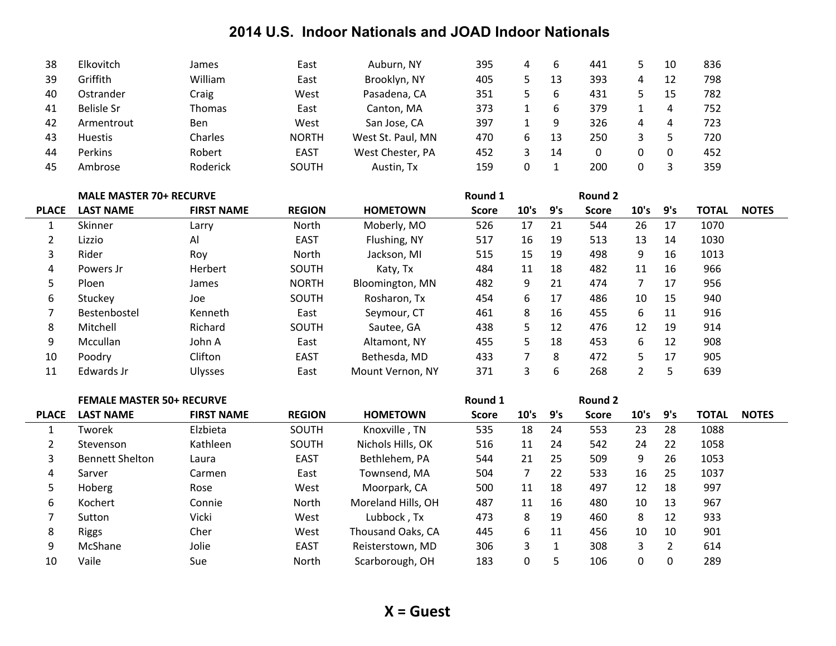| 38 | Elkovitch      | James    | East         | Auburn, NY        | 395 | 4 | b  | 441 |   | 10 | 836 |
|----|----------------|----------|--------------|-------------------|-----|---|----|-----|---|----|-----|
| 39 | Griffith       | William  | East         | Brooklyn, NY      | 405 |   | 13 | 393 | 4 | 12 | 798 |
| 40 | Ostrander      | Craig    | West         | Pasadena, CA      | 351 |   | 6  | 431 |   | 15 | 782 |
| 41 | Belisle Sr     | Thomas   | East         | Canton, MA        | 373 |   | b  | 379 |   |    | 752 |
| 42 | Armentrout     | Ben      | West         | San Jose, CA      | 397 |   | 9  | 326 | 4 |    | 723 |
| 43 | <b>Huestis</b> | Charles  | <b>NORTH</b> | West St. Paul, MN | 470 | b | 13 | 250 |   |    | 720 |
| 44 | <b>Perkins</b> | Robert   | <b>EAST</b>  | West Chester, PA  | 452 |   | 14 |     |   |    | 452 |
| 45 | Ambrose        | Roderick | <b>SOUTH</b> | Austin, Tx        | 159 |   |    | 200 |   |    | 359 |

|              | <b>MALE MASTER 70+ RECURVE</b> |                   |               |                  | Round 1      |      |     | Round 2      |                |     |       |              |
|--------------|--------------------------------|-------------------|---------------|------------------|--------------|------|-----|--------------|----------------|-----|-------|--------------|
| <b>PLACE</b> | <b>LAST NAME</b>               | <b>FIRST NAME</b> | <b>REGION</b> | <b>HOMETOWN</b>  | <b>Score</b> | 10's | 9's | <b>Score</b> | 10's           | 9's | TOTAL | <b>NOTES</b> |
|              | Skinner                        | Larry             | North         | Moberly, MO      | 526          | 17   | 21  | 544          | 26             | 17  | 1070  |              |
|              | Lizzio                         | Al                | <b>EAST</b>   | Flushing, NY     | 517          | 16   | 19  | 513          | 13             | 14  | 1030  |              |
| 3            | Rider                          | Roy               | North         | Jackson, MI      | 515          | 15   | 19  | 498          | 9              | 16  | 1013  |              |
| 4            | Powers Jr                      | Herbert           | SOUTH         | Katy, Tx         | 484          | 11   | 18  | 482          | 11             | 16  | 966   |              |
| 5.           | Ploen                          | James             | <b>NORTH</b>  | Bloomington, MN  | 482          | 9    | 21  | 474          | 7 <sup>7</sup> | 17  | 956   |              |
| 6            | Stuckev                        | Joe               | SOUTH         | Rosharon, Tx     | 454          | 6    | 17  | 486          | 10             | 15  | 940   |              |
|              | Bestenbostel                   | Kenneth           | East          | Seymour, CT      | 461          | 8    | 16  | 455          | 6              | 11  | 916   |              |
| 8            | Mitchell                       | Richard           | SOUTH         | Sautee, GA       | 438          | 5.   | 12  | 476          | 12             | 19  | 914   |              |
| 9            | Mccullan                       | John A            | East          | Altamont, NY     | 455          | 5.   | 18  | 453          | 6              | 12  | 908   |              |
| 10           | Poodry                         | Clifton           | <b>EAST</b>   | Bethesda, MD     | 433          |      | 8   | 472          | 5              | 17  | 905   |              |
| 11           | Edwards Jr                     | <b>Ulysses</b>    | East          | Mount Vernon, NY | 371          | 3    | 6   | 268          | $\overline{2}$ | 5   | 639   |              |

|                |                        | <b>FEMALE MASTER 50+ RECURVE</b> |               |                    |              |          |     | Round 2      |      |          |              |              |
|----------------|------------------------|----------------------------------|---------------|--------------------|--------------|----------|-----|--------------|------|----------|--------------|--------------|
| <b>PLACE</b>   | <b>LAST NAME</b>       | <b>FIRST NAME</b>                | <b>REGION</b> | <b>HOMETOWN</b>    | <b>Score</b> | 10's     | 9's | <b>Score</b> | 10's | 9's      | <b>TOTAL</b> | <b>NOTES</b> |
|                | Tworek                 | Elzbieta                         | <b>SOUTH</b>  | Knoxville, TN      | 535          | 18       | 24  | 553          | 23   | 28       | 1088         |              |
| $\overline{2}$ | Stevenson              | Kathleen                         | <b>SOUTH</b>  | Nichols Hills, OK  | 516          | 11       | 24  | 542          | 24   | 22       | 1058         |              |
| 3              | <b>Bennett Shelton</b> | Laura                            | <b>EAST</b>   | Bethlehem, PA      | 544          | 21       | 25  | 509          | 9    | 26       | 1053         |              |
| 4              | Sarver                 | Carmen                           | East          | Townsend, MA       | 504          |          | 22  | 533          | 16   | 25       | 1037         |              |
| 5              | Hoberg                 | Rose                             | West          | Moorpark, CA       | 500          | 11       | 18  | 497          | 12   | 18       | 997          |              |
| 6              | Kochert                | Connie                           | North         | Moreland Hills, OH | 487          | 11       | 16  | 480          | 10   | 13       | 967          |              |
|                | Sutton                 | Vicki                            | West          | Lubbock, Tx        | 473          | 8        | 19  | 460          | 8    | 12       | 933          |              |
| 8              | <b>Riggs</b>           | Cher                             | West          | Thousand Oaks, CA  | 445          | 6        | 11  | 456          | 10   | 10       | 901          |              |
| 9              | McShane                | Jolie                            | <b>EAST</b>   | Reisterstown, MD   | 306          | 3        |     | 308          | 3    | 2        | 614          |              |
| 10             | Vaile                  | Sue                              | North         | Scarborough, OH    | 183          | $\Omega$ | 5   | 106          | 0    | $\Omega$ | 289          |              |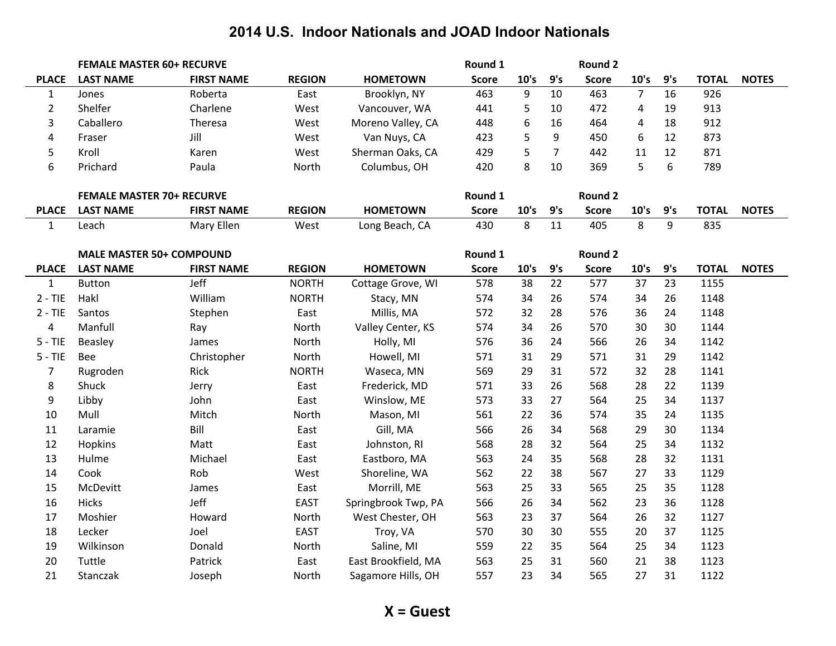|                | <b>FEMALE MASTER 60+ RECURVE</b> |                   |               |                     | Round 1      |      |                | Round 2      |                |     |              |              |
|----------------|----------------------------------|-------------------|---------------|---------------------|--------------|------|----------------|--------------|----------------|-----|--------------|--------------|
| <b>PLACE</b>   | <b>LAST NAME</b>                 | <b>FIRST NAME</b> | <b>REGION</b> | <b>HOMETOWN</b>     | <b>Score</b> | 10's | 9's            | <b>Score</b> | 10's           | 9's | <b>TOTAL</b> | <b>NOTES</b> |
| $\mathbf{1}$   | Jones                            | Roberta           | East          | Brooklyn, NY        | 463          | 9    | 10             | 463          | $\overline{7}$ | 16  | 926          |              |
| $\overline{2}$ | Shelfer                          | Charlene          | West          | Vancouver, WA       | 441          | 5    | 10             | 472          | 4              | 19  | 913          |              |
| 3              | Caballero                        | Theresa           | West          | Moreno Valley, CA   | 448          | 6    | 16             | 464          | $\overline{a}$ | 18  | 912          |              |
| 4              | Fraser                           | Jill              | West          | Van Nuys, CA        | 423          | 5    | 9              | 450          | 6              | 12  | 873          |              |
| 5              | Kroll                            | Karen             | West          | Sherman Oaks, CA    | 429          | 5    | $\overline{7}$ | 442          | 11             | 12  | 871          |              |
| 6              | Prichard                         | Paula             | North         | Columbus, OH        | 420          | 8    | 10             | 369          | 5              | 6   | 789          |              |
|                |                                  |                   |               |                     |              |      |                |              |                |     |              |              |
|                | <b>FEMALE MASTER 70+ RECURVE</b> |                   |               |                     | Round 1      |      |                | Round 2      |                |     |              |              |
| <b>PLACE</b>   | <b>LAST NAME</b>                 | <b>FIRST NAME</b> | <b>REGION</b> | <b>HOMETOWN</b>     | <b>Score</b> | 10's | 9's            | <b>Score</b> | 10's           | 9's | <b>TOTAL</b> | <b>NOTES</b> |
| $\mathbf{1}$   | Leach                            | Mary Ellen        | West          | Long Beach, CA      | 430          | 8    | 11             | 405          | 8              | 9   | 835          |              |
|                |                                  |                   |               |                     |              |      |                |              |                |     |              |              |
|                | <b>MALE MASTER 50+ COMPOUND</b>  |                   |               |                     | Round 1      |      |                | Round 2      |                |     |              |              |
| <b>PLACE</b>   | <b>LAST NAME</b>                 | <b>FIRST NAME</b> | <b>REGION</b> | <b>HOMETOWN</b>     | <b>Score</b> | 10's | 9's            | <b>Score</b> | 10's           | 9's | <b>TOTAL</b> | <b>NOTES</b> |
| $\mathbf{1}$   | <b>Button</b>                    | Jeff              | <b>NORTH</b>  | Cottage Grove, WI   | 578          | 38   | 22             | 577          | 37             | 23  | 1155         |              |
| $2 - TIE$      | Hakl                             | William           | <b>NORTH</b>  | Stacy, MN           | 574          | 34   | 26             | 574          | 34             | 26  | 1148         |              |
| $2 - TIE$      | Santos                           | Stephen           | East          | Millis, MA          | 572          | 32   | 28             | 576          | 36             | 24  | 1148         |              |
| $\overline{a}$ | Manfull                          | Ray               | North         | Valley Center, KS   | 574          | 34   | 26             | 570          | 30             | 30  | 1144         |              |
| $5 - TIE$      | Beasley                          | James             | North         | Holly, MI           | 576          | 36   | 24             | 566          | 26             | 34  | 1142         |              |
| $5 - TIE$      | Bee                              | Christopher       | North         | Howell, MI          | 571          | 31   | 29             | 571          | 31             | 29  | 1142         |              |
| $\overline{7}$ | Rugroden                         | Rick              | <b>NORTH</b>  | Waseca, MN          | 569          | 29   | 31             | 572          | 32             | 28  | 1141         |              |
| 8              | Shuck                            | Jerry             | East          | Frederick, MD       | 571          | 33   | 26             | 568          | 28             | 22  | 1139         |              |
| 9              | Libby                            | John              | East          | Winslow, ME         | 573          | 33   | 27             | 564          | 25             | 34  | 1137         |              |
| 10             | Mull                             | Mitch             | North         | Mason, MI           | 561          | 22   | 36             | 574          | 35             | 24  | 1135         |              |
| 11             | Laramie                          | Bill              | East          | Gill, MA            | 566          | 26   | 34             | 568          | 29             | 30  | 1134         |              |
| 12             | Hopkins                          | Matt              | East          | Johnston, RI        | 568          | 28   | 32             | 564          | 25             | 34  | 1132         |              |
| 13             | Hulme                            | Michael           | East          | Eastboro, MA        | 563          | 24   | 35             | 568          | 28             | 32  | 1131         |              |
| 14             | Cook                             | Rob               | West          | Shoreline, WA       | 562          | 22   | 38             | 567          | 27             | 33  | 1129         |              |
| 15             | McDevitt                         | James             | East          | Morrill, ME         | 563          | 25   | 33             | 565          | 25             | 35  | 1128         |              |
| 16             | <b>Hicks</b>                     | Jeff              | EAST          | Springbrook Twp, PA | 566          | 26   | 34             | 562          | 23             | 36  | 1128         |              |
| 17             | Moshier                          | Howard            | North         | West Chester, OH    | 563          | 23   | 37             | 564          | 26             | 32  | 1127         |              |
| 18             | Lecker                           | Joel              | <b>EAST</b>   | Troy, VA            | 570          | 30   | 30             | 555          | 20             | 37  | 1125         |              |
| 19             | Wilkinson                        | Donald            | North         | Saline, MI          | 559          | 22   | 35             | 564          | 25             | 34  | 1123         |              |
| 20             | Tuttle                           | Patrick           | East          | East Brookfield, MA | 563          | 25   | 31             | 560          | 21             | 38  | 1123         |              |
| 21             | Stanczak                         | Joseph            | North         | Sagamore Hills, OH  | 557          | 23   | 34             | 565          | 27             | 31  | 1122         |              |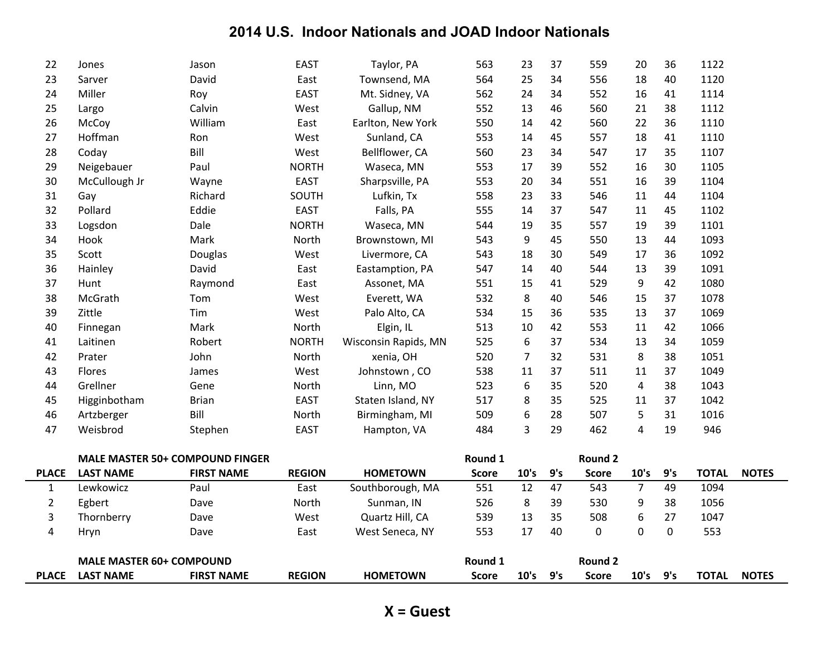|                | <b>MALE MASTER 60+ COMPOUND</b>        |                   |               |                                  | Round 1      |                |          | <b>Round 2</b> |                |             |              |              |
|----------------|----------------------------------------|-------------------|---------------|----------------------------------|--------------|----------------|----------|----------------|----------------|-------------|--------------|--------------|
| 4              | Hryn                                   | Dave              | East          | West Seneca, NY                  | 553          | 17             | 40       | 0              | $\mathbf 0$    | $\mathbf 0$ | 553          |              |
| 3              | Thornberry                             | Dave              | West          | Quartz Hill, CA                  | 539          | 13             | 35       | 508            | 6              | 27          | 1047         |              |
| $\overline{2}$ | Egbert                                 | Dave              | North         | Sunman, IN                       | 526          | 8              | 39       | 530            | 9              | 38          | 1056         |              |
| $\mathbf{1}$   | Lewkowicz                              | Paul              | East          | Southborough, MA                 | 551          | 12             | 47       | 543            | $\overline{7}$ | 49          | 1094         |              |
| <b>PLACE</b>   | <b>LAST NAME</b>                       | <b>FIRST NAME</b> | <b>REGION</b> | <b>HOMETOWN</b>                  | <b>Score</b> | 10's           | 9's      | <b>Score</b>   | 10's           | 9's         | <b>TOTAL</b> | <b>NOTES</b> |
|                | <b>MALE MASTER 50+ COMPOUND FINGER</b> |                   |               |                                  | Round 1      |                |          | <b>Round 2</b> |                |             |              |              |
|                |                                        |                   |               |                                  |              |                |          |                |                |             |              |              |
| 47             | Weisbrod                               | Stephen           | <b>EAST</b>   | Hampton, VA                      | 484          | 3              | 29       | 462            | 4              | 19          | 946          |              |
| 46             | Artzberger                             | Bill              | North         | Birmingham, MI                   | 509          | 6              | 28       | 507            | 5              | 31          | 1016         |              |
| 45             | Higginbotham                           | <b>Brian</b>      | <b>EAST</b>   | Staten Island, NY                | 517          | 8              | 35       | 525            | 11             | 37          | 1042         |              |
| 44             | Grellner                               | Gene              | North         | Linn, MO                         | 523          | 6              | 35       | 520            | $\overline{a}$ | 38          | 1043         |              |
| 43             | Flores                                 | James             | West          | Johnstown, CO                    | 538          | 11             | 37       | 511            | 11             | 37          | 1049         |              |
| 42             | Prater                                 | John              | North         | xenia, OH                        | 520          | $\overline{7}$ | 32       | 531            | 8              | 38          | 1051         |              |
| 41             | Laitinen                               | Robert            | <b>NORTH</b>  | Wisconsin Rapids, MN             | 525          | 6              | 37       | 534            | 13             | 34          | 1059         |              |
| 40             | Finnegan                               | Mark              | North         | Elgin, IL                        | 513          | 10             | 42       | 553            | 11             | 42          | 1066         |              |
| 39             | Zittle                                 | Tim               | West          | Palo Alto, CA                    | 534          | 15             | 36       | 535            | 13             | 37          | 1069         |              |
| 38             | McGrath                                | Tom               | West          | Everett, WA                      | 532          | 8              | 40       | 546            | 15             | 37          | 1078         |              |
| 37             | Hunt                                   | Raymond           | East          | Assonet, MA                      | 551          | 15             | 41       | 529            | 9              | 42          | 1080         |              |
| 36             | Hainley                                | David             | East          | Eastamption, PA                  | 547          | 14             | 40       | 544            | 13             | 39          | 1091         |              |
| 35             | Scott                                  | Douglas           | West          | Livermore, CA                    | 543          | 18             | 30       | 549            | 17             | 36          | 1092         |              |
| 34             | Hook                                   | Mark              | North         | Brownstown, MI                   | 543          | 9              | 45       | 550            | 13             | 44          | 1093         |              |
| 33             | Logsdon                                | Dale              | <b>NORTH</b>  | Waseca, MN                       | 544          | 19             | 35       | 557            | 19             | 39          | 1101         |              |
| 32             | Pollard                                | Eddie             | <b>EAST</b>   | Falls, PA                        | 555          | 14             | 37       | 547            | 11             | 45          | 1102         |              |
| 31             | Gay                                    | Richard           | SOUTH         | Lufkin, Tx                       | 558          | 23             | 33       | 546            | 11             | 44          | 1104         |              |
| 30             | McCullough Jr                          | Wayne             | <b>EAST</b>   | Sharpsville, PA                  | 553          | 20             | 34       | 551            | 16             | 39          | 1104         |              |
| 29             | Neigebauer                             | Paul              | <b>NORTH</b>  | Waseca, MN                       | 553          | 17             | 39       | 552            | 16             | 30          | 1105         |              |
| 28             | Coday                                  | Bill              | West          | Bellflower, CA                   | 560          | 23             | 34       | 547            | 17             | 35          | 1107         |              |
| 27             | McCoy<br>Hoffman                       | Ron               | East<br>West  | Earlton, New York<br>Sunland, CA | 553          | 14<br>14       | 42<br>45 | 557            | 18             | 41          | 1110         |              |
| 25<br>26       | Largo                                  | Calvin<br>William | West          | Gallup, NM                       | 552<br>550   | 13             | 46       | 560<br>560     | 21<br>22       | 38<br>36    | 1112<br>1110 |              |
| 24             | Miller                                 | Roy               | <b>EAST</b>   | Mt. Sidney, VA                   | 562          | 24             | 34       | 552            | 16             | 41          | 1114         |              |
| 23             | Sarver                                 | David             | East          | Townsend, MA                     | 564          | 25             | 34       | 556            | 18             | 40          | 1120         |              |
| 22             | Jones                                  | Jason             | <b>EAST</b>   | Taylor, PA                       | 563          | 23             | 37       | 559            | 20             | 36          | 1122         |              |
|                |                                        |                   |               |                                  |              |                |          |                |                |             |              |              |

|              | <b>COMPOUND</b><br><b>MALE MASTER 60+</b>       |  | Round |                 |       | <b>Round 2</b> |      |       |      |      |              |              |
|--------------|-------------------------------------------------|--|-------|-----------------|-------|----------------|------|-------|------|------|--------------|--------------|
| <b>PLACE</b> | <b>REGION</b><br><b>FIRST NAME</b><br>LAST NAME |  |       | <b>HOMETOWN</b> | Score | 10's           | ים - | Score | 10's | ים - | <b>TOTAL</b> | <b>NOTES</b> |
|              |                                                 |  |       |                 |       |                |      |       |      |      |              |              |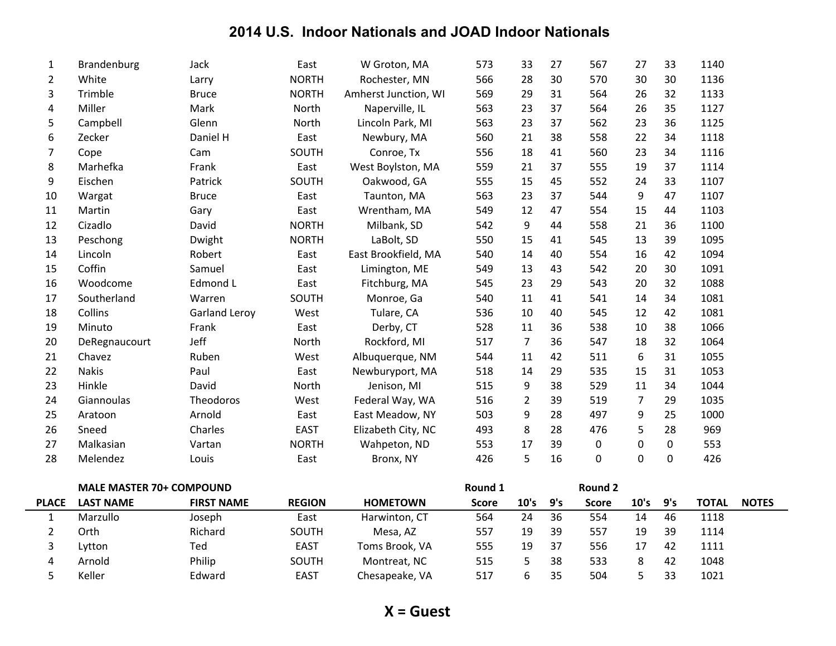| 1  | Brandenburg   | Jack                 | East         | W Groton, MA         | 573 | 33 | 27 | 567 | 27             | 33 | 1140 |
|----|---------------|----------------------|--------------|----------------------|-----|----|----|-----|----------------|----|------|
| 2  | White         | Larry                | <b>NORTH</b> | Rochester, MN        | 566 | 28 | 30 | 570 | 30             | 30 | 1136 |
| 3  | Trimble       | <b>Bruce</b>         | <b>NORTH</b> | Amherst Junction, WI | 569 | 29 | 31 | 564 | 26             | 32 | 1133 |
| 4  | Miller        | Mark                 | North        | Naperville, IL       | 563 | 23 | 37 | 564 | 26             | 35 | 1127 |
| 5  | Campbell      | Glenn                | North        | Lincoln Park, MI     | 563 | 23 | 37 | 562 | 23             | 36 | 1125 |
| 6  | Zecker        | Daniel H             | East         | Newbury, MA          | 560 | 21 | 38 | 558 | 22             | 34 | 1118 |
| 7  | Cope          | Cam                  | SOUTH        | Conroe, Tx           | 556 | 18 | 41 | 560 | 23             | 34 | 1116 |
| 8  | Marhefka      | Frank                | East         | West Boylston, MA    | 559 | 21 | 37 | 555 | 19             | 37 | 1114 |
| 9  | Eischen       | Patrick              | SOUTH        | Oakwood, GA          | 555 | 15 | 45 | 552 | 24             | 33 | 1107 |
| 10 | Wargat        | <b>Bruce</b>         | East         | Taunton, MA          | 563 | 23 | 37 | 544 | 9              | 47 | 1107 |
| 11 | Martin        | Gary                 | East         | Wrentham, MA         | 549 | 12 | 47 | 554 | 15             | 44 | 1103 |
| 12 | Cizadlo       | David                | <b>NORTH</b> | Milbank, SD          | 542 | 9  | 44 | 558 | 21             | 36 | 1100 |
| 13 | Peschong      | Dwight               | <b>NORTH</b> | LaBolt, SD           | 550 | 15 | 41 | 545 | 13             | 39 | 1095 |
| 14 | Lincoln       | Robert               | East         | East Brookfield, MA  | 540 | 14 | 40 | 554 | 16             | 42 | 1094 |
| 15 | Coffin        | Samuel               | East         | Limington, ME        | 549 | 13 | 43 | 542 | 20             | 30 | 1091 |
| 16 | Woodcome      | Edmond L             | East         | Fitchburg, MA        | 545 | 23 | 29 | 543 | 20             | 32 | 1088 |
| 17 | Southerland   | Warren               | SOUTH        | Monroe, Ga           | 540 | 11 | 41 | 541 | 14             | 34 | 1081 |
| 18 | Collins       | <b>Garland Leroy</b> | West         | Tulare, CA           | 536 | 10 | 40 | 545 | 12             | 42 | 1081 |
| 19 | Minuto        | Frank                | East         | Derby, CT            | 528 | 11 | 36 | 538 | 10             | 38 | 1066 |
| 20 | DeRegnaucourt | Jeff                 | North        | Rockford, MI         | 517 | 7  | 36 | 547 | 18             | 32 | 1064 |
| 21 | Chavez        | Ruben                | West         | Albuquerque, NM      | 544 | 11 | 42 | 511 | 6              | 31 | 1055 |
| 22 | <b>Nakis</b>  | Paul                 | East         | Newburyport, MA      | 518 | 14 | 29 | 535 | 15             | 31 | 1053 |
| 23 | Hinkle        | David                | North        | Jenison, MI          | 515 | 9  | 38 | 529 | 11             | 34 | 1044 |
| 24 | Giannoulas    | Theodoros            | West         | Federal Way, WA      | 516 | 2  | 39 | 519 | $\overline{7}$ | 29 | 1035 |
| 25 | Aratoon       | Arnold               | East         | East Meadow, NY      | 503 | 9  | 28 | 497 | 9              | 25 | 1000 |
| 26 | Sneed         | Charles              | <b>EAST</b>  | Elizabeth City, NC   | 493 | 8  | 28 | 476 | 5              | 28 | 969  |
| 27 | Malkasian     | Vartan               | <b>NORTH</b> | Wahpeton, ND         | 553 | 17 | 39 | 0   | 0              | 0  | 553  |
| 28 | Melendez      | Louis                | East         | Bronx, NY            | 426 | 5  | 16 | 0   | 0              | 0  | 426  |
|    |               |                      |              |                      |     |    |    |     |                |    |      |

|              | <b>MALE MASTER 70+ COMPOUND</b> |                   |               |                 | Round 1      |      |      | Round 2      |      |     |              |              |
|--------------|---------------------------------|-------------------|---------------|-----------------|--------------|------|------|--------------|------|-----|--------------|--------------|
| <b>PLACE</b> | <b>LAST NAME</b>                | <b>FIRST NAME</b> | <b>REGION</b> | <b>HOMETOWN</b> | <b>Score</b> | 10's | _9's | <b>Score</b> | 10's | 9's | <b>TOTAL</b> | <b>NOTES</b> |
|              | Marzullo                        | Joseph            | East          | Harwinton, CT   | 564          | 24   | 36   | 554          | 14   | 46  | 1118         |              |
|              | Orth                            | Richard           | SOUTH         | Mesa. AZ        | 557          | 19   | 39   | 557          | 19   | 39  | 1114         |              |
| ت            | Lytton                          | Ted               | <b>EAST</b>   | Toms Brook, VA  | 555          | 19   | -37  | 556          |      | 42  | 1111         |              |
| 4            | Arnold                          | Philip            | SOUTH         | Montreat, NC    | 515          |      | 38   | 533          | 8    | 42  | 1048         |              |
|              | Keller                          | Edward            | <b>EAST</b>   | Chesapeake, VA  | 517          |      | 35   | 504          |      |     | 1021         |              |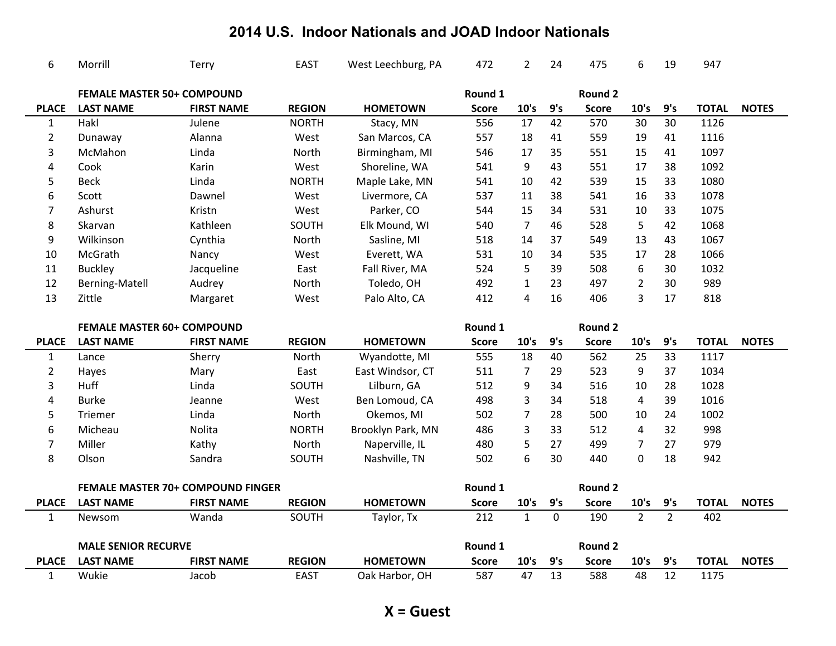| 6                            | Morrill                           | Terry                             | <b>EAST</b>                  | West Leechburg, PA                | 472                 | $\overline{2}$       | 24                 | 475                 | 6                       | 19                    | 947                  |              |
|------------------------------|-----------------------------------|-----------------------------------|------------------------------|-----------------------------------|---------------------|----------------------|--------------------|---------------------|-------------------------|-----------------------|----------------------|--------------|
|                              | <b>FEMALE MASTER 50+ COMPOUND</b> |                                   |                              |                                   | Round 1             |                      |                    | <b>Round 2</b>      |                         |                       |                      |              |
| <b>PLACE</b>                 | <b>LAST NAME</b>                  | <b>FIRST NAME</b>                 | <b>REGION</b>                | <b>HOMETOWN</b>                   | <b>Score</b>        | 10's                 | 9's                | <b>Score</b>        | 10's                    | 9's                   | <b>TOTAL</b>         | <b>NOTES</b> |
| $\mathbf{1}$                 | Hakl                              | Julene                            | <b>NORTH</b>                 | Stacy, MN                         | 556                 | 17                   | 42                 | 570                 | 30                      | 30                    | 1126                 |              |
| $\overline{2}$               | Dunaway                           | Alanna                            | West                         | San Marcos, CA                    | 557                 | 18                   | 41                 | 559                 | 19                      | 41                    | 1116                 |              |
| 3                            | McMahon                           | Linda                             | North                        | Birmingham, MI                    | 546                 | 17                   | 35                 | 551                 | 15                      | 41                    | 1097                 |              |
| 4                            | Cook                              | Karin                             | West                         | Shoreline, WA                     | 541                 | 9                    | 43                 | 551                 | 17                      | 38                    | 1092                 |              |
| 5                            | <b>Beck</b>                       | Linda                             | <b>NORTH</b>                 | Maple Lake, MN                    | 541                 | 10                   | 42                 | 539                 | 15                      | 33                    | 1080                 |              |
| 6                            | Scott                             | Dawnel                            | West                         | Livermore, CA                     | 537                 | 11                   | 38                 | 541                 | 16                      | 33                    | 1078                 |              |
| 7                            | Ashurst                           | Kristn                            | West                         | Parker, CO                        | 544                 | 15                   | 34                 | 531                 | 10                      | 33                    | 1075                 |              |
| 8                            | Skarvan                           | Kathleen                          | SOUTH                        | Elk Mound, WI                     | 540                 | $\overline{7}$       | 46                 | 528                 | 5                       | 42                    | 1068                 |              |
| 9                            | Wilkinson                         | Cynthia                           | North                        | Sasline, MI                       | 518                 | 14                   | 37                 | 549                 | 13                      | 43                    | 1067                 |              |
| 10                           | McGrath                           | Nancy                             | West                         | Everett, WA                       | 531                 | 10                   | 34                 | 535                 | 17                      | 28                    | 1066                 |              |
| 11                           | <b>Buckley</b>                    | Jacqueline                        | East                         | Fall River, MA                    | 524                 | 5                    | 39                 | 508                 | 6                       | 30                    | 1032                 |              |
| 12                           | Berning-Matell                    | Audrey                            | North                        | Toledo, OH                        | 492                 | $\mathbf{1}$         | 23                 | 497                 | $\overline{2}$          | 30                    | 989                  |              |
| 13                           | Zittle                            | Margaret                          | West                         | Palo Alto, CA                     | 412                 | 4                    | 16                 | 406                 | 3                       | 17                    | 818                  |              |
|                              |                                   |                                   |                              |                                   |                     |                      |                    |                     |                         |                       |                      |              |
|                              |                                   |                                   |                              |                                   |                     |                      |                    |                     |                         |                       |                      |              |
|                              | <b>FEMALE MASTER 60+ COMPOUND</b> |                                   |                              |                                   | Round 1             |                      |                    | <b>Round 2</b>      |                         |                       |                      |              |
| <b>PLACE</b>                 | <b>LAST NAME</b>                  | <b>FIRST NAME</b>                 | <b>REGION</b>                | <b>HOMETOWN</b>                   | <b>Score</b>        | 10's                 | 9's                | <b>Score</b>        | 10's                    | 9's                   | <b>TOTAL</b>         | <b>NOTES</b> |
| $\mathbf{1}$                 | Lance                             | Sherry                            | North                        | Wyandotte, MI                     | 555                 | 18                   | 40                 | 562                 | 25                      | 33                    | 1117                 |              |
| $\overline{2}$               | Hayes                             | Mary                              | East                         | East Windsor, CT                  | 511                 | 7                    | 29                 | 523                 | 9                       | 37                    | 1034                 |              |
| 3                            | Huff                              | Linda                             | SOUTH                        | Lilburn, GA                       | 512                 | 9                    | 34                 | 516                 | 10                      | 28                    | 1028                 |              |
| 4                            | <b>Burke</b>                      | Jeanne                            | West                         | Ben Lomoud, CA                    | 498                 | 3                    | 34                 | 518                 | $\overline{4}$          | 39                    | 1016                 |              |
| 5                            | <b>Triemer</b>                    | Linda                             | North                        | Okemos, MI                        | 502                 | $\overline{7}$       | 28                 | 500                 | 10                      | 24                    | 1002                 |              |
| 6                            | Micheau                           | Nolita                            | <b>NORTH</b>                 | Brooklyn Park, MN                 | 486                 | 3                    | 33                 | 512                 | $\overline{\mathbf{4}}$ | 32                    | 998                  |              |
| $\overline{7}$               | Miller                            | Kathy                             | North                        | Naperville, IL                    | 480                 | 5                    | 27                 | 499                 | $\overline{7}$          | 27                    | 979                  |              |
| 8                            | Olson                             | Sandra                            | SOUTH                        | Nashville, TN                     | 502                 | 6                    | 30                 | 440                 | $\mathbf 0$             | 18                    | 942                  |              |
|                              |                                   |                                   |                              |                                   |                     |                      |                    |                     |                         |                       |                      |              |
|                              |                                   | FEMALE MASTER 70+ COMPOUND FINGER |                              |                                   | Round 1             |                      |                    | <b>Round 2</b>      |                         |                       |                      |              |
| <b>PLACE</b><br>$\mathbf{1}$ | <b>LAST NAME</b><br>Newsom        | <b>FIRST NAME</b><br>Wanda        | <b>REGION</b><br>SOUTH       | <b>HOMETOWN</b><br>Taylor, Tx     | <b>Score</b><br>212 | 10's<br>$\mathbf{1}$ | 9's<br>$\mathbf 0$ | <b>Score</b><br>190 | 10's<br>$\overline{2}$  | 9's<br>$\overline{2}$ | <b>TOTAL</b><br>402  | <b>NOTES</b> |
|                              |                                   |                                   |                              |                                   |                     |                      |                    |                     |                         |                       |                      |              |
|                              | <b>MALE SENIOR RECURVE</b>        |                                   |                              |                                   | Round 1             |                      |                    | Round 2             |                         |                       |                      |              |
| <b>PLACE</b><br>$\mathbf{1}$ | <b>LAST NAME</b><br>Wukie         | <b>FIRST NAME</b><br>Jacob        | <b>REGION</b><br><b>EAST</b> | <b>HOMETOWN</b><br>Oak Harbor, OH | <b>Score</b><br>587 | 10's<br>47           | 9's<br>13          | <b>Score</b><br>588 | 10's<br>48              | 9's<br>12             | <b>TOTAL</b><br>1175 | <b>NOTES</b> |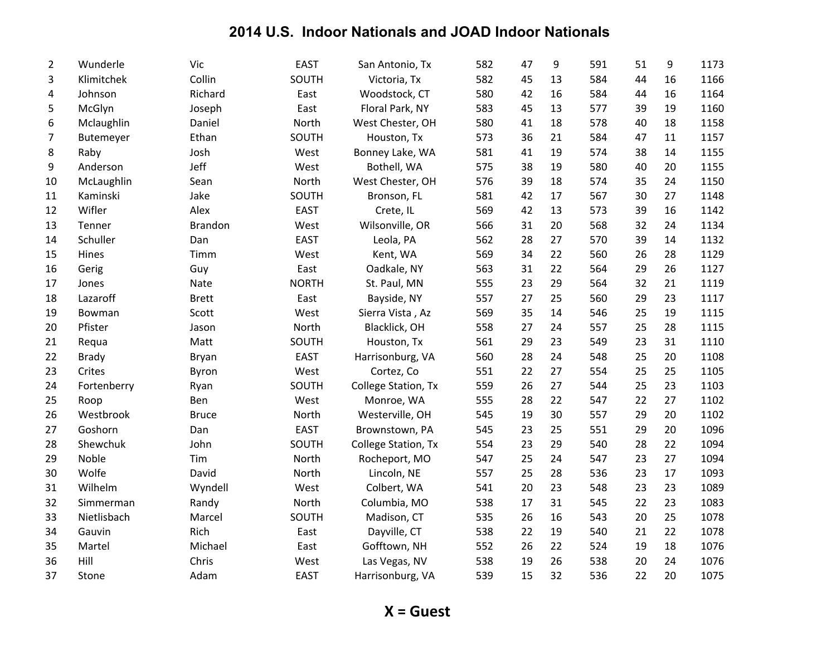| $\overline{2}$ | Wunderle     | Vic            | <b>EAST</b>  | San Antonio, Tx            | 582 | 47 | 9  | 591 | 51 | 9  | 1173 |
|----------------|--------------|----------------|--------------|----------------------------|-----|----|----|-----|----|----|------|
| 3              | Klimitchek   | Collin         | SOUTH        | Victoria, Tx               | 582 | 45 | 13 | 584 | 44 | 16 | 1166 |
| 4              | Johnson      | Richard        | East         | Woodstock, CT              | 580 | 42 | 16 | 584 | 44 | 16 | 1164 |
| 5              | McGlyn       | Joseph         | East         | Floral Park, NY            | 583 | 45 | 13 | 577 | 39 | 19 | 1160 |
| 6              | Mclaughlin   | Daniel         | North        | West Chester, OH           | 580 | 41 | 18 | 578 | 40 | 18 | 1158 |
| $\overline{7}$ | Butemeyer    | Ethan          | SOUTH        | Houston, Tx                | 573 | 36 | 21 | 584 | 47 | 11 | 1157 |
| 8              | Raby         | Josh           | West         | Bonney Lake, WA            | 581 | 41 | 19 | 574 | 38 | 14 | 1155 |
| 9              | Anderson     | Jeff           | West         | Bothell, WA                | 575 | 38 | 19 | 580 | 40 | 20 | 1155 |
| 10             | McLaughlin   | Sean           | North        | West Chester, OH           | 576 | 39 | 18 | 574 | 35 | 24 | 1150 |
| 11             | Kaminski     | Jake           | SOUTH        | Bronson, FL                | 581 | 42 | 17 | 567 | 30 | 27 | 1148 |
| 12             | Wifler       | Alex           | <b>EAST</b>  | Crete, IL                  | 569 | 42 | 13 | 573 | 39 | 16 | 1142 |
| 13             | Tenner       | <b>Brandon</b> | West         | Wilsonville, OR            | 566 | 31 | 20 | 568 | 32 | 24 | 1134 |
| 14             | Schuller     | Dan            | <b>EAST</b>  | Leola, PA                  | 562 | 28 | 27 | 570 | 39 | 14 | 1132 |
| 15             | Hines        | Timm           | West         | Kent, WA                   | 569 | 34 | 22 | 560 | 26 | 28 | 1129 |
| 16             | Gerig        | Guy            | East         | Oadkale, NY                | 563 | 31 | 22 | 564 | 29 | 26 | 1127 |
| 17             | Jones        | Nate           | <b>NORTH</b> | St. Paul, MN               | 555 | 23 | 29 | 564 | 32 | 21 | 1119 |
| 18             | Lazaroff     | <b>Brett</b>   | East         | Bayside, NY                | 557 | 27 | 25 | 560 | 29 | 23 | 1117 |
| 19             | Bowman       | Scott          | West         | Sierra Vista, Az           | 569 | 35 | 14 | 546 | 25 | 19 | 1115 |
| 20             | Pfister      | Jason          | North        | Blacklick, OH              | 558 | 27 | 24 | 557 | 25 | 28 | 1115 |
| 21             | Requa        | Matt           | SOUTH        | Houston, Tx                | 561 | 29 | 23 | 549 | 23 | 31 | 1110 |
| 22             | <b>Brady</b> | Bryan          | <b>EAST</b>  | Harrisonburg, VA           | 560 | 28 | 24 | 548 | 25 | 20 | 1108 |
| 23             | Crites       | Byron          | West         | Cortez, Co                 | 551 | 22 | 27 | 554 | 25 | 25 | 1105 |
| 24             | Fortenberry  | Ryan           | SOUTH        | <b>College Station, Tx</b> | 559 | 26 | 27 | 544 | 25 | 23 | 1103 |
| 25             | Roop         | Ben            | West         | Monroe, WA                 | 555 | 28 | 22 | 547 | 22 | 27 | 1102 |
| 26             | Westbrook    | <b>Bruce</b>   | North        | Westerville, OH            | 545 | 19 | 30 | 557 | 29 | 20 | 1102 |
| 27             | Goshorn      | Dan            | <b>EAST</b>  | Brownstown, PA             | 545 | 23 | 25 | 551 | 29 | 20 | 1096 |
| 28             | Shewchuk     | John           | SOUTH        | College Station, Tx        | 554 | 23 | 29 | 540 | 28 | 22 | 1094 |
| 29             | Noble        | Tim            | North        | Rocheport, MO              | 547 | 25 | 24 | 547 | 23 | 27 | 1094 |
| 30             | Wolfe        | David          | North        | Lincoln, NE                | 557 | 25 | 28 | 536 | 23 | 17 | 1093 |
| 31             | Wilhelm      | Wyndell        | West         | Colbert, WA                | 541 | 20 | 23 | 548 | 23 | 23 | 1089 |
| 32             | Simmerman    | Randy          | North        | Columbia, MO               | 538 | 17 | 31 | 545 | 22 | 23 | 1083 |
| 33             | Nietlisbach  | Marcel         | SOUTH        | Madison, CT                | 535 | 26 | 16 | 543 | 20 | 25 | 1078 |
| 34             | Gauvin       | Rich           | East         | Dayville, CT               | 538 | 22 | 19 | 540 | 21 | 22 | 1078 |
| 35             | Martel       | Michael        | East         | Gofftown, NH               | 552 | 26 | 22 | 524 | 19 | 18 | 1076 |
| 36             | Hill         | Chris          | West         | Las Vegas, NV              | 538 | 19 | 26 | 538 | 20 | 24 | 1076 |
| 37             | Stone        | Adam           | <b>EAST</b>  | Harrisonburg, VA           | 539 | 15 | 32 | 536 | 22 | 20 | 1075 |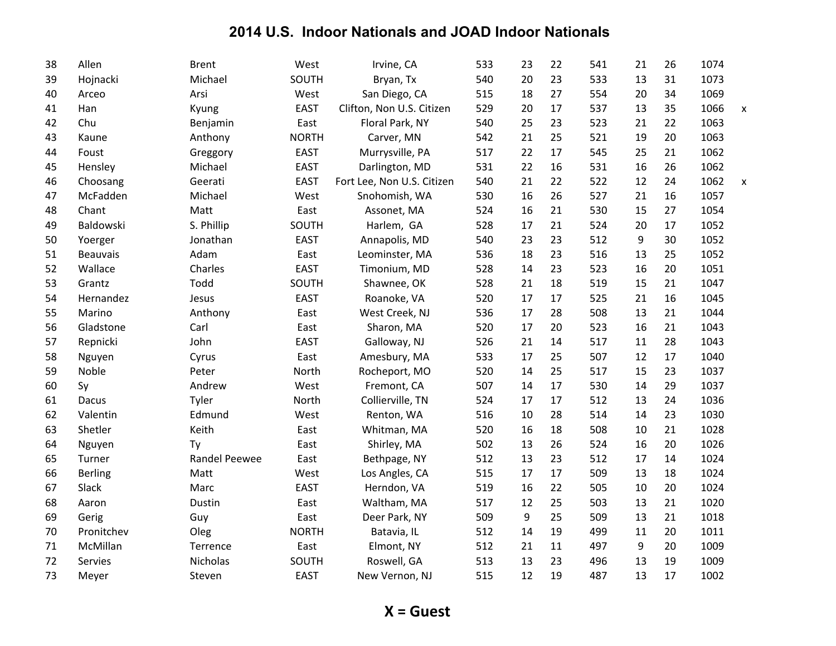| 38 | Allen           | <b>Brent</b>         | West         | Irvine, CA                 | 533 | 23 | 22 | 541 | 21 | 26 | 1074 |   |
|----|-----------------|----------------------|--------------|----------------------------|-----|----|----|-----|----|----|------|---|
| 39 | Hojnacki        | Michael              | SOUTH        | Bryan, Tx                  | 540 | 20 | 23 | 533 | 13 | 31 | 1073 |   |
| 40 | Arceo           | Arsi                 | West         | San Diego, CA              | 515 | 18 | 27 | 554 | 20 | 34 | 1069 |   |
| 41 | Han             | Kyung                | <b>EAST</b>  | Clifton, Non U.S. Citizen  | 529 | 20 | 17 | 537 | 13 | 35 | 1066 | X |
| 42 | Chu             | Benjamin             | East         | Floral Park, NY            | 540 | 25 | 23 | 523 | 21 | 22 | 1063 |   |
| 43 | Kaune           | Anthony              | <b>NORTH</b> | Carver, MN                 | 542 | 21 | 25 | 521 | 19 | 20 | 1063 |   |
| 44 | Foust           | Greggory             | <b>EAST</b>  | Murrysville, PA            | 517 | 22 | 17 | 545 | 25 | 21 | 1062 |   |
| 45 | Hensley         | Michael              | <b>EAST</b>  | Darlington, MD             | 531 | 22 | 16 | 531 | 16 | 26 | 1062 |   |
| 46 | Choosang        | Geerati              | <b>EAST</b>  | Fort Lee, Non U.S. Citizen | 540 | 21 | 22 | 522 | 12 | 24 | 1062 | X |
| 47 | McFadden        | Michael              | West         | Snohomish, WA              | 530 | 16 | 26 | 527 | 21 | 16 | 1057 |   |
| 48 | Chant           | Matt                 | East         | Assonet, MA                | 524 | 16 | 21 | 530 | 15 | 27 | 1054 |   |
| 49 | Baldowski       | S. Phillip           | SOUTH        | Harlem, GA                 | 528 | 17 | 21 | 524 | 20 | 17 | 1052 |   |
| 50 | Yoerger         | Jonathan             | <b>EAST</b>  | Annapolis, MD              | 540 | 23 | 23 | 512 | 9  | 30 | 1052 |   |
| 51 | <b>Beauvais</b> | Adam                 | East         | Leominster, MA             | 536 | 18 | 23 | 516 | 13 | 25 | 1052 |   |
| 52 | Wallace         | Charles              | <b>EAST</b>  | Timonium, MD               | 528 | 14 | 23 | 523 | 16 | 20 | 1051 |   |
| 53 | Grantz          | Todd                 | SOUTH        | Shawnee, OK                | 528 | 21 | 18 | 519 | 15 | 21 | 1047 |   |
| 54 | Hernandez       | Jesus                | <b>EAST</b>  | Roanoke, VA                | 520 | 17 | 17 | 525 | 21 | 16 | 1045 |   |
| 55 | Marino          | Anthony              | East         | West Creek, NJ             | 536 | 17 | 28 | 508 | 13 | 21 | 1044 |   |
| 56 | Gladstone       | Carl                 | East         | Sharon, MA                 | 520 | 17 | 20 | 523 | 16 | 21 | 1043 |   |
| 57 | Repnicki        | John                 | <b>EAST</b>  | Galloway, NJ               | 526 | 21 | 14 | 517 | 11 | 28 | 1043 |   |
| 58 | Nguyen          | Cyrus                | East         | Amesbury, MA               | 533 | 17 | 25 | 507 | 12 | 17 | 1040 |   |
| 59 | Noble           | Peter                | North        | Rocheport, MO              | 520 | 14 | 25 | 517 | 15 | 23 | 1037 |   |
| 60 | Sy              | Andrew               | West         | Fremont, CA                | 507 | 14 | 17 | 530 | 14 | 29 | 1037 |   |
| 61 | Dacus           | Tyler                | North        | Collierville, TN           | 524 | 17 | 17 | 512 | 13 | 24 | 1036 |   |
| 62 | Valentin        | Edmund               | West         | Renton, WA                 | 516 | 10 | 28 | 514 | 14 | 23 | 1030 |   |
| 63 | Shetler         | Keith                | East         | Whitman, MA                | 520 | 16 | 18 | 508 | 10 | 21 | 1028 |   |
| 64 | Nguyen          | Ty                   | East         | Shirley, MA                | 502 | 13 | 26 | 524 | 16 | 20 | 1026 |   |
| 65 | Turner          | <b>Randel Peewee</b> | East         | Bethpage, NY               | 512 | 13 | 23 | 512 | 17 | 14 | 1024 |   |
| 66 | <b>Berling</b>  | Matt                 | West         | Los Angles, CA             | 515 | 17 | 17 | 509 | 13 | 18 | 1024 |   |
| 67 | Slack           | Marc                 | <b>EAST</b>  | Herndon, VA                | 519 | 16 | 22 | 505 | 10 | 20 | 1024 |   |
| 68 | Aaron           | Dustin               | East         | Waltham, MA                | 517 | 12 | 25 | 503 | 13 | 21 | 1020 |   |
| 69 | Gerig           | Guy                  | East         | Deer Park, NY              | 509 | 9  | 25 | 509 | 13 | 21 | 1018 |   |
| 70 | Pronitchev      | Oleg                 | <b>NORTH</b> | Batavia, IL                | 512 | 14 | 19 | 499 | 11 | 20 | 1011 |   |
| 71 | McMillan        | Terrence             | East         | Elmont, NY                 | 512 | 21 | 11 | 497 | 9  | 20 | 1009 |   |
| 72 | Servies         | Nicholas             | SOUTH        | Roswell, GA                | 513 | 13 | 23 | 496 | 13 | 19 | 1009 |   |
| 73 | Meyer           | Steven               | <b>EAST</b>  | New Vernon, NJ             | 515 | 12 | 19 | 487 | 13 | 17 | 1002 |   |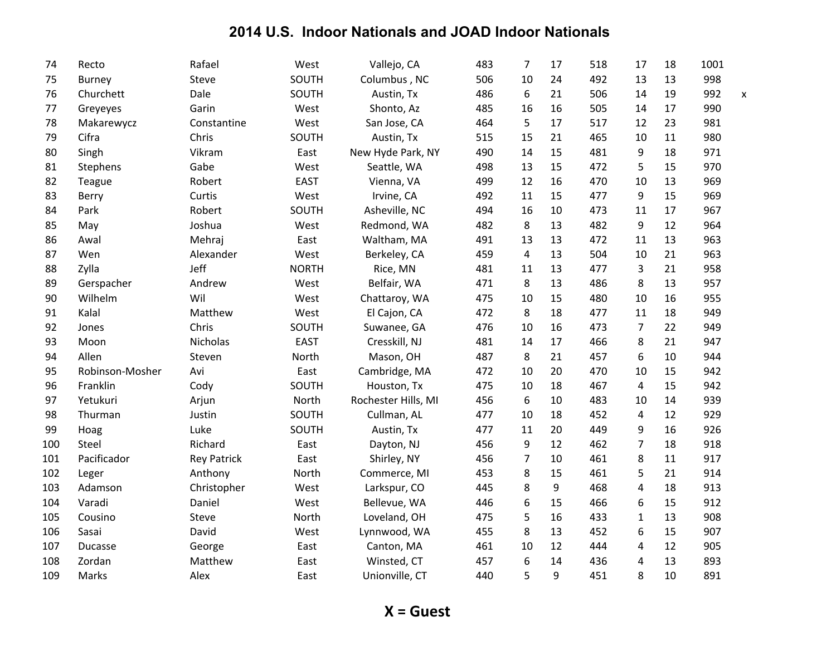| 74  | Recto           | Rafael             | West         | Vallejo, CA         | 483 | 7              | 17 | 518 | 17             | 18 | 1001 |   |
|-----|-----------------|--------------------|--------------|---------------------|-----|----------------|----|-----|----------------|----|------|---|
| 75  | <b>Burney</b>   | Steve              | SOUTH        | Columbus, NC        | 506 | 10             | 24 | 492 | 13             | 13 | 998  |   |
| 76  | Churchett       | Dale               | SOUTH        | Austin, Tx          | 486 | 6              | 21 | 506 | 14             | 19 | 992  | X |
| 77  | Greyeyes        | Garin              | West         | Shonto, Az          | 485 | 16             | 16 | 505 | 14             | 17 | 990  |   |
| 78  | Makarewycz      | Constantine        | West         | San Jose, CA        | 464 | 5              | 17 | 517 | 12             | 23 | 981  |   |
| 79  | Cifra           | Chris              | SOUTH        | Austin, Tx          | 515 | 15             | 21 | 465 | 10             | 11 | 980  |   |
| 80  | Singh           | Vikram             | East         | New Hyde Park, NY   | 490 | 14             | 15 | 481 | 9              | 18 | 971  |   |
| 81  | Stephens        | Gabe               | West         | Seattle, WA         | 498 | 13             | 15 | 472 | 5              | 15 | 970  |   |
| 82  | <b>Teague</b>   | Robert             | <b>EAST</b>  | Vienna, VA          | 499 | 12             | 16 | 470 | 10             | 13 | 969  |   |
| 83  | Berry           | Curtis             | West         | Irvine, CA          | 492 | 11             | 15 | 477 | 9              | 15 | 969  |   |
| 84  | Park            | Robert             | SOUTH        | Asheville, NC       | 494 | 16             | 10 | 473 | 11             | 17 | 967  |   |
| 85  | May             | Joshua             | West         | Redmond, WA         | 482 | 8              | 13 | 482 | 9              | 12 | 964  |   |
| 86  | Awal            | Mehraj             | East         | Waltham, MA         | 491 | 13             | 13 | 472 | 11             | 13 | 963  |   |
| 87  | Wen             | Alexander          | West         | Berkeley, CA        | 459 | 4              | 13 | 504 | 10             | 21 | 963  |   |
| 88  | Zylla           | Jeff               | <b>NORTH</b> | Rice, MN            | 481 | 11             | 13 | 477 | $\overline{3}$ | 21 | 958  |   |
| 89  | Gerspacher      | Andrew             | West         | Belfair, WA         | 471 | 8              | 13 | 486 | 8              | 13 | 957  |   |
| 90  | Wilhelm         | Wil                | West         | Chattaroy, WA       | 475 | 10             | 15 | 480 | 10             | 16 | 955  |   |
| 91  | Kalal           | Matthew            | West         | El Cajon, CA        | 472 | 8              | 18 | 477 | 11             | 18 | 949  |   |
| 92  | Jones           | Chris              | SOUTH        | Suwanee, GA         | 476 | 10             | 16 | 473 | 7              | 22 | 949  |   |
| 93  | Moon            | <b>Nicholas</b>    | <b>EAST</b>  | Cresskill, NJ       | 481 | 14             | 17 | 466 | 8              | 21 | 947  |   |
| 94  | Allen           | Steven             | North        | Mason, OH           | 487 | 8              | 21 | 457 | 6              | 10 | 944  |   |
| 95  | Robinson-Mosher | Avi                | East         | Cambridge, MA       | 472 | 10             | 20 | 470 | 10             | 15 | 942  |   |
| 96  | Franklin        | Cody               | SOUTH        | Houston, Tx         | 475 | 10             | 18 | 467 | $\overline{4}$ | 15 | 942  |   |
| 97  | Yetukuri        | Arjun              | North        | Rochester Hills, MI | 456 | 6              | 10 | 483 | 10             | 14 | 939  |   |
| 98  | Thurman         | Justin             | SOUTH        | Cullman, AL         | 477 | 10             | 18 | 452 | 4              | 12 | 929  |   |
| 99  | Hoag            | Luke               | SOUTH        | Austin, Tx          | 477 | 11             | 20 | 449 | 9              | 16 | 926  |   |
| 100 | Steel           | Richard            | East         | Dayton, NJ          | 456 | 9              | 12 | 462 | $\overline{7}$ | 18 | 918  |   |
| 101 | Pacificador     | <b>Rey Patrick</b> | East         | Shirley, NY         | 456 | $\overline{7}$ | 10 | 461 | 8              | 11 | 917  |   |
| 102 | Leger           | Anthony            | North        | Commerce, MI        | 453 | 8              | 15 | 461 | 5              | 21 | 914  |   |
| 103 | Adamson         | Christopher        | West         | Larkspur, CO        | 445 | 8              | 9  | 468 | 4              | 18 | 913  |   |
| 104 | Varadi          | Daniel             | West         | Bellevue, WA        | 446 | 6              | 15 | 466 | 6              | 15 | 912  |   |
| 105 | Cousino         | Steve              | North        | Loveland, OH        | 475 | 5              | 16 | 433 | $\mathbf{1}$   | 13 | 908  |   |
| 106 | Sasai           | David              | West         | Lynnwood, WA        | 455 | 8              | 13 | 452 | 6              | 15 | 907  |   |
| 107 | Ducasse         | George             | East         | Canton, MA          | 461 | 10             | 12 | 444 | 4              | 12 | 905  |   |
| 108 | Zordan          | Matthew            | East         | Winsted, CT         | 457 | 6              | 14 | 436 | 4              | 13 | 893  |   |
| 109 | Marks           | Alex               | East         | Unionville, CT      | 440 | 5              | 9  | 451 | 8              | 10 | 891  |   |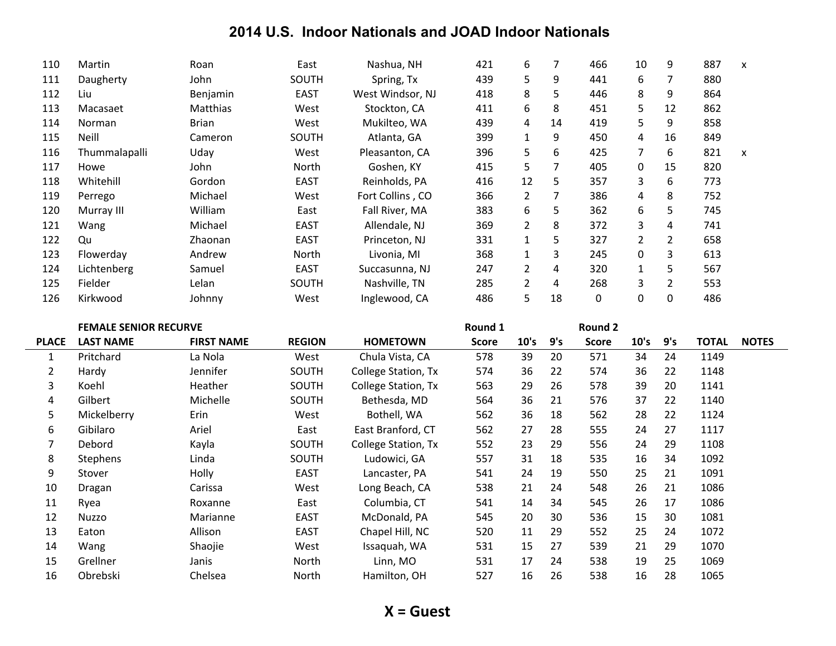| 110 | Martin        | Roan         | East        | Nashua, NH       | 421 | 6              |    | 466 | 10             | 9              | 887 | X                         |
|-----|---------------|--------------|-------------|------------------|-----|----------------|----|-----|----------------|----------------|-----|---------------------------|
| 111 | Daugherty     | John         | SOUTH       | Spring, Tx       | 439 | 5.             | 9  | 441 | 6              |                | 880 |                           |
| 112 | Liu           | Benjamin     | <b>EAST</b> | West Windsor, NJ | 418 | 8              | 5  | 446 | 8              | 9              | 864 |                           |
| 113 | Macasaet      | Matthias     | West        | Stockton, CA     | 411 | 6              | 8  | 451 | 5              | 12             | 862 |                           |
| 114 | <b>Norman</b> | <b>Brian</b> | West        | Mukilteo, WA     | 439 | 4              | 14 | 419 | 5.             | 9              | 858 |                           |
| 115 | Neill         | Cameron      | SOUTH       | Atlanta, GA      | 399 | $\mathbf{1}$   | 9  | 450 | 4              | 16             | 849 |                           |
| 116 | Thummalapalli | Uday         | West        | Pleasanton, CA   | 396 | 5              | 6  | 425 | 7              | 6              | 821 | $\boldsymbol{\mathsf{x}}$ |
| 117 | Howe          | John         | North       | Goshen, KY       | 415 | 5              | 7  | 405 | $\Omega$       | 15             | 820 |                           |
| 118 | Whitehill     | Gordon       | <b>EAST</b> | Reinholds, PA    | 416 | 12             | 5  | 357 | 3              | 6              | 773 |                           |
| 119 | Perrego       | Michael      | West        | Fort Collins, CO | 366 | $\overline{2}$ | 7  | 386 | 4              | 8              | 752 |                           |
| 120 | Murray III    | William      | East        | Fall River, MA   | 383 | 6              | 5  | 362 | 6              | 5              | 745 |                           |
| 121 | Wang          | Michael      | <b>EAST</b> | Allendale, NJ    | 369 | $\overline{2}$ | 8  | 372 | 3              | 4              | 741 |                           |
| 122 | Qu            | Zhaonan      | <b>EAST</b> | Princeton, NJ    | 331 |                | 5  | 327 | $\overline{2}$ | $\overline{2}$ | 658 |                           |
| 123 | Flowerday     | Andrew       | North       | Livonia, MI      | 368 | $\mathbf{1}$   | 3  | 245 | 0              | 3              | 613 |                           |
| 124 | Lichtenberg   | Samuel       | <b>EAST</b> | Succasunna, NJ   | 247 | $\mathbf{2}$   | 4  | 320 | $\mathbf{1}$   | 5.             | 567 |                           |
| 125 | Fielder       | Lelan        | SOUTH       | Nashville, TN    | 285 | $\overline{2}$ | 4  | 268 | 3              | 2              | 553 |                           |
| 126 | Kirkwood      | Johnny       | West        | Inglewood, CA    | 486 | 5              | 18 | 0   | 0              | 0              | 486 |                           |

|                | <b>FEMALE SENIOR RECURVE</b> |                   |               |                     | Round 1      |      |     | Round 2      |      |     |              |              |
|----------------|------------------------------|-------------------|---------------|---------------------|--------------|------|-----|--------------|------|-----|--------------|--------------|
| <b>PLACE</b>   | <b>LAST NAME</b>             | <b>FIRST NAME</b> | <b>REGION</b> | <b>HOMETOWN</b>     | <b>Score</b> | 10's | 9's | <b>Score</b> | 10's | 9's | <b>TOTAL</b> | <b>NOTES</b> |
| $\mathbf{1}$   | Pritchard                    | La Nola           | West          | Chula Vista, CA     | 578          | 39   | 20  | 571          | 34   | 24  | 1149         |              |
| $\overline{2}$ | Hardy                        | Jennifer          | <b>SOUTH</b>  | College Station, Tx | 574          | 36   | 22  | 574          | 36   | 22  | 1148         |              |
| 3              | Koehl                        | Heather           | SOUTH         | College Station, Tx | 563          | 29   | 26  | 578          | 39   | 20  | 1141         |              |
| 4              | Gilbert                      | Michelle          | <b>SOUTH</b>  | Bethesda, MD        | 564          | 36   | 21  | 576          | 37   | 22  | 1140         |              |
| 5              | Mickelberry                  | Erin              | West          | Bothell, WA         | 562          | 36   | 18  | 562          | 28   | 22  | 1124         |              |
| 6              | Gibilaro                     | Ariel             | East          | East Branford, CT   | 562          | 27   | 28  | 555          | 24   | 27  | 1117         |              |
| $\overline{7}$ | Debord                       | Kayla             | <b>SOUTH</b>  | College Station, Tx | 552          | 23   | 29  | 556          | 24   | 29  | 1108         |              |
| 8              | <b>Stephens</b>              | Linda             | SOUTH         | Ludowici, GA        | 557          | 31   | 18  | 535          | 16   | 34  | 1092         |              |
| 9              | Stover                       | Holly             | <b>EAST</b>   | Lancaster, PA       | 541          | 24   | 19  | 550          | 25   | 21  | 1091         |              |
| 10             | Dragan                       | Carissa           | West          | Long Beach, CA      | 538          | 21   | 24  | 548          | 26   | 21  | 1086         |              |
| 11             | Ryea                         | Roxanne           | East          | Columbia, CT        | 541          | 14   | 34  | 545          | 26   | 17  | 1086         |              |
| 12             | Nuzzo                        | Marianne          | <b>EAST</b>   | McDonald, PA        | 545          | 20   | 30  | 536          | 15   | 30  | 1081         |              |
| 13             | Eaton                        | Allison           | <b>EAST</b>   | Chapel Hill, NC     | 520          | 11   | 29  | 552          | 25   | 24  | 1072         |              |
| 14             | Wang                         | Shaojie           | West          | Issaquah, WA        | 531          | 15   | 27  | 539          | 21   | 29  | 1070         |              |
| 15             | Grellner                     | Janis             | North         | Linn, MO            | 531          | 17   | 24  | 538          | 19   | 25  | 1069         |              |
| 16             | Obrebski                     | Chelsea           | North         | Hamilton, OH        | 527          | 16   | 26  | 538          | 16   | 28  | 1065         |              |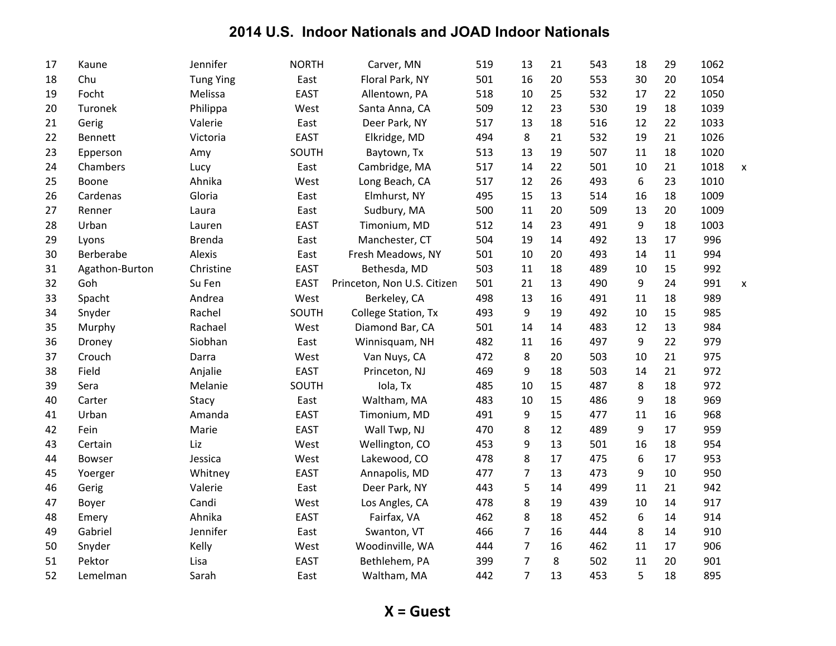| 17 | Kaune          | Jennifer         | <b>NORTH</b> | Carver, MN                  | 519 | 13             | 21 | 543 | 18               | 29 | 1062 |   |
|----|----------------|------------------|--------------|-----------------------------|-----|----------------|----|-----|------------------|----|------|---|
| 18 | Chu            | <b>Tung Ying</b> | East         | Floral Park, NY             | 501 | 16             | 20 | 553 | 30               | 20 | 1054 |   |
| 19 | Focht          | Melissa          | <b>EAST</b>  | Allentown, PA               | 518 | 10             | 25 | 532 | 17               | 22 | 1050 |   |
| 20 | Turonek        | Philippa         | West         | Santa Anna, CA              | 509 | 12             | 23 | 530 | 19               | 18 | 1039 |   |
| 21 | Gerig          | Valerie          | East         | Deer Park, NY               | 517 | 13             | 18 | 516 | 12               | 22 | 1033 |   |
| 22 | Bennett        | Victoria         | <b>EAST</b>  | Elkridge, MD                | 494 | 8              | 21 | 532 | 19               | 21 | 1026 |   |
| 23 | Epperson       | Amy              | SOUTH        | Baytown, Tx                 | 513 | 13             | 19 | 507 | 11               | 18 | 1020 |   |
| 24 | Chambers       | Lucy             | East         | Cambridge, MA               | 517 | 14             | 22 | 501 | 10               | 21 | 1018 | X |
| 25 | Boone          | Ahnika           | West         | Long Beach, CA              | 517 | 12             | 26 | 493 | 6                | 23 | 1010 |   |
| 26 | Cardenas       | Gloria           | East         | Elmhurst, NY                | 495 | 15             | 13 | 514 | 16               | 18 | 1009 |   |
| 27 | Renner         | Laura            | East         | Sudbury, MA                 | 500 | 11             | 20 | 509 | 13               | 20 | 1009 |   |
| 28 | Urban          | Lauren           | <b>EAST</b>  | Timonium, MD                | 512 | 14             | 23 | 491 | $\boldsymbol{9}$ | 18 | 1003 |   |
| 29 | Lyons          | <b>Brenda</b>    | East         | Manchester, CT              | 504 | 19             | 14 | 492 | 13               | 17 | 996  |   |
| 30 | Berberabe      | Alexis           | East         | Fresh Meadows, NY           | 501 | 10             | 20 | 493 | 14               | 11 | 994  |   |
| 31 | Agathon-Burton | Christine        | <b>EAST</b>  | Bethesda, MD                | 503 | 11             | 18 | 489 | 10               | 15 | 992  |   |
| 32 | Goh            | Su Fen           | <b>EAST</b>  | Princeton, Non U.S. Citizen | 501 | 21             | 13 | 490 | 9                | 24 | 991  | X |
| 33 | Spacht         | Andrea           | West         | Berkeley, CA                | 498 | 13             | 16 | 491 | 11               | 18 | 989  |   |
| 34 | Snyder         | Rachel           | SOUTH        | College Station, Tx         | 493 | 9              | 19 | 492 | 10               | 15 | 985  |   |
| 35 | Murphy         | Rachael          | West         | Diamond Bar, CA             | 501 | 14             | 14 | 483 | 12               | 13 | 984  |   |
| 36 | Droney         | Siobhan          | East         | Winnisquam, NH              | 482 | 11             | 16 | 497 | 9                | 22 | 979  |   |
| 37 | Crouch         | Darra            | West         | Van Nuys, CA                | 472 | 8              | 20 | 503 | 10               | 21 | 975  |   |
| 38 | Field          | Anjalie          | <b>EAST</b>  | Princeton, NJ               | 469 | 9              | 18 | 503 | 14               | 21 | 972  |   |
| 39 | Sera           | Melanie          | SOUTH        | Iola, Tx                    | 485 | 10             | 15 | 487 | 8                | 18 | 972  |   |
| 40 | Carter         | Stacy            | East         | Waltham, MA                 | 483 | 10             | 15 | 486 | 9                | 18 | 969  |   |
| 41 | Urban          | Amanda           | <b>EAST</b>  | Timonium, MD                | 491 | 9              | 15 | 477 | 11               | 16 | 968  |   |
| 42 | Fein           | Marie            | <b>EAST</b>  | Wall Twp, NJ                | 470 | 8              | 12 | 489 | 9                | 17 | 959  |   |
| 43 | Certain        | Liz              | West         | Wellington, CO              | 453 | 9              | 13 | 501 | 16               | 18 | 954  |   |
| 44 | Bowser         | Jessica          | West         | Lakewood, CO                | 478 | 8              | 17 | 475 | 6                | 17 | 953  |   |
| 45 | Yoerger        | Whitney          | <b>EAST</b>  | Annapolis, MD               | 477 | $\overline{7}$ | 13 | 473 | 9                | 10 | 950  |   |
| 46 | Gerig          | Valerie          | East         | Deer Park, NY               | 443 | 5              | 14 | 499 | 11               | 21 | 942  |   |
| 47 | Boyer          | Candi            | West         | Los Angles, CA              | 478 | 8              | 19 | 439 | 10               | 14 | 917  |   |
| 48 | Emery          | Ahnika           | <b>EAST</b>  | Fairfax, VA                 | 462 | 8              | 18 | 452 | 6                | 14 | 914  |   |
| 49 | Gabriel        | Jennifer         | East         | Swanton, VT                 | 466 | $\overline{7}$ | 16 | 444 | 8                | 14 | 910  |   |
| 50 | Snyder         | Kelly            | West         | Woodinville, WA             | 444 | $\overline{7}$ | 16 | 462 | 11               | 17 | 906  |   |
| 51 | Pektor         | Lisa             | <b>EAST</b>  | Bethlehem, PA               | 399 | $\overline{7}$ | 8  | 502 | 11               | 20 | 901  |   |
| 52 | Lemelman       | Sarah            | East         | Waltham, MA                 | 442 | $\overline{7}$ | 13 | 453 | 5                | 18 | 895  |   |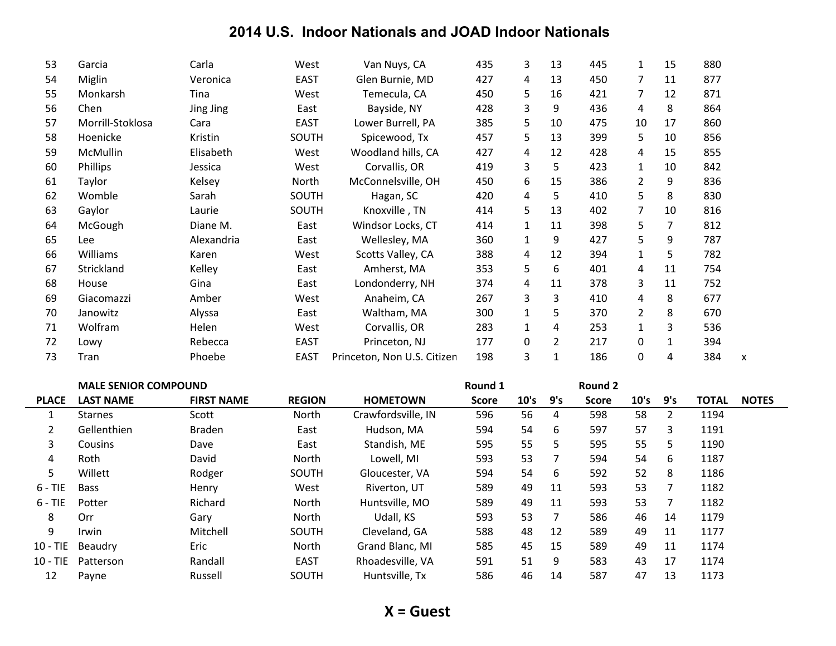| 53 | Garcia           | Carla      | West         | Van Nuys, CA                | 435 | 3            | 13             | 445 | $\mathbf{1}$ | 15 | 880 |  |
|----|------------------|------------|--------------|-----------------------------|-----|--------------|----------------|-----|--------------|----|-----|--|
| 54 | Miglin           | Veronica   | <b>EAST</b>  | Glen Burnie, MD             | 427 | 4            | 13             | 450 | 7            | 11 | 877 |  |
| 55 | Monkarsh         | Tina       | West         | Temecula, CA                | 450 | 5            | 16             | 421 | 7            | 12 | 871 |  |
| 56 | Chen             | Jing Jing  | East         | Bayside, NY                 | 428 | 3            | 9              | 436 | 4            | 8  | 864 |  |
| 57 | Morrill-Stoklosa | Cara       | <b>EAST</b>  | Lower Burrell, PA           | 385 | 5            | 10             | 475 | 10           | 17 | 860 |  |
| 58 | Hoenicke         | Kristin    | SOUTH        | Spicewood, Tx               | 457 | 5            | 13             | 399 | 5            | 10 | 856 |  |
| 59 | McMullin         | Elisabeth  | West         | Woodland hills, CA          | 427 | 4            | 12             | 428 | 4            | 15 | 855 |  |
| 60 | Phillips         | Jessica    | West         | Corvallis, OR               | 419 | 3            | 5              | 423 | $\mathbf{1}$ | 10 | 842 |  |
| 61 | Taylor           | Kelsey     | North        | McConnelsville, OH          | 450 | 6            | 15             | 386 | 2            | 9  | 836 |  |
| 62 | Womble           | Sarah      | <b>SOUTH</b> | Hagan, SC                   | 420 | 4            | 5              | 410 | 5            | 8  | 830 |  |
| 63 | Gaylor           | Laurie     | SOUTH        | Knoxville, TN               | 414 | 5            | 13             | 402 | 7            | 10 | 816 |  |
| 64 | McGough          | Diane M.   | East         | Windsor Locks, CT           | 414 | $\mathbf{1}$ | 11             | 398 | 5            | 7  | 812 |  |
| 65 | Lee              | Alexandria | East         | Wellesley, MA               | 360 | 1            | 9              | 427 | 5            | 9  | 787 |  |
| 66 | Williams         | Karen      | West         | Scotts Valley, CA           | 388 | 4            | 12             | 394 | 1            | 5  | 782 |  |
| 67 | Strickland       | Kelley     | East         | Amherst, MA                 | 353 | 5            | 6              | 401 | 4            | 11 | 754 |  |
| 68 | House            | Gina       | East         | Londonderry, NH             | 374 | 4            | 11             | 378 | 3            | 11 | 752 |  |
| 69 | Giacomazzi       | Amber      | West         | Anaheim, CA                 | 267 | 3            | 3              | 410 | 4            | 8  | 677 |  |
| 70 | Janowitz         | Alyssa     | East         | Waltham, MA                 | 300 | 1            | 5              | 370 | 2            | 8  | 670 |  |
| 71 | Wolfram          | Helen      | West         | Corvallis, OR               | 283 | 1            | 4              | 253 | $\mathbf{1}$ | 3  | 536 |  |
| 72 | Lowy             | Rebecca    | EAST         | Princeton, NJ               | 177 | 0            | $\overline{2}$ | 217 | 0            | 1  | 394 |  |
| 73 | Tran             | Phoebe     | <b>EAST</b>  | Princeton, Non U.S. Citizen | 198 | 3            | $\mathbf{1}$   | 186 | 0            | 4  | 384 |  |
|    |                  |            |              |                             |     |              |                |     |              |    |     |  |

|              | <b>MALE SENIOR COMPOUND</b> |                   |               |                    | Round 1      |      |     | Round 2      |      |     |              |              |
|--------------|-----------------------------|-------------------|---------------|--------------------|--------------|------|-----|--------------|------|-----|--------------|--------------|
| <b>PLACE</b> | <b>LAST NAME</b>            | <b>FIRST NAME</b> | <b>REGION</b> | <b>HOMETOWN</b>    | <b>Score</b> | 10's | 9's | <b>Score</b> | 10's | 9's | <b>TOTAL</b> | <b>NOTES</b> |
|              | <b>Starnes</b>              | Scott             | North         | Crawfordsville, IN | 596          | 56   | 4   | 598          | 58   | 2   | 1194         |              |
|              | Gellenthien                 | <b>Braden</b>     | East          | Hudson, MA         | 594          | 54   | 6   | 597          | 57   | 3   | 1191         |              |
| 3            | <b>Cousins</b>              | Dave              | East          | Standish, ME       | 595          | 55   | 5   | 595          | 55   | 5.  | 1190         |              |
| 4            | Roth                        | David             | North         | Lowell, MI         | 593          | 53   |     | 594          | 54   | 6   | 1187         |              |
| 5            | Willett                     | Rodger            | <b>SOUTH</b>  | Gloucester, VA     | 594          | 54   | 6   | 592          | 52   | 8   | 1186         |              |
| $6 - TIE$    | <b>Bass</b>                 | Henry             | West          | Riverton, UT       | 589          | 49   | 11  | 593          | 53   |     | 1182         |              |
| $6 - TIE$    | Potter                      | Richard           | North         | Huntsville, MO     | 589          | 49   | 11  | 593          | 53   |     | 1182         |              |
| 8            | Orr                         | Gary              | North         | Udall, KS          | 593          | 53   | 7   | 586          | 46   | 14  | 1179         |              |
| 9            | Irwin                       | Mitchell          | SOUTH         | Cleveland, GA      | 588          | 48   | 12  | 589          | 49   | 11  | 1177         |              |
| $10 - TIE$   | Beaudry                     | Eric              | North         | Grand Blanc, MI    | 585          | 45   | 15  | 589          | 49   | 11  | 1174         |              |
| $10 - TIE$   | Patterson                   | Randall           | <b>EAST</b>   | Rhoadesville, VA   | 591          | 51   | 9   | 583          | 43   | 17  | 1174         |              |
| 12           | Payne                       | Russell           | SOUTH         | Huntsville, Tx     | 586          | 46   | 14  | 587          | 47   | 13  | 1173         |              |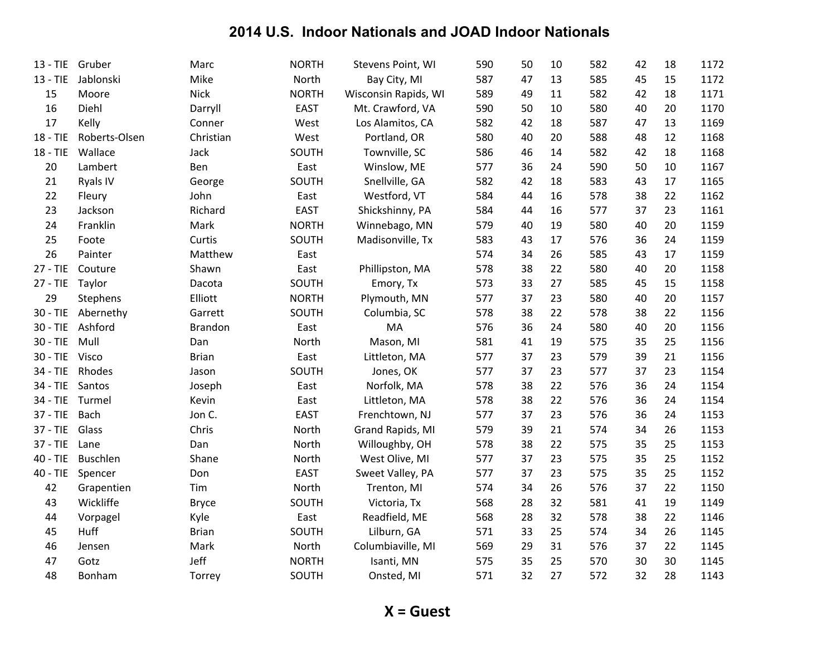| $13 - TIE$ | Gruber        | Marc           | <b>NORTH</b> | Stevens Point, WI    | 590 | 50 | 10 | 582 | 42 | 18 | 1172 |
|------------|---------------|----------------|--------------|----------------------|-----|----|----|-----|----|----|------|
| $13 - TIE$ | Jablonski     | Mike           | North        | Bay City, MI         | 587 | 47 | 13 | 585 | 45 | 15 | 1172 |
| 15         | Moore         | <b>Nick</b>    | <b>NORTH</b> | Wisconsin Rapids, WI | 589 | 49 | 11 | 582 | 42 | 18 | 1171 |
| 16         | Diehl         | Darryll        | <b>EAST</b>  | Mt. Crawford, VA     | 590 | 50 | 10 | 580 | 40 | 20 | 1170 |
| 17         | Kelly         | Conner         | West         | Los Alamitos, CA     | 582 | 42 | 18 | 587 | 47 | 13 | 1169 |
| 18 - TIE   | Roberts-Olsen | Christian      | West         | Portland, OR         | 580 | 40 | 20 | 588 | 48 | 12 | 1168 |
| 18 - TIE   | Wallace       | Jack           | SOUTH        | Townville, SC        | 586 | 46 | 14 | 582 | 42 | 18 | 1168 |
| 20         | Lambert       | Ben            | East         | Winslow, ME          | 577 | 36 | 24 | 590 | 50 | 10 | 1167 |
| 21         | Ryals IV      | George         | SOUTH        | Snellville, GA       | 582 | 42 | 18 | 583 | 43 | 17 | 1165 |
| 22         | Fleury        | John           | East         | Westford, VT         | 584 | 44 | 16 | 578 | 38 | 22 | 1162 |
| 23         | Jackson       | Richard        | <b>EAST</b>  | Shickshinny, PA      | 584 | 44 | 16 | 577 | 37 | 23 | 1161 |
| 24         | Franklin      | Mark           | <b>NORTH</b> | Winnebago, MN        | 579 | 40 | 19 | 580 | 40 | 20 | 1159 |
| 25         | Foote         | Curtis         | SOUTH        | Madisonville, Tx     | 583 | 43 | 17 | 576 | 36 | 24 | 1159 |
| 26         | Painter       | Matthew        | East         |                      | 574 | 34 | 26 | 585 | 43 | 17 | 1159 |
| $27 - TIE$ | Couture       | Shawn          | East         | Phillipston, MA      | 578 | 38 | 22 | 580 | 40 | 20 | 1158 |
| $27 - TIE$ | Taylor        | Dacota         | SOUTH        | Emory, Tx            | 573 | 33 | 27 | 585 | 45 | 15 | 1158 |
| 29         | Stephens      | Elliott        | <b>NORTH</b> | Plymouth, MN         | 577 | 37 | 23 | 580 | 40 | 20 | 1157 |
| $30 - TIE$ | Abernethy     | Garrett        | SOUTH        | Columbia, SC         | 578 | 38 | 22 | 578 | 38 | 22 | 1156 |
| $30 - TIE$ | Ashford       | <b>Brandon</b> | East         | MA                   | 576 | 36 | 24 | 580 | 40 | 20 | 1156 |
| $30 - TIE$ | Mull          | Dan            | North        | Mason, MI            | 581 | 41 | 19 | 575 | 35 | 25 | 1156 |
| $30 - TIE$ | Visco         | <b>Brian</b>   | East         | Littleton, MA        | 577 | 37 | 23 | 579 | 39 | 21 | 1156 |
| 34 - TIE   | Rhodes        | Jason          | SOUTH        | Jones, OK            | 577 | 37 | 23 | 577 | 37 | 23 | 1154 |
| $34 - TIE$ | Santos        | Joseph         | East         | Norfolk, MA          | 578 | 38 | 22 | 576 | 36 | 24 | 1154 |
| 34 - TIE   | Turmel        | Kevin          | East         | Littleton, MA        | 578 | 38 | 22 | 576 | 36 | 24 | 1154 |
| $37 - TIE$ | <b>Bach</b>   | Jon C.         | <b>EAST</b>  | Frenchtown, NJ       | 577 | 37 | 23 | 576 | 36 | 24 | 1153 |
| $37 - TIE$ | Glass         | Chris          | North        | Grand Rapids, MI     | 579 | 39 | 21 | 574 | 34 | 26 | 1153 |
| $37 - TIE$ | Lane          | Dan            | North        | Willoughby, OH       | 578 | 38 | 22 | 575 | 35 | 25 | 1153 |
| $40 - TIE$ | Buschlen      | Shane          | North        | West Olive, MI       | 577 | 37 | 23 | 575 | 35 | 25 | 1152 |
| $40 - TIE$ | Spencer       | Don            | <b>EAST</b>  | Sweet Valley, PA     | 577 | 37 | 23 | 575 | 35 | 25 | 1152 |
| 42         | Grapentien    | Tim            | North        | Trenton, MI          | 574 | 34 | 26 | 576 | 37 | 22 | 1150 |
| 43         | Wickliffe     | <b>Bryce</b>   | SOUTH        | Victoria, Tx         | 568 | 28 | 32 | 581 | 41 | 19 | 1149 |
| 44         | Vorpagel      | Kyle           | East         | Readfield, ME        | 568 | 28 | 32 | 578 | 38 | 22 | 1146 |
| 45         | Huff          | <b>Brian</b>   | SOUTH        | Lilburn, GA          | 571 | 33 | 25 | 574 | 34 | 26 | 1145 |
| 46         | Jensen        | Mark           | North        | Columbiaville, MI    | 569 | 29 | 31 | 576 | 37 | 22 | 1145 |
| 47         | Gotz          | Jeff           | <b>NORTH</b> | Isanti, MN           | 575 | 35 | 25 | 570 | 30 | 30 | 1145 |
| 48         | Bonham        | Torrey         | SOUTH        | Onsted, MI           | 571 | 32 | 27 | 572 | 32 | 28 | 1143 |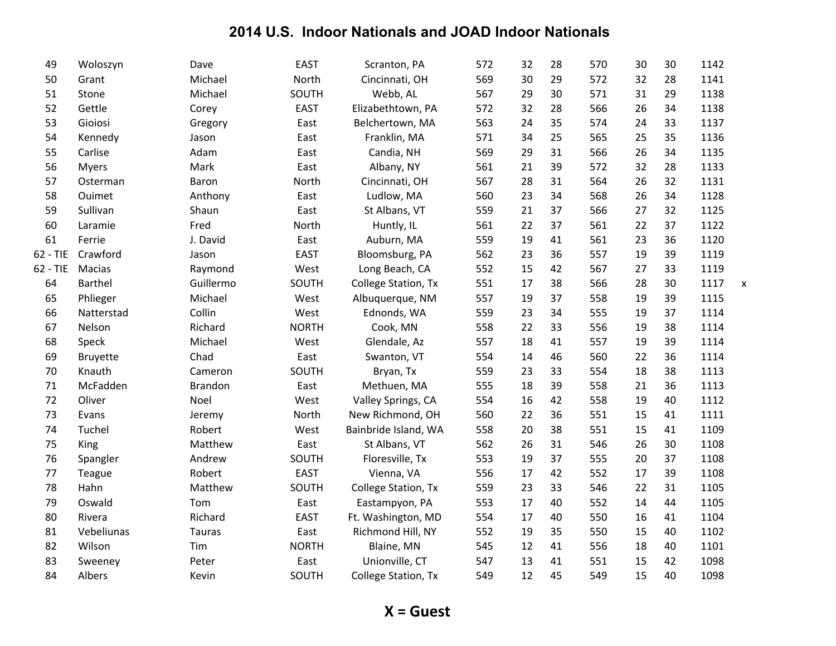| 49       | Woloszyn        | Dave           | <b>EAST</b>  | Scranton, PA         | 572 | 32 | 28 | 570 | 30 | 30 | 1142 |   |
|----------|-----------------|----------------|--------------|----------------------|-----|----|----|-----|----|----|------|---|
| 50       | Grant           | Michael        | North        | Cincinnati, OH       | 569 | 30 | 29 | 572 | 32 | 28 | 1141 |   |
| 51       | Stone           | Michael        | SOUTH        | Webb, AL             | 567 | 29 | 30 | 571 | 31 | 29 | 1138 |   |
| 52       | Gettle          | Corey          | <b>EAST</b>  | Elizabethtown, PA    | 572 | 32 | 28 | 566 | 26 | 34 | 1138 |   |
| 53       | Gioiosi         | Gregory        | East         | Belchertown, MA      | 563 | 24 | 35 | 574 | 24 | 33 | 1137 |   |
| 54       | Kennedy         | Jason          | East         | Franklin, MA         | 571 | 34 | 25 | 565 | 25 | 35 | 1136 |   |
| 55       | Carlise         | Adam           | East         | Candia, NH           | 569 | 29 | 31 | 566 | 26 | 34 | 1135 |   |
| 56       | <b>Myers</b>    | Mark           | East         | Albany, NY           | 561 | 21 | 39 | 572 | 32 | 28 | 1133 |   |
| 57       | Osterman        | Baron          | North        | Cincinnati, OH       | 567 | 28 | 31 | 564 | 26 | 32 | 1131 |   |
| 58       | Ouimet          | Anthony        | East         | Ludlow, MA           | 560 | 23 | 34 | 568 | 26 | 34 | 1128 |   |
| 59       | Sullivan        | Shaun          | East         | St Albans, VT        | 559 | 21 | 37 | 566 | 27 | 32 | 1125 |   |
| 60       | Laramie         | Fred           | North        | Huntly, IL           | 561 | 22 | 37 | 561 | 22 | 37 | 1122 |   |
| 61       | Ferrie          | J. David       | East         | Auburn, MA           | 559 | 19 | 41 | 561 | 23 | 36 | 1120 |   |
| 62 - TIE | Crawford        | Jason          | <b>EAST</b>  | Bloomsburg, PA       | 562 | 23 | 36 | 557 | 19 | 39 | 1119 |   |
| 62 - TIE | Macias          | Raymond        | West         | Long Beach, CA       | 552 | 15 | 42 | 567 | 27 | 33 | 1119 |   |
| 64       | <b>Barthel</b>  | Guillermo      | SOUTH        | College Station, Tx  | 551 | 17 | 38 | 566 | 28 | 30 | 1117 | X |
| 65       | Phlieger        | Michael        | West         | Albuquerque, NM      | 557 | 19 | 37 | 558 | 19 | 39 | 1115 |   |
| 66       | Natterstad      | Collin         | West         | Ednonds, WA          | 559 | 23 | 34 | 555 | 19 | 37 | 1114 |   |
| 67       | Nelson          | Richard        | <b>NORTH</b> | Cook, MN             | 558 | 22 | 33 | 556 | 19 | 38 | 1114 |   |
| 68       | Speck           | Michael        | West         | Glendale, Az         | 557 | 18 | 41 | 557 | 19 | 39 | 1114 |   |
| 69       | <b>Bruyette</b> | Chad           | East         | Swanton, VT          | 554 | 14 | 46 | 560 | 22 | 36 | 1114 |   |
| 70       | Knauth          | Cameron        | SOUTH        | Bryan, Tx            | 559 | 23 | 33 | 554 | 18 | 38 | 1113 |   |
| $71\,$   | McFadden        | <b>Brandon</b> | East         | Methuen, MA          | 555 | 18 | 39 | 558 | 21 | 36 | 1113 |   |
| 72       | Oliver          | Noel           | West         | Valley Springs, CA   | 554 | 16 | 42 | 558 | 19 | 40 | 1112 |   |
| 73       | Evans           | Jeremy         | North        | New Richmond, OH     | 560 | 22 | 36 | 551 | 15 | 41 | 1111 |   |
| 74       | Tuchel          | Robert         | West         | Bainbride Island, WA | 558 | 20 | 38 | 551 | 15 | 41 | 1109 |   |
| 75       | King            | Matthew        | East         | St Albans, VT        | 562 | 26 | 31 | 546 | 26 | 30 | 1108 |   |
| 76       | Spangler        | Andrew         | SOUTH        | Floresville, Tx      | 553 | 19 | 37 | 555 | 20 | 37 | 1108 |   |
| 77       | Teague          | Robert         | <b>EAST</b>  | Vienna, VA           | 556 | 17 | 42 | 552 | 17 | 39 | 1108 |   |
| 78       | Hahn            | Matthew        | SOUTH        | College Station, Tx  | 559 | 23 | 33 | 546 | 22 | 31 | 1105 |   |
| 79       | Oswald          | Tom            | East         | Eastampyon, PA       | 553 | 17 | 40 | 552 | 14 | 44 | 1105 |   |
| 80       | Rivera          | Richard        | <b>EAST</b>  | Ft. Washington, MD   | 554 | 17 | 40 | 550 | 16 | 41 | 1104 |   |
| 81       | Vebeliunas      | <b>Tauras</b>  | East         | Richmond Hill, NY    | 552 | 19 | 35 | 550 | 15 | 40 | 1102 |   |
| 82       | Wilson          | Tim            | <b>NORTH</b> | Blaine, MN           | 545 | 12 | 41 | 556 | 18 | 40 | 1101 |   |
| 83       | Sweeney         | Peter          | East         | Unionville, CT       | 547 | 13 | 41 | 551 | 15 | 42 | 1098 |   |
| 84       | Albers          | Kevin          | SOUTH        | College Station, Tx  | 549 | 12 | 45 | 549 | 15 | 40 | 1098 |   |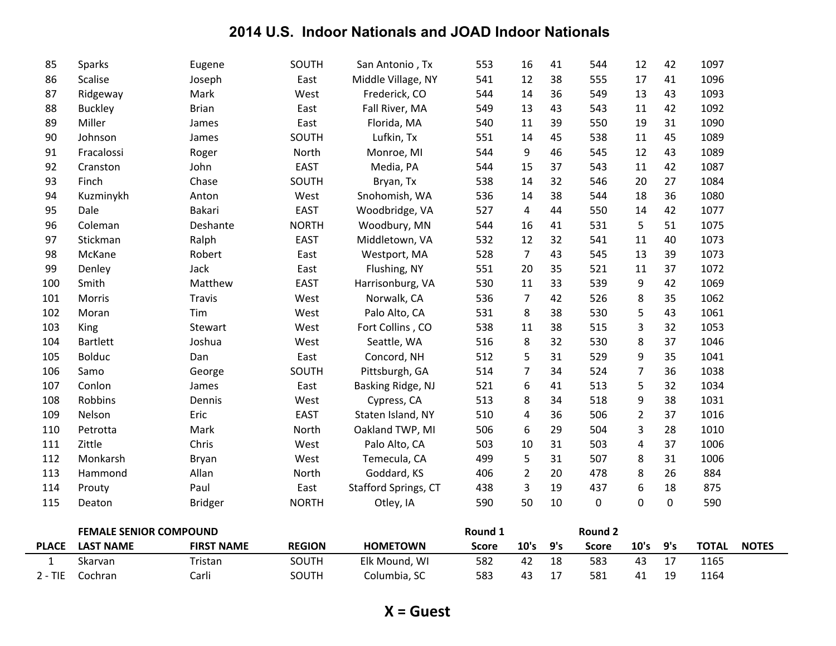|     | <b>FEMALE SENIOR COMPOUND</b> |                  |              |                      | Round 1 |                  |    | <b>Round 2</b> |                |           |      |  |
|-----|-------------------------------|------------------|--------------|----------------------|---------|------------------|----|----------------|----------------|-----------|------|--|
| 115 | Deaton                        | <b>Bridger</b>   | <b>NORTH</b> | Otley, IA            | 590     | 50               | 10 | 0              | 0              | $\pmb{0}$ | 590  |  |
| 114 | Prouty                        | Paul             | East         | Stafford Springs, CT | 438     | 3                | 19 | 437            | 6              | 18        | 875  |  |
| 113 | Hammond                       | Allan            | North        | Goddard, KS          | 406     | $\overline{2}$   | 20 | 478            | 8              | 26        | 884  |  |
| 112 | Monkarsh                      | Bryan            | West         | Temecula, CA         | 499     | 5                | 31 | 507            | 8              | 31        | 1006 |  |
| 111 | Zittle                        | Chris            | West         | Palo Alto, CA        | 503     | 10               | 31 | 503            | 4              | 37        | 1006 |  |
| 110 | Petrotta                      | Mark             | North        | Oakland TWP, MI      | 506     | 6                | 29 | 504            | 3              | 28        | 1010 |  |
| 109 | Nelson                        | Eric             | <b>EAST</b>  | Staten Island, NY    | 510     | 4                | 36 | 506            | 2              | 37        | 1016 |  |
| 108 | Robbins                       | Dennis           | West         | Cypress, CA          | 513     | 8                | 34 | 518            | 9              | 38        | 1031 |  |
| 107 | Conlon                        | James            | East         | Basking Ridge, NJ    | 521     | $\boldsymbol{6}$ | 41 | 513            | 5              | 32        | 1034 |  |
| 106 | Samo                          | George           | SOUTH        | Pittsburgh, GA       | 514     | $\overline{7}$   | 34 | 524            | $\overline{7}$ | 36        | 1038 |  |
| 105 | <b>Bolduc</b>                 | Dan              | East         | Concord, NH          | 512     | 5                | 31 | 529            | 9              | 35        | 1041 |  |
| 104 | <b>Bartlett</b>               | Joshua           | West         | Seattle, WA          | 516     | 8                | 32 | 530            | 8              | 37        | 1046 |  |
| 103 | King                          | Stewart          | West         | Fort Collins, CO     | 538     | 11               | 38 | 515            | 3              | 32        | 1053 |  |
| 102 | Moran                         | Tim              | West         | Palo Alto, CA        | 531     | $\,8\,$          | 38 | 530            | 5              | 43        | 1061 |  |
| 101 | Morris                        | <b>Travis</b>    | West         | Norwalk, CA          | 536     | $\overline{7}$   | 42 | 526            | 8              | 35        | 1062 |  |
| 100 | Smith                         | Matthew          | <b>EAST</b>  | Harrisonburg, VA     | 530     | $11\,$           | 33 | 539            | 9              | 42        | 1069 |  |
| 99  | Denley                        | Jack             | East         | Flushing, NY         | 551     | 20               | 35 | 521            | 11             | 37        | 1072 |  |
| 98  | McKane                        | Robert           | East         | Westport, MA         | 528     | $\overline{7}$   | 43 | 545            | 13             | 39        | 1073 |  |
| 97  | Stickman                      | Ralph            | <b>EAST</b>  | Middletown, VA       | 532     | 12               | 32 | 541            | 11             | 40        | 1073 |  |
| 96  | Coleman                       | Deshante         | <b>NORTH</b> | Woodbury, MN         | 544     | 16               | 41 | 531            | 5              | 51        | 1075 |  |
| 95  | Dale                          | Bakari           | <b>EAST</b>  | Woodbridge, VA       | 527     | $\overline{4}$   | 44 | 550            | 14             | 42        | 1077 |  |
| 94  | Kuzminykh                     | Anton            | West         | Snohomish, WA        | 536     | 14               | 38 | 544            | 18             | 36        | 1080 |  |
| 93  | Finch                         | Chase            | SOUTH        | Bryan, Tx            | 538     | 14               | 32 | 546            | 20             | 27        | 1084 |  |
| 92  | Cranston                      | John             | <b>EAST</b>  | Media, PA            | 544     | 15               | 37 | 543            | 11             | 42        | 1087 |  |
| 91  | Fracalossi                    | Roger            | North        | Monroe, MI           | 544     | 9                | 46 | 545            | 12             | 43        | 1089 |  |
| 90  | Johnson                       | James            | SOUTH        | Lufkin, Tx           | 551     | 14               | 45 | 538            | 11             | 45        | 1089 |  |
| 89  | Miller                        | James            | East         | Florida, MA          | 540     | 11               | 39 | 550            | 19             | 31        | 1090 |  |
| 88  | <b>Buckley</b>                | <b>Brian</b>     | East         | Fall River, MA       | 549     | 13               | 43 | 543            | 11             | 42        | 1092 |  |
| 87  | Ridgeway                      | Mark             | West         | Frederick, CO        | 544     | 14               | 36 | 549            | 13             | 43        | 1093 |  |
| 86  | Scalise                       | Eugene<br>Joseph | East         | Middle Village, NY   | 541     | 12               | 38 | 555            | 17             | 41        | 1096 |  |
| 85  | Sparks                        |                  | SOUTH        | San Antonio, Tx      | 553     | 16               | 41 | 544            | 12             | 42        | 1097 |  |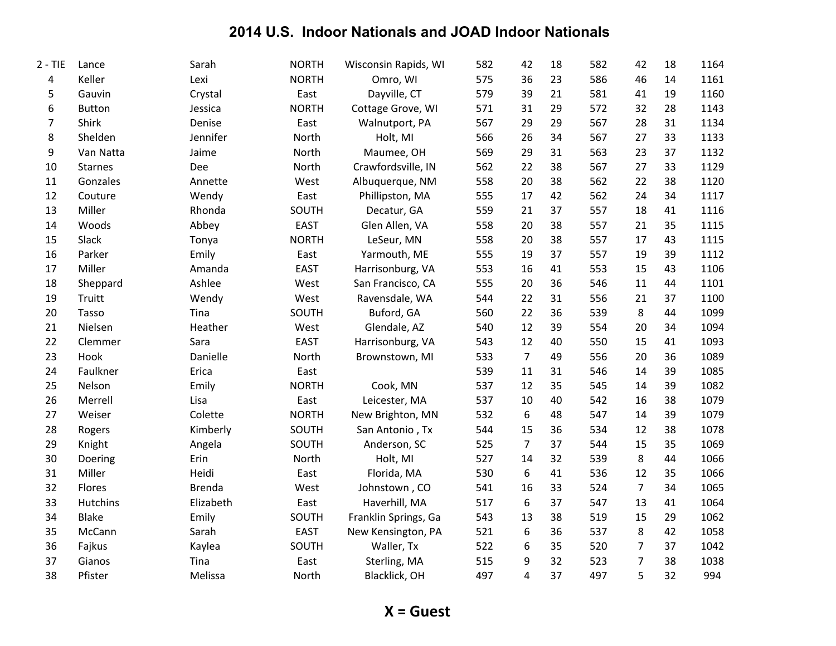| $2 - TIE$      | Lance          | Sarah         | <b>NORTH</b> | Wisconsin Rapids, WI | 582 | 42             | 18 | 582 | 42             | 18 | 1164 |
|----------------|----------------|---------------|--------------|----------------------|-----|----------------|----|-----|----------------|----|------|
| 4              | Keller         | Lexi          | <b>NORTH</b> | Omro, WI             | 575 | 36             | 23 | 586 | 46             | 14 | 1161 |
| 5              | Gauvin         | Crystal       | East         | Dayville, CT         | 579 | 39             | 21 | 581 | 41             | 19 | 1160 |
| 6              | <b>Button</b>  | Jessica       | <b>NORTH</b> | Cottage Grove, WI    | 571 | 31             | 29 | 572 | 32             | 28 | 1143 |
| $\overline{7}$ | Shirk          | Denise        | East         | Walnutport, PA       | 567 | 29             | 29 | 567 | 28             | 31 | 1134 |
| 8              | Shelden        | Jennifer      | North        | Holt, MI             | 566 | 26             | 34 | 567 | 27             | 33 | 1133 |
| 9              | Van Natta      | Jaime         | North        | Maumee, OH           | 569 | 29             | 31 | 563 | 23             | 37 | 1132 |
| 10             | <b>Starnes</b> | Dee           | North        | Crawfordsville, IN   | 562 | 22             | 38 | 567 | 27             | 33 | 1129 |
| 11             | Gonzales       | Annette       | West         | Albuquerque, NM      | 558 | 20             | 38 | 562 | 22             | 38 | 1120 |
| 12             | Couture        | Wendy         | East         | Phillipston, MA      | 555 | 17             | 42 | 562 | 24             | 34 | 1117 |
| 13             | Miller         | Rhonda        | SOUTH        | Decatur, GA          | 559 | 21             | 37 | 557 | 18             | 41 | 1116 |
| 14             | Woods          | Abbey         | <b>EAST</b>  | Glen Allen, VA       | 558 | 20             | 38 | 557 | 21             | 35 | 1115 |
| 15             | Slack          | Tonya         | <b>NORTH</b> | LeSeur, MN           | 558 | 20             | 38 | 557 | 17             | 43 | 1115 |
| 16             | Parker         | Emily         | East         | Yarmouth, ME         | 555 | 19             | 37 | 557 | 19             | 39 | 1112 |
| 17             | Miller         | Amanda        | <b>EAST</b>  | Harrisonburg, VA     | 553 | 16             | 41 | 553 | 15             | 43 | 1106 |
| 18             | Sheppard       | Ashlee        | West         | San Francisco, CA    | 555 | 20             | 36 | 546 | 11             | 44 | 1101 |
| 19             | Truitt         | Wendy         | West         | Ravensdale, WA       | 544 | 22             | 31 | 556 | 21             | 37 | 1100 |
| 20             | Tasso          | Tina          | SOUTH        | Buford, GA           | 560 | 22             | 36 | 539 | 8              | 44 | 1099 |
| 21             | Nielsen        | Heather       | West         | Glendale, AZ         | 540 | 12             | 39 | 554 | 20             | 34 | 1094 |
| 22             | Clemmer        | Sara          | <b>EAST</b>  | Harrisonburg, VA     | 543 | 12             | 40 | 550 | 15             | 41 | 1093 |
| 23             | Hook           | Danielle      | North        | Brownstown, MI       | 533 | $\overline{7}$ | 49 | 556 | 20             | 36 | 1089 |
| 24             | Faulkner       | Erica         | East         |                      | 539 | 11             | 31 | 546 | 14             | 39 | 1085 |
| 25             | Nelson         | Emily         | <b>NORTH</b> | Cook, MN             | 537 | 12             | 35 | 545 | 14             | 39 | 1082 |
| 26             | Merrell        | Lisa          | East         | Leicester, MA        | 537 | 10             | 40 | 542 | 16             | 38 | 1079 |
| 27             | Weiser         | Colette       | <b>NORTH</b> | New Brighton, MN     | 532 | 6              | 48 | 547 | 14             | 39 | 1079 |
| 28             | Rogers         | Kimberly      | SOUTH        | San Antonio, Tx      | 544 | 15             | 36 | 534 | 12             | 38 | 1078 |
| 29             | Knight         | Angela        | SOUTH        | Anderson, SC         | 525 | $\overline{7}$ | 37 | 544 | 15             | 35 | 1069 |
| 30             | Doering        | Erin          | North        | Holt, MI             | 527 | 14             | 32 | 539 | 8              | 44 | 1066 |
| 31             | Miller         | Heidi         | East         | Florida, MA          | 530 | 6              | 41 | 536 | 12             | 35 | 1066 |
| 32             | Flores         | <b>Brenda</b> | West         | Johnstown, CO        | 541 | 16             | 33 | 524 | $\overline{7}$ | 34 | 1065 |
| 33             | Hutchins       | Elizabeth     | East         | Haverhill, MA        | 517 | 6              | 37 | 547 | 13             | 41 | 1064 |
| 34             | <b>Blake</b>   | Emily         | SOUTH        | Franklin Springs, Ga | 543 | 13             | 38 | 519 | 15             | 29 | 1062 |
| 35             | McCann         | Sarah         | <b>EAST</b>  | New Kensington, PA   | 521 | 6              | 36 | 537 | 8              | 42 | 1058 |
| 36             | Fajkus         | Kaylea        | SOUTH        | Waller, Tx           | 522 | 6              | 35 | 520 | 7              | 37 | 1042 |
| 37             | Gianos         | Tina          | East         | Sterling, MA         | 515 | 9              | 32 | 523 | $\overline{7}$ | 38 | 1038 |
| 38             | Pfister        | Melissa       | North        | Blacklick, OH        | 497 | 4              | 37 | 497 | 5              | 32 | 994  |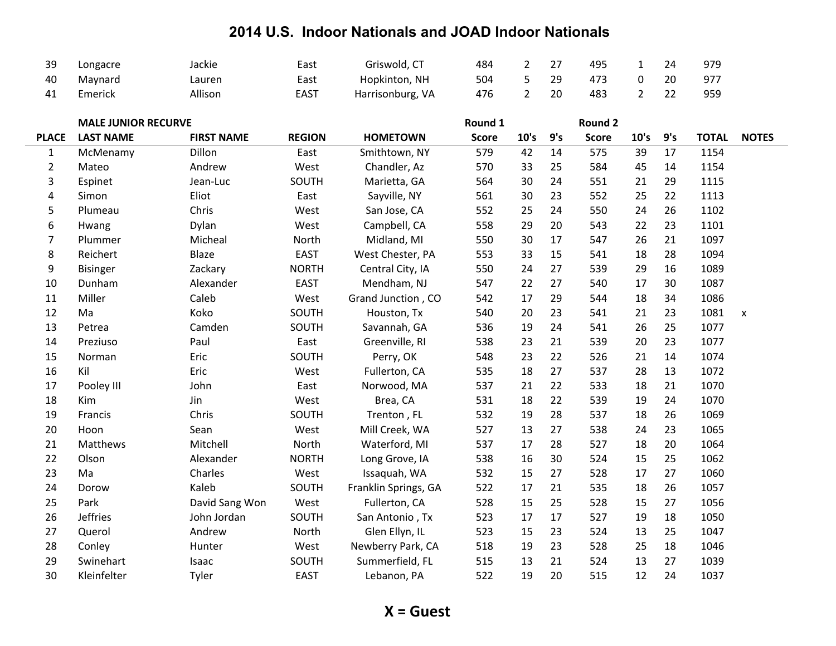| 39 | Longacre | Jackie  | East        | Griswold, CT     | 484 |    | 495 |    | 979 |
|----|----------|---------|-------------|------------------|-----|----|-----|----|-----|
| 40 | Maynard  | ∟auren  | East        | Hopkinton, NH    | 504 | 29 | 473 | 20 | 977 |
| 41 | Emerick  | Allison | <b>EAST</b> | Harrisonburg, VA | 476 | 20 | 483 |    | 959 |

|                | <b>MALE JUNIOR RECURVE</b> |                   |               |                      | Round 1      |      |     | Round 2      |      |     |              |                    |
|----------------|----------------------------|-------------------|---------------|----------------------|--------------|------|-----|--------------|------|-----|--------------|--------------------|
| <b>PLACE</b>   | <b>LAST NAME</b>           | <b>FIRST NAME</b> | <b>REGION</b> | <b>HOMETOWN</b>      | <b>Score</b> | 10's | 9's | <b>Score</b> | 10's | 9's | <b>TOTAL</b> | <b>NOTES</b>       |
| $\mathbf{1}$   | McMenamy                   | Dillon            | East          | Smithtown, NY        | 579          | 42   | 14  | 575          | 39   | 17  | 1154         |                    |
| $\overline{2}$ | Mateo                      | Andrew            | West          | Chandler, Az         | 570          | 33   | 25  | 584          | 45   | 14  | 1154         |                    |
| 3              | Espinet                    | Jean-Luc          | SOUTH         | Marietta, GA         | 564          | 30   | 24  | 551          | 21   | 29  | 1115         |                    |
| 4              | Simon                      | Eliot             | East          | Sayville, NY         | 561          | 30   | 23  | 552          | 25   | 22  | 1113         |                    |
| 5              | Plumeau                    | Chris             | West          | San Jose, CA         | 552          | 25   | 24  | 550          | 24   | 26  | 1102         |                    |
| 6              | Hwang                      | Dylan             | West          | Campbell, CA         | 558          | 29   | 20  | 543          | 22   | 23  | 1101         |                    |
| 7              | Plummer                    | Micheal           | North         | Midland, MI          | 550          | 30   | 17  | 547          | 26   | 21  | 1097         |                    |
| 8              | Reichert                   | <b>Blaze</b>      | <b>EAST</b>   | West Chester, PA     | 553          | 33   | 15  | 541          | 18   | 28  | 1094         |                    |
| 9              | <b>Bisinger</b>            | Zackary           | <b>NORTH</b>  | Central City, IA     | 550          | 24   | 27  | 539          | 29   | 16  | 1089         |                    |
| 10             | Dunham                     | Alexander         | <b>EAST</b>   | Mendham, NJ          | 547          | 22   | 27  | 540          | 17   | 30  | 1087         |                    |
| 11             | Miller                     | Caleb             | West          | Grand Junction, CO   | 542          | 17   | 29  | 544          | 18   | 34  | 1086         |                    |
| 12             | Ma                         | Koko              | SOUTH         | Houston, Tx          | 540          | 20   | 23  | 541          | 21   | 23  | 1081         | $\pmb{\mathsf{x}}$ |
| 13             | Petrea                     | Camden            | SOUTH         | Savannah, GA         | 536          | 19   | 24  | 541          | 26   | 25  | 1077         |                    |
| 14             | Preziuso                   | Paul              | East          | Greenville, RI       | 538          | 23   | 21  | 539          | 20   | 23  | 1077         |                    |
| 15             | Norman                     | Eric              | SOUTH         | Perry, OK            | 548          | 23   | 22  | 526          | 21   | 14  | 1074         |                    |
| 16             | Kil                        | Eric              | West          | Fullerton, CA        | 535          | 18   | 27  | 537          | 28   | 13  | 1072         |                    |
| 17             | Pooley III                 | John              | East          | Norwood, MA          | 537          | 21   | 22  | 533          | 18   | 21  | 1070         |                    |
| 18             | Kim                        | Jin               | West          | Brea, CA             | 531          | 18   | 22  | 539          | 19   | 24  | 1070         |                    |
| 19             | Francis                    | Chris             | SOUTH         | Trenton, FL          | 532          | 19   | 28  | 537          | 18   | 26  | 1069         |                    |
| 20             | Hoon                       | Sean              | West          | Mill Creek, WA       | 527          | 13   | 27  | 538          | 24   | 23  | 1065         |                    |
| 21             | Matthews                   | Mitchell          | North         | Waterford, MI        | 537          | 17   | 28  | 527          | 18   | 20  | 1064         |                    |
| 22             | Olson                      | Alexander         | <b>NORTH</b>  | Long Grove, IA       | 538          | 16   | 30  | 524          | 15   | 25  | 1062         |                    |
| 23             | Ma                         | Charles           | West          | Issaquah, WA         | 532          | 15   | 27  | 528          | 17   | 27  | 1060         |                    |
| 24             | Dorow                      | Kaleb             | SOUTH         | Franklin Springs, GA | 522          | 17   | 21  | 535          | 18   | 26  | 1057         |                    |
| 25             | Park                       | David Sang Won    | West          | Fullerton, CA        | 528          | 15   | 25  | 528          | 15   | 27  | 1056         |                    |
| 26             | <b>Jeffries</b>            | John Jordan       | SOUTH         | San Antonio, Tx      | 523          | 17   | 17  | 527          | 19   | 18  | 1050         |                    |
| 27             | Querol                     | Andrew            | North         | Glen Ellyn, IL       | 523          | 15   | 23  | 524          | 13   | 25  | 1047         |                    |
| 28             | Conley                     | Hunter            | West          | Newberry Park, CA    | 518          | 19   | 23  | 528          | 25   | 18  | 1046         |                    |
| 29             | Swinehart                  | Isaac             | SOUTH         | Summerfield, FL      | 515          | 13   | 21  | 524          | 13   | 27  | 1039         |                    |
| 30             | Kleinfelter                | Tyler             | <b>EAST</b>   | Lebanon, PA          | 522          | 19   | 20  | 515          | 12   | 24  | 1037         |                    |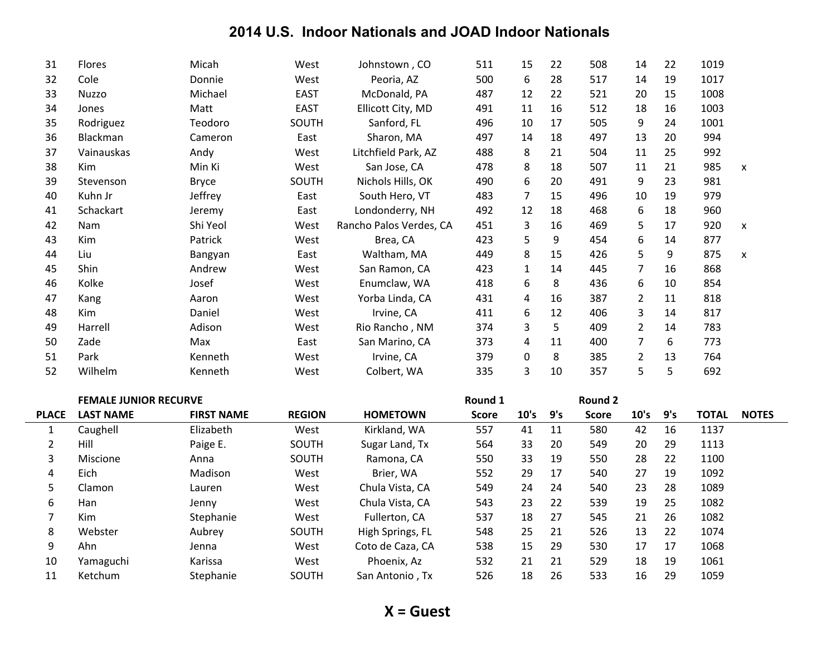| 31 | Flores       | Micah        | West        | Johnstown, CO           | 511 | 15           | 22 | 508 | 14             | 22 | 1019 |   |
|----|--------------|--------------|-------------|-------------------------|-----|--------------|----|-----|----------------|----|------|---|
| 32 | Cole         | Donnie       | West        | Peoria, AZ              | 500 | 6            | 28 | 517 | 14             | 19 | 1017 |   |
| 33 | <b>Nuzzo</b> | Michael      | <b>EAST</b> | McDonald, PA            | 487 | 12           | 22 | 521 | 20             | 15 | 1008 |   |
| 34 | Jones        | Matt         | <b>EAST</b> | Ellicott City, MD       | 491 | 11           | 16 | 512 | 18             | 16 | 1003 |   |
| 35 | Rodriguez    | Teodoro      | SOUTH       | Sanford, FL             | 496 | 10           | 17 | 505 | 9              | 24 | 1001 |   |
| 36 | Blackman     | Cameron      | East        | Sharon, MA              | 497 | 14           | 18 | 497 | 13             | 20 | 994  |   |
| 37 | Vainauskas   | Andy         | West        | Litchfield Park, AZ     | 488 | 8            | 21 | 504 | 11             | 25 | 992  |   |
| 38 | <b>Kim</b>   | Min Ki       | West        | San Jose, CA            | 478 | 8            | 18 | 507 | 11             | 21 | 985  | X |
| 39 | Stevenson    | <b>Bryce</b> | SOUTH       | Nichols Hills, OK       | 490 | 6            | 20 | 491 | 9              | 23 | 981  |   |
| 40 | Kuhn Jr      | Jeffrey      | East        | South Hero, VT          | 483 | 7            | 15 | 496 | 10             | 19 | 979  |   |
| 41 | Schackart    | Jeremy       | East        | Londonderry, NH         | 492 | 12           | 18 | 468 | 6              | 18 | 960  |   |
| 42 | <b>Nam</b>   | Shi Yeol     | West        | Rancho Palos Verdes, CA | 451 | 3            | 16 | 469 | 5              | 17 | 920  | X |
| 43 | Kim          | Patrick      | West        | Brea, CA                | 423 | 5            | 9  | 454 | 6              | 14 | 877  |   |
| 44 | Liu          | Bangyan      | East        | Waltham, MA             | 449 | 8            | 15 | 426 | 5              | 9  | 875  | X |
| 45 | Shin         | Andrew       | West        | San Ramon, CA           | 423 | $\mathbf{1}$ | 14 | 445 | 7              | 16 | 868  |   |
| 46 | Kolke        | Josef        | West        | Enumclaw, WA            | 418 | 6            | 8  | 436 | 6              | 10 | 854  |   |
| 47 | Kang         | Aaron        | West        | Yorba Linda, CA         | 431 | 4            | 16 | 387 | $\overline{2}$ | 11 | 818  |   |
| 48 | Kim          | Daniel       | West        | Irvine, CA              | 411 | 6            | 12 | 406 | 3              | 14 | 817  |   |
| 49 | Harrell      | Adison       | West        | Rio Rancho, NM          | 374 | 3            | 5  | 409 | $\overline{2}$ | 14 | 783  |   |
| 50 | Zade         | Max          | East        | San Marino, CA          | 373 | 4            | 11 | 400 | 7              | 6  | 773  |   |
| 51 | Park         | Kenneth      | West        | Irvine, CA              | 379 | 0            | 8  | 385 | $\overline{2}$ | 13 | 764  |   |
| 52 | Wilhelm      | Kenneth      | West        | Colbert, WA             | 335 | 3            | 10 | 357 | 5              | 5  | 692  |   |

|              | <b>FEMALE JUNIOR RECURVE</b> |                   |               |                  | Round 1      |      |     | Round 2      |      |     |              |              |
|--------------|------------------------------|-------------------|---------------|------------------|--------------|------|-----|--------------|------|-----|--------------|--------------|
| <b>PLACE</b> | <b>LAST NAME</b>             | <b>FIRST NAME</b> | <b>REGION</b> | <b>HOMETOWN</b>  | <b>Score</b> | 10's | 9's | <b>Score</b> | 10's | 9's | <b>TOTAL</b> | <b>NOTES</b> |
|              | Caughell                     | Elizabeth         | West          | Kirkland, WA     | 557          | 41   | 11  | 580          | 42   | 16  | 1137         |              |
|              | Hill                         | Paige E.          | <b>SOUTH</b>  | Sugar Land, Tx   | 564          | 33   | 20  | 549          | 20   | 29  | 1113         |              |
| 3            | Miscione                     | Anna              | <b>SOUTH</b>  | Ramona, CA       | 550          | 33   | 19  | 550          | 28   | 22  | 1100         |              |
| 4            | Eich                         | Madison           | West          | Brier, WA        | 552          | 29   | 17  | 540          | 27   | 19  | 1092         |              |
| 5            | Clamon                       | Lauren            | West          | Chula Vista, CA  | 549          | 24   | 24  | 540          | 23   | 28  | 1089         |              |
| 6            | Han                          | Jenny             | West          | Chula Vista, CA  | 543          | 23   | 22  | 539          | 19   | 25  | 1082         |              |
|              | Kim                          | Stephanie         | West          | Fullerton, CA    | 537          | 18   | 27  | 545          | 21   | 26  | 1082         |              |
| 8            | Webster                      | Aubrey            | <b>SOUTH</b>  | High Springs, FL | 548          | 25   | 21  | 526          | 13   | 22  | 1074         |              |
| 9            | Ahn                          | Jenna             | West          | Coto de Caza, CA | 538          | 15   | 29  | 530          | 17   | 17  | 1068         |              |
| 10           | Yamaguchi                    | Karissa           | West          | Phoenix, Az      | 532          | 21   | 21  | 529          | 18   | 19  | 1061         |              |
| 11           | Ketchum                      | Stephanie         | <b>SOUTH</b>  | San Antonio, Tx  | 526          | 18   | 26  | 533          | 16   | 29  | 1059         |              |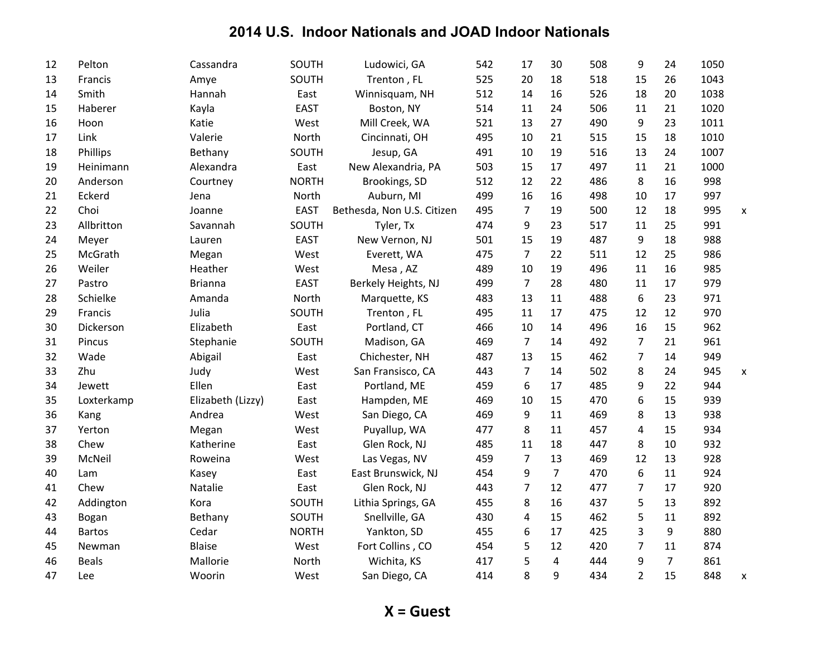| 12 | Pelton        | Cassandra         | SOUTH        | Ludowici, GA               | 542 | 17             | 30             | 508 | 9              | 24             | 1050 |   |
|----|---------------|-------------------|--------------|----------------------------|-----|----------------|----------------|-----|----------------|----------------|------|---|
| 13 | Francis       | Amye              | SOUTH        | Trenton, FL                | 525 | 20             | 18             | 518 | 15             | 26             | 1043 |   |
| 14 | Smith         | Hannah            | East         | Winnisquam, NH             | 512 | 14             | 16             | 526 | 18             | 20             | 1038 |   |
| 15 | Haberer       | Kayla             | <b>EAST</b>  | Boston, NY                 | 514 | 11             | 24             | 506 | 11             | 21             | 1020 |   |
| 16 | Hoon          | Katie             | West         | Mill Creek, WA             | 521 | 13             | 27             | 490 | 9              | 23             | 1011 |   |
| 17 | Link          | Valerie           | North        | Cincinnati, OH             | 495 | 10             | 21             | 515 | 15             | 18             | 1010 |   |
| 18 | Phillips      | Bethany           | SOUTH        | Jesup, GA                  | 491 | 10             | 19             | 516 | 13             | 24             | 1007 |   |
| 19 | Heinimann     | Alexandra         | East         | New Alexandria, PA         | 503 | 15             | 17             | 497 | 11             | 21             | 1000 |   |
| 20 | Anderson      | Courtney          | <b>NORTH</b> | Brookings, SD              | 512 | 12             | 22             | 486 | 8              | 16             | 998  |   |
| 21 | Eckerd        | Jena              | North        | Auburn, MI                 | 499 | 16             | 16             | 498 | 10             | 17             | 997  |   |
| 22 | Choi          | Joanne            | <b>EAST</b>  | Bethesda, Non U.S. Citizen | 495 | $\overline{7}$ | 19             | 500 | 12             | 18             | 995  | X |
| 23 | Allbritton    | Savannah          | SOUTH        | Tyler, Tx                  | 474 | 9              | 23             | 517 | 11             | 25             | 991  |   |
| 24 | Meyer         | Lauren            | <b>EAST</b>  | New Vernon, NJ             | 501 | 15             | 19             | 487 | 9              | 18             | 988  |   |
| 25 | McGrath       | Megan             | West         | Everett, WA                | 475 | $\overline{7}$ | 22             | 511 | 12             | 25             | 986  |   |
| 26 | Weiler        | Heather           | West         | Mesa, AZ                   | 489 | 10             | 19             | 496 | 11             | 16             | 985  |   |
| 27 | Pastro        | <b>Brianna</b>    | <b>EAST</b>  | Berkely Heights, NJ        | 499 | $\overline{7}$ | 28             | 480 | 11             | 17             | 979  |   |
| 28 | Schielke      | Amanda            | North        | Marquette, KS              | 483 | 13             | 11             | 488 | 6              | 23             | 971  |   |
| 29 | Francis       | Julia             | SOUTH        | Trenton, FL                | 495 | 11             | 17             | 475 | 12             | 12             | 970  |   |
| 30 | Dickerson     | Elizabeth         | East         | Portland, CT               | 466 | 10             | 14             | 496 | 16             | 15             | 962  |   |
| 31 | Pincus        | Stephanie         | SOUTH        | Madison, GA                | 469 | 7              | 14             | 492 | $\overline{7}$ | 21             | 961  |   |
| 32 | Wade          | Abigail           | East         | Chichester, NH             | 487 | 13             | 15             | 462 | $\overline{7}$ | 14             | 949  |   |
| 33 | Zhu           | Judy              | West         | San Fransisco, CA          | 443 | $\overline{7}$ | 14             | 502 | 8              | 24             | 945  | X |
| 34 | Jewett        | Ellen             | East         | Portland, ME               | 459 | 6              | 17             | 485 | 9              | 22             | 944  |   |
| 35 | Loxterkamp    | Elizabeth (Lizzy) | East         | Hampden, ME                | 469 | 10             | 15             | 470 | 6              | 15             | 939  |   |
| 36 | Kang          | Andrea            | West         | San Diego, CA              | 469 | 9              | 11             | 469 | 8              | 13             | 938  |   |
| 37 | Yerton        | Megan             | West         | Puyallup, WA               | 477 | 8              | 11             | 457 | 4              | 15             | 934  |   |
| 38 | Chew          | Katherine         | East         | Glen Rock, NJ              | 485 | 11             | 18             | 447 | 8              | 10             | 932  |   |
| 39 | McNeil        | Roweina           | West         | Las Vegas, NV              | 459 | $\overline{7}$ | 13             | 469 | 12             | 13             | 928  |   |
| 40 | Lam           | Kasey             | East         | East Brunswick, NJ         | 454 | 9              | $\overline{7}$ | 470 | 6              | 11             | 924  |   |
| 41 | Chew          | Natalie           | East         | Glen Rock, NJ              | 443 | $\overline{7}$ | 12             | 477 | 7              | 17             | 920  |   |
| 42 | Addington     | Kora              | SOUTH        | Lithia Springs, GA         | 455 | 8              | 16             | 437 | 5              | 13             | 892  |   |
| 43 | Bogan         | Bethany           | SOUTH        | Snellville, GA             | 430 | 4              | 15             | 462 | 5              | 11             | 892  |   |
| 44 | <b>Bartos</b> | Cedar             | <b>NORTH</b> | Yankton, SD                | 455 | 6              | 17             | 425 | 3              | 9              | 880  |   |
| 45 | Newman        | <b>Blaise</b>     | West         | Fort Collins, CO           | 454 | 5              | 12             | 420 | $\overline{7}$ | 11             | 874  |   |
| 46 | <b>Beals</b>  | Mallorie          | North        | Wichita, KS                | 417 | 5              | 4              | 444 | 9              | $\overline{7}$ | 861  |   |
| 47 | Lee           | Woorin            | West         | San Diego, CA              | 414 | 8              | 9              | 434 | $\overline{2}$ | 15             | 848  | X |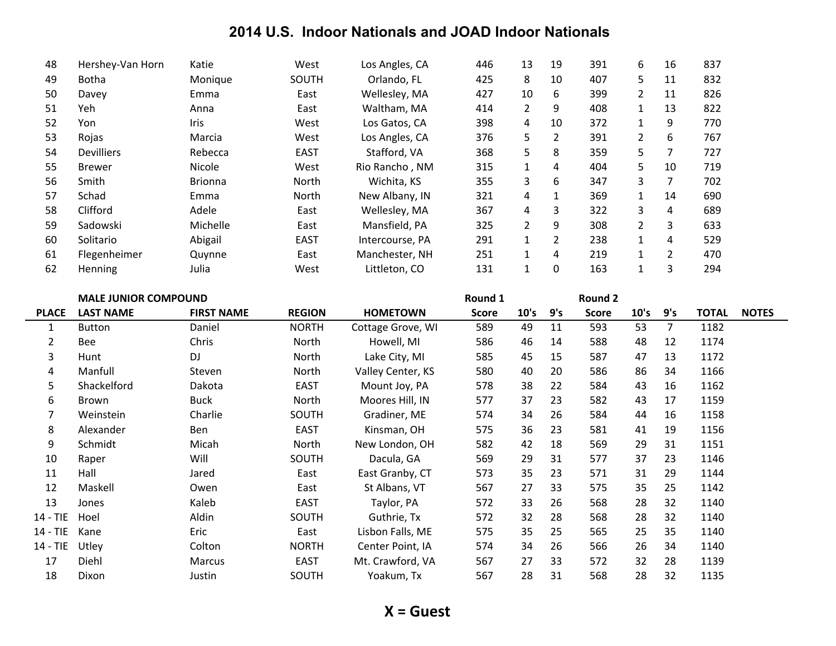| 48 | Hershey-Van Horn  | Katie          | West         | Los Angles, CA  | 446 | 13             | 19             | 391 | 6  | 16             | 837 |
|----|-------------------|----------------|--------------|-----------------|-----|----------------|----------------|-----|----|----------------|-----|
| 49 | <b>Botha</b>      | Monique        | <b>SOUTH</b> | Orlando, FL     | 425 | 8              | 10             | 407 | 5. | 11             | 832 |
| 50 | Davey             | Emma           | East         | Wellesley, MA   | 427 | 10             | 6              | 399 | 2  | 11             | 826 |
| 51 | Yeh               | Anna           | East         | Waltham, MA     | 414 | $\overline{2}$ | 9              | 408 |    | 13             | 822 |
| 52 | Yon               | Iris           | West         | Los Gatos, CA   | 398 | 4              | 10             | 372 | 1  | 9              | 770 |
| 53 | Rojas             | Marcia         | West         | Los Angles, CA  | 376 | 5              | $\overline{2}$ | 391 | 2  | 6              | 767 |
| 54 | <b>Devilliers</b> | Rebecca        | <b>EAST</b>  | Stafford, VA    | 368 | 5              | 8              | 359 | 5  | 7              | 727 |
| 55 | <b>Brewer</b>     | Nicole         | West         | Rio Rancho, NM  | 315 | 1              | 4              | 404 | 5  | 10             | 719 |
| 56 | Smith             | <b>Brionna</b> | <b>North</b> | Wichita, KS     | 355 | 3              | 6              | 347 | 3  | 7              | 702 |
| 57 | Schad             | Emma           | North        | New Albany, IN  | 321 | 4              | 1              | 369 |    | 14             | 690 |
| 58 | Clifford          | Adele          | East         | Wellesley, MA   | 367 | 4              | 3              | 322 | 3  | 4              | 689 |
| 59 | Sadowski          | Michelle       | East         | Mansfield, PA   | 325 | 2              | 9              | 308 | 2  | 3              | 633 |
| 60 | Solitario         | Abigail        | <b>EAST</b>  | Intercourse, PA | 291 | $\mathbf{1}$   | 2              | 238 | 1  | 4              | 529 |
| 61 | Flegenheimer      | Quynne         | East         | Manchester, NH  | 251 | 1              | 4              | 219 |    | $\overline{2}$ | 470 |
| 62 | <b>Henning</b>    | Julia          | West         | Littleton, CO   | 131 | 1              | 0              | 163 |    | 3              | 294 |

|                | <b>MALE JUNIOR COMPOUND</b> |                   |               |                   | Round 1      |      |     | <b>Round 2</b> |      |     |              |              |
|----------------|-----------------------------|-------------------|---------------|-------------------|--------------|------|-----|----------------|------|-----|--------------|--------------|
| <b>PLACE</b>   | <b>LAST NAME</b>            | <b>FIRST NAME</b> | <b>REGION</b> | <b>HOMETOWN</b>   | <b>Score</b> | 10's | 9's | <b>Score</b>   | 10's | 9's | <b>TOTAL</b> | <b>NOTES</b> |
| $\mathbf{1}$   | <b>Button</b>               | Daniel            | <b>NORTH</b>  | Cottage Grove, WI | 589          | 49   | 11  | 593            | 53   | 7   | 1182         |              |
| $\overline{2}$ | <b>Bee</b>                  | Chris             | North         | Howell, MI        | 586          | 46   | 14  | 588            | 48   | 12  | 1174         |              |
| 3              | Hunt                        | DJ                | North         | Lake City, MI     | 585          | 45   | 15  | 587            | 47   | 13  | 1172         |              |
| 4              | Manfull                     | Steven            | North         | Valley Center, KS | 580          | 40   | 20  | 586            | 86   | 34  | 1166         |              |
| 5              | Shackelford                 | Dakota            | <b>EAST</b>   | Mount Joy, PA     | 578          | 38   | 22  | 584            | 43   | 16  | 1162         |              |
| 6              | Brown                       | <b>Buck</b>       | North         | Moores Hill, IN   | 577          | 37   | 23  | 582            | 43   | 17  | 1159         |              |
| 7              | Weinstein                   | Charlie           | SOUTH         | Gradiner, ME      | 574          | 34   | 26  | 584            | 44   | 16  | 1158         |              |
| 8              | Alexander                   | Ben               | <b>EAST</b>   | Kinsman, OH       | 575          | 36   | 23  | 581            | 41   | 19  | 1156         |              |
| 9              | Schmidt                     | Micah             | North         | New London, OH    | 582          | 42   | 18  | 569            | 29   | 31  | 1151         |              |
| 10             | Raper                       | Will              | SOUTH         | Dacula, GA        | 569          | 29   | 31  | 577            | 37   | 23  | 1146         |              |
| 11             | Hall                        | Jared             | East          | East Granby, CT   | 573          | 35   | 23  | 571            | 31   | 29  | 1144         |              |
| 12             | Maskell                     | Owen              | East          | St Albans, VT     | 567          | 27   | 33  | 575            | 35   | 25  | 1142         |              |
| 13             | Jones                       | Kaleb             | <b>EAST</b>   | Taylor, PA        | 572          | 33   | 26  | 568            | 28   | 32  | 1140         |              |
| $14 - TIE$     | Hoel                        | Aldin             | <b>SOUTH</b>  | Guthrie, Tx       | 572          | 32   | 28  | 568            | 28   | 32  | 1140         |              |
| $14 - TIE$     | Kane                        | Eric              | East          | Lisbon Falls, ME  | 575          | 35   | 25  | 565            | 25   | 35  | 1140         |              |
| $14 - TIE$     | Utley                       | Colton            | <b>NORTH</b>  | Center Point, IA  | 574          | 34   | 26  | 566            | 26   | 34  | 1140         |              |
| 17             | Diehl                       | Marcus            | <b>EAST</b>   | Mt. Crawford, VA  | 567          | 27   | 33  | 572            | 32   | 28  | 1139         |              |
| 18             | Dixon                       | Justin            | SOUTH         | Yoakum, Tx        | 567          | 28   | 31  | 568            | 28   | 32  | 1135         |              |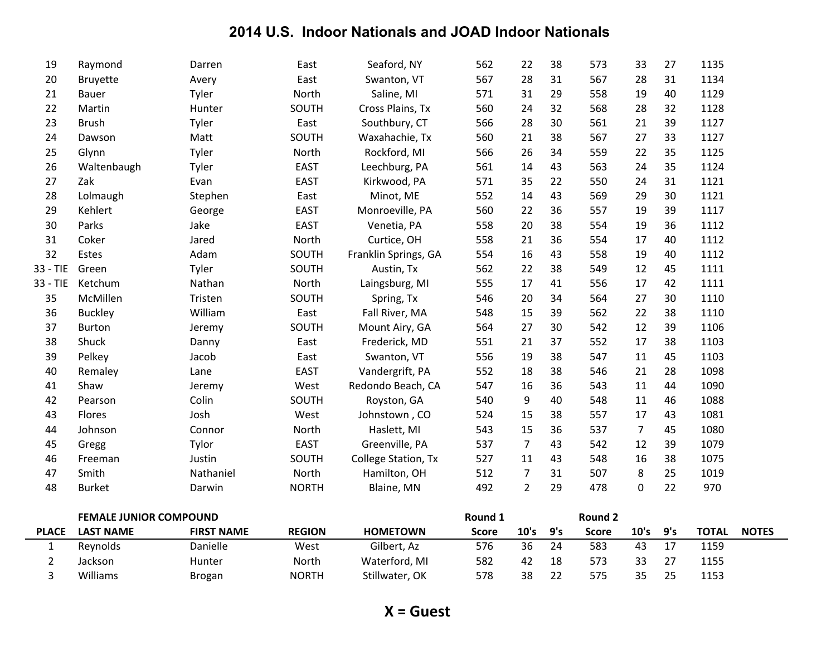| 20       | Bruyette                   | Avery     | East         | Swanton, VT          | 567      | 28             | 31 | 567          | 28             | 31 | 1134 |
|----------|----------------------------|-----------|--------------|----------------------|----------|----------------|----|--------------|----------------|----|------|
| 21       | Bauer                      | Tyler     | North        | Saline, MI           | 571      | 31             | 29 | 558          | 19             | 40 | 1129 |
| 22       | Martin                     | Hunter    | SOUTH        | Cross Plains, Tx     | 560      | 24             | 32 | 568          | 28             | 32 | 1128 |
| 23       | <b>Brush</b>               | Tyler     | East         | Southbury, CT        | 566      | 28             | 30 | 561          | 21             | 39 | 1127 |
| 24       | Dawson                     | Matt      | SOUTH        | Waxahachie, Tx       | 560      | 21             | 38 | 567          | 27             | 33 | 1127 |
| 25       | Glynn                      | Tyler     | North        | Rockford, MI         | 566      | 26             | 34 | 559          | 22             | 35 | 1125 |
| 26       | Waltenbaugh                | Tyler     | <b>EAST</b>  | Leechburg, PA        | 561      | 14             | 43 | 563          | 24             | 35 | 1124 |
| 27       | Zak                        | Evan      | <b>EAST</b>  | Kirkwood, PA         | 571      | 35             | 22 | 550          | 24             | 31 | 1121 |
| 28       | Lolmaugh                   | Stephen   | East         | Minot, ME            | 552      | 14             | 43 | 569          | 29             | 30 | 1121 |
| 29       | Kehlert                    | George    | <b>EAST</b>  | Monroeville, PA      | 560      | 22             | 36 | 557          | 19             | 39 | 1117 |
| 30       | Parks                      | Jake      | <b>EAST</b>  | Venetia, PA          | 558      | 20             | 38 | 554          | 19             | 36 | 1112 |
| 31       | Coker                      | Jared     | North        | Curtice, OH          | 558      | 21             | 36 | 554          | 17             | 40 | 1112 |
| 32       | Estes                      | Adam      | SOUTH        | Franklin Springs, GA | 554      | 16             | 43 | 558          | 19             | 40 | 1112 |
| 33 - TIE | Green                      | Tyler     | SOUTH        | Austin, Tx           | 562      | 22             | 38 | 549          | 12             | 45 | 1111 |
| 33 - TIE | Ketchum                    | Nathan    | North        | Laingsburg, MI       | 555      | 17             | 41 | 556          | 17             | 42 | 1111 |
| 35       | McMillen                   | Tristen   | SOUTH        | Spring, Tx           | 546      | 20             | 34 | 564          | 27             | 30 | 1110 |
| 36       | <b>Buckley</b>             | William   | East         | Fall River, MA       | 548      | 15             | 39 | 562          | 22             | 38 | 1110 |
| 37       | <b>Burton</b>              | Jeremy    | SOUTH        | Mount Airy, GA       | 564      | 27             | 30 | 542          | 12             | 39 | 1106 |
| 38       | Shuck                      | Danny     | East         | Frederick, MD        | 551      | 21             | 37 | 552          | 17             | 38 | 1103 |
| 39       | Pelkey                     | Jacob     | East         | Swanton, VT          | 556      | 19             | 38 | 547          | 11             | 45 | 1103 |
| 40       | Remaley                    | Lane      | <b>EAST</b>  | Vandergrift, PA      | 552      | 18             | 38 | 546          | 21             | 28 | 1098 |
| 41       | Shaw                       | Jeremy    | West         | Redondo Beach, CA    | 547      | 16             | 36 | 543          | 11             | 44 | 1090 |
| 42       | Pearson                    | Colin     | SOUTH        | Royston, GA          | 540      | 9              | 40 | 548          | 11             | 46 | 1088 |
| 43       | Flores                     | Josh      | West         | Johnstown, CO        | 524      | 15             | 38 | 557          | 17             | 43 | 1081 |
| 44       | Johnson                    | Connor    | North        | Haslett, MI          | 543      | 15             | 36 | 537          | $\overline{7}$ | 45 | 1080 |
| 45       | Gregg                      | Tylor     | <b>EAST</b>  | Greenville, PA       | 537      | $\overline{7}$ | 43 | 542          | 12             | 39 | 1079 |
| 46       | Freeman                    | Justin    | SOUTH        | College Station, Tx  | 527      | 11             | 43 | 548          | 16             | 38 | 1075 |
| 47       | Smith                      | Nathaniel | North        | Hamilton, OH         | 512      | 7              | 31 | 507          | 8              | 25 | 1019 |
| 48       | <b>Burket</b>              | Darwin    | <b>NORTH</b> | Blaine, MN           | 492      | $\overline{2}$ | 29 | 478          | 0              | 22 | 970  |
|          | EEMALE ILINIIOD COMPOLINID |           |              |                      | Dougal 1 |                |    | $D_{\alpha}$ |                |    |      |

|              | <b>FEMALE JUNIOR COMPOUND</b> |                   |               |                 | <b>Round 1</b> |      |     | Round 2 |      |     |              |              |
|--------------|-------------------------------|-------------------|---------------|-----------------|----------------|------|-----|---------|------|-----|--------------|--------------|
| <b>PLACE</b> | <b>LAST NAME</b>              | <b>FIRST NAME</b> | <b>REGION</b> | <b>HOMETOWN</b> | Score          | 10's | 9's | Score   | 10's | 9's | <b>TOTAL</b> | <b>NOTES</b> |
|              | Revnolds                      | Danielle          | West          | Gilbert, Az     | 576            | 36   | 24  | 583     | 43   |     | 1159         |              |
|              | Jackson                       | Hunter            | <b>North</b>  | Waterford, MI   | 582            | 42   | 18  | 573     | 33   |     | 1155         |              |
|              | Williams                      | Brogan            | <b>NORTH</b>  | Stillwater, OK  | 578            | 38   | 22  | 575     | 35   | 25  | 1153         |              |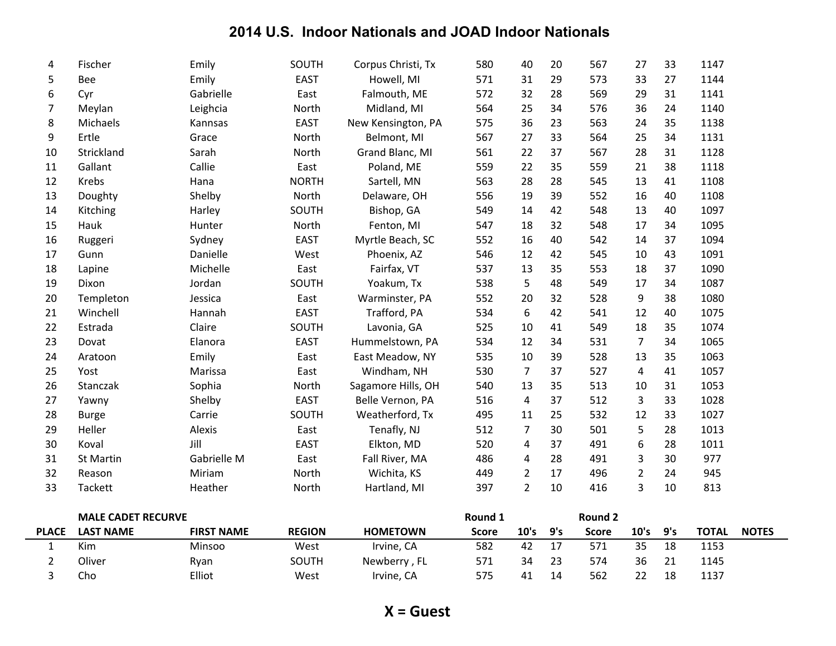| 4  | Fischer      | Emily       | SOUTH        | Corpus Christi, Tx | 580 | 40             | 20 | 567 | 27             | 33 | 1147 |
|----|--------------|-------------|--------------|--------------------|-----|----------------|----|-----|----------------|----|------|
| 5  | Bee          | Emily       | <b>EAST</b>  | Howell, MI         | 571 | 31             | 29 | 573 | 33             | 27 | 1144 |
| 6  | Cyr          | Gabrielle   | East         | Falmouth, ME       | 572 | 32             | 28 | 569 | 29             | 31 | 1141 |
| 7  | Meylan       | Leighcia    | North        | Midland, MI        | 564 | 25             | 34 | 576 | 36             | 24 | 1140 |
| 8  | Michaels     | Kannsas     | <b>EAST</b>  | New Kensington, PA | 575 | 36             | 23 | 563 | 24             | 35 | 1138 |
| 9  | Ertle        | Grace       | North        | Belmont, MI        | 567 | 27             | 33 | 564 | 25             | 34 | 1131 |
| 10 | Strickland   | Sarah       | North        | Grand Blanc, MI    | 561 | 22             | 37 | 567 | 28             | 31 | 1128 |
| 11 | Gallant      | Callie      | East         | Poland, ME         | 559 | 22             | 35 | 559 | 21             | 38 | 1118 |
| 12 | Krebs        | Hana        | <b>NORTH</b> | Sartell, MN        | 563 | 28             | 28 | 545 | 13             | 41 | 1108 |
| 13 | Doughty      | Shelby      | North        | Delaware, OH       | 556 | 19             | 39 | 552 | 16             | 40 | 1108 |
| 14 | Kitching     | Harley      | SOUTH        | Bishop, GA         | 549 | 14             | 42 | 548 | 13             | 40 | 1097 |
| 15 | Hauk         | Hunter      | North        | Fenton, MI         | 547 | 18             | 32 | 548 | 17             | 34 | 1095 |
| 16 | Ruggeri      | Sydney      | <b>EAST</b>  | Myrtle Beach, SC   | 552 | 16             | 40 | 542 | 14             | 37 | 1094 |
| 17 | Gunn         | Danielle    | West         | Phoenix, AZ        | 546 | 12             | 42 | 545 | 10             | 43 | 1091 |
| 18 | Lapine       | Michelle    | East         | Fairfax, VT        | 537 | 13             | 35 | 553 | 18             | 37 | 1090 |
| 19 | Dixon        | Jordan      | SOUTH        | Yoakum, Tx         | 538 | 5              | 48 | 549 | 17             | 34 | 1087 |
| 20 | Templeton    | Jessica     | East         | Warminster, PA     | 552 | 20             | 32 | 528 | 9              | 38 | 1080 |
| 21 | Winchell     | Hannah      | <b>EAST</b>  | Trafford, PA       | 534 | 6              | 42 | 541 | 12             | 40 | 1075 |
| 22 | Estrada      | Claire      | SOUTH        | Lavonia, GA        | 525 | 10             | 41 | 549 | 18             | 35 | 1074 |
| 23 | Dovat        | Elanora     | <b>EAST</b>  | Hummelstown, PA    | 534 | 12             | 34 | 531 | 7              | 34 | 1065 |
| 24 | Aratoon      | Emily       | East         | East Meadow, NY    | 535 | 10             | 39 | 528 | 13             | 35 | 1063 |
| 25 | Yost         | Marissa     | East         | Windham, NH        | 530 | $\overline{7}$ | 37 | 527 | 4              | 41 | 1057 |
| 26 | Stanczak     | Sophia      | North        | Sagamore Hills, OH | 540 | 13             | 35 | 513 | 10             | 31 | 1053 |
| 27 | Yawny        | Shelby      | <b>EAST</b>  | Belle Vernon, PA   | 516 | 4              | 37 | 512 | 3              | 33 | 1028 |
| 28 | <b>Burge</b> | Carrie      | SOUTH        | Weatherford, Tx    | 495 | 11             | 25 | 532 | 12             | 33 | 1027 |
| 29 | Heller       | Alexis      | East         | Tenafly, NJ        | 512 | 7              | 30 | 501 | 5              | 28 | 1013 |
| 30 | Koval        | Jill        | <b>EAST</b>  | Elkton, MD         | 520 | 4              | 37 | 491 | 6              | 28 | 1011 |
| 31 | St Martin    | Gabrielle M | East         | Fall River, MA     | 486 | 4              | 28 | 491 | 3              | 30 | 977  |
| 32 | Reason       | Miriam      | North        | Wichita, KS        | 449 | 2              | 17 | 496 | $\overline{2}$ | 24 | 945  |
| 33 | Tackett      | Heather     | North        | Hartland, MI       | 397 | $\overline{2}$ | 10 | 416 | 3              | 10 | 813  |
|    |              |             |              |                    |     |                |    |     |                |    |      |

|              | <b>MALE CADET RECURVE</b> |                   |               |                 | Round 1      |      |     | Round 2 |      |     |              |              |
|--------------|---------------------------|-------------------|---------------|-----------------|--------------|------|-----|---------|------|-----|--------------|--------------|
| <b>PLACE</b> | <b>LAST NAME</b>          | <b>FIRST NAME</b> | <b>REGION</b> | <b>HOMETOWN</b> | <b>Score</b> | 10's | 9's | Score   | 10's | 9's | <b>TOTAL</b> | <b>NOTES</b> |
|              | Kim                       | Minsoo            | West          | Irvine, CA      | 582          | 42   |     | 571     | 35   | 18  | 1153         |              |
|              | Oliver                    | Ryan              | <b>SOUTH</b>  | Newberry, FL    | 571          | 34   | 23  | 574     | 36   | 21  | 1145         |              |
|              | Cho                       | Elliot            | West          | Irvine, CA      | 575          | 41   | 14  | 562     |      | 18  | 1137         |              |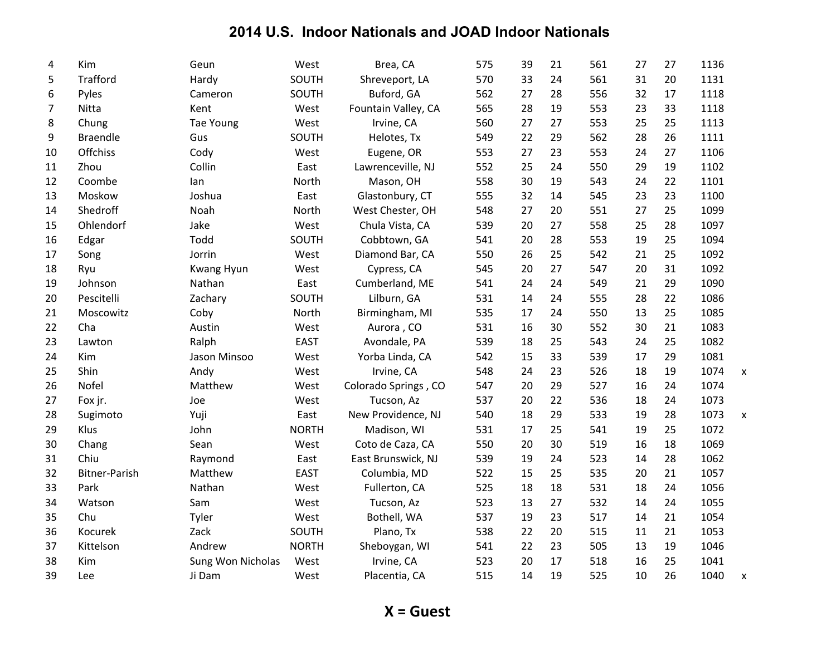| 4  | Kim                  | Geun              | West         | Brea, CA             | 575 | 39 | 21 | 561 | 27 | 27 | 1136 |                           |
|----|----------------------|-------------------|--------------|----------------------|-----|----|----|-----|----|----|------|---------------------------|
| 5  | <b>Trafford</b>      | Hardy             | SOUTH        | Shreveport, LA       | 570 | 33 | 24 | 561 | 31 | 20 | 1131 |                           |
| 6  | Pyles                | Cameron           | SOUTH        | Buford, GA           | 562 | 27 | 28 | 556 | 32 | 17 | 1118 |                           |
| 7  | Nitta                | Kent              | West         | Fountain Valley, CA  | 565 | 28 | 19 | 553 | 23 | 33 | 1118 |                           |
| 8  | Chung                | Tae Young         | West         | Irvine, CA           | 560 | 27 | 27 | 553 | 25 | 25 | 1113 |                           |
| 9  | <b>Braendle</b>      | Gus               | SOUTH        | Helotes, Tx          | 549 | 22 | 29 | 562 | 28 | 26 | 1111 |                           |
| 10 | Offchiss             | Cody              | West         | Eugene, OR           | 553 | 27 | 23 | 553 | 24 | 27 | 1106 |                           |
| 11 | Zhou                 | Collin            | East         | Lawrenceville, NJ    | 552 | 25 | 24 | 550 | 29 | 19 | 1102 |                           |
| 12 | Coombe               | lan               | North        | Mason, OH            | 558 | 30 | 19 | 543 | 24 | 22 | 1101 |                           |
| 13 | Moskow               | Joshua            | East         | Glastonbury, CT      | 555 | 32 | 14 | 545 | 23 | 23 | 1100 |                           |
| 14 | Shedroff             | Noah              | North        | West Chester, OH     | 548 | 27 | 20 | 551 | 27 | 25 | 1099 |                           |
| 15 | Ohlendorf            | Jake              | West         | Chula Vista, CA      | 539 | 20 | 27 | 558 | 25 | 28 | 1097 |                           |
| 16 | Edgar                | Todd              | SOUTH        | Cobbtown, GA         | 541 | 20 | 28 | 553 | 19 | 25 | 1094 |                           |
| 17 | Song                 | Jorrin            | West         | Diamond Bar, CA      | 550 | 26 | 25 | 542 | 21 | 25 | 1092 |                           |
| 18 | Ryu                  | Kwang Hyun        | West         | Cypress, CA          | 545 | 20 | 27 | 547 | 20 | 31 | 1092 |                           |
| 19 | Johnson              | Nathan            | East         | Cumberland, ME       | 541 | 24 | 24 | 549 | 21 | 29 | 1090 |                           |
| 20 | Pescitelli           | Zachary           | SOUTH        | Lilburn, GA          | 531 | 14 | 24 | 555 | 28 | 22 | 1086 |                           |
| 21 | Moscowitz            | Coby              | North        | Birmingham, MI       | 535 | 17 | 24 | 550 | 13 | 25 | 1085 |                           |
| 22 | Cha                  | Austin            | West         | Aurora, CO           | 531 | 16 | 30 | 552 | 30 | 21 | 1083 |                           |
| 23 | Lawton               | Ralph             | <b>EAST</b>  | Avondale, PA         | 539 | 18 | 25 | 543 | 24 | 25 | 1082 |                           |
| 24 | Kim                  | Jason Minsoo      | West         | Yorba Linda, CA      | 542 | 15 | 33 | 539 | 17 | 29 | 1081 |                           |
| 25 | Shin                 | Andy              | West         | Irvine, CA           | 548 | 24 | 23 | 526 | 18 | 19 | 1074 | $\boldsymbol{\mathsf{x}}$ |
| 26 | Nofel                | Matthew           | West         | Colorado Springs, CO | 547 | 20 | 29 | 527 | 16 | 24 | 1074 |                           |
| 27 | Fox jr.              | Joe               | West         | Tucson, Az           | 537 | 20 | 22 | 536 | 18 | 24 | 1073 |                           |
| 28 | Sugimoto             | Yuji              | East         | New Providence, NJ   | 540 | 18 | 29 | 533 | 19 | 28 | 1073 | X                         |
| 29 | Klus                 | John              | <b>NORTH</b> | Madison, WI          | 531 | 17 | 25 | 541 | 19 | 25 | 1072 |                           |
| 30 | Chang                | Sean              | West         | Coto de Caza, CA     | 550 | 20 | 30 | 519 | 16 | 18 | 1069 |                           |
| 31 | Chiu                 | Raymond           | East         | East Brunswick, NJ   | 539 | 19 | 24 | 523 | 14 | 28 | 1062 |                           |
| 32 | <b>Bitner-Parish</b> | Matthew           | <b>EAST</b>  | Columbia, MD         | 522 | 15 | 25 | 535 | 20 | 21 | 1057 |                           |
| 33 | Park                 | Nathan            | West         | Fullerton, CA        | 525 | 18 | 18 | 531 | 18 | 24 | 1056 |                           |
| 34 | Watson               | Sam               | West         | Tucson, Az           | 523 | 13 | 27 | 532 | 14 | 24 | 1055 |                           |
| 35 | Chu                  | Tyler             | West         | Bothell, WA          | 537 | 19 | 23 | 517 | 14 | 21 | 1054 |                           |
| 36 | Kocurek              | Zack              | SOUTH        | Plano, Tx            | 538 | 22 | 20 | 515 | 11 | 21 | 1053 |                           |
| 37 | Kittelson            | Andrew            | <b>NORTH</b> | Sheboygan, WI        | 541 | 22 | 23 | 505 | 13 | 19 | 1046 |                           |
| 38 | Kim                  | Sung Won Nicholas | West         | Irvine, CA           | 523 | 20 | 17 | 518 | 16 | 25 | 1041 |                           |
| 39 | Lee                  | Ji Dam            | West         | Placentia, CA        | 515 | 14 | 19 | 525 | 10 | 26 | 1040 | X                         |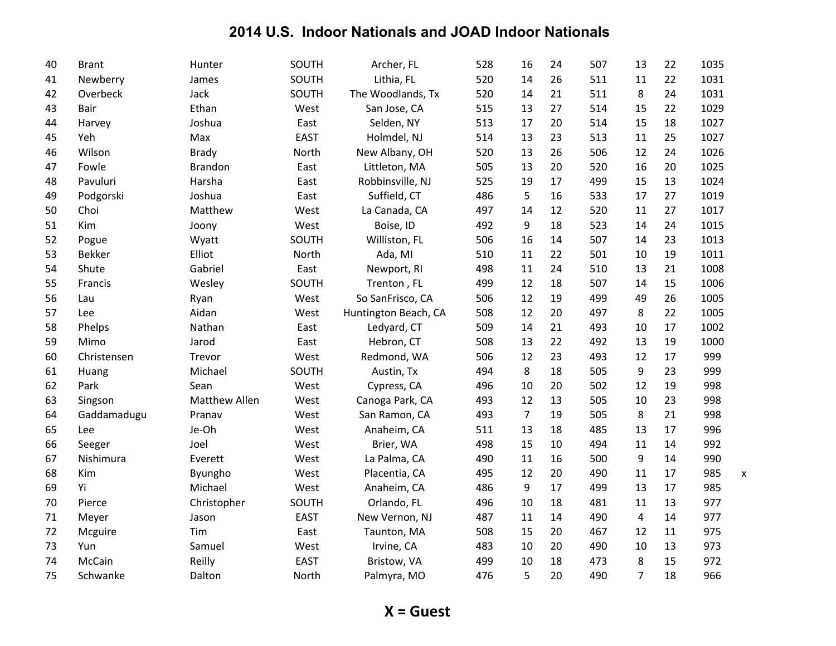| 40 | <b>Brant</b> | Hunter               | SOUTH       | Archer, FL           | 528 | 16             | 24 | 507 | 13             | 22 | 1035     |
|----|--------------|----------------------|-------------|----------------------|-----|----------------|----|-----|----------------|----|----------|
| 41 | Newberry     | James                | SOUTH       | Lithia, FL           | 520 | 14             | 26 | 511 | 11             | 22 | 1031     |
| 42 | Overbeck     | Jack                 | SOUTH       | The Woodlands, Tx    | 520 | 14             | 21 | 511 | 8              | 24 | 1031     |
| 43 | Bair         | Ethan                | West        | San Jose, CA         | 515 | 13             | 27 | 514 | 15             | 22 | 1029     |
| 44 | Harvey       | Joshua               | East        | Selden, NY           | 513 | 17             | 20 | 514 | 15             | 18 | 1027     |
| 45 | Yeh          | Max                  | <b>EAST</b> | Holmdel, NJ          | 514 | 13             | 23 | 513 | 11             | 25 | 1027     |
| 46 | Wilson       | <b>Brady</b>         | North       | New Albany, OH       | 520 | 13             | 26 | 506 | 12             | 24 | 1026     |
| 47 | Fowle        | <b>Brandon</b>       | East        | Littleton, MA        | 505 | 13             | 20 | 520 | 16             | 20 | 1025     |
| 48 | Pavuluri     | Harsha               | East        | Robbinsville, NJ     | 525 | 19             | 17 | 499 | 15             | 13 | 1024     |
| 49 | Podgorski    | Joshua               | East        | Suffield, CT         | 486 | 5              | 16 | 533 | 17             | 27 | 1019     |
| 50 | Choi         | Matthew              | West        | La Canada, CA        | 497 | 14             | 12 | 520 | 11             | 27 | 1017     |
| 51 | Kim          | Joony                | West        | Boise, ID            | 492 | 9              | 18 | 523 | 14             | 24 | 1015     |
| 52 | Pogue        | Wyatt                | SOUTH       | Williston, FL        | 506 | 16             | 14 | 507 | 14             | 23 | 1013     |
| 53 | Bekker       | Elliot               | North       | Ada, MI              | 510 | 11             | 22 | 501 | 10             | 19 | 1011     |
| 54 | Shute        | Gabriel              | East        | Newport, RI          | 498 | 11             | 24 | 510 | 13             | 21 | 1008     |
| 55 | Francis      | Wesley               | SOUTH       | Trenton, FL          | 499 | 12             | 18 | 507 | 14             | 15 | 1006     |
| 56 | Lau          | Ryan                 | West        | So SanFrisco, CA     | 506 | 12             | 19 | 499 | 49             | 26 | 1005     |
| 57 | <b>Lee</b>   | Aidan                | West        | Huntington Beach, CA | 508 | 12             | 20 | 497 | 8              | 22 | 1005     |
| 58 | Phelps       | Nathan               | East        | Ledyard, CT          | 509 | 14             | 21 | 493 | 10             | 17 | 1002     |
| 59 | Mimo         | Jarod                | East        | Hebron, CT           | 508 | 13             | 22 | 492 | 13             | 19 | 1000     |
| 60 | Christensen  | Trevor               | West        | Redmond, WA          | 506 | 12             | 23 | 493 | 12             | 17 | 999      |
| 61 | Huang        | Michael              | SOUTH       | Austin, Tx           | 494 | 8              | 18 | 505 | 9              | 23 | 999      |
| 62 | Park         | Sean                 | West        | Cypress, CA          | 496 | 10             | 20 | 502 | 12             | 19 | 998      |
| 63 | Singson      | <b>Matthew Allen</b> | West        | Canoga Park, CA      | 493 | 12             | 13 | 505 | 10             | 23 | 998      |
| 64 | Gaddamadugu  | Pranav               | West        | San Ramon, CA        | 493 | $\overline{7}$ | 19 | 505 | 8              | 21 | 998      |
| 65 | Lee          | Je-Oh                | West        | Anaheim, CA          | 511 | 13             | 18 | 485 | 13             | 17 | 996      |
| 66 | Seeger       | Joel                 | West        | Brier, WA            | 498 | 15             | 10 | 494 | 11             | 14 | 992      |
| 67 | Nishimura    | Everett              | West        | La Palma, CA         | 490 | 11             | 16 | 500 | 9              | 14 | 990      |
| 68 | Kim          | Byungho              | West        | Placentia, CA        | 495 | 12             | 20 | 490 | 11             | 17 | 985<br>X |
| 69 | Yi           | Michael              | West        | Anaheim, CA          | 486 | 9              | 17 | 499 | 13             | 17 | 985      |
| 70 | Pierce       | Christopher          | SOUTH       | Orlando, FL          | 496 | 10             | 18 | 481 | 11             | 13 | 977      |
| 71 | Meyer        | Jason                | <b>EAST</b> | New Vernon, NJ       | 487 | 11             | 14 | 490 | $\overline{4}$ | 14 | 977      |
| 72 | Mcguire      | Tim                  | East        | Taunton, MA          | 508 | 15             | 20 | 467 | 12             | 11 | 975      |
| 73 | Yun          | Samuel               | West        | Irvine, CA           | 483 | 10             | 20 | 490 | 10             | 13 | 973      |
| 74 | McCain       | Reilly               | <b>EAST</b> | Bristow, VA          | 499 | 10             | 18 | 473 | 8              | 15 | 972      |
| 75 | Schwanke     | Dalton               | North       | Palmyra, MO          | 476 | 5              | 20 | 490 | $\overline{7}$ | 18 | 966      |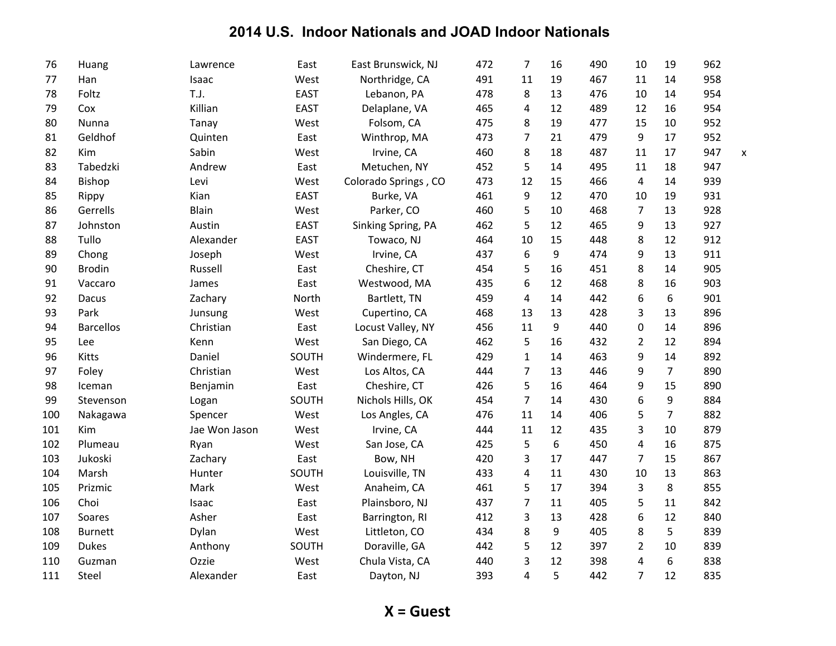| 76  | Huang            | Lawrence      | East        | East Brunswick, NJ   | 472 | $\overline{7}$ | 16 | 490 | 10                      | 19             | 962 |   |
|-----|------------------|---------------|-------------|----------------------|-----|----------------|----|-----|-------------------------|----------------|-----|---|
| 77  | Han              | Isaac         | West        | Northridge, CA       | 491 | 11             | 19 | 467 | 11                      | 14             | 958 |   |
| 78  | Foltz            | T.J.          | <b>EAST</b> | Lebanon, PA          | 478 | 8              | 13 | 476 | 10                      | 14             | 954 |   |
| 79  | Cox              | Killian       | <b>EAST</b> | Delaplane, VA        | 465 | 4              | 12 | 489 | 12                      | 16             | 954 |   |
| 80  | Nunna            | Tanay         | West        | Folsom, CA           | 475 | 8              | 19 | 477 | 15                      | 10             | 952 |   |
| 81  | Geldhof          | Quinten       | East        | Winthrop, MA         | 473 | $\overline{7}$ | 21 | 479 | 9                       | 17             | 952 |   |
| 82  | Kim              | Sabin         | West        | Irvine, CA           | 460 | 8              | 18 | 487 | 11                      | 17             | 947 | X |
| 83  | Tabedzki         | Andrew        | East        | Metuchen, NY         | 452 | 5              | 14 | 495 | 11                      | 18             | 947 |   |
| 84  | <b>Bishop</b>    | Levi          | West        | Colorado Springs, CO | 473 | 12             | 15 | 466 | $\overline{\mathbf{4}}$ | 14             | 939 |   |
| 85  | Rippy            | Kian          | <b>EAST</b> | Burke, VA            | 461 | 9              | 12 | 470 | 10                      | 19             | 931 |   |
| 86  | Gerrells         | Blain         | West        | Parker, CO           | 460 | 5              | 10 | 468 | $\overline{7}$          | 13             | 928 |   |
| 87  | Johnston         | Austin        | <b>EAST</b> | Sinking Spring, PA   | 462 | 5              | 12 | 465 | 9                       | 13             | 927 |   |
| 88  | Tullo            | Alexander     | <b>EAST</b> | Towaco, NJ           | 464 | 10             | 15 | 448 | 8                       | 12             | 912 |   |
| 89  | Chong            | Joseph        | West        | Irvine, CA           | 437 | 6              | 9  | 474 | 9                       | 13             | 911 |   |
| 90  | <b>Brodin</b>    | Russell       | East        | Cheshire, CT         | 454 | 5              | 16 | 451 | 8                       | 14             | 905 |   |
| 91  | Vaccaro          | James         | East        | Westwood, MA         | 435 | 6              | 12 | 468 | 8                       | 16             | 903 |   |
| 92  | Dacus            | Zachary       | North       | Bartlett, TN         | 459 | 4              | 14 | 442 | 6                       | 6              | 901 |   |
| 93  | Park             | Junsung       | West        | Cupertino, CA        | 468 | 13             | 13 | 428 | 3                       | 13             | 896 |   |
| 94  | <b>Barcellos</b> | Christian     | East        | Locust Valley, NY    | 456 | 11             | 9  | 440 | 0                       | 14             | 896 |   |
| 95  | Lee              | Kenn          | West        | San Diego, CA        | 462 | 5              | 16 | 432 | $\overline{2}$          | 12             | 894 |   |
| 96  | Kitts            | Daniel        | SOUTH       | Windermere, FL       | 429 | $\mathbf{1}$   | 14 | 463 | 9                       | 14             | 892 |   |
| 97  | Foley            | Christian     | West        | Los Altos, CA        | 444 | $\overline{7}$ | 13 | 446 | 9                       | $\overline{7}$ | 890 |   |
| 98  | Iceman           | Benjamin      | East        | Cheshire, CT         | 426 | 5              | 16 | 464 | 9                       | 15             | 890 |   |
| 99  | Stevenson        | Logan         | SOUTH       | Nichols Hills, OK    | 454 | $\overline{7}$ | 14 | 430 | 6                       | 9              | 884 |   |
| 100 | Nakagawa         | Spencer       | West        | Los Angles, CA       | 476 | 11             | 14 | 406 | 5                       | $\overline{7}$ | 882 |   |
| 101 | Kim              | Jae Won Jason | West        | Irvine, CA           | 444 | 11             | 12 | 435 | 3                       | 10             | 879 |   |
| 102 | Plumeau          | Ryan          | West        | San Jose, CA         | 425 | 5              | 6  | 450 | 4                       | 16             | 875 |   |
| 103 | Jukoski          | Zachary       | East        | Bow, NH              | 420 | 3              | 17 | 447 | $\overline{7}$          | 15             | 867 |   |
| 104 | Marsh            | Hunter        | SOUTH       | Louisville, TN       | 433 | 4              | 11 | 430 | 10                      | 13             | 863 |   |
| 105 | Prizmic          | Mark          | West        | Anaheim, CA          | 461 | 5              | 17 | 394 | 3                       | 8              | 855 |   |
| 106 | Choi             | Isaac         | East        | Plainsboro, NJ       | 437 | $\overline{7}$ | 11 | 405 | 5                       | 11             | 842 |   |
| 107 | Soares           | Asher         | East        | Barrington, RI       | 412 | 3              | 13 | 428 | 6                       | 12             | 840 |   |
| 108 | <b>Burnett</b>   | Dylan         | West        | Littleton, CO        | 434 | 8              | 9  | 405 | 8                       | 5              | 839 |   |
| 109 | <b>Dukes</b>     | Anthony       | SOUTH       | Doraville, GA        | 442 | 5              | 12 | 397 | $\overline{2}$          | 10             | 839 |   |
| 110 | Guzman           | Ozzie         | West        | Chula Vista, CA      | 440 | 3              | 12 | 398 | 4                       | 6              | 838 |   |
| 111 | Steel            | Alexander     | East        | Dayton, NJ           | 393 | 4              | 5  | 442 | $\overline{7}$          | 12             | 835 |   |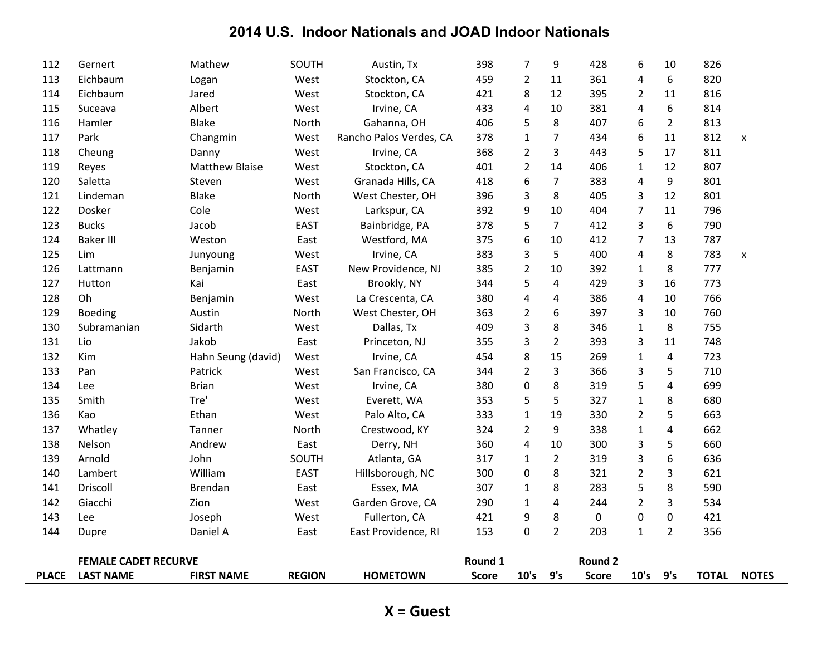| <b>PLACE</b> | <b>LAST NAME</b>            | <b>FIRST NAME</b>     | <b>REGION</b> | <b>HOMETOWN</b>         | <b>Score</b> | 10's           | 9's            | <b>Score</b>   | 10's           | 9's                     | <b>TOTAL</b> | <b>NOTES</b> |
|--------------|-----------------------------|-----------------------|---------------|-------------------------|--------------|----------------|----------------|----------------|----------------|-------------------------|--------------|--------------|
|              | <b>FEMALE CADET RECURVE</b> |                       |               |                         | Round 1      |                |                | <b>Round 2</b> |                |                         |              |              |
| 144          | Dupre                       | Daniel A              | East          | East Providence, RI     | 153          | 0              | $\overline{2}$ | 203            | $\mathbf{1}$   | $\overline{2}$          | 356          |              |
| 143          | Lee                         | Joseph                | West          | Fullerton, CA           | 421          | 9              | 8              | 0              | 0              | $\pmb{0}$               | 421          |              |
| 142          | Giacchi                     | Zion                  | West          | Garden Grove, CA        | 290          | $\mathbf{1}$   | 4              | 244            | $\overline{2}$ | 3                       | 534          |              |
| 141          | Driscoll                    | Brendan               | East          | Essex, MA               | 307          | 1              | 8              | 283            | 5              | 8                       | 590          |              |
| 140          | Lambert                     | William               | <b>EAST</b>   | Hillsborough, NC        | 300          | 0              | 8              | 321            | $\overline{2}$ | 3                       | 621          |              |
| 139          | Arnold                      | John                  | SOUTH         | Atlanta, GA             | 317          | $\mathbf{1}$   | $\overline{2}$ | 319            | 3              | 6                       | 636          |              |
| 138          | Nelson                      | Andrew                | East          | Derry, NH               | 360          | 4              | 10             | 300            | 3              | 5                       | 660          |              |
| 137          | Whatley                     | Tanner                | North         | Crestwood, KY           | 324          | $\overline{2}$ | 9              | 338            | $\mathbf 1$    | $\overline{\mathbf{4}}$ | 662          |              |
| 136          | Kao                         | Ethan                 | West          | Palo Alto, CA           | 333          | $\mathbf{1}$   | 19             | 330            | $\overline{2}$ | 5                       | 663          |              |
| 135          | Smith                       | Tre'                  | West          | Everett, WA             | 353          | 5              | 5              | 327            | $\mathbf{1}$   | 8                       | 680          |              |
| 134          | Lee                         | <b>Brian</b>          | West          | Irvine, CA              | 380          | 0              | 8              | 319            | 5              | $\overline{4}$          | 699          |              |
| 133          | Pan                         | Patrick               | West          | San Francisco, CA       | 344          | $\overline{2}$ | 3              | 366            | 3              | 5                       | 710          |              |
| 132          | Kim                         | Hahn Seung (david)    | West          | Irvine, CA              | 454          | 8              | 15             | 269            | $\mathbf{1}$   | $\overline{\mathbf{4}}$ | 723          |              |
| 131          | Lio                         | Jakob                 | East          | Princeton, NJ           | 355          | 3              | $\overline{2}$ | 393            | 3              | 11                      | 748          |              |
| 130          | Subramanian                 | Sidarth               | West          | Dallas, Tx              | 409          | 3              | 8              | 346            | $\mathbf{1}$   | 8                       | 755          |              |
| 129          | <b>Boeding</b>              | Austin                | North         | West Chester, OH        | 363          | $\overline{2}$ | 6              | 397            | 3              | 10                      | 760          |              |
| 128          | Oh                          | Benjamin              | West          | La Crescenta, CA        | 380          | 4              | 4              | 386            | 4              | 10                      | 766          |              |
| 127          | Hutton                      | Kai                   | East          | Brookly, NY             | 344          | 5              | 4              | 429            | 3              | 16                      | 773          |              |
| 126          | Lattmann                    | Benjamin              | <b>EAST</b>   | New Providence, NJ      | 385          | $\overline{2}$ | 10             | 392            | $\mathbf{1}$   | 8                       | 777          |              |
| 125          | Lim                         | Junyoung              | West          | Irvine, CA              | 383          | 3              | 5              | 400            | 4              | 8                       | 783          | X            |
| 124          | <b>Baker III</b>            | Weston                | East          | Westford, MA            | 375          | 6              | 10             | 412            | $\overline{7}$ | 13                      | 787          |              |
| 123          | <b>Bucks</b>                | Jacob                 | <b>EAST</b>   | Bainbridge, PA          | 378          | 5              | $\overline{7}$ | 412            | 3              | 6                       | 790          |              |
| 122          | Dosker                      | Cole                  | West          | Larkspur, CA            | 392          | 9              | 10             | 404            | $\overline{7}$ | 11                      | 796          |              |
| 121          | Lindeman                    | <b>Blake</b>          | North         | West Chester, OH        | 396          | 3              | 8              | 405            | 3              | 12                      | 801          |              |
| 120          | Saletta                     | Steven                | West          | Granada Hills, CA       | 418          | 6              | $\overline{7}$ | 383            | 4              | 9                       | 801          |              |
| 119          | Reyes                       | <b>Matthew Blaise</b> | West          | Stockton, CA            | 401          | $\overline{2}$ | 14             | 406            | $\mathbf{1}$   | 12                      | 807          |              |
| 118          | Cheung                      | Danny                 | West          | Irvine, CA              | 368          | $\overline{2}$ | 3              | 443            | 5              | 17                      | 811          |              |
| 117          | Park                        | Changmin              | West          | Rancho Palos Verdes, CA | 378          | $\mathbf 1$    | 7              | 434            | 6              | 11                      | 812          | X            |
| 116          | Hamler                      | <b>Blake</b>          | North         | Gahanna, OH             | 406          | 5              | 8              | 407            | 6              | $\overline{2}$          | 813          |              |
| 115          | Suceava                     | Albert                | West          | Irvine, CA              | 433          | 4              | 10             | 381            | 4              | 6                       | 814          |              |
| 114          | Eichbaum                    | Jared                 | West          | Stockton, CA            | 421          | 8              | 12             | 395            | 2              | 11                      | 816          |              |
| 113          | Eichbaum                    | Logan                 | West          | Stockton, CA            | 459          | $\overline{2}$ | 11             | 361            | 4              | 6                       | 820          |              |
| 112          | Gernert                     | Mathew                | SOUTH         | Austin, Tx              | 398          | $\overline{7}$ | 9              | 428            | 6              | 10                      | 826          |              |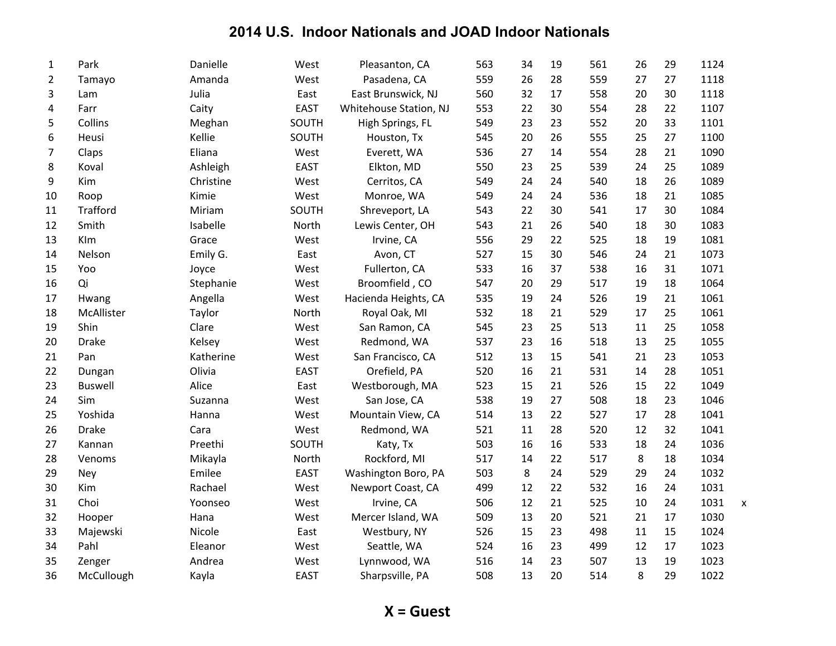| $\mathbf{1}$   | Park           | Danielle  | West        | Pleasanton, CA         | 563 | 34 | 19 | 561 | 26 | 29 | 1124 |                           |
|----------------|----------------|-----------|-------------|------------------------|-----|----|----|-----|----|----|------|---------------------------|
| $\overline{2}$ | Tamayo         | Amanda    | West        | Pasadena, CA           | 559 | 26 | 28 | 559 | 27 | 27 | 1118 |                           |
| 3              | Lam            | Julia     | East        | East Brunswick, NJ     | 560 | 32 | 17 | 558 | 20 | 30 | 1118 |                           |
| 4              | Farr           | Caity     | <b>EAST</b> | Whitehouse Station, NJ | 553 | 22 | 30 | 554 | 28 | 22 | 1107 |                           |
| 5              | Collins        | Meghan    | SOUTH       | High Springs, FL       | 549 | 23 | 23 | 552 | 20 | 33 | 1101 |                           |
| 6              | Heusi          | Kellie    | SOUTH       | Houston, Tx            | 545 | 20 | 26 | 555 | 25 | 27 | 1100 |                           |
| $\overline{7}$ | Claps          | Eliana    | West        | Everett, WA            | 536 | 27 | 14 | 554 | 28 | 21 | 1090 |                           |
| 8              | Koval          | Ashleigh  | <b>EAST</b> | Elkton, MD             | 550 | 23 | 25 | 539 | 24 | 25 | 1089 |                           |
| 9              | Kim            | Christine | West        | Cerritos, CA           | 549 | 24 | 24 | 540 | 18 | 26 | 1089 |                           |
| 10             | Roop           | Kimie     | West        | Monroe, WA             | 549 | 24 | 24 | 536 | 18 | 21 | 1085 |                           |
| 11             | Trafford       | Miriam    | SOUTH       | Shreveport, LA         | 543 | 22 | 30 | 541 | 17 | 30 | 1084 |                           |
| 12             | Smith          | Isabelle  | North       | Lewis Center, OH       | 543 | 21 | 26 | 540 | 18 | 30 | 1083 |                           |
| 13             | Klm            | Grace     | West        | Irvine, CA             | 556 | 29 | 22 | 525 | 18 | 19 | 1081 |                           |
| 14             | Nelson         | Emily G.  | East        | Avon, CT               | 527 | 15 | 30 | 546 | 24 | 21 | 1073 |                           |
| 15             | Yoo            | Joyce     | West        | Fullerton, CA          | 533 | 16 | 37 | 538 | 16 | 31 | 1071 |                           |
| 16             | Qi             | Stephanie | West        | Broomfield, CO         | 547 | 20 | 29 | 517 | 19 | 18 | 1064 |                           |
| 17             | Hwang          | Angella   | West        | Hacienda Heights, CA   | 535 | 19 | 24 | 526 | 19 | 21 | 1061 |                           |
| 18             | McAllister     | Taylor    | North       | Royal Oak, MI          | 532 | 18 | 21 | 529 | 17 | 25 | 1061 |                           |
| 19             | Shin           | Clare     | West        | San Ramon, CA          | 545 | 23 | 25 | 513 | 11 | 25 | 1058 |                           |
| 20             | <b>Drake</b>   | Kelsey    | West        | Redmond, WA            | 537 | 23 | 16 | 518 | 13 | 25 | 1055 |                           |
| 21             | Pan            | Katherine | West        | San Francisco, CA      | 512 | 13 | 15 | 541 | 21 | 23 | 1053 |                           |
| 22             | Dungan         | Olivia    | <b>EAST</b> | Orefield, PA           | 520 | 16 | 21 | 531 | 14 | 28 | 1051 |                           |
| 23             | <b>Buswell</b> | Alice     | East        | Westborough, MA        | 523 | 15 | 21 | 526 | 15 | 22 | 1049 |                           |
| 24             | Sim            | Suzanna   | West        | San Jose, CA           | 538 | 19 | 27 | 508 | 18 | 23 | 1046 |                           |
| 25             | Yoshida        | Hanna     | West        | Mountain View, CA      | 514 | 13 | 22 | 527 | 17 | 28 | 1041 |                           |
| 26             | <b>Drake</b>   | Cara      | West        | Redmond, WA            | 521 | 11 | 28 | 520 | 12 | 32 | 1041 |                           |
| 27             | Kannan         | Preethi   | SOUTH       | Katy, Tx               | 503 | 16 | 16 | 533 | 18 | 24 | 1036 |                           |
| 28             | Venoms         | Mikayla   | North       | Rockford, MI           | 517 | 14 | 22 | 517 | 8  | 18 | 1034 |                           |
| 29             | Ney            | Emilee    | <b>EAST</b> | Washington Boro, PA    | 503 | 8  | 24 | 529 | 29 | 24 | 1032 |                           |
| 30             | Kim            | Rachael   | West        | Newport Coast, CA      | 499 | 12 | 22 | 532 | 16 | 24 | 1031 |                           |
| 31             | Choi           | Yoonseo   | West        | Irvine, CA             | 506 | 12 | 21 | 525 | 10 | 24 | 1031 | $\boldsymbol{\mathsf{x}}$ |
| 32             | Hooper         | Hana      | West        | Mercer Island, WA      | 509 | 13 | 20 | 521 | 21 | 17 | 1030 |                           |
| 33             | Majewski       | Nicole    | East        | Westbury, NY           | 526 | 15 | 23 | 498 | 11 | 15 | 1024 |                           |
| 34             | Pahl           | Eleanor   | West        | Seattle, WA            | 524 | 16 | 23 | 499 | 12 | 17 | 1023 |                           |
| 35             | Zenger         | Andrea    | West        | Lynnwood, WA           | 516 | 14 | 23 | 507 | 13 | 19 | 1023 |                           |
| 36             | McCullough     | Kayla     | <b>EAST</b> | Sharpsville, PA        | 508 | 13 | 20 | 514 | 8  | 29 | 1022 |                           |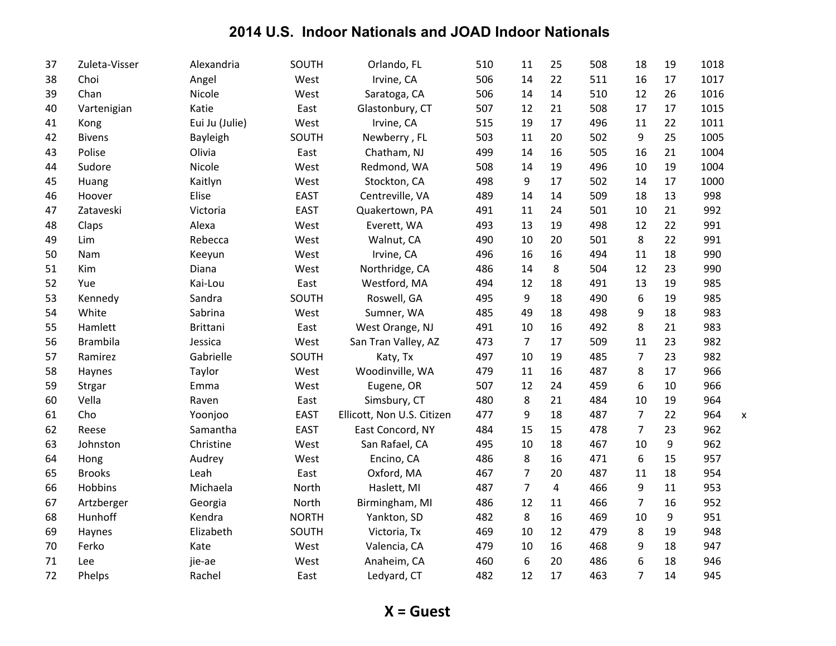| 37 | Zuleta-Visser   | Alexandria      | SOUTH        | Orlando, FL                | 510 | 11             | 25             | 508 | 18             | 19 | 1018                             |
|----|-----------------|-----------------|--------------|----------------------------|-----|----------------|----------------|-----|----------------|----|----------------------------------|
| 38 | Choi            | Angel           | West         | Irvine, CA                 | 506 | 14             | 22             | 511 | 16             | 17 | 1017                             |
| 39 | Chan            | Nicole          | West         | Saratoga, CA               | 506 | 14             | 14             | 510 | 12             | 26 | 1016                             |
| 40 | Vartenigian     | Katie           | East         | Glastonbury, CT            | 507 | 12             | 21             | 508 | 17             | 17 | 1015                             |
| 41 | Kong            | Eui Ju (Julie)  | West         | Irvine, CA                 | 515 | 19             | 17             | 496 | 11             | 22 | 1011                             |
| 42 | <b>Bivens</b>   | Bayleigh        | SOUTH        | Newberry, FL               | 503 | 11             | 20             | 502 | 9              | 25 | 1005                             |
| 43 | Polise          | Olivia          | East         | Chatham, NJ                | 499 | 14             | 16             | 505 | 16             | 21 | 1004                             |
| 44 | Sudore          | Nicole          | West         | Redmond, WA                | 508 | 14             | 19             | 496 | 10             | 19 | 1004                             |
| 45 | Huang           | Kaitlyn         | West         | Stockton, CA               | 498 | 9              | 17             | 502 | 14             | 17 | 1000                             |
| 46 | Hoover          | Elise           | <b>EAST</b>  | Centreville, VA            | 489 | 14             | 14             | 509 | 18             | 13 | 998                              |
| 47 | Zataveski       | Victoria        | <b>EAST</b>  | Quakertown, PA             | 491 | 11             | 24             | 501 | 10             | 21 | 992                              |
| 48 | Claps           | Alexa           | West         | Everett, WA                | 493 | 13             | 19             | 498 | 12             | 22 | 991                              |
| 49 | Lim             | Rebecca         | West         | Walnut, CA                 | 490 | 10             | 20             | 501 | 8              | 22 | 991                              |
| 50 | Nam             | Keeyun          | West         | Irvine, CA                 | 496 | 16             | 16             | 494 | 11             | 18 | 990                              |
| 51 | Kim             | Diana           | West         | Northridge, CA             | 486 | 14             | 8              | 504 | 12             | 23 | 990                              |
| 52 | Yue             | Kai-Lou         | East         | Westford, MA               | 494 | 12             | 18             | 491 | 13             | 19 | 985                              |
| 53 | Kennedy         | Sandra          | SOUTH        | Roswell, GA                | 495 | 9              | 18             | 490 | 6              | 19 | 985                              |
| 54 | White           | Sabrina         | West         | Sumner, WA                 | 485 | 49             | 18             | 498 | 9              | 18 | 983                              |
| 55 | Hamlett         | <b>Brittani</b> | East         | West Orange, NJ            | 491 | 10             | 16             | 492 | 8              | 21 | 983                              |
| 56 | <b>Brambila</b> | Jessica         | West         | San Tran Valley, AZ        | 473 | $\overline{7}$ | 17             | 509 | 11             | 23 | 982                              |
| 57 | Ramirez         | Gabrielle       | SOUTH        | Katy, Tx                   | 497 | 10             | 19             | 485 | $\overline{7}$ | 23 | 982                              |
| 58 | Haynes          | Taylor          | West         | Woodinville, WA            | 479 | 11             | 16             | 487 | 8              | 17 | 966                              |
| 59 | Strgar          | Emma            | West         | Eugene, OR                 | 507 | 12             | 24             | 459 | 6              | 10 | 966                              |
| 60 | Vella           | Raven           | East         | Simsbury, CT               | 480 | 8              | 21             | 484 | 10             | 19 | 964                              |
| 61 | Cho             | Yoonjoo         | <b>EAST</b>  | Ellicott, Non U.S. Citizen | 477 | 9              | 18             | 487 | $\overline{7}$ | 22 | 964<br>$\boldsymbol{\mathsf{x}}$ |
| 62 | Reese           | Samantha        | <b>EAST</b>  | East Concord, NY           | 484 | 15             | 15             | 478 | $\overline{7}$ | 23 | 962                              |
| 63 | Johnston        | Christine       | West         | San Rafael, CA             | 495 | 10             | 18             | 467 | 10             | 9  | 962                              |
| 64 | Hong            | Audrey          | West         | Encino, CA                 | 486 | 8              | 16             | 471 | 6              | 15 | 957                              |
| 65 | <b>Brooks</b>   | Leah            | East         | Oxford, MA                 | 467 | $\overline{7}$ | 20             | 487 | 11             | 18 | 954                              |
| 66 | Hobbins         | Michaela        | North        | Haslett, MI                | 487 | $\overline{7}$ | $\overline{4}$ | 466 | 9              | 11 | 953                              |
| 67 | Artzberger      | Georgia         | North        | Birmingham, MI             | 486 | 12             | 11             | 466 | 7              | 16 | 952                              |
| 68 | Hunhoff         | Kendra          | <b>NORTH</b> | Yankton, SD                | 482 | 8              | 16             | 469 | 10             | 9  | 951                              |
| 69 | Haynes          | Elizabeth       | SOUTH        | Victoria, Tx               | 469 | 10             | 12             | 479 | 8              | 19 | 948                              |
| 70 | Ferko           | Kate            | West         | Valencia, CA               | 479 | 10             | 16             | 468 | 9              | 18 | 947                              |
| 71 | Lee             | jie-ae          | West         | Anaheim, CA                | 460 | 6              | 20             | 486 | 6              | 18 | 946                              |
| 72 | Phelps          | Rachel          | East         | Ledyard, CT                | 482 | 12             | 17             | 463 | $\overline{7}$ | 14 | 945                              |

**X** = Guest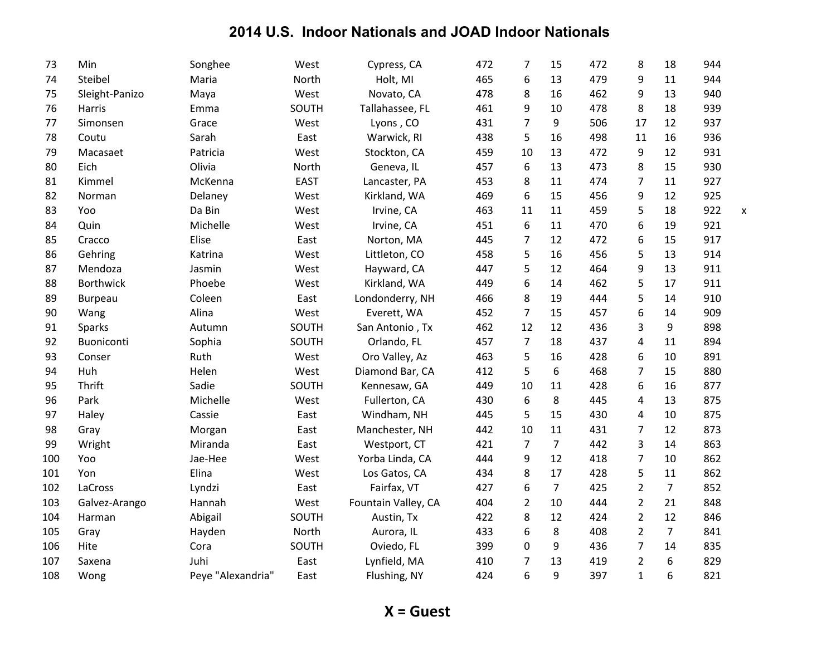| 73  | Min              | Songhee           | West        | Cypress, CA         | 472 | $\overline{7}$ | 15             | 472 | 8              | 18             | 944 |   |
|-----|------------------|-------------------|-------------|---------------------|-----|----------------|----------------|-----|----------------|----------------|-----|---|
| 74  | Steibel          | Maria             | North       | Holt, MI            | 465 | 6              | 13             | 479 | 9              | 11             | 944 |   |
| 75  | Sleight-Panizo   | Maya              | West        | Novato, CA          | 478 | 8              | 16             | 462 | 9              | 13             | 940 |   |
| 76  | <b>Harris</b>    | Emma              | SOUTH       | Tallahassee, FL     | 461 | 9              | 10             | 478 | 8              | 18             | 939 |   |
| 77  | Simonsen         | Grace             | West        | Lyons, CO           | 431 | $\overline{7}$ | 9              | 506 | 17             | 12             | 937 |   |
| 78  | Coutu            | Sarah             | East        | Warwick, RI         | 438 | 5              | 16             | 498 | 11             | 16             | 936 |   |
| 79  | Macasaet         | Patricia          | West        | Stockton, CA        | 459 | 10             | 13             | 472 | 9              | 12             | 931 |   |
| 80  | Eich             | Olivia            | North       | Geneva, IL          | 457 | 6              | 13             | 473 | 8              | 15             | 930 |   |
| 81  | Kimmel           | McKenna           | <b>EAST</b> | Lancaster, PA       | 453 | 8              | 11             | 474 | 7              | 11             | 927 |   |
| 82  | Norman           | Delaney           | West        | Kirkland, WA        | 469 | 6              | 15             | 456 | 9              | 12             | 925 |   |
| 83  | Yoo              | Da Bin            | West        | Irvine, CA          | 463 | 11             | 11             | 459 | 5              | 18             | 922 | X |
| 84  | Quin             | Michelle          | West        | Irvine, CA          | 451 | 6              | 11             | 470 | 6              | 19             | 921 |   |
| 85  | Cracco           | Elise             | East        | Norton, MA          | 445 | 7              | 12             | 472 | 6              | 15             | 917 |   |
| 86  | Gehring          | Katrina           | West        | Littleton, CO       | 458 | 5              | 16             | 456 | 5              | 13             | 914 |   |
| 87  | Mendoza          | Jasmin            | West        | Hayward, CA         | 447 | 5              | 12             | 464 | 9              | 13             | 911 |   |
| 88  | <b>Borthwick</b> | Phoebe            | West        | Kirkland, WA        | 449 | 6              | 14             | 462 | 5              | 17             | 911 |   |
| 89  | Burpeau          | Coleen            | East        | Londonderry, NH     | 466 | 8              | 19             | 444 | 5              | 14             | 910 |   |
| 90  | Wang             | Alina             | West        | Everett, WA         | 452 | $\overline{7}$ | 15             | 457 | 6              | 14             | 909 |   |
| 91  | Sparks           | Autumn            | SOUTH       | San Antonio, Tx     | 462 | 12             | 12             | 436 | 3              | 9              | 898 |   |
| 92  | Buoniconti       | Sophia            | SOUTH       | Orlando, FL         | 457 | $\overline{7}$ | 18             | 437 | 4              | 11             | 894 |   |
| 93  | Conser           | Ruth              | West        | Oro Valley, Az      | 463 | 5              | 16             | 428 | 6              | 10             | 891 |   |
| 94  | Huh              | Helen             | West        | Diamond Bar, CA     | 412 | 5              | 6              | 468 | $\overline{7}$ | 15             | 880 |   |
| 95  | Thrift           | Sadie             | SOUTH       | Kennesaw, GA        | 449 | 10             | 11             | 428 | 6              | 16             | 877 |   |
| 96  | Park             | Michelle          | West        | Fullerton, CA       | 430 | 6              | 8              | 445 | 4              | 13             | 875 |   |
| 97  | Haley            | Cassie            | East        | Windham, NH         | 445 | 5              | 15             | 430 | 4              | 10             | 875 |   |
| 98  | Gray             | Morgan            | East        | Manchester, NH      | 442 | 10             | 11             | 431 | $\overline{7}$ | 12             | 873 |   |
| 99  | Wright           | Miranda           | East        | Westport, CT        | 421 | $\overline{7}$ | $\overline{7}$ | 442 | 3              | 14             | 863 |   |
| 100 | Yoo              | Jae-Hee           | West        | Yorba Linda, CA     | 444 | 9              | 12             | 418 | $\overline{7}$ | 10             | 862 |   |
| 101 | Yon              | Elina             | West        | Los Gatos, CA       | 434 | 8              | 17             | 428 | 5              | 11             | 862 |   |
| 102 | LaCross          | Lyndzi            | East        | Fairfax, VT         | 427 | 6              | $\overline{7}$ | 425 | $\overline{2}$ | $\overline{7}$ | 852 |   |
| 103 | Galvez-Arango    | Hannah            | West        | Fountain Valley, CA | 404 | $\overline{2}$ | 10             | 444 | $\overline{2}$ | 21             | 848 |   |
| 104 | Harman           | Abigail           | SOUTH       | Austin, Tx          | 422 | 8              | 12             | 424 | $\overline{2}$ | 12             | 846 |   |
| 105 | Gray             | Hayden            | North       | Aurora, IL          | 433 | 6              | 8              | 408 | $\overline{2}$ | $\overline{7}$ | 841 |   |
| 106 | Hite             | Cora              | SOUTH       | Oviedo, FL          | 399 | $\mathbf 0$    | 9              | 436 | 7              | 14             | 835 |   |
| 107 | Saxena           | Juhi              | East        | Lynfield, MA        | 410 | $\overline{7}$ | 13             | 419 | $\overline{2}$ | 6              | 829 |   |
| 108 | Wong             | Peye "Alexandria" | East        | Flushing, NY        | 424 | 6              | 9              | 397 | $\mathbf{1}$   | 6              | 821 |   |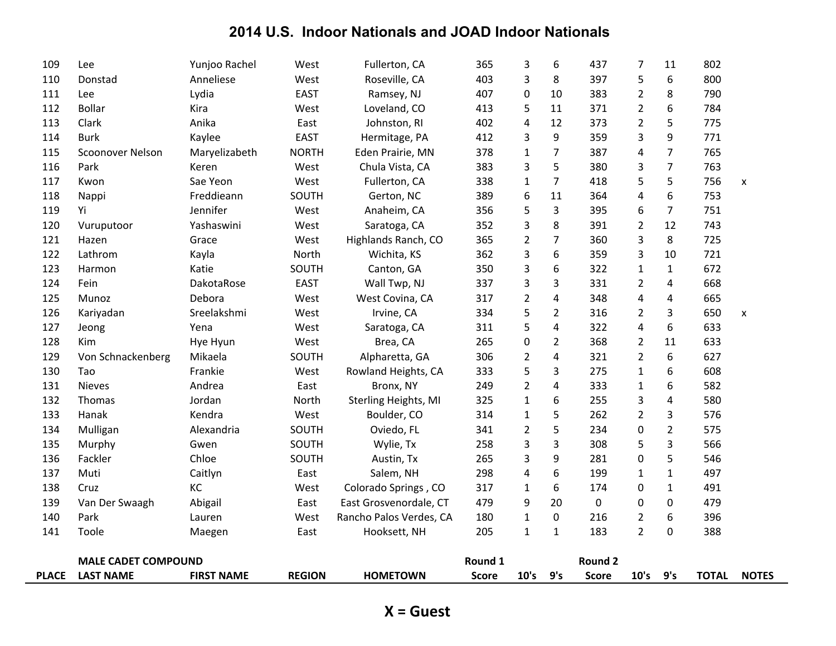| <b>PLACE</b> | <b>LAST NAME</b>           | <b>FIRST NAME</b> | <b>REGION</b> | <b>HOMETOWN</b>         | <b>Score</b> | 10's                         | 9's            | <b>Score</b>   | 10's                             | 9's            | <b>TOTAL</b> | <b>NOTES</b>       |
|--------------|----------------------------|-------------------|---------------|-------------------------|--------------|------------------------------|----------------|----------------|----------------------------------|----------------|--------------|--------------------|
|              | <b>MALE CADET COMPOUND</b> |                   |               |                         | Round 1      |                              |                | <b>Round 2</b> |                                  |                |              |                    |
|              | Toole                      | Maegen            | East          | Hooksett, NH            |              |                              | $\mathbf{1}$   |                |                                  |                |              |                    |
| 140<br>141   | Park                       | Lauren            | West          | Rancho Palos Verdes, CA | 180<br>205   | $\mathbf{1}$<br>$\mathbf{1}$ | 0              | 216<br>183     | $\overline{2}$<br>$\overline{2}$ | 6<br>0         | 396<br>388   |                    |
| 139          | Van Der Swaagh             | Abigail           | East          | East Grosvenordale, CT  | 479          | 9                            | 20             | 0              | 0                                | 0              | 479          |                    |
| 138          | Cruz                       | KC                | West          | Colorado Springs, CO    | 317          | $\mathbf{1}$                 | 6              | 174            | 0                                | $\mathbf{1}$   | 491          |                    |
| 137          | Muti                       | Caitlyn           | East          | Salem, NH               | 298          | 4                            | 6              | 199            | $\mathbf{1}$                     | $\mathbf{1}$   | 497          |                    |
| 136          | Fackler                    | Chloe             | SOUTH         | Austin, Tx              | 265          | 3                            | 9              | 281            | 0                                | 5              | 546          |                    |
| 135          | Murphy                     | Gwen              | SOUTH         | Wylie, Tx               | 258          | 3                            | 3              | 308            | 5                                | 3              | 566          |                    |
| 134          | Mulligan                   | Alexandria        | SOUTH         | Oviedo, FL              | 341          | $\overline{2}$               | 5              | 234            | 0                                | $\overline{2}$ | 575          |                    |
| 133          | Hanak                      | Kendra            | West          | Boulder, CO             | 314          | $\mathbf{1}$                 | 5              | 262            | $\overline{2}$                   | 3              | 576          |                    |
| 132          | Thomas                     | Jordan            | North         | Sterling Heights, MI    | 325          | $\mathbf{1}$                 | 6              | 255            | 3                                | 4              | 580          |                    |
| 131          | <b>Nieves</b>              | Andrea            | East          | Bronx, NY               | 249          | $\overline{2}$               | 4              | 333            | $\mathbf{1}$                     | 6              | 582          |                    |
| 130          | Tao                        | Frankie           | West          | Rowland Heights, CA     | 333          | 5                            | 3              | 275            | $\mathbf{1}$                     | 6              | 608          |                    |
| 129          | Von Schnackenberg          | Mikaela           | SOUTH         | Alpharetta, GA          | 306          | 2                            | 4              | 321            | $\overline{2}$                   | 6              | 627          |                    |
| 128          | Kim                        | Hye Hyun          | West          | Brea, CA                | 265          | 0                            | $\overline{2}$ | 368            | $\overline{2}$                   | 11             | 633          |                    |
| 127          | Jeong                      | Yena              | West          | Saratoga, CA            | 311          | 5                            | 4              | 322            | 4                                | 6              | 633          |                    |
| 126          | Kariyadan                  | Sreelakshmi       | West          | Irvine, CA              | 334          | 5                            | $\overline{2}$ | 316            | 2                                | 3              | 650          | X                  |
| 125          | Munoz                      | Debora            | West          | West Covina, CA         | 317          | 2                            | 4              | 348            | 4                                | 4              | 665          |                    |
| 124          | Fein                       | DakotaRose        | <b>EAST</b>   | Wall Twp, NJ            | 337          | 3                            | 3              | 331            | $\overline{2}$                   | 4              | 668          |                    |
| 123          | Harmon                     | Katie             | SOUTH         | Canton, GA              | 350          | 3                            | 6              | 322            | $\mathbf{1}$                     | $\mathbf{1}$   | 672          |                    |
| 122          | Lathrom                    | Kayla             | North         | Wichita, KS             | 362          | 3                            | 6              | 359            | 3                                | 10             | 721          |                    |
| 121          | Hazen                      | Grace             | West          | Highlands Ranch, CO     | 365          | $\overline{2}$               | $\overline{7}$ | 360            | 3                                | 8              | 725          |                    |
| 120          | Vuruputoor                 | Yashaswini        | West          | Saratoga, CA            | 352          | 3                            | 8              | 391            | $\overline{2}$                   | 12             | 743          |                    |
| 119          | Yi                         | Jennifer          | West          | Anaheim, CA             | 356          | 5                            | 3              | 395            | 6                                | 7              | 751          |                    |
| 118          | Nappi                      | Freddieann        | SOUTH         | Gerton, NC              | 389          | 6                            | 11             | 364            | 4                                | 6              | 753          |                    |
| 117          | Kwon                       | Sae Yeon          | West          | Fullerton, CA           | 338          | $\mathbf{1}$                 | 7              | 418            | 5                                | 5              | 756          | $\pmb{\mathsf{X}}$ |
| 116          | Park                       | Keren             | West          | Chula Vista, CA         | 383          | 3                            | 5              | 380            | 3                                | $\overline{7}$ | 763          |                    |
| 115          | <b>Scoonover Nelson</b>    | Maryelizabeth     | <b>NORTH</b>  | Eden Prairie, MN        | 378          | $\mathbf{1}$                 | 7              | 387            | 4                                | 7              | 765          |                    |
| 114          | <b>Burk</b>                | Kaylee            | <b>EAST</b>   | Hermitage, PA           | 412          | 3                            | 9              | 359            | 3                                | 9              | 771          |                    |
| 113          | Clark                      | Anika             | East          | Johnston, RI            | 402          | 4                            | 12             | 373            | $\overline{2}$                   | 5              | 775          |                    |
| 112          | <b>Bollar</b>              | Kira              | West          | Loveland, CO            | 413          | 5                            | 11             | 371            | $\overline{2}$                   | 6              | 784          |                    |
| 111          | Lee                        | Lydia             | <b>EAST</b>   | Ramsey, NJ              | 407          | 0                            | 10             | 383            | $\overline{2}$                   | 8              | 790          |                    |
| 110          | Donstad                    | Anneliese         | West          | Roseville, CA           | 403          | 3                            | 8              | 397            | 5                                | 6              | 800          |                    |
| 109          | Lee                        | Yunjoo Rachel     | West          | Fullerton, CA           | 365          | 3                            | 6              | 437            | 7                                | 11             | 802          |                    |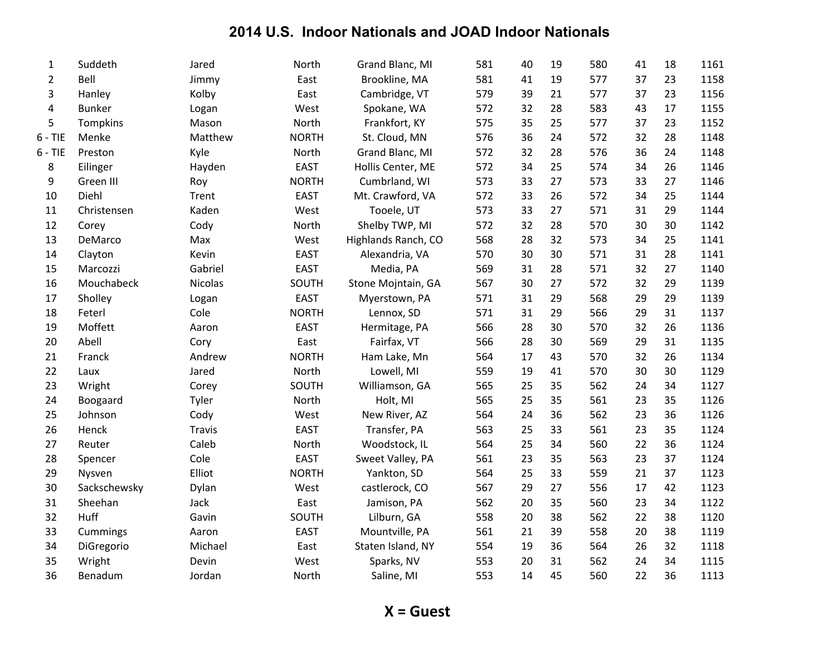| 1              | Suddeth         | Jared         | North        | Grand Blanc, MI     | 581 | 40 | 19 | 580 | 41 | 18 | 1161 |
|----------------|-----------------|---------------|--------------|---------------------|-----|----|----|-----|----|----|------|
| $\overline{2}$ | Bell            | Jimmy         | East         | Brookline, MA       | 581 | 41 | 19 | 577 | 37 | 23 | 1158 |
| 3              | Hanley          | Kolby         | East         | Cambridge, VT       | 579 | 39 | 21 | 577 | 37 | 23 | 1156 |
| 4              | <b>Bunker</b>   | Logan         | West         | Spokane, WA         | 572 | 32 | 28 | 583 | 43 | 17 | 1155 |
| 5              | <b>Tompkins</b> | Mason         | North        | Frankfort, KY       | 575 | 35 | 25 | 577 | 37 | 23 | 1152 |
| $6 - TIE$      | Menke           | Matthew       | <b>NORTH</b> | St. Cloud, MN       | 576 | 36 | 24 | 572 | 32 | 28 | 1148 |
| $6 - TIE$      | Preston         | Kyle          | North        | Grand Blanc, MI     | 572 | 32 | 28 | 576 | 36 | 24 | 1148 |
| 8              | Eilinger        | Hayden        | <b>EAST</b>  | Hollis Center, ME   | 572 | 34 | 25 | 574 | 34 | 26 | 1146 |
| 9              | Green III       | Roy           | <b>NORTH</b> | Cumbrland, WI       | 573 | 33 | 27 | 573 | 33 | 27 | 1146 |
| 10             | Diehl           | Trent         | <b>EAST</b>  | Mt. Crawford, VA    | 572 | 33 | 26 | 572 | 34 | 25 | 1144 |
| 11             | Christensen     | Kaden         | West         | Tooele, UT          | 573 | 33 | 27 | 571 | 31 | 29 | 1144 |
| 12             | Corey           | Cody          | North        | Shelby TWP, MI      | 572 | 32 | 28 | 570 | 30 | 30 | 1142 |
| 13             | DeMarco         | Max           | West         | Highlands Ranch, CO | 568 | 28 | 32 | 573 | 34 | 25 | 1141 |
| 14             | Clayton         | Kevin         | <b>EAST</b>  | Alexandria, VA      | 570 | 30 | 30 | 571 | 31 | 28 | 1141 |
| 15             | Marcozzi        | Gabriel       | <b>EAST</b>  | Media, PA           | 569 | 31 | 28 | 571 | 32 | 27 | 1140 |
| 16             | Mouchabeck      | Nicolas       | SOUTH        | Stone Mojntain, GA  | 567 | 30 | 27 | 572 | 32 | 29 | 1139 |
| 17             | Sholley         | Logan         | EAST         | Myerstown, PA       | 571 | 31 | 29 | 568 | 29 | 29 | 1139 |
| 18             | Feterl          | Cole          | <b>NORTH</b> | Lennox, SD          | 571 | 31 | 29 | 566 | 29 | 31 | 1137 |
| 19             | Moffett         | Aaron         | <b>EAST</b>  | Hermitage, PA       | 566 | 28 | 30 | 570 | 32 | 26 | 1136 |
| 20             | Abell           | Cory          | East         | Fairfax, VT         | 566 | 28 | 30 | 569 | 29 | 31 | 1135 |
| 21             | Franck          | Andrew        | <b>NORTH</b> | Ham Lake, Mn        | 564 | 17 | 43 | 570 | 32 | 26 | 1134 |
| 22             | Laux            | Jared         | North        | Lowell, MI          | 559 | 19 | 41 | 570 | 30 | 30 | 1129 |
| 23             | Wright          | Corey         | SOUTH        | Williamson, GA      | 565 | 25 | 35 | 562 | 24 | 34 | 1127 |
| 24             | Boogaard        | Tyler         | North        | Holt, MI            | 565 | 25 | 35 | 561 | 23 | 35 | 1126 |
| 25             | Johnson         | Cody          | West         | New River, AZ       | 564 | 24 | 36 | 562 | 23 | 36 | 1126 |
| 26             | Henck           | <b>Travis</b> | <b>EAST</b>  | Transfer, PA        | 563 | 25 | 33 | 561 | 23 | 35 | 1124 |
| 27             | Reuter          | Caleb         | North        | Woodstock, IL       | 564 | 25 | 34 | 560 | 22 | 36 | 1124 |
| 28             | Spencer         | Cole          | <b>EAST</b>  | Sweet Valley, PA    | 561 | 23 | 35 | 563 | 23 | 37 | 1124 |
| 29             | Nysven          | Elliot        | <b>NORTH</b> | Yankton, SD         | 564 | 25 | 33 | 559 | 21 | 37 | 1123 |
| 30             | Sackschewsky    | Dylan         | West         | castlerock, CO      | 567 | 29 | 27 | 556 | 17 | 42 | 1123 |
| 31             | Sheehan         | Jack          | East         | Jamison, PA         | 562 | 20 | 35 | 560 | 23 | 34 | 1122 |
| 32             | Huff            | Gavin         | SOUTH        | Lilburn, GA         | 558 | 20 | 38 | 562 | 22 | 38 | 1120 |
| 33             | Cummings        | Aaron         | <b>EAST</b>  | Mountville, PA      | 561 | 21 | 39 | 558 | 20 | 38 | 1119 |
| 34             | DiGregorio      | Michael       | East         | Staten Island, NY   | 554 | 19 | 36 | 564 | 26 | 32 | 1118 |
| 35             | Wright          | Devin         | West         | Sparks, NV          | 553 | 20 | 31 | 562 | 24 | 34 | 1115 |
| 36             | Benadum         | Jordan        | North        | Saline, MI          | 553 | 14 | 45 | 560 | 22 | 36 | 1113 |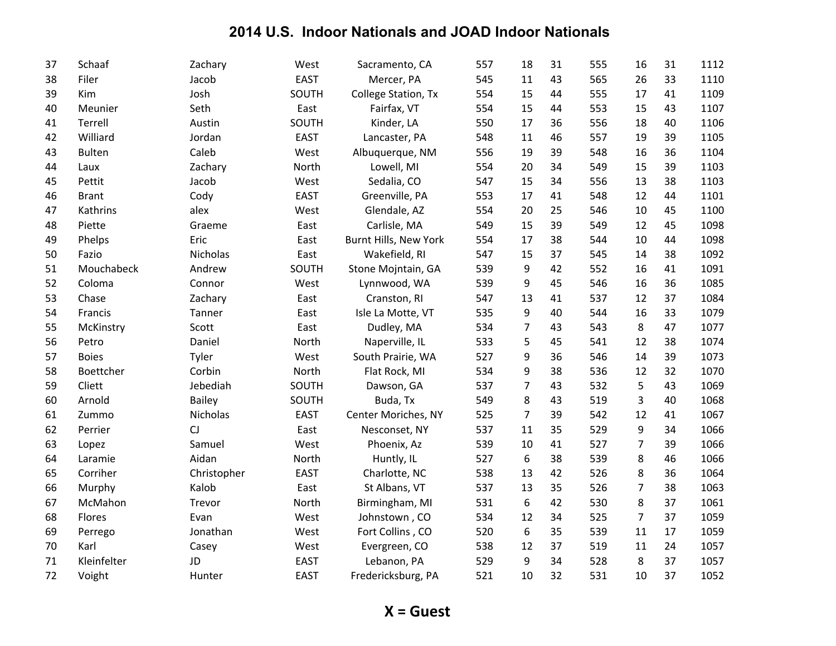| 37 | Schaaf        | Zachary       | West        | Sacramento, CA        | 557 | 18             | 31 | 555 | 16             | 31 | 1112 |
|----|---------------|---------------|-------------|-----------------------|-----|----------------|----|-----|----------------|----|------|
| 38 | Filer         | Jacob         | <b>EAST</b> | Mercer, PA            | 545 | 11             | 43 | 565 | 26             | 33 | 1110 |
| 39 | Kim           | Josh          | SOUTH       | College Station, Tx   | 554 | 15             | 44 | 555 | 17             | 41 | 1109 |
| 40 | Meunier       | Seth          | East        | Fairfax, VT           | 554 | 15             | 44 | 553 | 15             | 43 | 1107 |
| 41 | Terrell       | Austin        | SOUTH       | Kinder, LA            | 550 | 17             | 36 | 556 | 18             | 40 | 1106 |
| 42 | Williard      | Jordan        | <b>EAST</b> | Lancaster, PA         | 548 | 11             | 46 | 557 | 19             | 39 | 1105 |
| 43 | <b>Bulten</b> | Caleb         | West        | Albuquerque, NM       | 556 | 19             | 39 | 548 | 16             | 36 | 1104 |
| 44 | Laux          | Zachary       | North       | Lowell, MI            | 554 | 20             | 34 | 549 | 15             | 39 | 1103 |
| 45 | Pettit        | Jacob         | West        | Sedalia, CO           | 547 | 15             | 34 | 556 | 13             | 38 | 1103 |
| 46 | <b>Brant</b>  | Cody          | <b>EAST</b> | Greenville, PA        | 553 | 17             | 41 | 548 | 12             | 44 | 1101 |
| 47 | Kathrins      | alex          | West        | Glendale, AZ          | 554 | 20             | 25 | 546 | 10             | 45 | 1100 |
| 48 | Piette        | Graeme        | East        | Carlisle, MA          | 549 | 15             | 39 | 549 | 12             | 45 | 1098 |
| 49 | Phelps        | Eric          | East        | Burnt Hills, New York | 554 | 17             | 38 | 544 | 10             | 44 | 1098 |
| 50 | Fazio         | Nicholas      | East        | Wakefield, RI         | 547 | 15             | 37 | 545 | 14             | 38 | 1092 |
| 51 | Mouchabeck    | Andrew        | SOUTH       | Stone Mojntain, GA    | 539 | 9              | 42 | 552 | 16             | 41 | 1091 |
| 52 | Coloma        | Connor        | West        | Lynnwood, WA          | 539 | 9              | 45 | 546 | 16             | 36 | 1085 |
| 53 | Chase         | Zachary       | East        | Cranston, RI          | 547 | 13             | 41 | 537 | 12             | 37 | 1084 |
| 54 | Francis       | Tanner        | East        | Isle La Motte, VT     | 535 | 9              | 40 | 544 | 16             | 33 | 1079 |
| 55 | McKinstry     | Scott         | East        | Dudley, MA            | 534 | 7              | 43 | 543 | 8              | 47 | 1077 |
| 56 | Petro         | Daniel        | North       | Naperville, IL        | 533 | 5              | 45 | 541 | 12             | 38 | 1074 |
| 57 | <b>Boies</b>  | Tyler         | West        | South Prairie, WA     | 527 | 9              | 36 | 546 | 14             | 39 | 1073 |
| 58 | Boettcher     | Corbin        | North       | Flat Rock, MI         | 534 | 9              | 38 | 536 | 12             | 32 | 1070 |
| 59 | Cliett        | Jebediah      | SOUTH       | Dawson, GA            | 537 | $\overline{7}$ | 43 | 532 | 5              | 43 | 1069 |
| 60 | Arnold        | <b>Bailey</b> | SOUTH       | Buda, Tx              | 549 | 8              | 43 | 519 | 3              | 40 | 1068 |
| 61 | Zummo         | Nicholas      | <b>EAST</b> | Center Moriches, NY   | 525 | $\overline{7}$ | 39 | 542 | 12             | 41 | 1067 |
| 62 | Perrier       | CJ            | East        | Nesconset, NY         | 537 | 11             | 35 | 529 | 9              | 34 | 1066 |
| 63 | Lopez         | Samuel        | West        | Phoenix, Az           | 539 | 10             | 41 | 527 | 7              | 39 | 1066 |
| 64 | Laramie       | Aidan         | North       | Huntly, IL            | 527 | 6              | 38 | 539 | 8              | 46 | 1066 |
| 65 | Corriher      | Christopher   | <b>EAST</b> | Charlotte, NC         | 538 | 13             | 42 | 526 | 8              | 36 | 1064 |
| 66 | Murphy        | Kalob         | East        | St Albans, VT         | 537 | 13             | 35 | 526 | $\overline{7}$ | 38 | 1063 |
| 67 | McMahon       | Trevor        | North       | Birmingham, MI        | 531 | 6              | 42 | 530 | 8              | 37 | 1061 |
| 68 | Flores        | Evan          | West        | Johnstown, CO         | 534 | 12             | 34 | 525 | $\overline{7}$ | 37 | 1059 |
| 69 | Perrego       | Jonathan      | West        | Fort Collins, CO      | 520 | 6              | 35 | 539 | 11             | 17 | 1059 |
| 70 | Karl          | Casey         | West        | Evergreen, CO         | 538 | 12             | 37 | 519 | 11             | 24 | 1057 |
| 71 | Kleinfelter   | JD            | <b>EAST</b> | Lebanon, PA           | 529 | 9              | 34 | 528 | 8              | 37 | 1057 |
| 72 | Voight        | Hunter        | <b>EAST</b> | Fredericksburg, PA    | 521 | 10             | 32 | 531 | 10             | 37 | 1052 |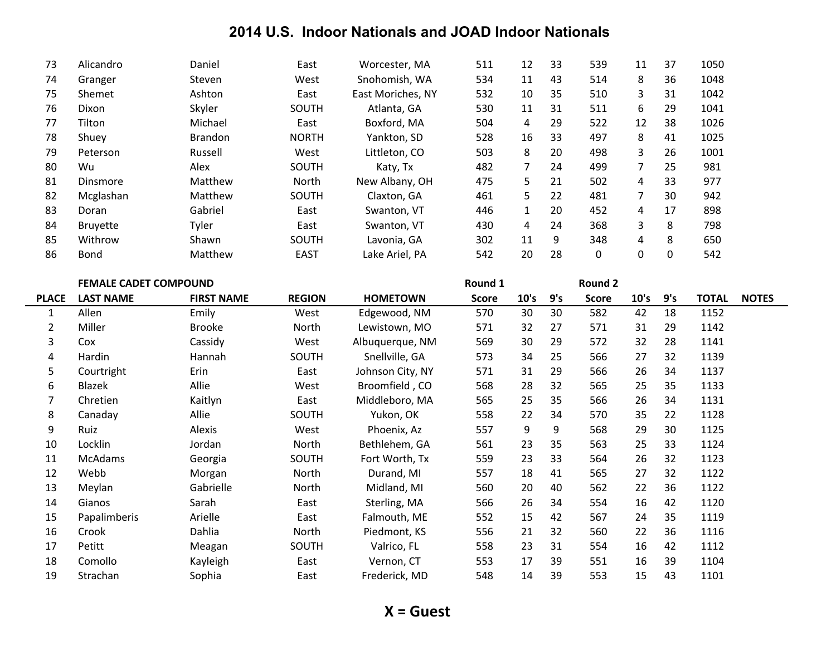| 73 | Alicandro       | Daniel         | East         | Worcester, MA     | 511 | 12 | 33 | 539 | 11 | 37 | 1050 |
|----|-----------------|----------------|--------------|-------------------|-----|----|----|-----|----|----|------|
| 74 | Granger         | <b>Steven</b>  | West         | Snohomish, WA     | 534 | 11 | 43 | 514 | 8  | 36 | 1048 |
| 75 | Shemet          | Ashton         | East         | East Moriches, NY | 532 | 10 | 35 | 510 | 3  | 31 | 1042 |
| 76 | Dixon           | Skyler         | <b>SOUTH</b> | Atlanta, GA       | 530 | 11 | 31 | 511 | 6  | 29 | 1041 |
| 77 | Tilton          | Michael        | East         | Boxford, MA       | 504 | 4  | 29 | 522 | 12 | 38 | 1026 |
| 78 | Shuey           | <b>Brandon</b> | <b>NORTH</b> | Yankton, SD       | 528 | 16 | 33 | 497 | 8  | 41 | 1025 |
| 79 | Peterson        | Russell        | West         | Littleton, CO     | 503 | 8  | 20 | 498 | 3  | 26 | 1001 |
| 80 | Wu              | Alex           | <b>SOUTH</b> | Katy, Tx          | 482 | 7  | 24 | 499 | 7  | 25 | 981  |
| 81 | Dinsmore        | Matthew        | North        | New Albany, OH    | 475 | 5  | 21 | 502 | 4  | 33 | 977  |
| 82 | Mcglashan       | Matthew        | <b>SOUTH</b> | Claxton, GA       | 461 | 5  | 22 | 481 | 7  | 30 | 942  |
| 83 | Doran           | Gabriel        | East         | Swanton, VT       | 446 | 1  | 20 | 452 | 4  | 17 | 898  |
| 84 | <b>Bruvette</b> | Tyler          | East         | Swanton, VT       | 430 | 4  | 24 | 368 | 3  | 8  | 798  |
| 85 | Withrow         | Shawn          | SOUTH        | Lavonia, GA       | 302 | 11 | 9  | 348 | 4  | 8  | 650  |
| 86 | Bond            | Matthew        | <b>EAST</b>  | Lake Ariel, PA    | 542 | 20 | 28 | 0   | 0  | 0  | 542  |

|                | <b>FEMALE CADET COMPOUND</b> |                   |               |                  | Round 1      |      |     | <b>Round 2</b> |      |     |              |              |
|----------------|------------------------------|-------------------|---------------|------------------|--------------|------|-----|----------------|------|-----|--------------|--------------|
| <b>PLACE</b>   | <b>LAST NAME</b>             | <b>FIRST NAME</b> | <b>REGION</b> | <b>HOMETOWN</b>  | <b>Score</b> | 10's | 9's | <b>Score</b>   | 10's | 9's | <b>TOTAL</b> | <b>NOTES</b> |
| 1              | Allen                        | Emily             | West          | Edgewood, NM     | 570          | 30   | 30  | 582            | 42   | 18  | 1152         |              |
| $\overline{2}$ | Miller                       | <b>Brooke</b>     | North         | Lewistown, MO    | 571          | 32   | 27  | 571            | 31   | 29  | 1142         |              |
| 3              | Cox                          | Cassidy           | West          | Albuquerque, NM  | 569          | 30   | 29  | 572            | 32   | 28  | 1141         |              |
| 4              | Hardin                       | Hannah            | SOUTH         | Snellville, GA   | 573          | 34   | 25  | 566            | 27   | 32  | 1139         |              |
| 5              | Courtright                   | Erin              | East          | Johnson City, NY | 571          | 31   | 29  | 566            | 26   | 34  | 1137         |              |
| 6              | Blazek                       | Allie             | West          | Broomfield, CO   | 568          | 28   | 32  | 565            | 25   | 35  | 1133         |              |
| 7              | Chretien                     | Kaitlyn           | East          | Middleboro, MA   | 565          | 25   | 35  | 566            | 26   | 34  | 1131         |              |
| 8              | Canaday                      | Allie             | SOUTH         | Yukon, OK        | 558          | 22   | 34  | 570            | 35   | 22  | 1128         |              |
| 9              | Ruiz                         | Alexis            | West          | Phoenix, Az      | 557          | 9    | 9   | 568            | 29   | 30  | 1125         |              |
| 10             | Locklin                      | Jordan            | North         | Bethlehem, GA    | 561          | 23   | 35  | 563            | 25   | 33  | 1124         |              |
| 11             | <b>McAdams</b>               | Georgia           | SOUTH         | Fort Worth, Tx   | 559          | 23   | 33  | 564            | 26   | 32  | 1123         |              |
| 12             | Webb                         | Morgan            | North         | Durand, MI       | 557          | 18   | 41  | 565            | 27   | 32  | 1122         |              |
| 13             | Meylan                       | Gabrielle         | North         | Midland, MI      | 560          | 20   | 40  | 562            | 22   | 36  | 1122         |              |
| 14             | Gianos                       | Sarah             | East          | Sterling, MA     | 566          | 26   | 34  | 554            | 16   | 42  | 1120         |              |
| 15             | Papalimberis                 | Arielle           | East          | Falmouth, ME     | 552          | 15   | 42  | 567            | 24   | 35  | 1119         |              |
| 16             | Crook                        | Dahlia            | North         | Piedmont, KS     | 556          | 21   | 32  | 560            | 22   | 36  | 1116         |              |
| 17             | Petitt                       | Meagan            | SOUTH         | Valrico, FL      | 558          | 23   | 31  | 554            | 16   | 42  | 1112         |              |
| 18             | Comollo                      | Kayleigh          | East          | Vernon, CT       | 553          | 17   | 39  | 551            | 16   | 39  | 1104         |              |
| 19             | Strachan                     | Sophia            | East          | Frederick, MD    | 548          | 14   | 39  | 553            | 15   | 43  | 1101         |              |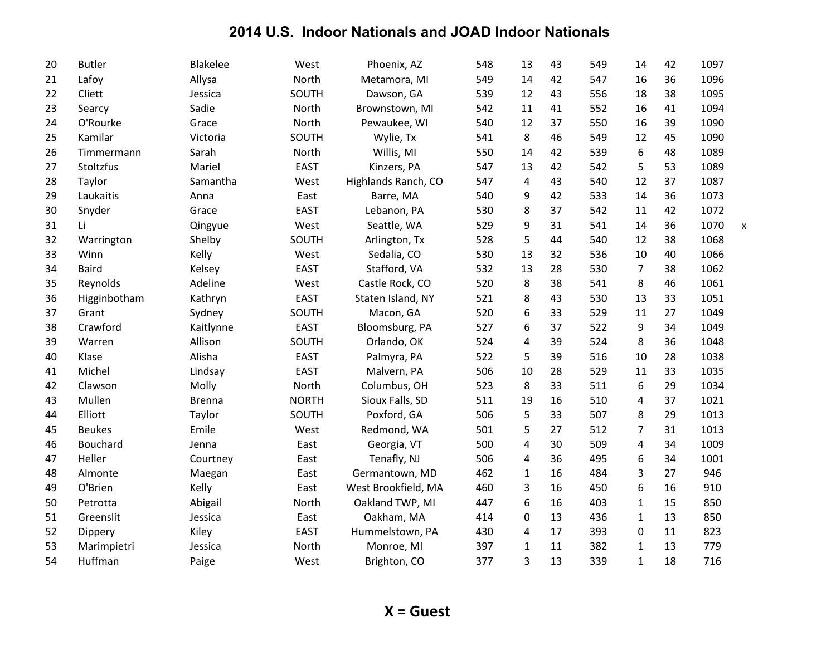| 20 | <b>Butler</b> | Blakelee      | West         | Phoenix, AZ         | 548 | 13           | 43 | 549 | 14             | 42 | 1097 |                           |
|----|---------------|---------------|--------------|---------------------|-----|--------------|----|-----|----------------|----|------|---------------------------|
| 21 | Lafoy         | Allysa        | North        | Metamora, MI        | 549 | 14           | 42 | 547 | 16             | 36 | 1096 |                           |
| 22 | Cliett        | Jessica       | SOUTH        | Dawson, GA          | 539 | 12           | 43 | 556 | 18             | 38 | 1095 |                           |
| 23 | Searcy        | Sadie         | North        | Brownstown, MI      | 542 | 11           | 41 | 552 | 16             | 41 | 1094 |                           |
| 24 | O'Rourke      | Grace         | North        | Pewaukee, WI        | 540 | 12           | 37 | 550 | 16             | 39 | 1090 |                           |
| 25 | Kamilar       | Victoria      | SOUTH        | Wylie, Tx           | 541 | 8            | 46 | 549 | 12             | 45 | 1090 |                           |
| 26 | Timmermann    | Sarah         | North        | Willis, MI          | 550 | 14           | 42 | 539 | 6              | 48 | 1089 |                           |
| 27 | Stoltzfus     | Mariel        | <b>EAST</b>  | Kinzers, PA         | 547 | 13           | 42 | 542 | 5              | 53 | 1089 |                           |
| 28 | Taylor        | Samantha      | West         | Highlands Ranch, CO | 547 | 4            | 43 | 540 | 12             | 37 | 1087 |                           |
| 29 | Laukaitis     | Anna          | East         | Barre, MA           | 540 | 9            | 42 | 533 | 14             | 36 | 1073 |                           |
| 30 | Snyder        | Grace         | <b>EAST</b>  | Lebanon, PA         | 530 | 8            | 37 | 542 | 11             | 42 | 1072 |                           |
| 31 | Li            | Qingyue       | West         | Seattle, WA         | 529 | 9            | 31 | 541 | 14             | 36 | 1070 | $\boldsymbol{\mathsf{x}}$ |
| 32 | Warrington    | Shelby        | SOUTH        | Arlington, Tx       | 528 | 5            | 44 | 540 | 12             | 38 | 1068 |                           |
| 33 | Winn          | Kelly         | West         | Sedalia, CO         | 530 | 13           | 32 | 536 | 10             | 40 | 1066 |                           |
| 34 | <b>Baird</b>  | Kelsey        | <b>EAST</b>  | Stafford, VA        | 532 | 13           | 28 | 530 | $\overline{7}$ | 38 | 1062 |                           |
| 35 | Reynolds      | Adeline       | West         | Castle Rock, CO     | 520 | 8            | 38 | 541 | 8              | 46 | 1061 |                           |
| 36 | Higginbotham  | Kathryn       | <b>EAST</b>  | Staten Island, NY   | 521 | 8            | 43 | 530 | 13             | 33 | 1051 |                           |
| 37 | Grant         | Sydney        | SOUTH        | Macon, GA           | 520 | 6            | 33 | 529 | 11             | 27 | 1049 |                           |
| 38 | Crawford      | Kaitlynne     | <b>EAST</b>  | Bloomsburg, PA      | 527 | 6            | 37 | 522 | 9              | 34 | 1049 |                           |
| 39 | Warren        | Allison       | SOUTH        | Orlando, OK         | 524 | 4            | 39 | 524 | 8              | 36 | 1048 |                           |
| 40 | Klase         | Alisha        | <b>EAST</b>  | Palmyra, PA         | 522 | 5            | 39 | 516 | 10             | 28 | 1038 |                           |
| 41 | Michel        | Lindsay       | <b>EAST</b>  | Malvern, PA         | 506 | 10           | 28 | 529 | 11             | 33 | 1035 |                           |
| 42 | Clawson       | Molly         | North        | Columbus, OH        | 523 | 8            | 33 | 511 | 6              | 29 | 1034 |                           |
| 43 | Mullen        | <b>Brenna</b> | <b>NORTH</b> | Sioux Falls, SD     | 511 | 19           | 16 | 510 | 4              | 37 | 1021 |                           |
| 44 | Elliott       | Taylor        | SOUTH        | Poxford, GA         | 506 | 5            | 33 | 507 | 8              | 29 | 1013 |                           |
| 45 | <b>Beukes</b> | Emile         | West         | Redmond, WA         | 501 | 5            | 27 | 512 | 7              | 31 | 1013 |                           |
| 46 | Bouchard      | Jenna         | East         | Georgia, VT         | 500 | 4            | 30 | 509 | 4              | 34 | 1009 |                           |
| 47 | Heller        | Courtney      | East         | Tenafly, NJ         | 506 | 4            | 36 | 495 | 6              | 34 | 1001 |                           |
| 48 | Almonte       | Maegan        | East         | Germantown, MD      | 462 | $\mathbf{1}$ | 16 | 484 | 3              | 27 | 946  |                           |
| 49 | O'Brien       | Kelly         | East         | West Brookfield, MA | 460 | 3            | 16 | 450 | 6              | 16 | 910  |                           |
| 50 | Petrotta      | Abigail       | North        | Oakland TWP, MI     | 447 | 6            | 16 | 403 | $\mathbf{1}$   | 15 | 850  |                           |
| 51 | Greenslit     | Jessica       | East         | Oakham, MA          | 414 | $\Omega$     | 13 | 436 | $\mathbf{1}$   | 13 | 850  |                           |
| 52 | Dippery       | Kiley         | <b>EAST</b>  | Hummelstown, PA     | 430 | 4            | 17 | 393 | 0              | 11 | 823  |                           |
| 53 | Marimpietri   | Jessica       | North        | Monroe, MI          | 397 | $\mathbf{1}$ | 11 | 382 | $\mathbf{1}$   | 13 | 779  |                           |
| 54 | Huffman       | Paige         | West         | Brighton, CO        | 377 | 3            | 13 | 339 | $\mathbf{1}$   | 18 | 716  |                           |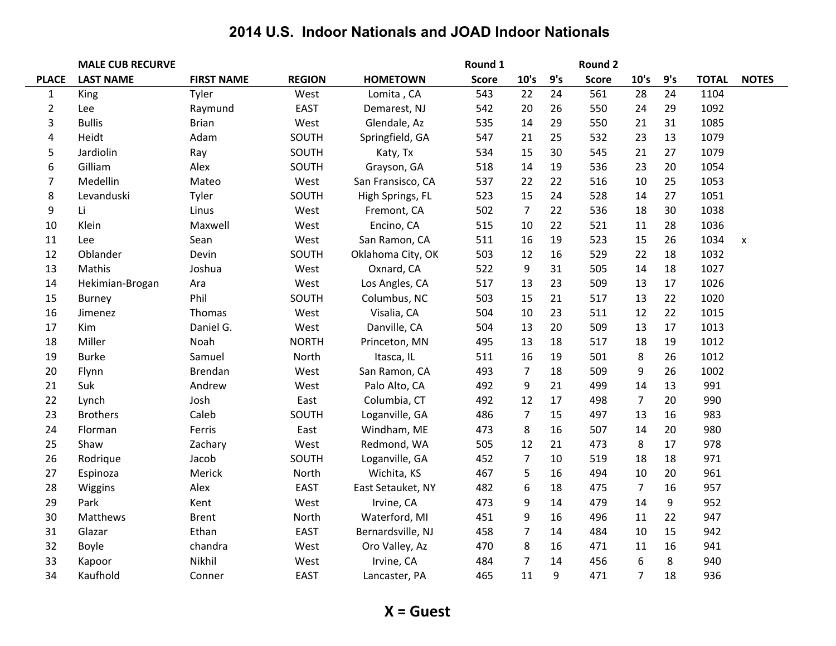|                | <b>MALE CUB RECURVE</b> |                   |               |                   | Round 1      |                |     | Round 2      |                |     |              |              |
|----------------|-------------------------|-------------------|---------------|-------------------|--------------|----------------|-----|--------------|----------------|-----|--------------|--------------|
| <b>PLACE</b>   | <b>LAST NAME</b>        | <b>FIRST NAME</b> | <b>REGION</b> | <b>HOMETOWN</b>   | <b>Score</b> | 10's           | 9's | <b>Score</b> | 10's           | 9's | <b>TOTAL</b> | <b>NOTES</b> |
| $\mathbf{1}$   | King                    | Tyler             | West          | Lomita, CA        | 543          | 22             | 24  | 561          | 28             | 24  | 1104         |              |
| $\overline{2}$ | Lee                     | Raymund           | <b>EAST</b>   | Demarest, NJ      | 542          | 20             | 26  | 550          | 24             | 29  | 1092         |              |
| 3              | <b>Bullis</b>           | <b>Brian</b>      | West          | Glendale, Az      | 535          | 14             | 29  | 550          | 21             | 31  | 1085         |              |
| 4              | Heidt                   | Adam              | SOUTH         | Springfield, GA   | 547          | 21             | 25  | 532          | 23             | 13  | 1079         |              |
| 5              | Jardiolin               | Ray               | SOUTH         | Katy, Tx          | 534          | 15             | 30  | 545          | 21             | 27  | 1079         |              |
| 6              | Gilliam                 | Alex              | SOUTH         | Grayson, GA       | 518          | 14             | 19  | 536          | 23             | 20  | 1054         |              |
| $\overline{7}$ | Medellin                | Mateo             | West          | San Fransisco, CA | 537          | 22             | 22  | 516          | 10             | 25  | 1053         |              |
| 8              | Levanduski              | Tyler             | SOUTH         | High Springs, FL  | 523          | 15             | 24  | 528          | 14             | 27  | 1051         |              |
| 9              | Li                      | Linus             | West          | Fremont, CA       | 502          | $\overline{7}$ | 22  | 536          | 18             | 30  | 1038         |              |
| 10             | Klein                   | Maxwell           | West          | Encino, CA        | 515          | 10             | 22  | 521          | 11             | 28  | 1036         |              |
| 11             | Lee                     | Sean              | West          | San Ramon, CA     | 511          | 16             | 19  | 523          | 15             | 26  | 1034         | x            |
| 12             | Oblander                | Devin             | SOUTH         | Oklahoma City, OK | 503          | 12             | 16  | 529          | 22             | 18  | 1032         |              |
| 13             | Mathis                  | Joshua            | West          | Oxnard, CA        | 522          | 9              | 31  | 505          | 14             | 18  | 1027         |              |
| 14             | Hekimian-Brogan         | Ara               | West          | Los Angles, CA    | 517          | 13             | 23  | 509          | 13             | 17  | 1026         |              |
| 15             | <b>Burney</b>           | Phil              | SOUTH         | Columbus, NC      | 503          | 15             | 21  | 517          | 13             | 22  | 1020         |              |
| 16             | Jimenez                 | Thomas            | West          | Visalia, CA       | 504          | 10             | 23  | 511          | 12             | 22  | 1015         |              |
| 17             | Kim                     | Daniel G.         | West          | Danville, CA      | 504          | 13             | 20  | 509          | 13             | 17  | 1013         |              |
| 18             | Miller                  | Noah              | <b>NORTH</b>  | Princeton, MN     | 495          | 13             | 18  | 517          | 18             | 19  | 1012         |              |
| 19             | <b>Burke</b>            | Samuel            | North         | Itasca, IL        | 511          | 16             | 19  | 501          | 8              | 26  | 1012         |              |
| 20             | Flynn                   | Brendan           | West          | San Ramon, CA     | 493          | $\overline{7}$ | 18  | 509          | 9              | 26  | 1002         |              |
| 21             | Suk                     | Andrew            | West          | Palo Alto, CA     | 492          | 9              | 21  | 499          | 14             | 13  | 991          |              |
| 22             | Lynch                   | Josh              | East          | Columbia, CT      | 492          | 12             | 17  | 498          | $\overline{7}$ | 20  | 990          |              |
| 23             | <b>Brothers</b>         | Caleb             | SOUTH         | Loganville, GA    | 486          | $\overline{7}$ | 15  | 497          | 13             | 16  | 983          |              |
| 24             | Florman                 | Ferris            | East          | Windham, ME       | 473          | 8              | 16  | 507          | 14             | 20  | 980          |              |
| 25             | Shaw                    | Zachary           | West          | Redmond, WA       | 505          | 12             | 21  | 473          | 8              | 17  | 978          |              |
| 26             | Rodrique                | Jacob             | SOUTH         | Loganville, GA    | 452          | $\overline{7}$ | 10  | 519          | 18             | 18  | 971          |              |
| 27             | Espinoza                | Merick            | North         | Wichita, KS       | 467          | 5              | 16  | 494          | 10             | 20  | 961          |              |
| 28             | Wiggins                 | Alex              | <b>EAST</b>   | East Setauket, NY | 482          | 6              | 18  | 475          | $\overline{7}$ | 16  | 957          |              |
| 29             | Park                    | Kent              | West          | Irvine, CA        | 473          | 9              | 14  | 479          | 14             | 9   | 952          |              |
| 30             | Matthews                | <b>Brent</b>      | North         | Waterford, MI     | 451          | 9              | 16  | 496          | 11             | 22  | 947          |              |
| 31             | Glazar                  | Ethan             | <b>EAST</b>   | Bernardsville, NJ | 458          | $\overline{7}$ | 14  | 484          | 10             | 15  | 942          |              |
| 32             | Boyle                   | chandra           | West          | Oro Valley, Az    | 470          | 8              | 16  | 471          | 11             | 16  | 941          |              |
| 33             | Kapoor                  | Nikhil            | West          | Irvine, CA        | 484          | $\overline{7}$ | 14  | 456          | 6              | 8   | 940          |              |
| 34             | Kaufhold                | Conner            | <b>EAST</b>   | Lancaster, PA     | 465          | 11             | 9   | 471          | $\overline{7}$ | 18  | 936          |              |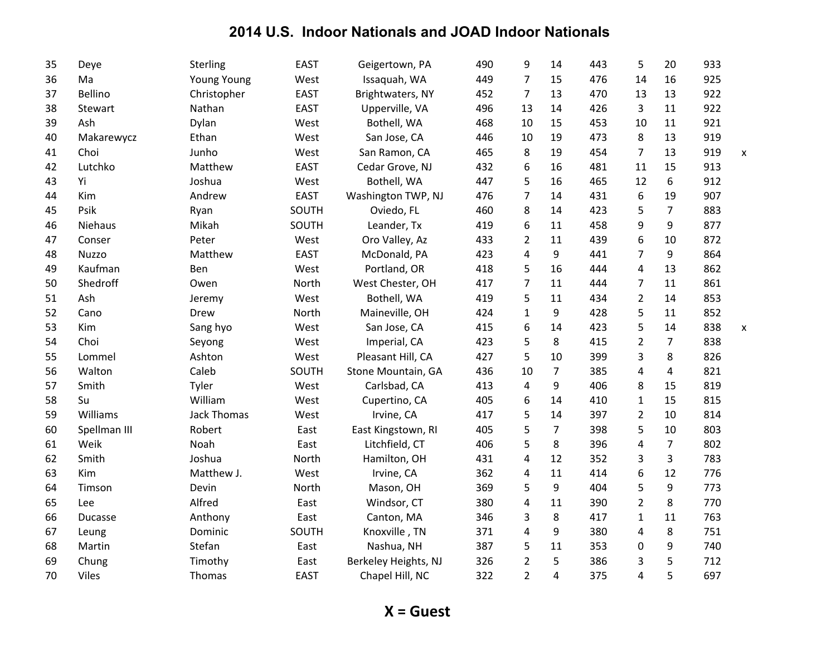| 35 | Deye           | Sterling           | <b>EAST</b> | Geigertown, PA       | 490 | 9              | 14             | 443 | 5              | 20             | 933 |                           |
|----|----------------|--------------------|-------------|----------------------|-----|----------------|----------------|-----|----------------|----------------|-----|---------------------------|
| 36 | Ma             | <b>Young Young</b> | West        | Issaquah, WA         | 449 | $\overline{7}$ | 15             | 476 | 14             | 16             | 925 |                           |
| 37 | Bellino        | Christopher        | EAST        | Brightwaters, NY     | 452 | 7              | 13             | 470 | 13             | 13             | 922 |                           |
| 38 | Stewart        | Nathan             | <b>EAST</b> | Upperville, VA       | 496 | 13             | 14             | 426 | 3              | 11             | 922 |                           |
| 39 | Ash            | Dylan              | West        | Bothell, WA          | 468 | 10             | 15             | 453 | 10             | 11             | 921 |                           |
| 40 | Makarewycz     | Ethan              | West        | San Jose, CA         | 446 | 10             | 19             | 473 | 8              | 13             | 919 |                           |
| 41 | Choi           | Junho              | West        | San Ramon, CA        | 465 | 8              | 19             | 454 | $\overline{7}$ | 13             | 919 | $\boldsymbol{\mathsf{x}}$ |
| 42 | Lutchko        | Matthew            | <b>EAST</b> | Cedar Grove, NJ      | 432 | 6              | 16             | 481 | 11             | 15             | 913 |                           |
| 43 | Yi             | Joshua             | West        | Bothell, WA          | 447 | 5              | 16             | 465 | 12             | 6              | 912 |                           |
| 44 | Kim            | Andrew             | EAST        | Washington TWP, NJ   | 476 | $\overline{7}$ | 14             | 431 | 6              | 19             | 907 |                           |
| 45 | Psik           | Ryan               | SOUTH       | Oviedo, FL           | 460 | 8              | 14             | 423 | 5              | 7              | 883 |                           |
| 46 | Niehaus        | Mikah              | SOUTH       | Leander, Tx          | 419 | 6              | 11             | 458 | 9              | 9              | 877 |                           |
| 47 | Conser         | Peter              | West        | Oro Valley, Az       | 433 | $\overline{2}$ | 11             | 439 | 6              | 10             | 872 |                           |
| 48 | Nuzzo          | Matthew            | <b>EAST</b> | McDonald, PA         | 423 | 4              | 9              | 441 | $\overline{7}$ | 9              | 864 |                           |
| 49 | Kaufman        | Ben                | West        | Portland, OR         | 418 | 5              | 16             | 444 | 4              | 13             | 862 |                           |
| 50 | Shedroff       | Owen               | North       | West Chester, OH     | 417 | 7              | 11             | 444 | 7              | 11             | 861 |                           |
| 51 | Ash            | Jeremy             | West        | Bothell, WA          | 419 | 5              | 11             | 434 | $\overline{2}$ | 14             | 853 |                           |
| 52 | Cano           | Drew               | North       | Maineville, OH       | 424 | $\mathbf{1}$   | 9              | 428 | 5              | 11             | 852 |                           |
| 53 | Kim            | Sang hyo           | West        | San Jose, CA         | 415 | 6              | 14             | 423 | 5              | 14             | 838 | X                         |
| 54 | Choi           | Seyong             | West        | Imperial, CA         | 423 | 5              | 8              | 415 | $\overline{2}$ | $\overline{7}$ | 838 |                           |
| 55 | Lommel         | Ashton             | West        | Pleasant Hill, CA    | 427 | 5              | 10             | 399 | 3              | 8              | 826 |                           |
| 56 | Walton         | Caleb              | SOUTH       | Stone Mountain, GA   | 436 | 10             | $\overline{7}$ | 385 | 4              | 4              | 821 |                           |
| 57 | Smith          | Tyler              | West        | Carlsbad, CA         | 413 | 4              | 9              | 406 | 8              | 15             | 819 |                           |
| 58 | Su             | William            | West        | Cupertino, CA        | 405 | 6              | 14             | 410 | 1              | 15             | 815 |                           |
| 59 | Williams       | <b>Jack Thomas</b> | West        | Irvine, CA           | 417 | 5              | 14             | 397 | $\overline{2}$ | 10             | 814 |                           |
| 60 | Spellman III   | Robert             | East        | East Kingstown, RI   | 405 | 5              | $\overline{7}$ | 398 | 5              | 10             | 803 |                           |
| 61 | Weik           | Noah               | East        | Litchfield, CT       | 406 | 5              | 8              | 396 | 4              | $\overline{7}$ | 802 |                           |
| 62 | Smith          | Joshua             | North       | Hamilton, OH         | 431 | 4              | 12             | 352 | 3              | 3              | 783 |                           |
| 63 | Kim            | Matthew J.         | West        | Irvine, CA           | 362 | 4              | 11             | 414 | 6              | 12             | 776 |                           |
| 64 | Timson         | Devin              | North       | Mason, OH            | 369 | 5              | 9              | 404 | 5              | 9              | 773 |                           |
| 65 | Lee            | Alfred             | East        | Windsor, CT          | 380 | 4              | 11             | 390 | $\overline{2}$ | 8              | 770 |                           |
| 66 | <b>Ducasse</b> | Anthony            | East        | Canton, MA           | 346 | 3              | 8              | 417 | $\mathbf{1}$   | 11             | 763 |                           |
| 67 | Leung          | Dominic            | SOUTH       | Knoxville, TN        | 371 | 4              | 9              | 380 | 4              | 8              | 751 |                           |
| 68 | Martin         | Stefan             | East        | Nashua, NH           | 387 | 5              | 11             | 353 | 0              | 9              | 740 |                           |
| 69 | Chung          | Timothy            | East        | Berkeley Heights, NJ | 326 | $\overline{2}$ | 5              | 386 | 3              | 5              | 712 |                           |
| 70 | Viles          | Thomas             | <b>EAST</b> | Chapel Hill, NC      | 322 | $\overline{2}$ | $\overline{4}$ | 375 | 4              | 5              | 697 |                           |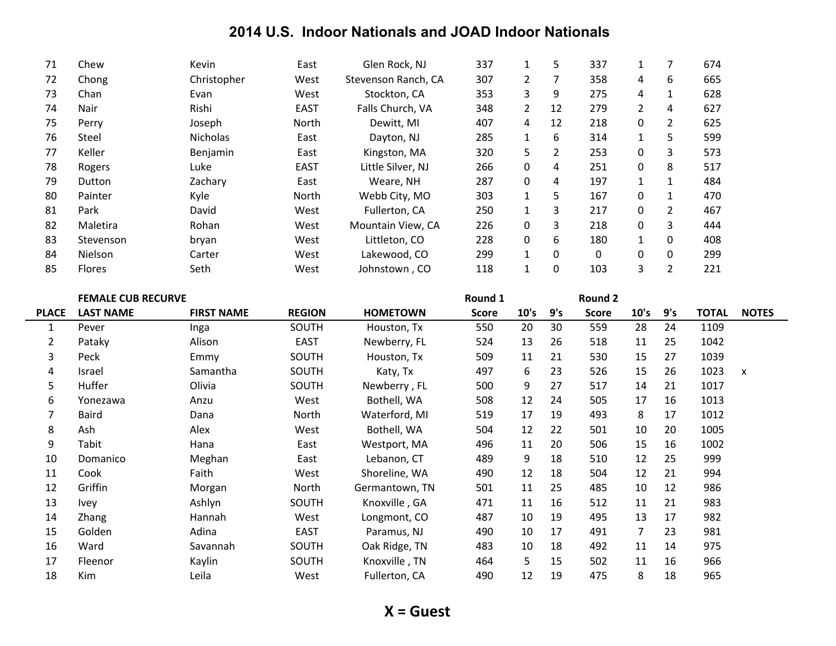| 71 | Chew          | Kevin           | East         | Glen Rock, NJ       | 337 |                | 5        | 337 |          |                | 674 |
|----|---------------|-----------------|--------------|---------------------|-----|----------------|----------|-----|----------|----------------|-----|
| 72 | Chong         | Christopher     | West         | Stevenson Ranch, CA | 307 | $\overline{2}$ | 7        | 358 | 4        | 6              | 665 |
| 73 | Chan          | Evan            | West         | Stockton, CA        | 353 | 3              | 9        | 275 | 4        | 1              | 628 |
| 74 | Nair          | Rishi           | <b>EAST</b>  | Falls Church, VA    | 348 | $\mathbf{2}$   | 12       | 279 | 2        | 4              | 627 |
| 75 | Perry         | Joseph          | North        | Dewitt, MI          | 407 | 4              | 12       | 218 | 0        | 2              | 625 |
| 76 | Steel         | <b>Nicholas</b> | East         | Dayton, NJ          | 285 | 1              | 6        | 314 |          | 5              | 599 |
| 77 | Keller        | Benjamin        | East         | Kingston, MA        | 320 | 5              | 2        | 253 | 0        | 3              | 573 |
| 78 | Rogers        | Luke            | <b>EAST</b>  | Little Silver, NJ   | 266 | 0              | 4        | 251 | 0        | 8              | 517 |
| 79 | Dutton        | Zachary         | East         | Weare, NH           | 287 | 0              | 4        | 197 |          | 1              | 484 |
| 80 | Painter       | Kyle            | <b>North</b> | Webb City, MO       | 303 | $\mathbf{1}$   | 5        | 167 | 0        | $\mathbf{1}$   | 470 |
| 81 | Park          | David           | West         | Fullerton, CA       | 250 | 1              | 3        | 217 | $\Omega$ | $\overline{2}$ | 467 |
| 82 | Maletira      | Rohan           | West         | Mountain View, CA   | 226 | 0              | 3        | 218 | 0        | 3              | 444 |
| 83 | Stevenson     | bryan           | West         | Littleton, CO       | 228 | 0              | 6        | 180 | 1        | 0              | 408 |
| 84 | Nielson       | Carter          | West         | Lakewood, CO        | 299 | 1              | 0        | 0   | 0        | 0              | 299 |
| 85 | <b>Flores</b> | Seth            | West         | Johnstown , CO      | 118 | 1              | $\Omega$ | 103 | 3        | $\overline{2}$ | 221 |

|                | <b>FEMALE CUB RECURVE</b> |                   |               |                 | Round 1      |      |     | <b>Round 2</b> |      |     |              |                           |
|----------------|---------------------------|-------------------|---------------|-----------------|--------------|------|-----|----------------|------|-----|--------------|---------------------------|
| <b>PLACE</b>   | <b>LAST NAME</b>          | <b>FIRST NAME</b> | <b>REGION</b> | <b>HOMETOWN</b> | <b>Score</b> | 10's | 9's | <b>Score</b>   | 10's | 9's | <b>TOTAL</b> | <b>NOTES</b>              |
| 1              | Pever                     | Inga              | SOUTH         | Houston, Tx     | 550          | 20   | 30  | 559            | 28   | 24  | 1109         |                           |
| $\overline{2}$ | Pataky                    | Alison            | <b>EAST</b>   | Newberry, FL    | 524          | 13   | 26  | 518            | 11   | 25  | 1042         |                           |
| 3              | Peck                      | Emmy              | SOUTH         | Houston, Tx     | 509          | 11   | 21  | 530            | 15   | 27  | 1039         |                           |
| 4              | Israel                    | Samantha          | SOUTH         | Katy, Tx        | 497          | 6    | 23  | 526            | 15   | 26  | 1023         | $\boldsymbol{\mathsf{x}}$ |
| 5              | Huffer                    | Olivia            | SOUTH         | Newberry, FL    | 500          | 9    | 27  | 517            | 14   | 21  | 1017         |                           |
| 6              | Yonezawa                  | Anzu              | West          | Bothell, WA     | 508          | 12   | 24  | 505            | 17   | 16  | 1013         |                           |
| 7              | <b>Baird</b>              | Dana              | North         | Waterford, MI   | 519          | 17   | 19  | 493            | 8    | 17  | 1012         |                           |
| 8              | Ash                       | Alex              | West          | Bothell, WA     | 504          | 12   | 22  | 501            | 10   | 20  | 1005         |                           |
| 9              | Tabit                     | Hana              | East          | Westport, MA    | 496          | 11   | 20  | 506            | 15   | 16  | 1002         |                           |
| 10             | Domanico                  | Meghan            | East          | Lebanon, CT     | 489          | 9    | 18  | 510            | 12   | 25  | 999          |                           |
| 11             | Cook                      | Faith             | West          | Shoreline, WA   | 490          | 12   | 18  | 504            | 12   | 21  | 994          |                           |
| 12             | Griffin                   | Morgan            | North         | Germantown, TN  | 501          | 11   | 25  | 485            | 10   | 12  | 986          |                           |
| 13             | <b>Ivey</b>               | Ashlyn            | SOUTH         | Knoxville, GA   | 471          | 11   | 16  | 512            | 11   | 21  | 983          |                           |
| 14             | Zhang                     | Hannah            | West          | Longmont, CO    | 487          | 10   | 19  | 495            | 13   | 17  | 982          |                           |
| 15             | Golden                    | Adina             | <b>EAST</b>   | Paramus, NJ     | 490          | 10   | 17  | 491            | 7    | 23  | 981          |                           |
| 16             | Ward                      | Savannah          | SOUTH         | Oak Ridge, TN   | 483          | 10   | 18  | 492            | 11   | 14  | 975          |                           |
| 17             | Fleenor                   | Kaylin            | SOUTH         | Knoxville, TN   | 464          | 5    | 15  | 502            | 11   | 16  | 966          |                           |
| 18             | Kim                       | Leila             | West          | Fullerton, CA   | 490          | 12   | 19  | 475            | 8    | 18  | 965          |                           |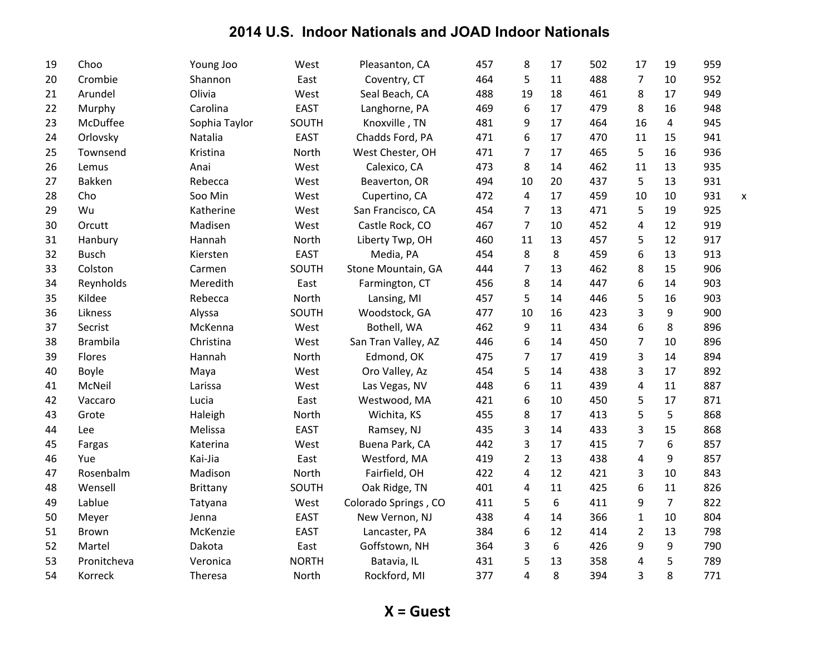| 19 | Choo            | Young Joo       | West         | Pleasanton, CA       | 457 | 8              | 17 | 502 | 17             | 19             | 959 |   |
|----|-----------------|-----------------|--------------|----------------------|-----|----------------|----|-----|----------------|----------------|-----|---|
| 20 | Crombie         | Shannon         | East         | Coventry, CT         | 464 | 5              | 11 | 488 | $\overline{7}$ | 10             | 952 |   |
| 21 | Arundel         | Olivia          | West         | Seal Beach, CA       | 488 | 19             | 18 | 461 | 8              | 17             | 949 |   |
| 22 | Murphy          | Carolina        | <b>EAST</b>  | Langhorne, PA        | 469 | 6              | 17 | 479 | 8              | 16             | 948 |   |
| 23 | McDuffee        | Sophia Taylor   | SOUTH        | Knoxville, TN        | 481 | 9              | 17 | 464 | 16             | 4              | 945 |   |
| 24 | Orlovsky        | Natalia         | <b>EAST</b>  | Chadds Ford, PA      | 471 | 6              | 17 | 470 | 11             | 15             | 941 |   |
| 25 | Townsend        | Kristina        | North        | West Chester, OH     | 471 | $\overline{7}$ | 17 | 465 | 5              | 16             | 936 |   |
| 26 | Lemus           | Anai            | West         | Calexico, CA         | 473 | 8              | 14 | 462 | 11             | 13             | 935 |   |
| 27 | Bakken          | Rebecca         | West         | Beaverton, OR        | 494 | 10             | 20 | 437 | 5              | 13             | 931 |   |
| 28 | Cho             | Soo Min         | West         | Cupertino, CA        | 472 | 4              | 17 | 459 | 10             | 10             | 931 | X |
| 29 | Wu              | Katherine       | West         | San Francisco, CA    | 454 | $\overline{7}$ | 13 | 471 | 5              | 19             | 925 |   |
| 30 | Orcutt          | Madisen         | West         | Castle Rock, CO      | 467 | $\overline{7}$ | 10 | 452 | 4              | 12             | 919 |   |
| 31 | Hanbury         | Hannah          | North        | Liberty Twp, OH      | 460 | 11             | 13 | 457 | 5              | 12             | 917 |   |
| 32 | <b>Busch</b>    | Kiersten        | <b>EAST</b>  | Media, PA            | 454 | 8              | 8  | 459 | 6              | 13             | 913 |   |
| 33 | Colston         | Carmen          | SOUTH        | Stone Mountain, GA   | 444 | 7              | 13 | 462 | 8              | 15             | 906 |   |
| 34 | Reynholds       | Meredith        | East         | Farmington, CT       | 456 | 8              | 14 | 447 | 6              | 14             | 903 |   |
| 35 | Kildee          | Rebecca         | North        | Lansing, MI          | 457 | 5              | 14 | 446 | 5              | 16             | 903 |   |
| 36 | Likness         | Alyssa          | SOUTH        | Woodstock, GA        | 477 | 10             | 16 | 423 | 3              | 9              | 900 |   |
| 37 | Secrist         | McKenna         | West         | Bothell, WA          | 462 | 9              | 11 | 434 | 6              | 8              | 896 |   |
| 38 | <b>Brambila</b> | Christina       | West         | San Tran Valley, AZ  | 446 | 6              | 14 | 450 | 7              | 10             | 896 |   |
| 39 | Flores          | Hannah          | North        | Edmond, OK           | 475 | $\overline{7}$ | 17 | 419 | 3              | 14             | 894 |   |
| 40 | Boyle           | Maya            | West         | Oro Valley, Az       | 454 | 5              | 14 | 438 | 3              | 17             | 892 |   |
| 41 | McNeil          | Larissa         | West         | Las Vegas, NV        | 448 | 6              | 11 | 439 | 4              | 11             | 887 |   |
| 42 | Vaccaro         | Lucia           | East         | Westwood, MA         | 421 | 6              | 10 | 450 | 5              | 17             | 871 |   |
| 43 | Grote           | Haleigh         | North        | Wichita, KS          | 455 | 8              | 17 | 413 | 5              | 5              | 868 |   |
| 44 | Lee             | Melissa         | <b>EAST</b>  | Ramsey, NJ           | 435 | 3              | 14 | 433 | 3              | 15             | 868 |   |
| 45 | Fargas          | Katerina        | West         | Buena Park, CA       | 442 | 3              | 17 | 415 | $\overline{7}$ | 6              | 857 |   |
| 46 | Yue             | Kai-Jia         | East         | Westford, MA         | 419 | $\overline{2}$ | 13 | 438 | 4              | 9              | 857 |   |
| 47 | Rosenbalm       | Madison         | North        | Fairfield, OH        | 422 | 4              | 12 | 421 | 3              | 10             | 843 |   |
| 48 | Wensell         | <b>Brittany</b> | SOUTH        | Oak Ridge, TN        | 401 | 4              | 11 | 425 | 6              | 11             | 826 |   |
| 49 | Lablue          | Tatyana         | West         | Colorado Springs, CO | 411 | 5              | 6  | 411 | 9              | $\overline{7}$ | 822 |   |
| 50 | Meyer           | Jenna           | <b>EAST</b>  | New Vernon, NJ       | 438 | 4              | 14 | 366 | $\mathbf{1}$   | 10             | 804 |   |
| 51 | <b>Brown</b>    | McKenzie        | <b>EAST</b>  | Lancaster, PA        | 384 | 6              | 12 | 414 | $\overline{2}$ | 13             | 798 |   |
| 52 | Martel          | Dakota          | East         | Goffstown, NH        | 364 | 3              | 6  | 426 | 9              | 9              | 790 |   |
| 53 | Pronitcheva     | Veronica        | <b>NORTH</b> | Batavia, IL          | 431 | 5              | 13 | 358 | 4              | 5              | 789 |   |
| 54 | Korreck         | Theresa         | North        | Rockford, MI         | 377 | 4              | 8  | 394 | 3              | 8              | 771 |   |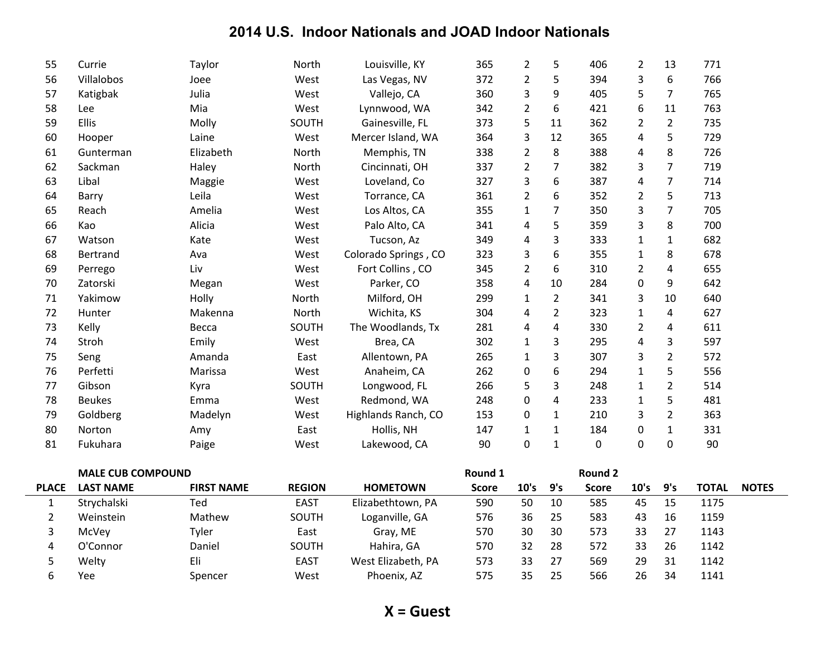| 55             | Currie                   | Taylor            | North         | Louisville, KY       | 365          | $\overline{2}$ | 5              | 406            | $\overline{2}$ | 13             | 771          |              |
|----------------|--------------------------|-------------------|---------------|----------------------|--------------|----------------|----------------|----------------|----------------|----------------|--------------|--------------|
| 56             | Villalobos               | Joee              | West          | Las Vegas, NV        | 372          | $\overline{2}$ | 5              | 394            | 3              | 6              | 766          |              |
| 57             | Katigbak                 | Julia             | West          | Vallejo, CA          | 360          | 3              | 9              | 405            | 5              | $\overline{7}$ | 765          |              |
| 58             | Lee                      | Mia               | West          | Lynnwood, WA         | 342          | $\overline{2}$ | 6              | 421            | 6              | 11             | 763          |              |
| 59             | Ellis                    | Molly             | SOUTH         | Gainesville, FL      | 373          | 5              | 11             | 362            | 2              | $\overline{2}$ | 735          |              |
| 60             | Hooper                   | Laine             | West          | Mercer Island, WA    | 364          | 3              | 12             | 365            | 4              | 5              | 729          |              |
| 61             | Gunterman                | Elizabeth         | North         | Memphis, TN          | 338          | $\overline{2}$ | 8              | 388            | 4              | 8              | 726          |              |
| 62             | Sackman                  | Haley             | North         | Cincinnati, OH       | 337          | $\overline{2}$ | 7              | 382            | 3              | $\overline{7}$ | 719          |              |
| 63             | Libal                    | Maggie            | West          | Loveland, Co         | 327          | 3              | 6              | 387            | 4              | $\overline{7}$ | 714          |              |
| 64             | Barry                    | Leila             | West          | Torrance, CA         | 361          | $\overline{2}$ | 6              | 352            | 2              | 5              | 713          |              |
| 65             | Reach                    | Amelia            | West          | Los Altos, CA        | 355          | $\mathbf{1}$   | 7              | 350            | 3              | $\overline{7}$ | 705          |              |
| 66             | Kao                      | Alicia            | West          | Palo Alto, CA        | 341          | 4              | 5              | 359            | 3              | 8              | 700          |              |
| 67             | Watson                   | Kate              | West          | Tucson, Az           | 349          | $\overline{4}$ | 3              | 333            | $\mathbf{1}$   | $\mathbf{1}$   | 682          |              |
| 68             | Bertrand                 | Ava               | West          | Colorado Springs, CO | 323          | $\mathsf 3$    | 6              | 355            | $\mathbf{1}$   | 8              | 678          |              |
| 69             | Perrego                  | Liv               | West          | Fort Collins, CO     | 345          | $\overline{2}$ | 6              | 310            | $\overline{2}$ | 4              | 655          |              |
| 70             | Zatorski                 | Megan             | West          | Parker, CO           | 358          | $\overline{4}$ | 10             | 284            | 0              | 9              | 642          |              |
| 71             | Yakimow                  | Holly             | North         | Milford, OH          | 299          | $\mathbf{1}$   | $2^{\circ}$    | 341            | 3              | 10             | 640          |              |
| 72             | Hunter                   | Makenna           | North         | Wichita, KS          | 304          | 4              | $\overline{2}$ | 323            | $\mathbf{1}$   | 4              | 627          |              |
| 73             | Kelly                    | Becca             | SOUTH         | The Woodlands, Tx    | 281          | $\overline{4}$ | 4              | 330            | $\overline{2}$ | $\pmb{4}$      | 611          |              |
| 74             | Stroh                    | Emily             | West          | Brea, CA             | 302          | $\mathbf{1}$   | 3              | 295            | 4              | 3              | 597          |              |
| 75             | Seng                     | Amanda            | East          | Allentown, PA        | 265          | $\mathbf{1}$   | 3              | 307            | 3              | $\overline{2}$ | 572          |              |
| 76             | Perfetti                 | Marissa           | West          | Anaheim, CA          | 262          | 0              | 6              | 294            | 1              | 5              | 556          |              |
| 77             | Gibson                   | Kyra              | SOUTH         | Longwood, FL         | 266          | 5              | 3              | 248            | $\mathbf{1}$   | $\overline{2}$ | 514          |              |
| 78             | <b>Beukes</b>            | Emma              | West          | Redmond, WA          | 248          | $\pmb{0}$      | 4              | 233            | 1              | 5              | 481          |              |
| 79             | Goldberg                 | Madelyn           | West          | Highlands Ranch, CO  | 153          | 0              | $\mathbf{1}$   | 210            | 3              | $\overline{2}$ | 363          |              |
| 80             | Norton                   | Amy               | East          | Hollis, NH           | 147          | $\mathbf{1}$   | $\mathbf{1}$   | 184            | 0              | $\mathbf{1}$   | 331          |              |
| 81             | Fukuhara                 | Paige             | West          | Lakewood, CA         | 90           | $\mathbf 0$    | $\mathbf{1}$   | $\Omega$       | $\Omega$       | $\Omega$       | 90           |              |
|                | <b>MALE CUB COMPOUND</b> |                   |               |                      | Round 1      |                |                | <b>Round 2</b> |                |                |              |              |
| <b>PLACE</b>   | <b>LAST NAME</b>         | <b>FIRST NAME</b> | <b>REGION</b> | <b>HOMETOWN</b>      | <b>Score</b> | 10's           | 9's            | <b>Score</b>   | 10's           | 9's            | <b>TOTAL</b> | <b>NOTES</b> |
| $\mathbf{1}$   | Strychalski              | Ted               | <b>EAST</b>   | Elizabethtown, PA    | 590          | 50             | 10             | 585            | 45             | 15             | 1175         |              |
| $\overline{2}$ | Weinstein                | Mathew            | SOUTH         | Loganville, GA       | 576          | 36             | 25             | 583            | 43             | 16             | 1159         |              |
| 3              | McVey                    | Tyler             | East          | Gray, ME             | 570          | 30             | 30             | 573            | 33             | 27             | 1143         |              |
| 4              | O'Connor                 | Daniel            | SOUTH         | Hahira, GA           | 570          | 32             | 28             | 572            | 33             | 26             | 1142         |              |

5 Welty 6 Eli Enst EAST West Elizabeth, PA 573 33 27 569 29 31 1142 6 Yee 6 Spencer 6 West Phoenix, AZ 575 35 25 566 26 34 1141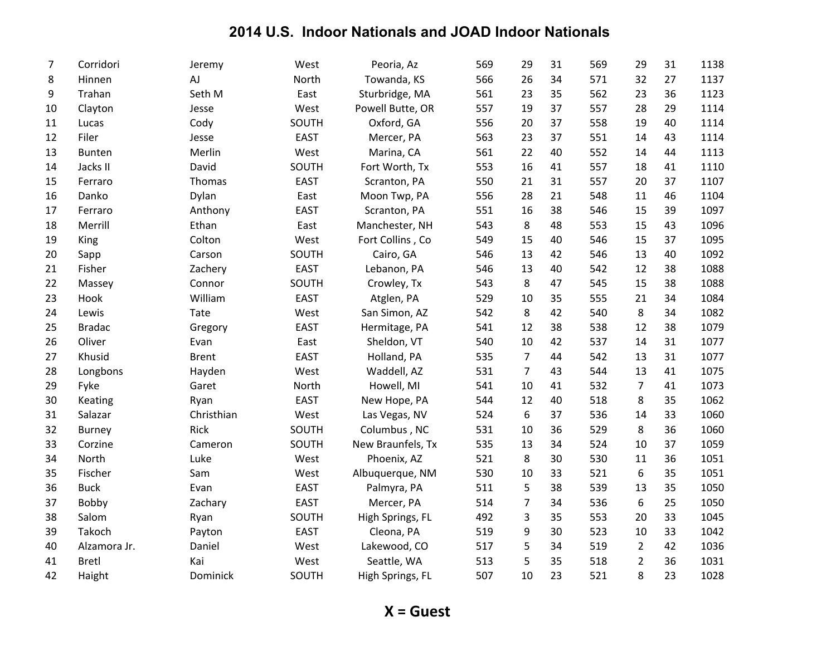| $\overline{7}$ | Corridori     | Jeremy       | West        | Peoria, Az        | 569 | 29             | 31 | 569 | 29             | 31 | 1138 |
|----------------|---------------|--------------|-------------|-------------------|-----|----------------|----|-----|----------------|----|------|
| 8              | Hinnen        | AJ           | North       | Towanda, KS       | 566 | 26             | 34 | 571 | 32             | 27 | 1137 |
| 9              | Trahan        | Seth M       | East        | Sturbridge, MA    | 561 | 23             | 35 | 562 | 23             | 36 | 1123 |
| 10             | Clayton       | Jesse        | West        | Powell Butte, OR  | 557 | 19             | 37 | 557 | 28             | 29 | 1114 |
| 11             | Lucas         | Cody         | SOUTH       | Oxford, GA        | 556 | 20             | 37 | 558 | 19             | 40 | 1114 |
| 12             | Filer         | Jesse        | <b>EAST</b> | Mercer, PA        | 563 | 23             | 37 | 551 | 14             | 43 | 1114 |
| 13             | Bunten        | Merlin       | West        | Marina, CA        | 561 | 22             | 40 | 552 | 14             | 44 | 1113 |
| 14             | Jacks II      | David        | SOUTH       | Fort Worth, Tx    | 553 | 16             | 41 | 557 | 18             | 41 | 1110 |
| 15             | Ferraro       | Thomas       | <b>EAST</b> | Scranton, PA      | 550 | 21             | 31 | 557 | 20             | 37 | 1107 |
| 16             | Danko         | Dylan        | East        | Moon Twp, PA      | 556 | 28             | 21 | 548 | 11             | 46 | 1104 |
| 17             | Ferraro       | Anthony      | <b>EAST</b> | Scranton, PA      | 551 | 16             | 38 | 546 | 15             | 39 | 1097 |
| 18             | Merrill       | Ethan        | East        | Manchester, NH    | 543 | 8              | 48 | 553 | 15             | 43 | 1096 |
| 19             | King          | Colton       | West        | Fort Collins, Co  | 549 | 15             | 40 | 546 | 15             | 37 | 1095 |
| 20             | Sapp          | Carson       | SOUTH       | Cairo, GA         | 546 | 13             | 42 | 546 | 13             | 40 | 1092 |
| 21             | Fisher        | Zachery      | <b>EAST</b> | Lebanon, PA       | 546 | 13             | 40 | 542 | 12             | 38 | 1088 |
| 22             | Massey        | Connor       | SOUTH       | Crowley, Tx       | 543 | 8              | 47 | 545 | 15             | 38 | 1088 |
| 23             | Hook          | William      | <b>EAST</b> | Atglen, PA        | 529 | 10             | 35 | 555 | 21             | 34 | 1084 |
| 24             | Lewis         | Tate         | West        | San Simon, AZ     | 542 | 8              | 42 | 540 | 8              | 34 | 1082 |
| 25             | <b>Bradac</b> | Gregory      | <b>EAST</b> | Hermitage, PA     | 541 | 12             | 38 | 538 | 12             | 38 | 1079 |
| 26             | Oliver        | Evan         | East        | Sheldon, VT       | 540 | 10             | 42 | 537 | 14             | 31 | 1077 |
| 27             | Khusid        | <b>Brent</b> | <b>EAST</b> | Holland, PA       | 535 | $\overline{7}$ | 44 | 542 | 13             | 31 | 1077 |
| 28             | Longbons      | Hayden       | West        | Waddell, AZ       | 531 | $\overline{7}$ | 43 | 544 | 13             | 41 | 1075 |
| 29             | Fyke          | Garet        | North       | Howell, MI        | 541 | 10             | 41 | 532 | $\overline{7}$ | 41 | 1073 |
| 30             | Keating       | Ryan         | <b>EAST</b> | New Hope, PA      | 544 | 12             | 40 | 518 | 8              | 35 | 1062 |
| 31             | Salazar       | Christhian   | West        | Las Vegas, NV     | 524 | 6              | 37 | 536 | 14             | 33 | 1060 |
| 32             | <b>Burney</b> | Rick         | SOUTH       | Columbus, NC      | 531 | 10             | 36 | 529 | 8              | 36 | 1060 |
| 33             | Corzine       | Cameron      | SOUTH       | New Braunfels, Tx | 535 | 13             | 34 | 524 | 10             | 37 | 1059 |
| 34             | North         | Luke         | West        | Phoenix, AZ       | 521 | 8              | 30 | 530 | 11             | 36 | 1051 |
| 35             | Fischer       | Sam          | West        | Albuquerque, NM   | 530 | 10             | 33 | 521 | 6              | 35 | 1051 |
| 36             | <b>Buck</b>   | Evan         | <b>EAST</b> | Palmyra, PA       | 511 | 5              | 38 | 539 | 13             | 35 | 1050 |
| 37             | Bobby         | Zachary      | <b>EAST</b> | Mercer, PA        | 514 | 7              | 34 | 536 | 6              | 25 | 1050 |
| 38             | Salom         | Ryan         | SOUTH       | High Springs, FL  | 492 | 3              | 35 | 553 | 20             | 33 | 1045 |
| 39             | Takoch        | Payton       | <b>EAST</b> | Cleona, PA        | 519 | 9              | 30 | 523 | 10             | 33 | 1042 |
| 40             | Alzamora Jr.  | Daniel       | West        | Lakewood, CO      | 517 | 5              | 34 | 519 | $\overline{2}$ | 42 | 1036 |
| 41             | <b>Bretl</b>  | Kai          | West        | Seattle, WA       | 513 | 5              | 35 | 518 | $\overline{2}$ | 36 | 1031 |
| 42             | Haight        | Dominick     | SOUTH       | High Springs, FL  | 507 | 10             | 23 | 521 | 8              | 23 | 1028 |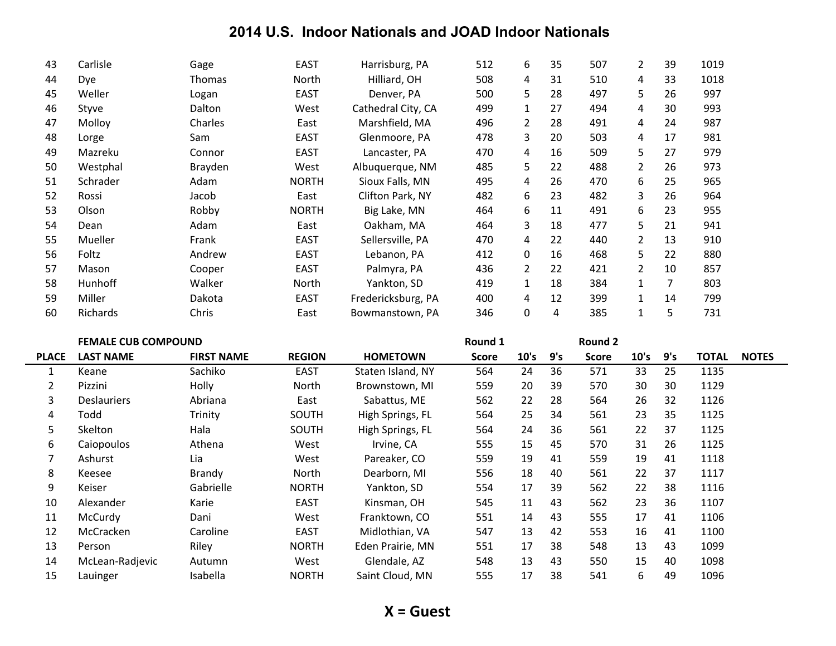| 43 | Carlisle       | Gage          | <b>EAST</b>  | Harrisburg, PA     | 512 | 6              | 35 | 507 | 2              | 39 | 1019 |
|----|----------------|---------------|--------------|--------------------|-----|----------------|----|-----|----------------|----|------|
| 44 | Dye            | <b>Thomas</b> | North        | Hilliard, OH       | 508 | 4              | 31 | 510 | 4              | 33 | 1018 |
| 45 | Weller         | Logan         | <b>EAST</b>  | Denver, PA         | 500 | 5              | 28 | 497 | 5              | 26 | 997  |
| 46 | Styve          | Dalton        | West         | Cathedral City, CA | 499 | $\mathbf 1$    | 27 | 494 | 4              | 30 | 993  |
| 47 | Molloy         | Charles       | East         | Marshfield, MA     | 496 | 2              | 28 | 491 | 4              | 24 | 987  |
| 48 | Lorge          | Sam           | <b>EAST</b>  | Glenmoore, PA      | 478 | 3              | 20 | 503 | 4              | 17 | 981  |
| 49 | Mazreku        | Connor        | <b>EAST</b>  | Lancaster, PA      | 470 | 4              | 16 | 509 | 5              | 27 | 979  |
| 50 | Westphal       | Brayden       | West         | Albuquerque, NM    | 485 | 5              | 22 | 488 | 2              | 26 | 973  |
| 51 | Schrader       | Adam          | <b>NORTH</b> | Sioux Falls, MN    | 495 | 4              | 26 | 470 | 6              | 25 | 965  |
| 52 | Rossi          | Jacob         | East         | Clifton Park, NY   | 482 | 6              | 23 | 482 | 3              | 26 | 964  |
| 53 | Olson          | Robby         | <b>NORTH</b> | Big Lake, MN       | 464 | 6              | 11 | 491 | 6              | 23 | 955  |
| 54 | Dean           | Adam          | East         | Oakham, MA         | 464 | 3              | 18 | 477 | 5              | 21 | 941  |
| 55 | Mueller        | Frank         | <b>EAST</b>  | Sellersville, PA   | 470 | 4              | 22 | 440 | $\overline{2}$ | 13 | 910  |
| 56 | Foltz          | Andrew        | <b>EAST</b>  | Lebanon, PA        | 412 | 0              | 16 | 468 | 5              | 22 | 880  |
| 57 | Mason          | Cooper        | <b>EAST</b>  | Palmyra, PA        | 436 | $\overline{2}$ | 22 | 421 | $\overline{2}$ | 10 | 857  |
| 58 | <b>Hunhoff</b> | Walker        | North        | Yankton, SD        | 419 | $\mathbf{1}$   | 18 | 384 |                | 7  | 803  |
| 59 | Miller         | Dakota        | <b>EAST</b>  | Fredericksburg, PA | 400 | 4              | 12 | 399 |                | 14 | 799  |
| 60 | Richards       | Chris         | East         | Bowmanstown, PA    | 346 | 0              | 4  | 385 |                | 5  | 731  |

|  |  |  | <b>FEMALE CUB COMPOUND</b> |  |
|--|--|--|----------------------------|--|
|--|--|--|----------------------------|--|

 $\overline{\phantom{0}}$ 

|              | <b>FEMALE CUB COMPOUND</b> |                   |               |                   | Round 1      |      |     | Round 2      |      |     |              |              |
|--------------|----------------------------|-------------------|---------------|-------------------|--------------|------|-----|--------------|------|-----|--------------|--------------|
| <b>PLACE</b> | <b>LAST NAME</b>           | <b>FIRST NAME</b> | <b>REGION</b> | <b>HOMETOWN</b>   | <b>Score</b> | 10's | 9's | <b>Score</b> | 10's | 9's | <b>TOTAL</b> | <b>NOTES</b> |
|              | Keane                      | Sachiko           | <b>EAST</b>   | Staten Island, NY | 564          | 24   | 36  | 571          | 33   | 25  | 1135         |              |
| 2            | Pizzini                    | Holly             | North         | Brownstown, MI    | 559          | 20   | 39  | 570          | 30   | 30  | 1129         |              |
| 3            | <b>Deslauriers</b>         | Abriana           | East          | Sabattus, ME      | 562          | 22   | 28  | 564          | 26   | 32  | 1126         |              |
| 4            | Todd                       | Trinity           | SOUTH         | High Springs, FL  | 564          | 25   | 34  | 561          | 23   | 35  | 1125         |              |
| 5            | <b>Skelton</b>             | Hala              | SOUTH         | High Springs, FL  | 564          | 24   | 36  | 561          | 22   | 37  | 1125         |              |
| 6            | Caiopoulos                 | Athena            | West          | Irvine, CA        | 555          | 15   | 45  | 570          | 31   | 26  | 1125         |              |
|              | Ashurst                    | Lia               | West          | Pareaker, CO      | 559          | 19   | 41  | 559          | 19   | 41  | 1118         |              |
| 8            | Keesee                     | Brandy            | North         | Dearborn, MI      | 556          | 18   | 40  | 561          | 22   | 37  | 1117         |              |
| 9            | Keiser                     | Gabrielle         | <b>NORTH</b>  | Yankton, SD       | 554          | 17   | 39  | 562          | 22   | 38  | 1116         |              |
| 10           | Alexander                  | Karie             | <b>EAST</b>   | Kinsman, OH       | 545          | 11   | 43  | 562          | 23   | 36  | 1107         |              |
| 11           | McCurdy                    | Dani              | West          | Franktown, CO     | 551          | 14   | 43  | 555          | 17   | 41  | 1106         |              |
| 12           | McCracken                  | Caroline          | <b>EAST</b>   | Midlothian, VA    | 547          | 13   | 42  | 553          | 16   | 41  | 1100         |              |
| 13           | Person                     | Riley             | <b>NORTH</b>  | Eden Prairie. MN  | 551          | 17   | 38  | 548          | 13   | 43  | 1099         |              |
| 14           | McLean-Radjevic            | Autumn            | West          | Glendale, AZ      | 548          | 13   | 43  | 550          | 15   | 40  | 1098         |              |
| 15           | Lauinger                   | Isabella          | <b>NORTH</b>  | Saint Cloud, MN   | 555          | 17   | 38  | 541          | 6    | 49  | 1096         |              |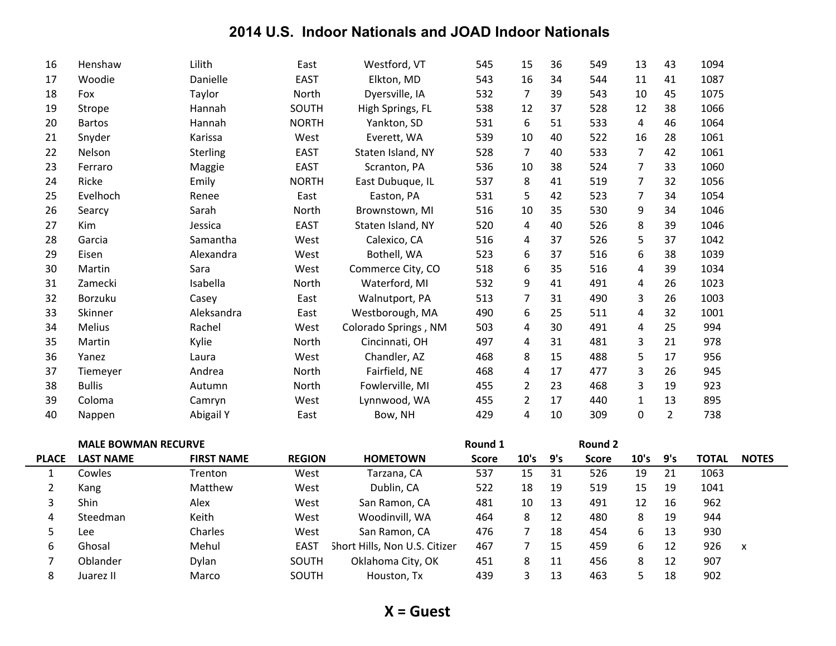| 16             | Henshaw                    | Lilith            | East          | Westford, VT                  | 545          | 15             | 36  | 549          | 13             | 43             | 1094         |              |
|----------------|----------------------------|-------------------|---------------|-------------------------------|--------------|----------------|-----|--------------|----------------|----------------|--------------|--------------|
| 17             | Woodie                     | Danielle          | <b>EAST</b>   | Elkton, MD                    | 543          | 16             | 34  | 544          | 11             | 41             | 1087         |              |
| 18             | Fox                        | Taylor            | North         | Dyersville, IA                | 532          | $\overline{7}$ | 39  | 543          | 10             | 45             | 1075         |              |
| 19             | Strope                     | Hannah            | SOUTH         | High Springs, FL              | 538          | 12             | 37  | 528          | 12             | 38             | 1066         |              |
| 20             | <b>Bartos</b>              | Hannah            | <b>NORTH</b>  | Yankton, SD                   | 531          | 6              | 51  | 533          | $\overline{4}$ | 46             | 1064         |              |
| 21             | Snyder                     | Karissa           | West          | Everett, WA                   | 539          | 10             | 40  | 522          | 16             | 28             | 1061         |              |
| 22             | Nelson                     | Sterling          | <b>EAST</b>   | Staten Island, NY             | 528          | $\overline{7}$ | 40  | 533          | $\overline{7}$ | 42             | 1061         |              |
| 23             | Ferraro                    | Maggie            | <b>EAST</b>   | Scranton, PA                  | 536          | 10             | 38  | 524          | 7              | 33             | 1060         |              |
| 24             | Ricke                      | Emily             | <b>NORTH</b>  | East Dubuque, IL              | 537          | 8              | 41  | 519          | 7              | 32             | 1056         |              |
| 25             | Evelhoch                   | Renee             | East          | Easton, PA                    | 531          | 5              | 42  | 523          | $\overline{7}$ | 34             | 1054         |              |
| 26             | Searcy                     | Sarah             | North         | Brownstown, MI                | 516          | 10             | 35  | 530          | 9              | 34             | 1046         |              |
| 27             | Kim                        | Jessica           | <b>EAST</b>   | Staten Island, NY             | 520          | $\pmb{4}$      | 40  | 526          | 8              | 39             | 1046         |              |
| 28             | Garcia                     | Samantha          | West          | Calexico, CA                  | 516          | $\overline{4}$ | 37  | 526          | 5              | 37             | 1042         |              |
| 29             | Eisen                      | Alexandra         | West          | Bothell, WA                   | 523          | 6              | 37  | 516          | 6              | 38             | 1039         |              |
| 30             | Martin                     | Sara              | West          | Commerce City, CO             | 518          | 6              | 35  | 516          | 4              | 39             | 1034         |              |
| 31             | Zamecki                    | Isabella          | North         | Waterford, MI                 | 532          | 9              | 41  | 491          | 4              | 26             | 1023         |              |
| 32             | Borzuku                    | Casey             | East          | Walnutport, PA                | 513          | $\overline{7}$ | 31  | 490          | 3              | 26             | 1003         |              |
| 33             | Skinner                    | Aleksandra        | East          | Westborough, MA               | 490          | 6              | 25  | 511          | 4              | 32             | 1001         |              |
| 34             | <b>Melius</b>              | Rachel            | West          | Colorado Springs, NM          | 503          | 4              | 30  | 491          | 4              | 25             | 994          |              |
| 35             | Martin                     | Kylie             | North         | Cincinnati, OH                | 497          | 4              | 31  | 481          | 3              | 21             | 978          |              |
| 36             | Yanez                      | Laura             | West          | Chandler, AZ                  | 468          | 8              | 15  | 488          | 5              | 17             | 956          |              |
| 37             | Tiemeyer                   | Andrea            | North         | Fairfield, NE                 | 468          | $\overline{4}$ | 17  | 477          | 3              | 26             | 945          |              |
| 38             | <b>Bullis</b>              | Autumn            | North         | Fowlerville, MI               | 455          | $\overline{2}$ | 23  | 468          | 3              | 19             | 923          |              |
| 39             | Coloma                     | Camryn            | West          | Lynnwood, WA                  | 455          | $\overline{2}$ | 17  | 440          | $\mathbf{1}$   | 13             | 895          |              |
| 40             | Nappen                     | <b>Abigail Y</b>  | East          | Bow, NH                       | 429          | $\overline{4}$ | 10  | 309          | 0              | $\overline{2}$ | 738          |              |
|                |                            |                   |               |                               |              |                |     |              |                |                |              |              |
|                | <b>MALE BOWMAN RECURVE</b> |                   |               |                               | Round 1      |                |     | Round 2      |                |                |              |              |
| <b>PLACE</b>   | <b>LAST NAME</b>           | <b>FIRST NAME</b> | <b>REGION</b> | <b>HOMETOWN</b>               | <b>Score</b> | 10's           | 9's | <b>Score</b> | 10's           | 9's            | <b>TOTAL</b> | <b>NOTES</b> |
| $\mathbf{1}$   | Cowles                     | Trenton           | West          | Tarzana, CA                   | 537          | 15             | 31  | 526          | 19             | 21             | 1063         |              |
| $\overline{2}$ | Kang                       | Matthew           | West          | Dublin, CA                    | 522          | 18             | 19  | 519          | 15             | 19             | 1041         |              |
| 3              | Shin                       | Alex              | West          | San Ramon, CA                 | 481          | 10             | 13  | 491          | 12             | 16             | 962          |              |
| 4              | Steedman                   | Keith             | West          | Woodinvill, WA                | 464          | 8              | 12  | 480          | 8              | 19             | 944          |              |
| 5              | Lee                        | Charles           | West          | San Ramon, CA                 | 476          | 7              | 18  | 454          | 6              | 13             | 930          |              |
| 6              | Ghosal                     | Mehul             | <b>EAST</b>   | Short Hills, Non U.S. Citizer | 467          | 7              | 15  | 459          | 6              | 12             | 926          | X            |
| $\overline{7}$ | Oblander                   | Dylan             | SOUTH         | Oklahoma City, OK             | 451          | 8              | 11  | 456          | 8              | 12             | 907          |              |
| 8              | Juarez II                  | Marco             | SOUTH         | Houston, Tx                   | 439          | 3              | 13  | 463          | 5              | 18             | 902          |              |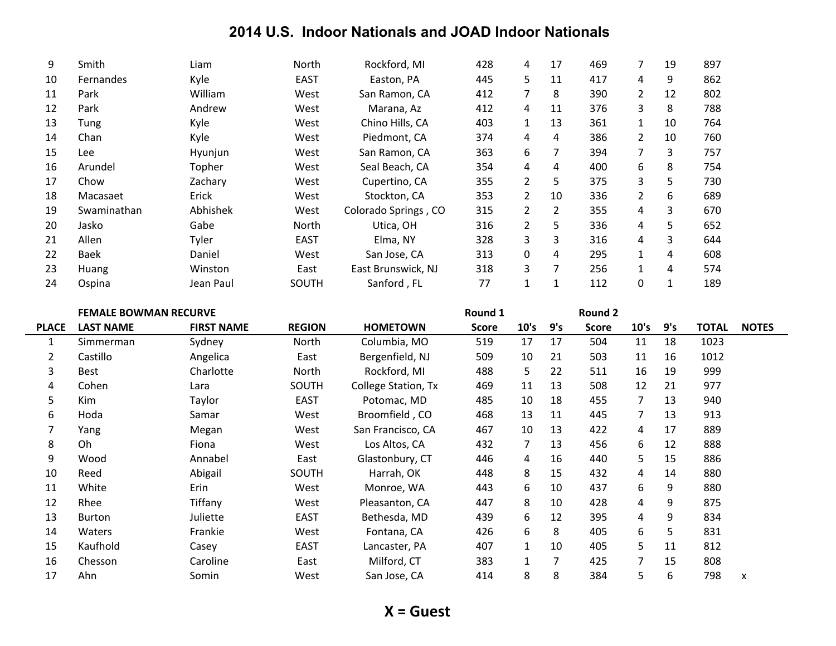| 9  | Smith       | Liam      | North       | Rockford, MI         | 428 | 4              | 17 | 469 |   | 19 | 897 |
|----|-------------|-----------|-------------|----------------------|-----|----------------|----|-----|---|----|-----|
| 10 | Fernandes   | Kyle      | <b>EAST</b> | Easton, PA           | 445 | 5.             | 11 | 417 | 4 | 9  | 862 |
| 11 | Park        | William   | West        | San Ramon, CA        | 412 | 7              | 8  | 390 | 2 | 12 | 802 |
| 12 | Park        | Andrew    | West        | Marana, Az           | 412 | 4              | 11 | 376 | 3 | 8  | 788 |
| 13 | Tung        | Kyle      | West        | Chino Hills, CA      | 403 | $\mathbf{1}$   | 13 | 361 |   | 10 | 764 |
| 14 | Chan        | Kyle      | West        | Piedmont, CA         | 374 | 4              | 4  | 386 |   | 10 | 760 |
| 15 | Lee         | Hyunjun   | West        | San Ramon, CA        | 363 | 6              | 7  | 394 |   | 3  | 757 |
| 16 | Arundel     | Topher    | West        | Seal Beach, CA       | 354 | 4              | 4  | 400 | 6 | 8  | 754 |
| 17 | Chow        | Zachary   | West        | Cupertino, CA        | 355 | $\overline{2}$ | 5  | 375 | 3 | 5  | 730 |
| 18 | Macasaet    | Erick     | West        | Stockton, CA         | 353 | $\overline{2}$ | 10 | 336 | 2 | 6  | 689 |
| 19 | Swaminathan | Abhishek  | West        | Colorado Springs, CO | 315 | $\mathbf{2}$   | 2  | 355 | 4 | 3  | 670 |
| 20 | Jasko       | Gabe      | North       | Utica, OH            | 316 | $\overline{2}$ | 5. | 336 | 4 | 5  | 652 |
| 21 | Allen       | Tyler     | <b>EAST</b> | Elma, NY             | 328 | 3              | 3  | 316 | 4 | 3  | 644 |
| 22 | Baek        | Daniel    | West        | San Jose, CA         | 313 | 0              | 4  | 295 | 1 | 4  | 608 |
| 23 | Huang       | Winston   | East        | East Brunswick, NJ   | 318 | 3              | 7  | 256 | 1 | 4  | 574 |
| 24 | Ospina      | Jean Paul | SOUTH       | Sanford, FL          | 77  | 1              | 1  | 112 | 0 |    | 189 |

|                | <b>FEMALE BOWMAN RECURVE</b> |                   |               |                     | Round 1      |      |     | <b>Round 2</b> |      |     |              |              |
|----------------|------------------------------|-------------------|---------------|---------------------|--------------|------|-----|----------------|------|-----|--------------|--------------|
| <b>PLACE</b>   | <b>LAST NAME</b>             | <b>FIRST NAME</b> | <b>REGION</b> | <b>HOMETOWN</b>     | <b>Score</b> | 10's | 9's | <b>Score</b>   | 10's | 9's | <b>TOTAL</b> | <b>NOTES</b> |
| 1              | Simmerman                    | Sydney            | North         | Columbia, MO        | 519          | 17   | 17  | 504            | 11   | 18  | 1023         |              |
| $\overline{2}$ | Castillo                     | Angelica          | East          | Bergenfield, NJ     | 509          | 10   | 21  | 503            | 11   | 16  | 1012         |              |
| 3              | Best                         | Charlotte         | North         | Rockford, MI        | 488          | 5.   | 22  | 511            | 16   | 19  | 999          |              |
| 4              | Cohen                        | Lara              | SOUTH         | College Station, Tx | 469          | 11   | 13  | 508            | 12   | 21  | 977          |              |
| 5              | Kim                          | Taylor            | <b>EAST</b>   | Potomac, MD         | 485          | 10   | 18  | 455            | 7    | 13  | 940          |              |
| 6              | Hoda                         | Samar             | West          | Broomfield, CO      | 468          | 13   | 11  | 445            | 7    | 13  | 913          |              |
| 7              | Yang                         | Megan             | West          | San Francisco, CA   | 467          | 10   | 13  | 422            | 4    | 17  | 889          |              |
| 8              | 0h                           | Fiona             | West          | Los Altos, CA       | 432          | 7    | 13  | 456            | 6    | 12  | 888          |              |
| 9              | Wood                         | Annabel           | East          | Glastonbury, CT     | 446          | 4    | 16  | 440            | 5.   | 15  | 886          |              |
| 10             | Reed                         | Abigail           | SOUTH         | Harrah, OK          | 448          | 8    | 15  | 432            | 4    | 14  | 880          |              |
| 11             | White                        | Erin              | West          | Monroe, WA          | 443          | 6    | 10  | 437            | 6    | 9   | 880          |              |
| 12             | Rhee                         | Tiffany           | West          | Pleasanton, CA      | 447          | 8    | 10  | 428            | 4    | 9   | 875          |              |
| 13             | Burton                       | Juliette          | <b>EAST</b>   | Bethesda, MD        | 439          | 6    | 12  | 395            | 4    | 9   | 834          |              |
| 14             | Waters                       | Frankie           | West          | Fontana, CA         | 426          | 6    | 8   | 405            | 6    | 5   | 831          |              |
| 15             | Kaufhold                     | Casey             | <b>EAST</b>   | Lancaster, PA       | 407          |      | 10  | 405            | 5    | 11  | 812          |              |
| 16             | Chesson                      | Caroline          | East          | Milford, CT         | 383          |      | 7   | 425            | 7    | 15  | 808          |              |
| 17             | Ahn                          | Somin             | West          | San Jose, CA        | 414          | 8    | 8   | 384            | 5.   | 6   | 798          | X            |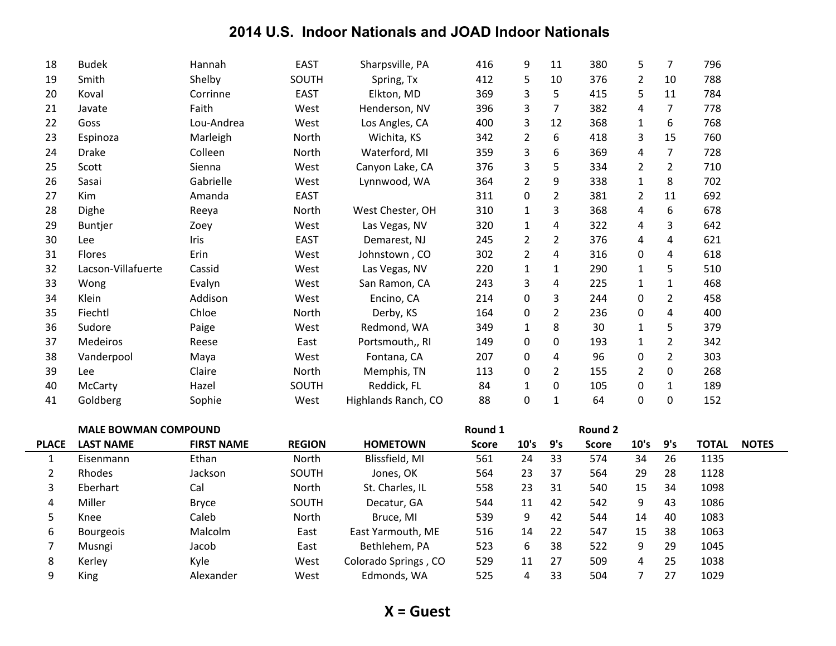| 18           | <b>Budek</b>                | Hannah            | <b>EAST</b>   | Sharpsville, PA     | 416          | 9                | 11             | 380            | 5              | $\overline{7}$ | 796          |              |
|--------------|-----------------------------|-------------------|---------------|---------------------|--------------|------------------|----------------|----------------|----------------|----------------|--------------|--------------|
| 19           | Smith                       | Shelby            | SOUTH         | Spring, Tx          | 412          | 5                | 10             | 376            | $\overline{2}$ | 10             | 788          |              |
| 20           | Koval                       | Corrinne          | <b>EAST</b>   | Elkton, MD          | 369          | 3                | 5              | 415            | 5              | 11             | 784          |              |
| 21           | Javate                      | Faith             | West          | Henderson, NV       | 396          | 3                | 7              | 382            | 4              | 7              | 778          |              |
| 22           | Goss                        | Lou-Andrea        | West          | Los Angles, CA      | 400          | 3                | 12             | 368            | 1              | 6              | 768          |              |
| 23           | Espinoza                    | Marleigh          | North         | Wichita, KS         | 342          | $\overline{2}$   | 6              | 418            | 3              | 15             | 760          |              |
| 24           | <b>Drake</b>                | Colleen           | North         | Waterford, MI       | 359          | 3                | 6              | 369            | 4              | $\overline{7}$ | 728          |              |
| 25           | Scott                       | Sienna            | West          | Canyon Lake, CA     | 376          | $\mathsf 3$      | 5              | 334            | $\overline{2}$ | $\overline{2}$ | 710          |              |
| 26           | Sasai                       | Gabrielle         | West          | Lynnwood, WA        | 364          | $\overline{2}$   | 9              | 338            | $\mathbf{1}$   | 8              | 702          |              |
| 27           | Kim                         | Amanda            | <b>EAST</b>   |                     | 311          | $\boldsymbol{0}$ | $\overline{2}$ | 381            | $\overline{2}$ | 11             | 692          |              |
| 28           | Dighe                       | Reeya             | North         | West Chester, OH    | 310          | $\mathbf{1}$     | 3              | 368            | 4              | 6              | 678          |              |
| 29           | <b>Buntjer</b>              | Zoey              | West          | Las Vegas, NV       | 320          | $\mathbf{1}$     | 4              | 322            | 4              | 3              | 642          |              |
| 30           | Lee                         | Iris              | <b>EAST</b>   | Demarest, NJ        | 245          | $\overline{2}$   | $\overline{2}$ | 376            | 4              | 4              | 621          |              |
| 31           | <b>Flores</b>               | Erin              | West          | Johnstown, CO       | 302          | $\overline{2}$   | 4              | 316            | 0              | 4              | 618          |              |
| 32           | Lacson-Villafuerte          | Cassid            | West          | Las Vegas, NV       | 220          | $\mathbf{1}$     | 1              | 290            | $\mathbf{1}$   | 5              | 510          |              |
| 33           | Wong                        | Evalyn            | West          | San Ramon, CA       | 243          | 3                | 4              | 225            | $\mathbf{1}$   | $\mathbf{1}$   | 468          |              |
| 34           | Klein                       | Addison           | West          | Encino, CA          | 214          | $\boldsymbol{0}$ | 3              | 244            | 0              | $\overline{2}$ | 458          |              |
| 35           | Fiechtl                     | Chloe             | North         | Derby, KS           | 164          | $\pmb{0}$        | $\overline{2}$ | 236            | $\pmb{0}$      | $\pmb{4}$      | 400          |              |
| 36           | Sudore                      | Paige             | West          | Redmond, WA         | 349          | $\mathbf{1}$     | 8              | 30             | $\mathbf{1}$   | 5              | 379          |              |
| 37           | Medeiros                    | Reese             | East          | Portsmouth,, RI     | 149          | $\pmb{0}$        | 0              | 193            | 1              | $\overline{2}$ | 342          |              |
| 38           | Vanderpool                  | Maya              | West          | Fontana, CA         | 207          | 0                | 4              | 96             | 0              | $\overline{2}$ | 303          |              |
| 39           | Lee                         | Claire            | North         | Memphis, TN         | 113          | 0                | $\overline{2}$ | 155            | 2              | 0              | 268          |              |
| 40           | McCarty                     | Hazel             | SOUTH         | Reddick, FL         | 84           | $\mathbf{1}$     | 0              | 105            | 0              | $\mathbf{1}$   | 189          |              |
| 41           | Goldberg                    | Sophie            | West          | Highlands Ranch, CO | 88           | $\mathbf 0$      | $\mathbf{1}$   | 64             | $\mathbf 0$    | 0              | 152          |              |
|              | <b>MALE BOWMAN COMPOUND</b> |                   |               |                     | Round 1      |                  |                | <b>Round 2</b> |                |                |              |              |
| <b>PLACE</b> | <b>LAST NAME</b>            | <b>FIRST NAME</b> | <b>REGION</b> | <b>HOMETOWN</b>     | <b>Score</b> | 10's             | 9's            | <b>Score</b>   | 10's           | 9's            | <b>TOTAL</b> | <b>NOTES</b> |
| $\mathbf{1}$ | Eisenmann                   | Ethan             | North         | Blissfield, MI      | 561          | 24               | 33             | 574            | 34             | 26             | 1135         |              |
| 2            | Rhodes                      | Jackson           | SOUTH         | Jones, OK           | 564          | 23               | 37             | 564            | 29             | 28             | 1128         |              |
| 3            | Eberhart                    | Cal               | North         | St. Charles, IL     | 558          | 23               | 31             | 540            | 15             | 34             | 1098         |              |

4 Miller Bryce SOUTH Decatur, GA 544 11 42 542 9 43 1086 Knee Caleb North Bruce,4MI 539 9 42 544 14 40 1083 6 Bourgeois Malcolm 6 East East Yarmouth, ME 516 14 22 547 15 38 1063 Musngi Jacob East Bethlehem,4PA 523 6 38 522 9 29 1045 8 Kerley Kyle West Colorado Springs, CO 529 11 27 509 4 25 1038 King Alexander4 West Edmonds,4WA 525 4 33 504 7 27 1029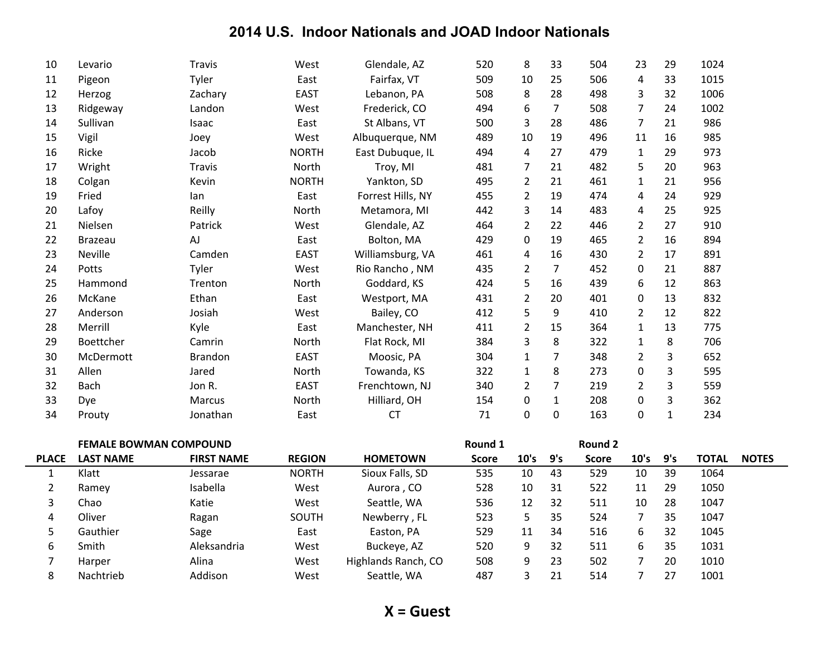| 10             | Levario                       | <b>Travis</b>     | West          | Glendale, AZ        | 520          | 8                | 33               | 504          | 23               | 29           | 1024         |              |
|----------------|-------------------------------|-------------------|---------------|---------------------|--------------|------------------|------------------|--------------|------------------|--------------|--------------|--------------|
| 11             | Pigeon                        | Tyler             | East          | Fairfax, VT         | 509          | 10               | 25               | 506          | 4                | 33           | 1015         |              |
| 12             | Herzog                        | Zachary           | <b>EAST</b>   | Lebanon, PA         | 508          | 8                | 28               | 498          | 3                | 32           | 1006         |              |
| 13             | Ridgeway                      | Landon            | West          | Frederick, CO       | 494          | 6                | $\overline{7}$   | 508          | $\overline{7}$   | 24           | 1002         |              |
| 14             | Sullivan                      | Isaac             | East          | St Albans, VT       | 500          | 3                | 28               | 486          | $\overline{7}$   | 21           | 986          |              |
| 15             | Vigil                         | Joey              | West          | Albuquerque, NM     | 489          | 10               | 19               | 496          | 11               | 16           | 985          |              |
| 16             | Ricke                         | Jacob             | <b>NORTH</b>  | East Dubuque, IL    | 494          | $\overline{4}$   | 27               | 479          | $\mathbf{1}$     | 29           | 973          |              |
| 17             | Wright                        | <b>Travis</b>     | North         | Troy, MI            | 481          | $\overline{7}$   | 21               | 482          | 5                | 20           | 963          |              |
| 18             | Colgan                        | Kevin             | <b>NORTH</b>  | Yankton, SD         | 495          | $\overline{2}$   | 21               | 461          | $\mathbf{1}$     | 21           | 956          |              |
| 19             | Fried                         | lan               | East          | Forrest Hills, NY   | 455          | $\overline{2}$   | 19               | 474          | 4                | 24           | 929          |              |
| 20             | Lafoy                         | Reilly            | North         | Metamora, MI        | 442          | $\mathsf 3$      | 14               | 483          | $\overline{4}$   | 25           | 925          |              |
| 21             | Nielsen                       | Patrick           | West          | Glendale, AZ        | 464          | $\overline{2}$   | 22               | 446          | $\overline{2}$   | 27           | 910          |              |
| 22             | <b>Brazeau</b>                | AJ                | East          | Bolton, MA          | 429          | $\pmb{0}$        | 19               | 465          | 2                | 16           | 894          |              |
| 23             | Neville                       | Camden            | <b>EAST</b>   | Williamsburg, VA    | 461          | 4                | 16               | 430          | $\overline{2}$   | 17           | 891          |              |
| 24             | Potts                         | Tyler             | West          | Rio Rancho, NM      | 435          | $\overline{2}$   | $\overline{7}$   | 452          | 0                | 21           | 887          |              |
| 25             | Hammond                       | Trenton           | North         | Goddard, KS         | 424          | 5                | 16               | 439          | 6                | 12           | 863          |              |
| 26             | McKane                        | Ethan             | East          | Westport, MA        | 431          | $\overline{2}$   | 20               | 401          | 0                | 13           | 832          |              |
| 27             | Anderson                      | Josiah            | West          | Bailey, CO          | 412          | 5                | 9                | 410          | $\overline{2}$   | 12           | 822          |              |
| 28             | Merrill                       | Kyle              | East          | Manchester, NH      | 411          | $\overline{2}$   | 15               | 364          | $\mathbf{1}$     | 13           | 775          |              |
| 29             | Boettcher                     | Camrin            | North         | Flat Rock, MI       | 384          | $\mathsf 3$      | 8                | 322          | $\mathbf{1}$     | 8            | 706          |              |
| 30             | McDermott                     | <b>Brandon</b>    | <b>EAST</b>   | Moosic, PA          | 304          | $\mathbf{1}$     | $\overline{7}$   | 348          | $\overline{2}$   | 3            | 652          |              |
| 31             | Allen                         | Jared             | North         | Towanda, KS         | 322          | $\mathbf{1}$     | 8                | 273          | 0                | 3            | 595          |              |
| 32             | <b>Bach</b>                   | Jon R.            | EAST          | Frenchtown, NJ      | 340          | $\overline{2}$   | $\overline{7}$   | 219          | $\overline{2}$   | 3            | 559          |              |
| 33             | Dye                           | Marcus            | North         | Hilliard, OH        | 154          | $\pmb{0}$        | $\mathbf{1}$     | 208          | $\boldsymbol{0}$ | 3            | 362          |              |
| 34             | Prouty                        | Jonathan          | East          | CT                  | $71\,$       | $\pmb{0}$        | $\boldsymbol{0}$ | 163          | 0                | $\mathbf{1}$ | 234          |              |
|                | <b>FEMALE BOWMAN COMPOUND</b> |                   |               |                     | Round 1      |                  |                  | Round 2      |                  |              |              |              |
| <b>PLACE</b>   | <b>LAST NAME</b>              | <b>FIRST NAME</b> | <b>REGION</b> | <b>HOMETOWN</b>     | <b>Score</b> | 10's             | 9's              | <b>Score</b> | 10's             | 9's          | <b>TOTAL</b> | <b>NOTES</b> |
| $\mathbf{1}$   | Klatt                         | Jessarae          | <b>NORTH</b>  | Sioux Falls, SD     | 535          | 10               | 43               | 529          | 10               | 39           | 1064         |              |
| $\overline{2}$ | Ramey                         | Isabella          | West          | Aurora, CO          | 528          | 10               | 31               | 522          | 11               | 29           | 1050         |              |
| 3              | Chao                          | Katie             | West          | Seattle, WA         | 536          | 12               | 32               | 511          | 10               | 28           | 1047         |              |
| 4              | Oliver                        | Ragan             | SOUTH         | Newberry, FL        | 523          | 5                | 35               | 524          | $\overline{7}$   | 35           | 1047         |              |
| 5              | Gauthier                      | Sage              | East          | Easton, PA          | 529          | 11               | 34               | 516          | 6                | 32           | 1045         |              |
| 6              | Smith                         | Aleksandria       | West          | Buckeye, AZ         | 520          | 9                | 32               | 511          | 6                | 35           | 1031         |              |
| $\overline{7}$ | Harper                        | Alina             | West          | Highlands Ranch, CO | 508          | $\boldsymbol{9}$ | 23               | 502          | $\overline{7}$   | 20           | 1010         |              |
| 8              | Nachtrieb                     | Addison           | West          | Seattle, WA         | 487          | 3                | 21               | 514          | $\overline{7}$   | 27           | 1001         |              |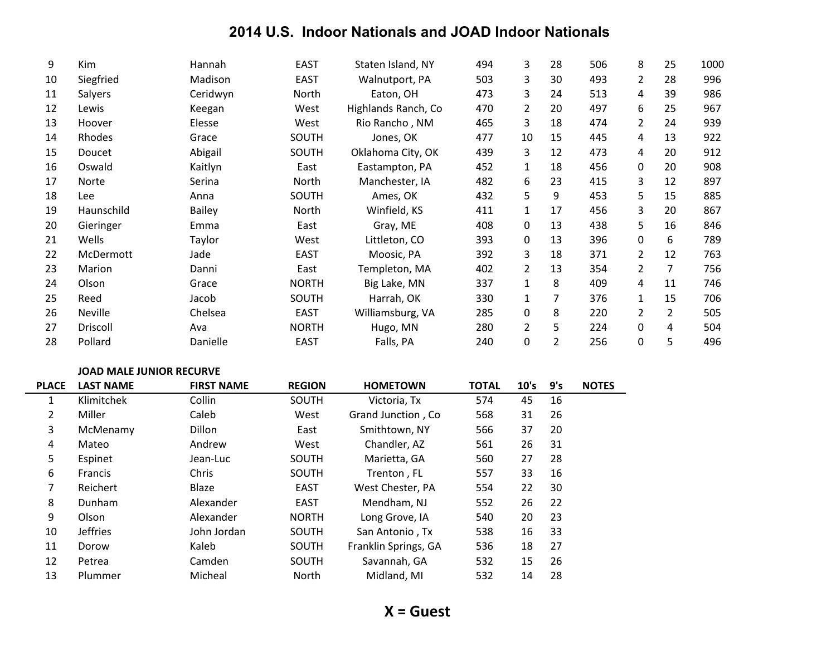| 9  | Kim        | Hannah        | <b>EAST</b>  | Staten Island, NY   | 494 | 3              | 28 | 506 | 8              | 25             | 1000 |
|----|------------|---------------|--------------|---------------------|-----|----------------|----|-----|----------------|----------------|------|
| 10 | Siegfried  | Madison       | <b>EAST</b>  | Walnutport, PA      | 503 | 3              | 30 | 493 | 2              | 28             | 996  |
| 11 | Salyers    | Ceridwyn      | North        | Eaton, OH           | 473 | 3              | 24 | 513 | 4              | 39             | 986  |
| 12 | Lewis      | Keegan        | West         | Highlands Ranch, Co | 470 | $\overline{2}$ | 20 | 497 | 6              | 25             | 967  |
| 13 | Hoover     | Elesse        | West         | Rio Rancho, NM      | 465 | 3              | 18 | 474 | 2              | 24             | 939  |
| 14 | Rhodes     | Grace         | SOUTH        | Jones, OK           | 477 | 10             | 15 | 445 | 4              | 13             | 922  |
| 15 | Doucet     | Abigail       | SOUTH        | Oklahoma City, OK   | 439 | 3              | 12 | 473 | 4              | 20             | 912  |
| 16 | Oswald     | Kaitlyn       | East         | Eastampton, PA      | 452 | $\mathbf{1}$   | 18 | 456 | 0              | 20             | 908  |
| 17 | Norte      | Serina        | North        | Manchester, IA      | 482 | 6              | 23 | 415 | 3              | 12             | 897  |
| 18 | Lee        | Anna          | SOUTH        | Ames, OK            | 432 | 5              | 9  | 453 | 5              | 15             | 885  |
| 19 | Haunschild | <b>Bailey</b> | North        | Winfield, KS        | 411 | $\mathbf{1}$   | 17 | 456 | 3              | 20             | 867  |
| 20 | Gieringer  | Emma          | East         | Gray, ME            | 408 | 0              | 13 | 438 | 5              | 16             | 846  |
| 21 | Wells      | Taylor        | West         | Littleton, CO       | 393 | 0              | 13 | 396 | 0              | 6              | 789  |
| 22 | McDermott  | Jade          | <b>EAST</b>  | Moosic, PA          | 392 | 3              | 18 | 371 | 2              | 12             | 763  |
| 23 | Marion     | Danni         | East         | Templeton, MA       | 402 | $\overline{2}$ | 13 | 354 | 2              | 7              | 756  |
| 24 | Olson      | Grace         | <b>NORTH</b> | Big Lake, MN        | 337 | $\mathbf{1}$   | 8  | 409 | 4              | 11             | 746  |
| 25 | Reed       | Jacob         | SOUTH        | Harrah, OK          | 330 |                | 7  | 376 |                | 15             | 706  |
| 26 | Neville    | Chelsea       | <b>EAST</b>  | Williamsburg, VA    | 285 | 0              | 8  | 220 | $\overline{2}$ | $\overline{2}$ | 505  |
| 27 | Driscoll   | Ava           | <b>NORTH</b> | Hugo, MN            | 280 | $\overline{2}$ | 5  | 224 | 0              | 4              | 504  |
| 28 | Pollard    | Danielle      | <b>EAST</b>  | Falls, PA           | 240 | 0              | 2  | 256 | 0              | 5              | 496  |

#### **JOAD MALE JUNIOR RECURVE**

| <b>PLACE</b>   | <b>LAST NAME</b> | <b>FIRST NAME</b> | <b>REGION</b> | <b>HOMETOWN</b>      | <b>TOTAL</b> | 10's | 9's | <b>NOTES</b> |
|----------------|------------------|-------------------|---------------|----------------------|--------------|------|-----|--------------|
| 1              | Klimitchek       | Collin            | <b>SOUTH</b>  | Victoria, Tx         | 574          | 45   | 16  |              |
| $\overline{2}$ | Miller           | Caleb             | West          | Grand Junction, Co.  | 568          | 31   | 26  |              |
| 3              | McMenamy         | Dillon            | East          | Smithtown, NY        | 566          | 37   | 20  |              |
| 4              | Mateo            | Andrew            | West          | Chandler, AZ         | 561          | 26   | 31  |              |
| 5              | Espinet          | Jean-Luc          | SOUTH         | Marietta, GA         | 560          | 27   | 28  |              |
| 6              | <b>Francis</b>   | Chris             | <b>SOUTH</b>  | Trenton, FL          | 557          | 33   | 16  |              |
| 7              | Reichert         | Blaze             | EAST          | West Chester, PA     | 554          | 22   | 30  |              |
| 8              | Dunham           | Alexander         | EAST          | Mendham, NJ          | 552          | 26   | 22  |              |
| 9              | Olson            | Alexander         | <b>NORTH</b>  | Long Grove, IA       | 540          | 20   | 23  |              |
| 10             | <b>Jeffries</b>  | John Jordan       | SOUTH         | San Antonio, Tx      | 538          | 16   | 33  |              |
| 11             | Dorow            | Kaleb             | SOUTH         | Franklin Springs, GA | 536          | 18   | 27  |              |
| 12             | Petrea           | Camden            | SOUTH         | Savannah, GA         | 532          | 15   | 26  |              |
| 13             | Plummer          | Micheal           | <b>North</b>  | Midland, MI          | 532          | 14   | 28  |              |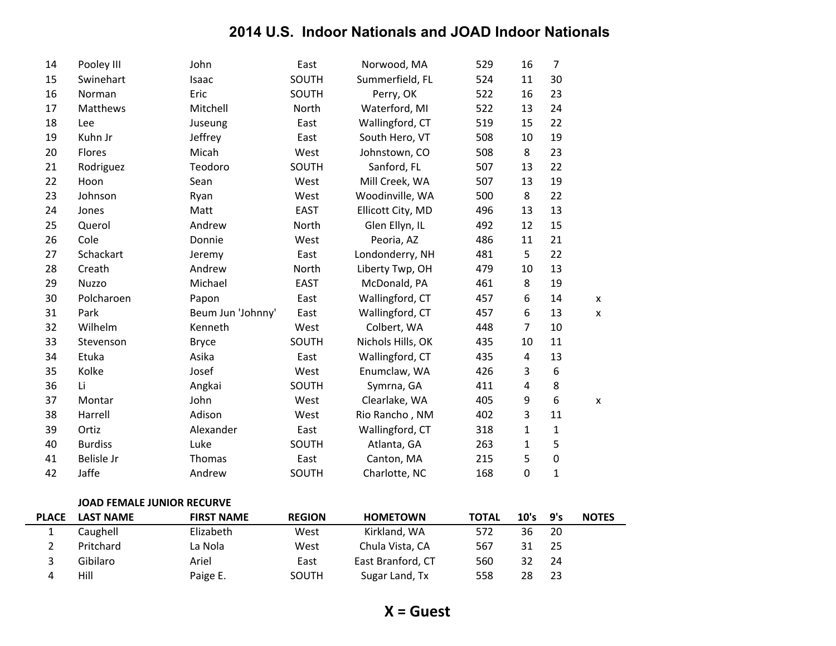| 14 | Pooley III     | John              | East        | Norwood, MA       | 529 | 16             | $\overline{7}$   |   |
|----|----------------|-------------------|-------------|-------------------|-----|----------------|------------------|---|
| 15 | Swinehart      | Isaac             | SOUTH       | Summerfield, FL   | 524 | 11             | 30               |   |
| 16 | Norman         | Eric              | SOUTH       | Perry, OK         | 522 | 16             | 23               |   |
| 17 | Matthews       | Mitchell          | North       | Waterford, MI     | 522 | 13             | 24               |   |
| 18 | Lee            | Juseung           | East        | Wallingford, CT   | 519 | 15             | 22               |   |
| 19 | Kuhn Jr        | Jeffrey           | East        | South Hero, VT    | 508 | 10             | 19               |   |
| 20 | Flores         | Micah             | West        | Johnstown, CO     | 508 | 8              | 23               |   |
| 21 | Rodriguez      | Teodoro           | SOUTH       | Sanford, FL       | 507 | 13             | 22               |   |
| 22 | Hoon           | Sean              | West        | Mill Creek, WA    | 507 | 13             | 19               |   |
| 23 | Johnson        | Ryan              | West        | Woodinville, WA   | 500 | 8              | 22               |   |
| 24 | Jones          | Matt              | <b>EAST</b> | Ellicott City, MD | 496 | 13             | 13               |   |
| 25 | Querol         | Andrew            | North       | Glen Ellyn, IL    | 492 | 12             | 15               |   |
| 26 | Cole           | Donnie            | West        | Peoria, AZ        | 486 | 11             | 21               |   |
| 27 | Schackart      | Jeremy            | East        | Londonderry, NH   | 481 | 5              | 22               |   |
| 28 | Creath         | Andrew            | North       | Liberty Twp, OH   | 479 | 10             | 13               |   |
| 29 | <b>Nuzzo</b>   | Michael           | <b>EAST</b> | McDonald, PA      | 461 | 8              | 19               |   |
| 30 | Polcharoen     | Papon             | East        | Wallingford, CT   | 457 | 6              | 14               | X |
| 31 | Park           | Beum Jun 'Johnny' | East        | Wallingford, CT   | 457 | 6              | 13               | X |
| 32 | Wilhelm        | Kenneth           | West        | Colbert, WA       | 448 | $\overline{7}$ | 10               |   |
| 33 | Stevenson      | <b>Bryce</b>      | SOUTH       | Nichols Hills, OK | 435 | 10             | 11               |   |
| 34 | Etuka          | Asika             | East        | Wallingford, CT   | 435 | $\overline{a}$ | 13               |   |
| 35 | Kolke          | Josef             | West        | Enumclaw, WA      | 426 | 3              | 6                |   |
| 36 | Li             | Angkai            | SOUTH       | Symrna, GA        | 411 | 4              | 8                |   |
| 37 | Montar         | John              | West        | Clearlake, WA     | 405 | 9              | $\boldsymbol{6}$ | X |
| 38 | Harrell        | Adison            | West        | Rio Rancho, NM    | 402 | 3              | 11               |   |
| 39 | Ortiz          | Alexander         | East        | Wallingford, CT   | 318 | 1              | $\mathbf{1}$     |   |
| 40 | <b>Burdiss</b> | Luke              | SOUTH       | Atlanta, GA       | 263 | $\mathbf{1}$   | 5                |   |
| 41 | Belisle Jr     | Thomas            | East        | Canton, MA        | 215 | 5              | $\boldsymbol{0}$ |   |
| 42 | Jaffe          | Andrew            | SOUTH       | Charlotte, NC     | 168 | 0              | $\mathbf{1}$     |   |

#### **JOAD FEMALE JUNIOR RECURVE**

| <b>PLACE</b> | <b>LAST NAME</b> | <b>FIRST NAME</b> | <b>REGION</b> | <b>HOMETOWN</b>   | <b>TOTAL</b> | 10's | 9's | <b>NOTES</b> |
|--------------|------------------|-------------------|---------------|-------------------|--------------|------|-----|--------------|
|              | Caughell         | Elizabeth         | West          | Kirkland, WA      | 572          | 36   | 20  |              |
|              | Pritchard        | La Nola           | West          | Chula Vista, CA   | 567          |      | 25  |              |
|              | Gibilaro         | Ariel             | East          | East Branford, CT | 560          | 32   | 24  |              |
|              | Hill             | Paige E.          | SOUTH         | Sugar Land, Tx    | 558          | 28   | 23  |              |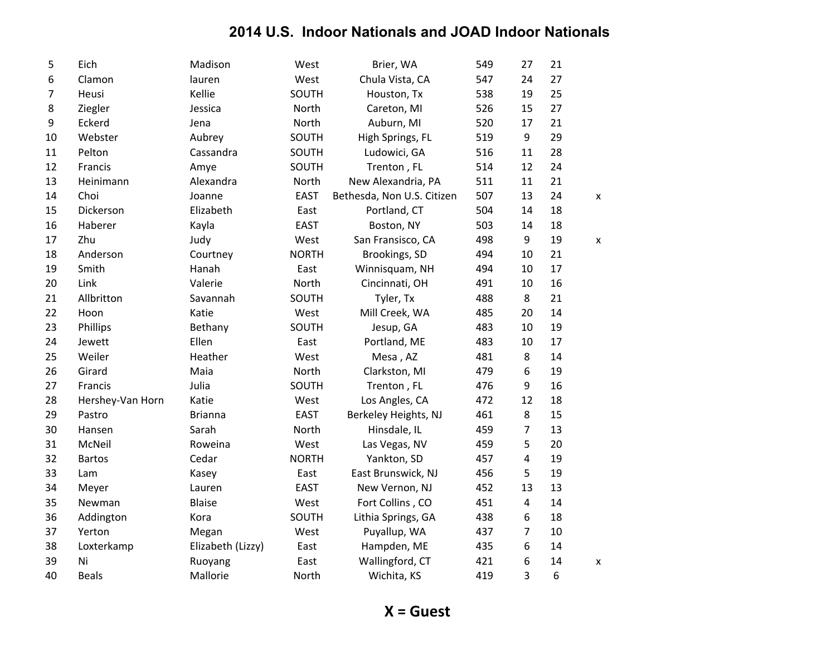| 5  | Eich             | Madison           | West         | Brier, WA                  | 549 | 27 | 21 |   |
|----|------------------|-------------------|--------------|----------------------------|-----|----|----|---|
| 6  | Clamon           | lauren            | West         | Chula Vista, CA            | 547 | 24 | 27 |   |
| 7  | Heusi            | Kellie            | SOUTH        | Houston, Tx                | 538 | 19 | 25 |   |
| 8  | Ziegler          | Jessica           | North        | Careton, MI                | 526 | 15 | 27 |   |
| 9  | Eckerd           | Jena              | North        | Auburn, MI                 | 520 | 17 | 21 |   |
| 10 | Webster          | Aubrey            | SOUTH        | High Springs, FL           | 519 | 9  | 29 |   |
| 11 | Pelton           | Cassandra         | SOUTH        | Ludowici, GA               | 516 | 11 | 28 |   |
| 12 | Francis          | Amye              | SOUTH        | Trenton, FL                | 514 | 12 | 24 |   |
| 13 | Heinimann        | Alexandra         | North        | New Alexandria, PA         | 511 | 11 | 21 |   |
| 14 | Choi             | Joanne            | <b>EAST</b>  | Bethesda, Non U.S. Citizen | 507 | 13 | 24 | X |
| 15 | Dickerson        | Elizabeth         | East         | Portland, CT               | 504 | 14 | 18 |   |
| 16 | Haberer          | Kayla             | <b>EAST</b>  | Boston, NY                 | 503 | 14 | 18 |   |
| 17 | Zhu              | Judy              | West         | San Fransisco, CA          | 498 | 9  | 19 | X |
| 18 | Anderson         | Courtney          | <b>NORTH</b> | Brookings, SD              | 494 | 10 | 21 |   |
| 19 | Smith            | Hanah             | East         | Winnisquam, NH             | 494 | 10 | 17 |   |
| 20 | Link             | Valerie           | North        | Cincinnati, OH             | 491 | 10 | 16 |   |
| 21 | Allbritton       | Savannah          | SOUTH        | Tyler, Tx                  | 488 | 8  | 21 |   |
| 22 | Hoon             | Katie             | West         | Mill Creek, WA             | 485 | 20 | 14 |   |
| 23 | Phillips         | Bethany           | SOUTH        | Jesup, GA                  | 483 | 10 | 19 |   |
| 24 | Jewett           | Ellen             | East         | Portland, ME               | 483 | 10 | 17 |   |
| 25 | Weiler           | Heather           | West         | Mesa, AZ                   | 481 | 8  | 14 |   |
| 26 | Girard           | Maia              | North        | Clarkston, MI              | 479 | 6  | 19 |   |
| 27 | Francis          | Julia             | SOUTH        | Trenton, FL                | 476 | 9  | 16 |   |
| 28 | Hershey-Van Horn | Katie             | West         | Los Angles, CA             | 472 | 12 | 18 |   |
| 29 | Pastro           | <b>Brianna</b>    | <b>EAST</b>  | Berkeley Heights, NJ       | 461 | 8  | 15 |   |
| 30 | Hansen           | Sarah             | North        | Hinsdale, IL               | 459 | 7  | 13 |   |
| 31 | McNeil           | Roweina           | West         | Las Vegas, NV              | 459 | 5  | 20 |   |
| 32 | <b>Bartos</b>    | Cedar             | <b>NORTH</b> | Yankton, SD                | 457 | 4  | 19 |   |
| 33 | Lam              | Kasey             | East         | East Brunswick, NJ         | 456 | 5  | 19 |   |
| 34 | Meyer            | Lauren            | <b>EAST</b>  | New Vernon, NJ             | 452 | 13 | 13 |   |
| 35 | Newman           | <b>Blaise</b>     | West         | Fort Collins, CO           | 451 | 4  | 14 |   |
| 36 | Addington        | Kora              | SOUTH        | Lithia Springs, GA         | 438 | 6  | 18 |   |
| 37 | Yerton           | Megan             | West         | Puyallup, WA               | 437 | 7  | 10 |   |
| 38 | Loxterkamp       | Elizabeth (Lizzy) | East         | Hampden, ME                | 435 | 6  | 14 |   |
| 39 | Ni               | Ruoyang           | East         | Wallingford, CT            | 421 | 6  | 14 | x |
| 40 | <b>Beals</b>     | Mallorie          | North        | Wichita, KS                | 419 | 3  | 6  |   |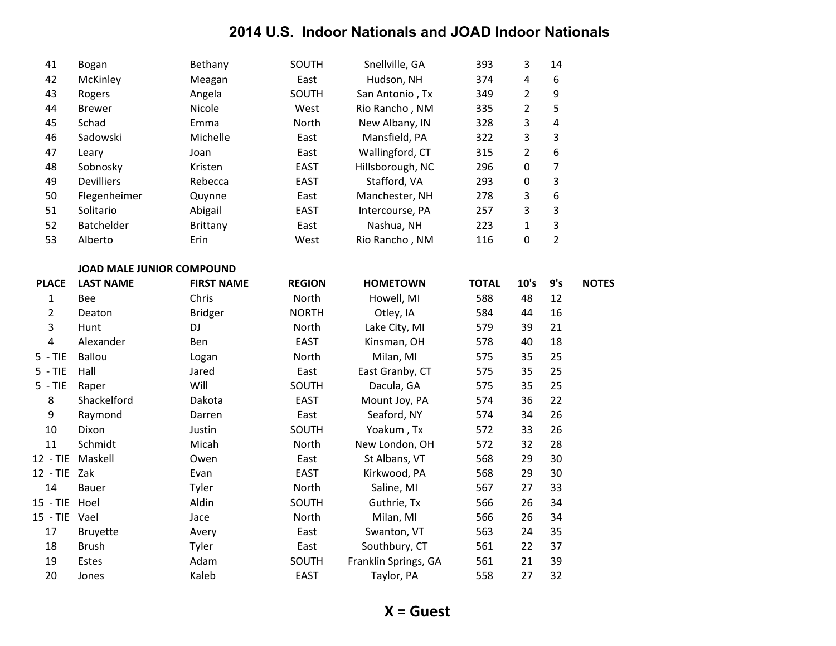| 41 | Bogan             | Bethany       | SOUTH       | Snellville, GA   | 393 | 3              | 14 |
|----|-------------------|---------------|-------------|------------------|-----|----------------|----|
| 42 | McKinley          | Meagan        | East        | Hudson, NH       | 374 | 4              | 6  |
| 43 | Rogers            | Angela        | SOUTH       | San Antonio, Tx  | 349 | 2              | 9  |
| 44 | <b>Brewer</b>     | <b>Nicole</b> | West        | Rio Rancho, NM   | 335 | 2              | 5  |
| 45 | Schad             | Emma          | North       | New Albany, IN   | 328 | 3              | 4  |
| 46 | Sadowski          | Michelle      | East        | Mansfield, PA    | 322 | 3              | 3  |
| 47 | Leary             | Joan          | East        | Wallingford, CT  | 315 | $\overline{2}$ | 6  |
| 48 | Sobnosky          | Kristen       | <b>EAST</b> | Hillsborough, NC | 296 | 0              | 7  |
| 49 | <b>Devilliers</b> | Rebecca       | <b>EAST</b> | Stafford, VA     | 293 | 0              | 3  |
| 50 | Flegenheimer      | Quynne        | East        | Manchester, NH   | 278 | 3              | 6  |
| 51 | Solitario         | Abigail       | <b>EAST</b> | Intercourse, PA  | 257 | 3              | 3  |
| 52 | <b>Batchelder</b> | Brittany      | East        | Nashua, NH       | 223 | 1              | 3  |
| 53 | Alberto           | Erin          | West        | Rio Rancho, NM   | 116 | 0              | 2  |

#### JOAD MALE JUNIOR COMPOUND

| <b>PLACE</b>   | <b>LAST NAME</b> | <b>FIRST NAME</b> | <b>REGION</b> | <b>HOMETOWN</b>      | <b>TOTAL</b> | 10's | 9's | <b>NOTES</b> |
|----------------|------------------|-------------------|---------------|----------------------|--------------|------|-----|--------------|
| 1              | <b>Bee</b>       | Chris             | North         | Howell, MI           | 588          | 48   | 12  |              |
| 2              | Deaton           | <b>Bridger</b>    | <b>NORTH</b>  | Otley, IA            | 584          | 44   | 16  |              |
| 3              | Hunt             | DJ                | North         | Lake City, MI        | 579          | 39   | 21  |              |
| $\overline{a}$ | Alexander        | Ben               | <b>EAST</b>   | Kinsman, OH          | 578          | 40   | 18  |              |
| $5 - TIE$      | Ballou           | Logan             | North         | Milan, MI            | 575          | 35   | 25  |              |
| $5 - TIE$      | Hall             | Jared             | East          | East Granby, CT      | 575          | 35   | 25  |              |
| $5 - TIE$      | Raper            | Will              | SOUTH         | Dacula, GA           | 575          | 35   | 25  |              |
| 8              | Shackelford      | Dakota            | <b>EAST</b>   | Mount Joy, PA        | 574          | 36   | 22  |              |
| 9              | Raymond          | Darren            | East          | Seaford, NY          | 574          | 34   | 26  |              |
| 10             | Dixon            | Justin            | SOUTH         | Yoakum, Tx           | 572          | 33   | 26  |              |
| 11             | Schmidt          | Micah             | North         | New London, OH       | 572          | 32   | 28  |              |
| $12 - TIE$     | Maskell          | Owen              | East          | St Albans, VT        | 568          | 29   | 30  |              |
| $12 - TIE$     | Zak              | Evan              | EAST          | Kirkwood, PA         | 568          | 29   | 30  |              |
| 14             | <b>Bauer</b>     | Tyler             | North         | Saline, MI           | 567          | 27   | 33  |              |
| $15 - TIE$     | Hoel             | Aldin             | SOUTH         | Guthrie, Tx          | 566          | 26   | 34  |              |
| $15 - TIE$     | Vael             | Jace              | North         | Milan, MI            | 566          | 26   | 34  |              |
| 17             | <b>Bruyette</b>  | Avery             | East          | Swanton, VT          | 563          | 24   | 35  |              |
| 18             | <b>Brush</b>     | <b>Tyler</b>      | East          | Southbury, CT        | 561          | 22   | 37  |              |
| 19             | Estes            | Adam              | SOUTH         | Franklin Springs, GA | 561          | 21   | 39  |              |
| 20             | Jones            | Kaleb             | <b>EAST</b>   | Taylor, PA           | 558          | 27   | 32  |              |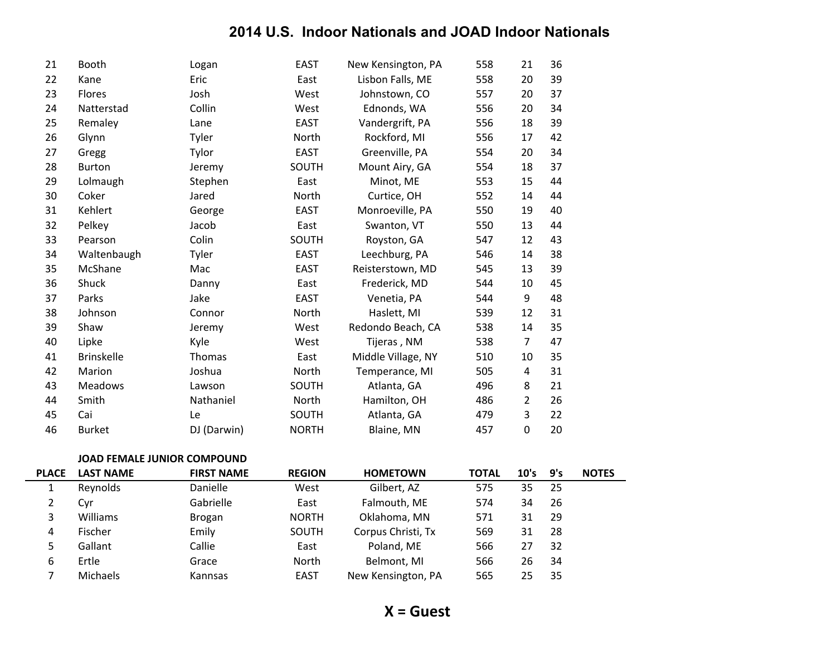| <b>'LACE</b> | <b>LAST NAME</b>                   | <b>FIRST NAME</b> | <b>REGION</b> | <b>HOMETOWN</b>    | <b>TOTAL</b> | 10's           | 9's |  |
|--------------|------------------------------------|-------------------|---------------|--------------------|--------------|----------------|-----|--|
|              | <b>JOAD FEMALE JUNIOR COMPOUND</b> |                   |               |                    |              |                |     |  |
| 46           | <b>Burket</b>                      | DJ (Darwin)       | <b>NORTH</b>  | Blaine, MN         | 457          | $\mathbf 0$    | 20  |  |
| 45           | Cai                                | Le                | SOUTH         | Atlanta, GA        | 479          | 3              | 22  |  |
| 44           | Smith                              | Nathaniel         | North         | Hamilton, OH       | 486          | $\overline{2}$ | 26  |  |
| 43           | <b>Meadows</b>                     | Lawson            | SOUTH         | Atlanta, GA        | 496          | 8              | 21  |  |
| 42           | Marion                             | Joshua            | North         | Temperance, MI     | 505          | 4              | 31  |  |
| 41           | <b>Brinskelle</b>                  | Thomas            | East          | Middle Village, NY | 510          | 10             | 35  |  |
| 40           | Lipke                              | Kyle              | West          | Tijeras, NM        | 538          | $\overline{7}$ | 47  |  |
| 39           | Shaw                               | Jeremy            | West          | Redondo Beach, CA  | 538          | 14             | 35  |  |
| 38           | Johnson                            | Connor            | North         | Haslett, MI        | 539          | 12             | 31  |  |
| 37           | Parks                              | Jake              | <b>EAST</b>   | Venetia, PA        | 544          | 9              | 48  |  |
| 36           | Shuck                              | Danny             | East          | Frederick, MD      | 544          | 10             | 45  |  |
| 35           | McShane                            | Mac               | <b>EAST</b>   | Reisterstown, MD   | 545          | 13             | 39  |  |
| 34           | Waltenbaugh                        | Tyler             | <b>EAST</b>   | Leechburg, PA      | 546          | 14             | 38  |  |
| 33           | Pearson                            | Colin             | SOUTH         | Royston, GA        | 547          | 12             | 43  |  |
| 32           | Pelkey                             | Jacob             | East          | Swanton, VT        | 550          | 13             | 44  |  |
| 31           | Kehlert                            | George            | <b>EAST</b>   | Monroeville, PA    | 550          | 19             | 40  |  |
| 30           | Coker                              | Jared             | North         | Curtice, OH        | 552          | 14             | 44  |  |
| 29           | Lolmaugh                           | Stephen           | East          | Minot, ME          | 553          | 15             | 44  |  |
| 28           | <b>Burton</b>                      | Jeremy            | SOUTH         | Mount Airy, GA     | 554          | 18             | 37  |  |
| 27           | Gregg                              | Tylor             | <b>EAST</b>   | Greenville, PA     | 554          | 20             | 34  |  |
| 26           | Glynn                              | Tyler             | North         | Rockford, MI       | 556          | 17             | 42  |  |
| 25           | Remaley                            | Lane              | <b>EAST</b>   | Vandergrift, PA    | 556          | 18             | 39  |  |
| 24           | Natterstad                         | Collin            | West          | Ednonds, WA        | 556          | 20             | 34  |  |
| 23           | Flores                             | Josh              | West          | Johnstown, CO      | 557          | 20             | 37  |  |
| 22           | Kane                               | Eric              | East          | Lisbon Falls, ME   | 558          | 20             | 39  |  |
| 21           | <b>Booth</b>                       | Logan             | <b>EAST</b>   | New Kensington, PA | 558          | 21             | 36  |  |
|              |                                    |                   |               |                    |              |                |     |  |

| <b>PLACE</b> | <b>LAST NAME</b> | <b>FIRST NAME</b> | <b>REGION</b> | <b>HOMETOWN</b>    | <b>TOTAL</b> | 10's | 9's | <b>NOTES</b> |
|--------------|------------------|-------------------|---------------|--------------------|--------------|------|-----|--------------|
|              | Reynolds         | Danielle          | West          | Gilbert, AZ        | 575          | 35   | -25 |              |
| 2            | Cvr              | Gabrielle         | East          | Falmouth, ME       | 574          | 34   | 26  |              |
|              | Williams         | <b>Brogan</b>     | <b>NORTH</b>  | Oklahoma, MN       | 571          | 31   | 29  |              |
| 4            | Fischer          | Emily             | SOUTH         | Corpus Christi, Tx | 569          | 31   | 28  |              |
| 5            | Gallant          | Callie            | East          | Poland, ME         | 566          | 27   | 32  |              |
| 6            | Ertle            | Grace             | North         | Belmont, MI        | 566          | 26   | 34  |              |
|              | Michaels         | Kannsas           | <b>EAST</b>   | New Kensington, PA | 565          | 25   | 35  |              |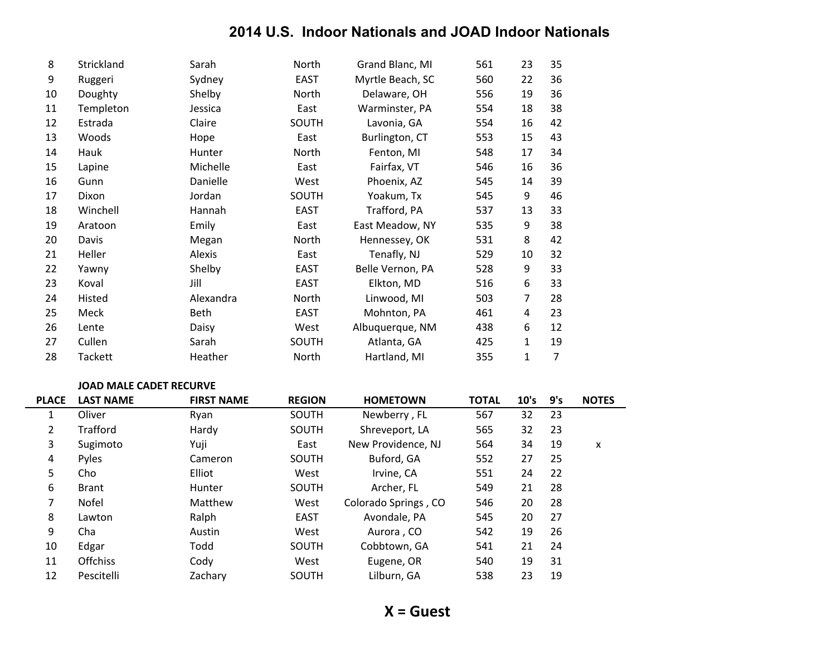| 8  | Strickland     | Sarah     | North        | Grand Blanc, MI  | 561 | 23 | 35 |
|----|----------------|-----------|--------------|------------------|-----|----|----|
| 9  | Ruggeri        | Sydney    | <b>EAST</b>  | Myrtle Beach, SC | 560 | 22 | 36 |
| 10 | Doughty        | Shelby    | North        | Delaware, OH     | 556 | 19 | 36 |
| 11 | Templeton      | Jessica   | East         | Warminster, PA   | 554 | 18 | 38 |
| 12 | Estrada        | Claire    | <b>SOUTH</b> | Lavonia, GA      | 554 | 16 | 42 |
| 13 | Woods          | Hope      | East         | Burlington, CT   | 553 | 15 | 43 |
| 14 | Hauk           | Hunter    | North        | Fenton, MI       | 548 | 17 | 34 |
| 15 | Lapine         | Michelle  | East         | Fairfax, VT      | 546 | 16 | 36 |
| 16 | Gunn           | Danielle  | West         | Phoenix, AZ      | 545 | 14 | 39 |
| 17 | Dixon          | Jordan    | SOUTH        | Yoakum, Tx       | 545 | 9  | 46 |
| 18 | Winchell       | Hannah    | <b>EAST</b>  | Trafford, PA     | 537 | 13 | 33 |
| 19 | Aratoon        | Emily     | East         | East Meadow, NY  | 535 | 9  | 38 |
| 20 | Davis          | Megan     | North        | Hennessey, OK    | 531 | 8  | 42 |
| 21 | Heller         | Alexis    | East         | Tenafly, NJ      | 529 | 10 | 32 |
| 22 | Yawny          | Shelby    | EAST         | Belle Vernon, PA | 528 | 9  | 33 |
| 23 | Koval          | Jill      | <b>EAST</b>  | Elkton, MD       | 516 | 6  | 33 |
| 24 | Histed         | Alexandra | North        | Linwood, MI      | 503 | 7  | 28 |
| 25 | Meck           | Beth      | <b>EAST</b>  | Mohnton, PA      | 461 | 4  | 23 |
| 26 | Lente          | Daisy     | West         | Albuquerque, NM  | 438 | 6  | 12 |
| 27 | Cullen         | Sarah     | SOUTH        | Atlanta, GA      | 425 | 1  | 19 |
| 28 | <b>Tackett</b> | Heather   | North        | Hartland, MI     | 355 | 1  | 7  |

#### **JOAD MALE CADET RECURVE**

| <b>PLACE</b>          | <b>LAST NAME</b> | <b>FIRST NAME</b> | <b>REGION</b> | <b>HOMETOWN</b>      | <b>TOTAL</b> | 10's | 9's | <b>NOTES</b> |
|-----------------------|------------------|-------------------|---------------|----------------------|--------------|------|-----|--------------|
| $\perp$               | Oliver           | Ryan              | <b>SOUTH</b>  | Newberry, FL         | 567          | 32   | 23  |              |
| $\mathbf{2}^{\prime}$ | Trafford         | Hardy             | <b>SOUTH</b>  | Shreveport, LA       | 565          | 32   | 23  |              |
| 3                     | Sugimoto         | Yuji              | East          | New Providence, NJ   | 564          | 34   | 19  | X            |
| 4                     | <b>Pyles</b>     | Cameron           | SOUTH         | Buford, GA           | 552          | 27   | 25  |              |
| 5                     | Cho              | Elliot            | West          | Irvine, CA           | 551          | 24   | 22  |              |
| 6                     | <b>Brant</b>     | <b>Hunter</b>     | <b>SOUTH</b>  | Archer, FL           | 549          | 21   | 28  |              |
| 7                     | Nofel            | Matthew           | West          | Colorado Springs, CO | 546          | 20   | 28  |              |
| 8                     | Lawton           | Ralph             | <b>EAST</b>   | Avondale, PA         | 545          | 20   | 27  |              |
| 9                     | Cha              | Austin            | West          | Aurora, CO           | 542          | 19   | 26  |              |
| 10                    | Edgar            | Todd              | <b>SOUTH</b>  | Cobbtown, GA         | 541          | 21   | 24  |              |
| 11                    | <b>Offchiss</b>  | Cody              | West          | Eugene, OR           | 540          | 19   | 31  |              |
| 12                    | Pescitelli       | Zachary           | SOUTH         | Lilburn, GA          | 538          | 23   | 19  |              |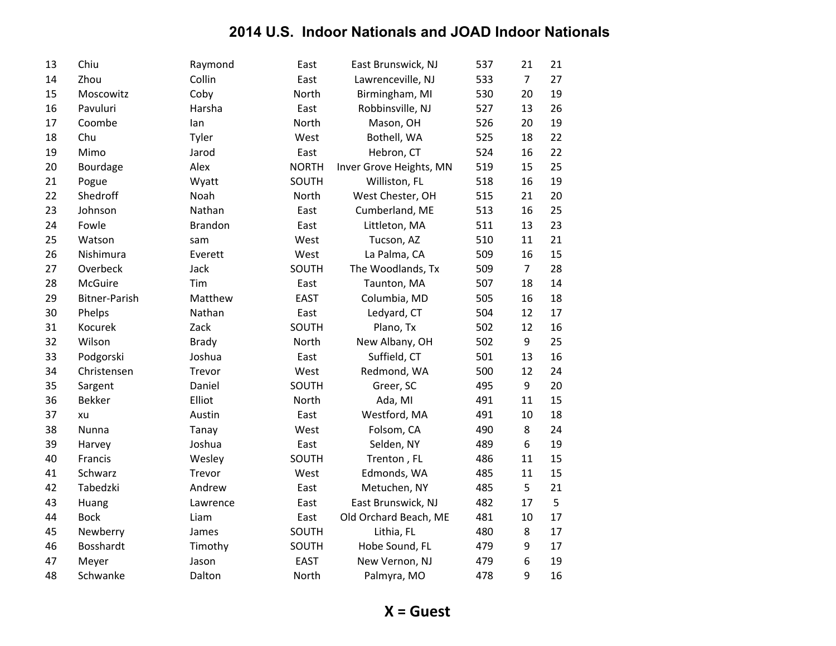| 13 | Chiu           | Raymond      | East         | East Brunswick, NJ      | 537 | 21               | 21 |
|----|----------------|--------------|--------------|-------------------------|-----|------------------|----|
| 14 | Zhou           | Collin       | East         | Lawrenceville, NJ       | 533 | $\overline{7}$   | 27 |
| 15 | Moscowitz      | Coby         | North        | Birmingham, MI          | 530 | 20               | 19 |
| 16 | Pavuluri       | Harsha       | East         | Robbinsville, NJ        | 527 | 13               | 26 |
| 17 | Coombe         | lan          | North        | Mason, OH               | 526 | 20               | 19 |
| 18 | Chu            | Tyler        | West         | Bothell, WA             | 525 | 18               | 22 |
| 19 | Mimo           | Jarod        | East         | Hebron, CT              | 524 | 16               | 22 |
| 20 | Bourdage       | Alex         | <b>NORTH</b> | Inver Grove Heights, MN | 519 | 15               | 25 |
| 21 | Pogue          | Wyatt        | SOUTH        | Williston, FL           | 518 | 16               | 19 |
| 22 | Shedroff       | Noah         | North        | West Chester, OH        | 515 | 21               | 20 |
| 23 | Johnson        | Nathan       | East         | Cumberland, ME          | 513 | 16               | 25 |
| 24 | Fowle          | Brandon      | East         | Littleton, MA           | 511 | 13               | 23 |
| 25 | Watson         | sam          | West         | Tucson, AZ              | 510 | 11               | 21 |
| 26 | Nishimura      | Everett      | West         | La Palma, CA            | 509 | 16               | 15 |
| 27 | Overbeck       | Jack         | SOUTH        | The Woodlands, Tx       | 509 | $\overline{7}$   | 28 |
| 28 | <b>McGuire</b> | Tim          | East         | Taunton, MA             | 507 | 18               | 14 |
| 29 | Bitner-Parish  | Matthew      | <b>EAST</b>  | Columbia, MD            | 505 | 16               | 18 |
| 30 | Phelps         | Nathan       | East         | Ledyard, CT             | 504 | 12               | 17 |
| 31 | Kocurek        | Zack         | SOUTH        | Plano, Tx               | 502 | 12               | 16 |
| 32 | Wilson         | <b>Brady</b> | North        | New Albany, OH          | 502 | 9                | 25 |
| 33 | Podgorski      | Joshua       | East         | Suffield, CT            | 501 | 13               | 16 |
| 34 | Christensen    | Trevor       | West         | Redmond, WA             | 500 | 12               | 24 |
| 35 | Sargent        | Daniel       | SOUTH        | Greer, SC               | 495 | 9                | 20 |
| 36 | <b>Bekker</b>  | Elliot       | North        | Ada, MI                 | 491 | 11               | 15 |
| 37 | xu             | Austin       | East         | Westford, MA            | 491 | 10               | 18 |
| 38 | Nunna          | Tanay        | West         | Folsom, CA              | 490 | 8                | 24 |
| 39 | Harvey         | Joshua       | East         | Selden, NY              | 489 | $\boldsymbol{6}$ | 19 |
| 40 | Francis        | Wesley       | SOUTH        | Trenton, FL             | 486 | 11               | 15 |
| 41 | Schwarz        | Trevor       | West         | Edmonds, WA             | 485 | 11               | 15 |
| 42 | Tabedzki       | Andrew       | East         | Metuchen, NY            | 485 | 5                | 21 |
| 43 | Huang          | Lawrence     | East         | East Brunswick, NJ      | 482 | 17               | 5  |
| 44 | <b>Bock</b>    | Liam         | East         | Old Orchard Beach, ME   | 481 | 10               | 17 |
| 45 | Newberry       | James        | SOUTH        | Lithia, FL              | 480 | 8                | 17 |
| 46 | Bosshardt      | Timothy      | SOUTH        | Hobe Sound, FL          | 479 | $\boldsymbol{9}$ | 17 |
| 47 | Meyer          | Jason        | <b>EAST</b>  | New Vernon, NJ          | 479 | 6                | 19 |
| 48 | Schwanke       | Dalton       | North        | Palmyra, MO             | 478 | 9                | 16 |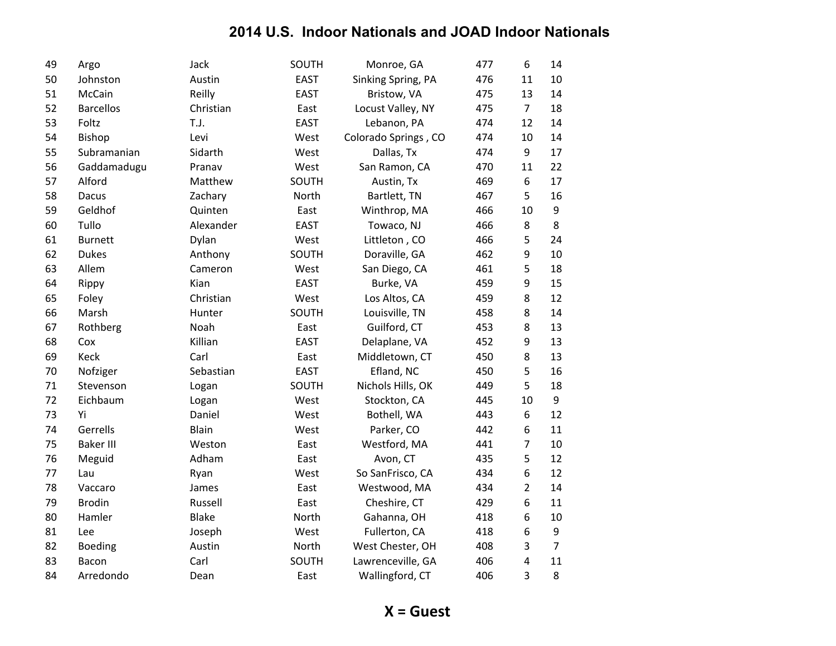| 49 | Argo             | Jack         | SOUTH       | Monroe, GA           | 477 | 6                       | 14             |
|----|------------------|--------------|-------------|----------------------|-----|-------------------------|----------------|
| 50 | Johnston         | Austin       | <b>EAST</b> | Sinking Spring, PA   | 476 | 11                      | 10             |
| 51 | McCain           | Reilly       | <b>EAST</b> | Bristow, VA          | 475 | 13                      | 14             |
| 52 | <b>Barcellos</b> | Christian    | East        | Locust Valley, NY    | 475 | $\overline{7}$          | 18             |
| 53 | Foltz            | T.J.         | <b>EAST</b> | Lebanon, PA          | 474 | 12                      | 14             |
| 54 | Bishop           | Levi         | West        | Colorado Springs, CO | 474 | 10                      | 14             |
| 55 | Subramanian      | Sidarth      | West        | Dallas, Tx           | 474 | 9                       | 17             |
| 56 | Gaddamadugu      | Pranav       | West        | San Ramon, CA        | 470 | 11                      | 22             |
| 57 | Alford           | Matthew      | SOUTH       | Austin, Tx           | 469 | $\sqrt{6}$              | 17             |
| 58 | Dacus            | Zachary      | North       | Bartlett, TN         | 467 | 5                       | 16             |
| 59 | Geldhof          | Quinten      | East        | Winthrop, MA         | 466 | 10                      | 9              |
| 60 | Tullo            | Alexander    | <b>EAST</b> | Towaco, NJ           | 466 | 8                       | 8              |
| 61 | <b>Burnett</b>   | Dylan        | West        | Littleton, CO        | 466 | 5                       | 24             |
| 62 | <b>Dukes</b>     | Anthony      | SOUTH       | Doraville, GA        | 462 | 9                       | 10             |
| 63 | Allem            | Cameron      | West        | San Diego, CA        | 461 | 5                       | 18             |
| 64 | Rippy            | Kian         | <b>EAST</b> | Burke, VA            | 459 | 9                       | 15             |
| 65 | Foley            | Christian    | West        | Los Altos, CA        | 459 | 8                       | 12             |
| 66 | Marsh            | Hunter       | SOUTH       | Louisville, TN       | 458 | 8                       | 14             |
| 67 | Rothberg         | Noah         | East        | Guilford, CT         | 453 | 8                       | 13             |
| 68 | Cox              | Killian      | <b>EAST</b> | Delaplane, VA        | 452 | $\boldsymbol{9}$        | 13             |
| 69 | Keck             | Carl         | East        | Middletown, CT       | 450 | 8                       | 13             |
| 70 | Nofziger         | Sebastian    | <b>EAST</b> | Efland, NC           | 450 | 5                       | 16             |
| 71 | Stevenson        | Logan        | SOUTH       | Nichols Hills, OK    | 449 | 5                       | 18             |
| 72 | Eichbaum         | Logan        | West        | Stockton, CA         | 445 | 10                      | 9              |
| 73 | Yi               | Daniel       | West        | Bothell, WA          | 443 | $\boldsymbol{6}$        | 12             |
| 74 | Gerrells         | Blain        | West        | Parker, CO           | 442 | 6                       | 11             |
| 75 | <b>Baker III</b> | Weston       | East        | Westford, MA         | 441 | $\overline{7}$          | 10             |
| 76 | Meguid           | Adham        | East        | Avon, CT             | 435 | 5                       | 12             |
| 77 | Lau              | Ryan         | West        | So SanFrisco, CA     | 434 | 6                       | 12             |
| 78 | Vaccaro          | James        | East        | Westwood, MA         | 434 | $\overline{2}$          | 14             |
| 79 | <b>Brodin</b>    | Russell      | East        | Cheshire, CT         | 429 | 6                       | 11             |
| 80 | Hamler           | <b>Blake</b> | North       | Gahanna, OH          | 418 | 6                       | 10             |
| 81 | Lee              | Joseph       | West        | Fullerton, CA        | 418 | 6                       | 9              |
| 82 | <b>Boeding</b>   | Austin       | North       | West Chester, OH     | 408 | $\mathsf 3$             | $\overline{7}$ |
| 83 | Bacon            | Carl         | SOUTH       | Lawrenceville, GA    | 406 | $\overline{\mathbf{4}}$ | 11             |
| 84 | Arredondo        | Dean         | East        | Wallingford, CT      | 406 | 3                       | 8              |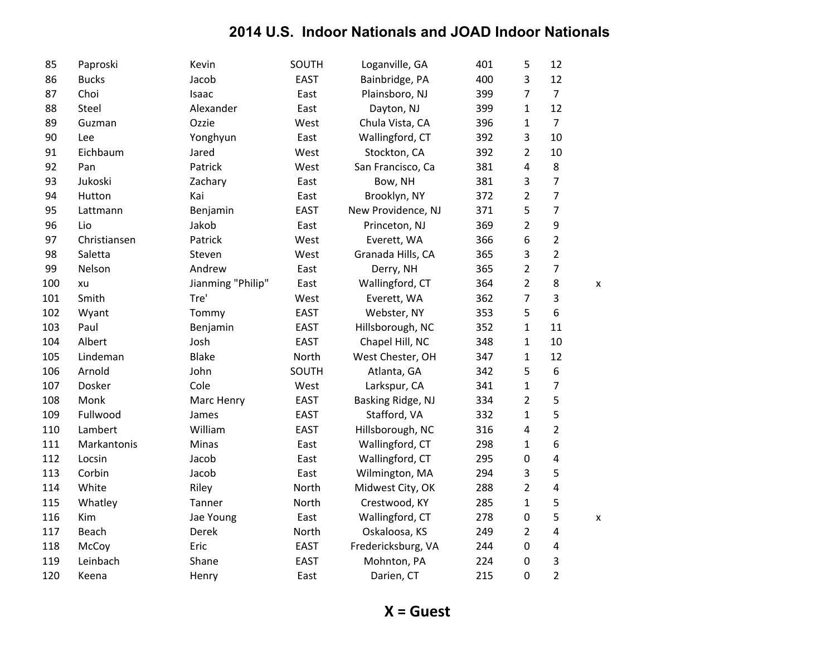| 85  | Paproski     | Kevin             | SOUTH       | Loganville, GA     | 401 | 5                | 12             |   |
|-----|--------------|-------------------|-------------|--------------------|-----|------------------|----------------|---|
| 86  | <b>Bucks</b> | Jacob             | <b>EAST</b> | Bainbridge, PA     | 400 | 3                | 12             |   |
| 87  | Choi         | Isaac             | East        | Plainsboro, NJ     | 399 | 7                | $\overline{7}$ |   |
| 88  | Steel        | Alexander         | East        | Dayton, NJ         | 399 | $\mathbf{1}$     | 12             |   |
| 89  | Guzman       | Ozzie             | West        | Chula Vista, CA    | 396 | $\mathbf{1}$     | $\overline{7}$ |   |
| 90  | Lee          | Yonghyun          | East        | Wallingford, CT    | 392 | 3                | 10             |   |
| 91  | Eichbaum     | Jared             | West        | Stockton, CA       | 392 | 2                | 10             |   |
| 92  | Pan          | Patrick           | West        | San Francisco, Ca  | 381 | 4                | 8              |   |
| 93  | Jukoski      | Zachary           | East        | Bow, NH            | 381 | 3                | $\overline{7}$ |   |
| 94  | Hutton       | Kai               | East        | Brooklyn, NY       | 372 | $\overline{2}$   | $\overline{7}$ |   |
| 95  | Lattmann     | Benjamin          | <b>EAST</b> | New Providence, NJ | 371 | 5                | $\overline{7}$ |   |
| 96  | Lio          | Jakob             | East        | Princeton, NJ      | 369 | $\overline{2}$   | 9              |   |
| 97  | Christiansen | Patrick           | West        | Everett, WA        | 366 | 6                | $\overline{2}$ |   |
| 98  | Saletta      | Steven            | West        | Granada Hills, CA  | 365 | 3                | $\overline{2}$ |   |
| 99  | Nelson       | Andrew            | East        | Derry, NH          | 365 | $\overline{2}$   | $\overline{7}$ |   |
| 100 | xu           | Jianming "Philip" | East        | Wallingford, CT    | 364 | 2                | 8              | X |
| 101 | Smith        | Tre'              | West        | Everett, WA        | 362 | 7                | 3              |   |
| 102 | Wyant        | Tommy             | <b>EAST</b> | Webster, NY        | 353 | 5                | 6              |   |
| 103 | Paul         | Benjamin          | <b>EAST</b> | Hillsborough, NC   | 352 | $\mathbf{1}$     | 11             |   |
| 104 | Albert       | Josh              | <b>EAST</b> | Chapel Hill, NC    | 348 | $\mathbf{1}$     | 10             |   |
| 105 | Lindeman     | <b>Blake</b>      | North       | West Chester, OH   | 347 | $\mathbf{1}$     | 12             |   |
| 106 | Arnold       | John              | SOUTH       | Atlanta, GA        | 342 | 5                | 6              |   |
| 107 | Dosker       | Cole              | West        | Larkspur, CA       | 341 | $\mathbf{1}$     | $\overline{7}$ |   |
| 108 | Monk         | Marc Henry        | <b>EAST</b> | Basking Ridge, NJ  | 334 | $\overline{2}$   | 5              |   |
| 109 | Fullwood     | James             | <b>EAST</b> | Stafford, VA       | 332 | $\mathbf{1}$     | 5              |   |
| 110 | Lambert      | William           | <b>EAST</b> | Hillsborough, NC   | 316 | $\overline{4}$   | $\overline{2}$ |   |
| 111 | Markantonis  | Minas             | East        | Wallingford, CT    | 298 | $\mathbf{1}$     | 6              |   |
| 112 | Locsin       | Jacob             | East        | Wallingford, CT    | 295 | $\boldsymbol{0}$ | $\pmb{4}$      |   |
| 113 | Corbin       | Jacob             | East        | Wilmington, MA     | 294 | 3                | 5              |   |
| 114 | White        | Riley             | North       | Midwest City, OK   | 288 | 2                | 4              |   |
| 115 | Whatley      | Tanner            | North       | Crestwood, KY      | 285 | $\mathbf{1}$     | 5              |   |
| 116 | Kim          | Jae Young         | East        | Wallingford, CT    | 278 | $\boldsymbol{0}$ | 5              | X |
| 117 | Beach        | Derek             | North       | Oskaloosa, KS      | 249 | $\overline{2}$   | 4              |   |
| 118 | McCoy        | Eric              | <b>EAST</b> | Fredericksburg, VA | 244 | $\boldsymbol{0}$ | 4              |   |
| 119 | Leinbach     | Shane             | <b>EAST</b> | Mohnton, PA        | 224 | $\pmb{0}$        | 3              |   |
| 120 | Keena        | Henry             | East        | Darien, CT         | 215 | $\mathbf 0$      | $\overline{2}$ |   |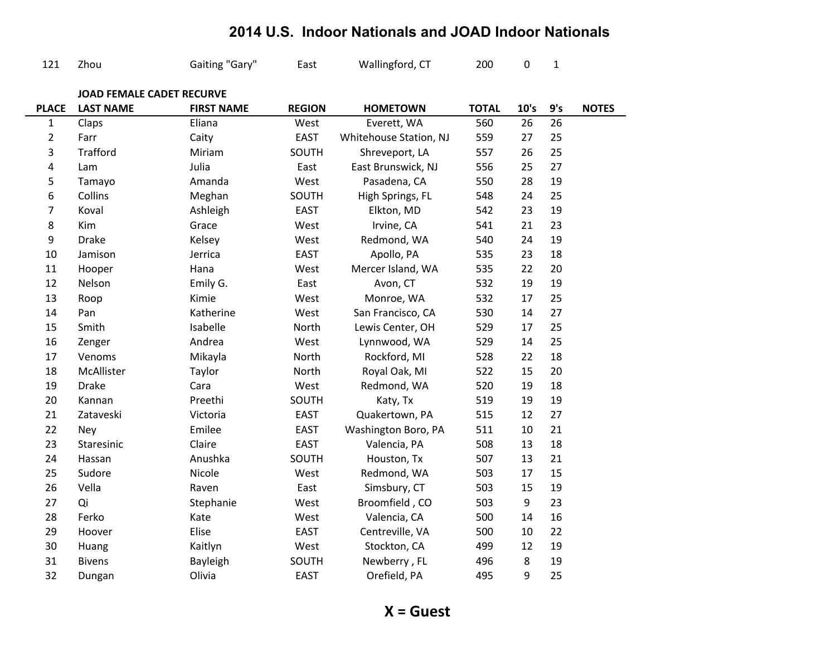| 121              | Zhou                             | Gaiting "Gary"    | East          | Wallingford, CT        | 200          | $\pmb{0}$ | $\mathbf{1}$ |              |
|------------------|----------------------------------|-------------------|---------------|------------------------|--------------|-----------|--------------|--------------|
|                  | <b>JOAD FEMALE CADET RECURVE</b> |                   |               |                        |              |           |              |              |
| <b>PLACE</b>     | <b>LAST NAME</b>                 | <b>FIRST NAME</b> | <b>REGION</b> | <b>HOMETOWN</b>        | <b>TOTAL</b> | 10's      | 9's          | <b>NOTES</b> |
| $\mathbf{1}$     | Claps                            | Eliana            | West          | Everett, WA            | 560          | 26        | 26           |              |
| $\overline{2}$   | Farr                             | Caity             | <b>EAST</b>   | Whitehouse Station, NJ | 559          | 27        | 25           |              |
| 3                | <b>Trafford</b>                  | Miriam            | SOUTH         | Shreveport, LA         | 557          | 26        | 25           |              |
| 4                | Lam                              | Julia             | East          | East Brunswick, NJ     | 556          | 25        | 27           |              |
| 5                | Tamayo                           | Amanda            | West          | Pasadena, CA           | 550          | 28        | 19           |              |
| 6                | Collins                          | Meghan            | SOUTH         | High Springs, FL       | 548          | 24        | 25           |              |
| $\overline{7}$   | Koval                            | Ashleigh          | <b>EAST</b>   | Elkton, MD             | 542          | 23        | 19           |              |
| $\,8\,$          | Kim                              | Grace             | West          | Irvine, CA             | 541          | 21        | 23           |              |
| $\boldsymbol{9}$ | <b>Drake</b>                     | Kelsey            | West          | Redmond, WA            | 540          | 24        | 19           |              |
| 10               | Jamison                          | Jerrica           | <b>EAST</b>   | Apollo, PA             | 535          | 23        | 18           |              |
| 11               | Hooper                           | Hana              | West          | Mercer Island, WA      | 535          | 22        | 20           |              |
| 12               | Nelson                           | Emily G.          | East          | Avon, CT               | 532          | 19        | 19           |              |
| 13               | Roop                             | Kimie             | West          | Monroe, WA             | 532          | 17        | 25           |              |
| 14               | Pan                              | Katherine         | West          | San Francisco, CA      | 530          | 14        | 27           |              |
| 15               | Smith                            | Isabelle          | North         | Lewis Center, OH       | 529          | 17        | 25           |              |
| 16               | Zenger                           | Andrea            | West          | Lynnwood, WA           | 529          | 14        | 25           |              |
| 17               | Venoms                           | Mikayla           | North         | Rockford, MI           | 528          | 22        | 18           |              |
| 18               | McAllister                       | Taylor            | North         | Royal Oak, MI          | 522          | 15        | 20           |              |
| 19               | <b>Drake</b>                     | Cara              | West          | Redmond, WA            | 520          | 19        | 18           |              |
| 20               | Kannan                           | Preethi           | SOUTH         | Katy, Tx               | 519          | 19        | 19           |              |
| 21               | Zataveski                        | Victoria          | <b>EAST</b>   | Quakertown, PA         | 515          | 12        | 27           |              |
| 22               | Ney                              | Emilee            | <b>EAST</b>   | Washington Boro, PA    | 511          | 10        | 21           |              |
| 23               | Staresinic                       | Claire            | <b>EAST</b>   | Valencia, PA           | 508          | 13        | 18           |              |
| 24               | Hassan                           | Anushka           | SOUTH         | Houston, Tx            | 507          | 13        | 21           |              |
| 25               | Sudore                           | Nicole            | West          | Redmond, WA            | 503          | 17        | 15           |              |
| 26               | Vella                            | Raven             | East          | Simsbury, CT           | 503          | 15        | 19           |              |
| 27               | Qi                               | Stephanie         | West          | Broomfield, CO         | 503          | 9         | 23           |              |
| 28               | Ferko                            | Kate              | West          | Valencia, CA           | 500          | 14        | 16           |              |
| 29               | Hoover                           | Elise             | <b>EAST</b>   | Centreville, VA        | 500          | 10        | 22           |              |
| 30               | Huang                            | Kaitlyn           | West          | Stockton, CA           | 499          | 12        | 19           |              |
| 31               | <b>Bivens</b>                    | Bayleigh          | SOUTH         | Newberry, FL           | 496          | 8         | 19           |              |
| 32               | Dungan                           | Olivia            | <b>EAST</b>   | Orefield, PA           | 495          | 9         | 25           |              |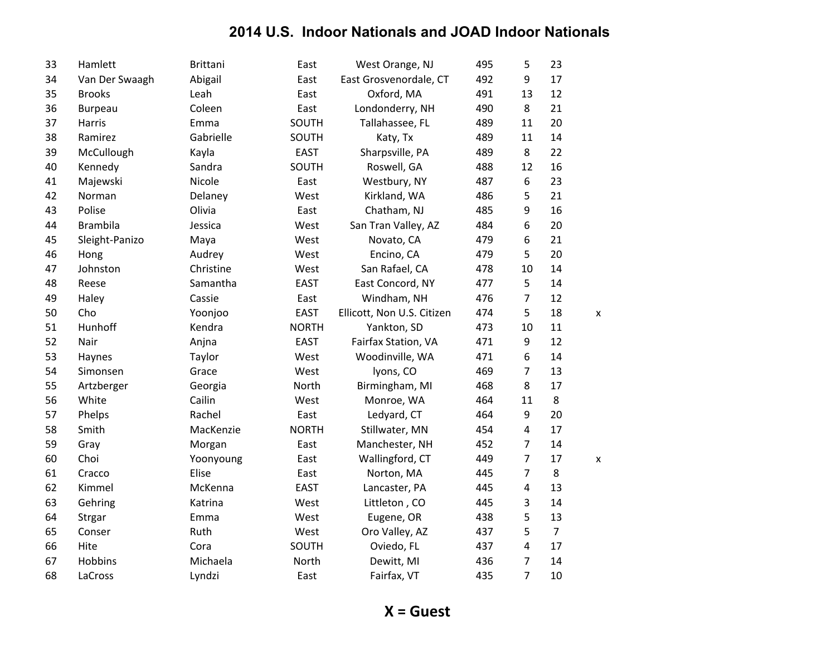| 33 | Hamlett         | <b>Brittani</b> | East         | West Orange, NJ            | 495 | 5              | 23             |   |
|----|-----------------|-----------------|--------------|----------------------------|-----|----------------|----------------|---|
| 34 | Van Der Swaagh  | Abigail         | East         | East Grosvenordale, CT     | 492 | 9              | 17             |   |
| 35 | <b>Brooks</b>   | Leah            | East         | Oxford, MA                 | 491 | 13             | 12             |   |
| 36 | <b>Burpeau</b>  | Coleen          | East         | Londonderry, NH            | 490 | 8              | 21             |   |
| 37 | Harris          | Emma            | SOUTH        | Tallahassee, FL            | 489 | 11             | 20             |   |
| 38 | Ramirez         | Gabrielle       | SOUTH        | Katy, Tx                   | 489 | 11             | 14             |   |
| 39 | McCullough      | Kayla           | <b>EAST</b>  | Sharpsville, PA            | 489 | 8              | 22             |   |
| 40 | Kennedy         | Sandra          | SOUTH        | Roswell, GA                | 488 | 12             | 16             |   |
| 41 | Majewski        | Nicole          | East         | Westbury, NY               | 487 | 6              | 23             |   |
| 42 | Norman          | Delaney         | West         | Kirkland, WA               | 486 | 5              | 21             |   |
| 43 | Polise          | Olivia          | East         | Chatham, NJ                | 485 | 9              | 16             |   |
| 44 | <b>Brambila</b> | Jessica         | West         | San Tran Valley, AZ        | 484 | 6              | 20             |   |
| 45 | Sleight-Panizo  | Maya            | West         | Novato, CA                 | 479 | 6              | 21             |   |
| 46 | Hong            | Audrey          | West         | Encino, CA                 | 479 | 5              | 20             |   |
| 47 | Johnston        | Christine       | West         | San Rafael, CA             | 478 | 10             | 14             |   |
| 48 | Reese           | Samantha        | <b>EAST</b>  | East Concord, NY           | 477 | 5              | 14             |   |
| 49 | Haley           | Cassie          | East         | Windham, NH                | 476 | 7              | 12             |   |
| 50 | Cho             | Yoonjoo         | <b>EAST</b>  | Ellicott, Non U.S. Citizen | 474 | 5              | 18             | X |
| 51 | Hunhoff         | Kendra          | <b>NORTH</b> | Yankton, SD                | 473 | 10             | 11             |   |
| 52 | Nair            | Anjna           | <b>EAST</b>  | Fairfax Station, VA        | 471 | 9              | 12             |   |
| 53 | Haynes          | Taylor          | West         | Woodinville, WA            | 471 | 6              | 14             |   |
| 54 | Simonsen        | Grace           | West         | lyons, CO                  | 469 | 7              | 13             |   |
| 55 | Artzberger      | Georgia         | North        | Birmingham, MI             | 468 | 8              | 17             |   |
| 56 | White           | Cailin          | West         | Monroe, WA                 | 464 | 11             | 8              |   |
| 57 | Phelps          | Rachel          | East         | Ledyard, CT                | 464 | 9              | 20             |   |
| 58 | Smith           | MacKenzie       | <b>NORTH</b> | Stillwater, MN             | 454 | 4              | 17             |   |
| 59 | Gray            | Morgan          | East         | Manchester, NH             | 452 | $\overline{7}$ | 14             |   |
| 60 | Choi            | Yoonyoung       | East         | Wallingford, CT            | 449 | $\overline{7}$ | 17             | X |
| 61 | Cracco          | Elise           | East         | Norton, MA                 | 445 | $\overline{7}$ | 8              |   |
| 62 | Kimmel          | McKenna         | <b>EAST</b>  | Lancaster, PA              | 445 | 4              | 13             |   |
| 63 | Gehring         | Katrina         | West         | Littleton, CO              | 445 | 3              | 14             |   |
| 64 | Strgar          | Emma            | West         | Eugene, OR                 | 438 | 5              | 13             |   |
| 65 | Conser          | Ruth            | West         | Oro Valley, AZ             | 437 | 5              | $\overline{7}$ |   |
| 66 | Hite            | Cora            | SOUTH        | Oviedo, FL                 | 437 | 4              | 17             |   |
| 67 | Hobbins         | Michaela        | North        | Dewitt, MI                 | 436 | 7              | 14             |   |
| 68 | LaCross         | Lyndzi          | East         | Fairfax, VT                | 435 | $\overline{7}$ | 10             |   |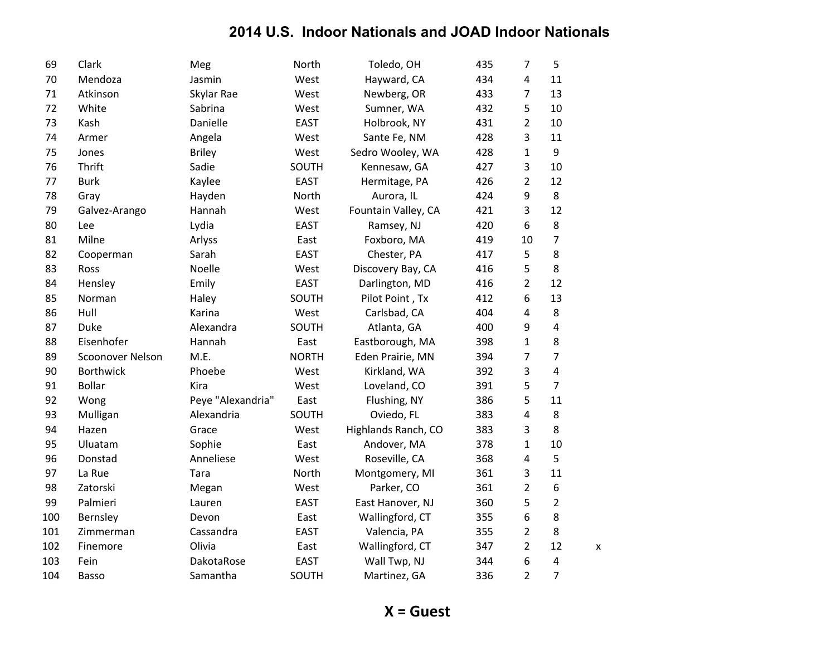| 69  | Clark            | Meg               | North        | Toledo, OH          | 435 | $\overline{7}$   | 5              |   |
|-----|------------------|-------------------|--------------|---------------------|-----|------------------|----------------|---|
| 70  | Mendoza          | Jasmin            | West         | Hayward, CA         | 434 | 4                | 11             |   |
| 71  | Atkinson         | Skylar Rae        | West         | Newberg, OR         | 433 | 7                | 13             |   |
| 72  | White            | Sabrina           | West         | Sumner, WA          | 432 | 5                | 10             |   |
| 73  | Kash             | Danielle          | <b>EAST</b>  | Holbrook, NY        | 431 | 2                | 10             |   |
| 74  | Armer            | Angela            | West         | Sante Fe, NM        | 428 | 3                | 11             |   |
| 75  | Jones            | <b>Briley</b>     | West         | Sedro Wooley, WA    | 428 | $\mathbf{1}$     | 9              |   |
| 76  | Thrift           | Sadie             | SOUTH        | Kennesaw, GA        | 427 | 3                | 10             |   |
| 77  | <b>Burk</b>      | Kaylee            | <b>EAST</b>  | Hermitage, PA       | 426 | 2                | 12             |   |
| 78  | Gray             | Hayden            | North        | Aurora, IL          | 424 | $\boldsymbol{9}$ | 8              |   |
| 79  | Galvez-Arango    | Hannah            | West         | Fountain Valley, CA | 421 | 3                | 12             |   |
| 80  | Lee              | Lydia             | <b>EAST</b>  | Ramsey, NJ          | 420 | 6                | 8              |   |
| 81  | Milne            | Arlyss            | East         | Foxboro, MA         | 419 | 10               | $\overline{7}$ |   |
| 82  | Cooperman        | Sarah             | <b>EAST</b>  | Chester, PA         | 417 | 5                | 8              |   |
| 83  | Ross             | Noelle            | West         | Discovery Bay, CA   | 416 | 5                | 8              |   |
| 84  | Hensley          | Emily             | <b>EAST</b>  | Darlington, MD      | 416 | 2                | 12             |   |
| 85  | Norman           | Haley             | SOUTH        | Pilot Point, Tx     | 412 | 6                | 13             |   |
| 86  | Hull             | Karina            | West         | Carlsbad, CA        | 404 | 4                | 8              |   |
| 87  | <b>Duke</b>      | Alexandra         | SOUTH        | Atlanta, GA         | 400 | 9                | $\overline{4}$ |   |
| 88  | Eisenhofer       | Hannah            | East         | Eastborough, MA     | 398 | $\mathbf{1}$     | 8              |   |
| 89  | Scoonover Nelson | M.E.              | <b>NORTH</b> | Eden Prairie, MN    | 394 | 7                | 7              |   |
| 90  | <b>Borthwick</b> | Phoebe            | West         | Kirkland, WA        | 392 | 3                | $\overline{4}$ |   |
| 91  | <b>Bollar</b>    | Kira              | West         | Loveland, CO        | 391 | 5                | $\overline{7}$ |   |
| 92  | Wong             | Peye "Alexandria" | East         | Flushing, NY        | 386 | 5                | 11             |   |
| 93  | Mulligan         | Alexandria        | SOUTH        | Oviedo, FL          | 383 | 4                | 8              |   |
| 94  | Hazen            | Grace             | West         | Highlands Ranch, CO | 383 | 3                | 8              |   |
| 95  | Uluatam          | Sophie            | East         | Andover, MA         | 378 | $\mathbf{1}$     | 10             |   |
| 96  | Donstad          | Anneliese         | West         | Roseville, CA       | 368 | $\overline{4}$   | 5              |   |
| 97  | La Rue           | Tara              | North        | Montgomery, MI      | 361 | 3                | 11             |   |
| 98  | Zatorski         | Megan             | West         | Parker, CO          | 361 | $\overline{2}$   | 6              |   |
| 99  | Palmieri         | Lauren            | <b>EAST</b>  | East Hanover, NJ    | 360 | 5                | $\overline{2}$ |   |
| 100 | Bernsley         | Devon             | East         | Wallingford, CT     | 355 | 6                | 8              |   |
| 101 | Zimmerman        | Cassandra         | <b>EAST</b>  | Valencia, PA        | 355 | $\overline{2}$   | 8              |   |
| 102 | Finemore         | Olivia            | East         | Wallingford, CT     | 347 | $\overline{2}$   | 12             | X |
| 103 | Fein             | DakotaRose        | <b>EAST</b>  | Wall Twp, NJ        | 344 | 6                | $\overline{4}$ |   |
| 104 | <b>Basso</b>     | Samantha          | SOUTH        | Martinez, GA        | 336 | $\overline{2}$   | $\overline{7}$ |   |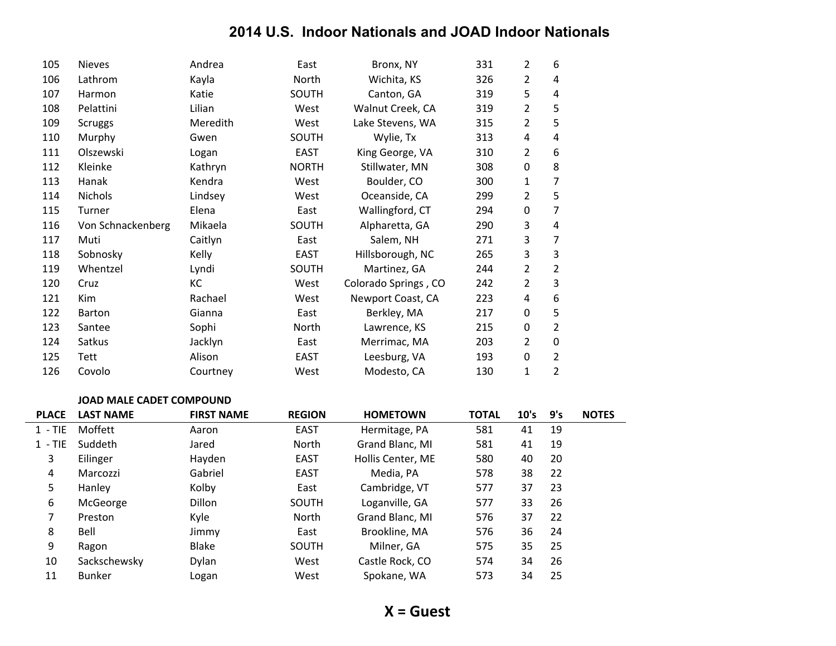| 105 | <b>Nieves</b>     | Andrea   | East         | Bronx, NY            | 331 | 2 | 6              |
|-----|-------------------|----------|--------------|----------------------|-----|---|----------------|
| 106 | Lathrom           | Kayla    | North        | Wichita, KS          | 326 | 2 | 4              |
| 107 | Harmon            | Katie    | SOUTH        | Canton, GA           | 319 | 5 | 4              |
| 108 | Pelattini         | Lilian   | West         | Walnut Creek, CA     | 319 | 2 | 5              |
| 109 | <b>Scruggs</b>    | Meredith | West         | Lake Stevens, WA     | 315 | 2 | 5              |
| 110 | Murphy            | Gwen     | SOUTH        | Wylie, Tx            | 313 | 4 | 4              |
| 111 | Olszewski         | Logan    | <b>EAST</b>  | King George, VA      | 310 | 2 | 6              |
| 112 | Kleinke           | Kathryn  | <b>NORTH</b> | Stillwater, MN       | 308 | 0 | 8              |
| 113 | Hanak             | Kendra   | West         | Boulder, CO          | 300 | 1 | 7              |
| 114 | <b>Nichols</b>    | Lindsey  | West         | Oceanside, CA        | 299 | 2 | 5              |
| 115 | Turner            | Elena    | East         | Wallingford, CT      | 294 | 0 | 7              |
| 116 | Von Schnackenberg | Mikaela  | SOUTH        | Alpharetta, GA       | 290 | 3 | 4              |
| 117 | Muti              | Caitlyn  | East         | Salem, NH            | 271 | 3 | 7              |
| 118 | Sobnosky          | Kelly    | <b>EAST</b>  | Hillsborough, NC     | 265 | 3 | 3              |
| 119 | Whentzel          | Lyndi    | SOUTH        | Martinez, GA         | 244 | 2 | 2              |
| 120 | Cruz              | КC       | West         | Colorado Springs, CO | 242 | 2 | 3              |
| 121 | Kim               | Rachael  | West         | Newport Coast, CA    | 223 | 4 | 6              |
| 122 | <b>Barton</b>     | Gianna   | East         | Berkley, MA          | 217 | 0 | 5              |
| 123 | Santee            | Sophi    | North        | Lawrence, KS         | 215 | 0 | 2              |
| 124 | Satkus            | Jacklyn  | East         | Merrimac, MA         | 203 | 2 | 0              |
| 125 | Tett              | Alison   | <b>EAST</b>  | Leesburg, VA         | 193 | 0 | 2              |
| 126 | Covolo            | Courtney | West         | Modesto, CA          | 130 | 1 | $\overline{2}$ |

#### **JOAD MALE CADET COMPOUND**

| <b>PLACE</b> | <b>LAST NAME</b> | <b>FIRST NAME</b> | <b>REGION</b> | <b>HOMETOWN</b>   | <b>TOTAL</b> | 10's | 9's | <b>NOTES</b> |
|--------------|------------------|-------------------|---------------|-------------------|--------------|------|-----|--------------|
| $1 - TIE$    | Moffett          | Aaron             | <b>EAST</b>   | Hermitage, PA     | 581          | 41   | 19  |              |
| $1 - TIE$    | Suddeth          | Jared             | North         | Grand Blanc, MI   | 581          | 41   | 19  |              |
| 3            | Eilinger         | Hayden            | EAST          | Hollis Center, ME | 580          | 40   | 20  |              |
| 4            | Marcozzi         | Gabriel           | EAST          | Media, PA         | 578          | 38   | 22  |              |
| 5            | Hanley           | Kolby             | East          | Cambridge, VT     | 577          | 37   | 23  |              |
| 6            | McGeorge         | Dillon            | SOUTH         | Loganville, GA    | 577          | 33   | 26  |              |
| 7            | Preston          | Kyle              | North         | Grand Blanc, MI   | 576          | 37   | 22  |              |
| 8            | Bell             | Jimmy             | East          | Brookline, MA     | 576          | 36   | 24  |              |
| 9            | Ragon            | Blake             | SOUTH         | Milner, GA        | 575          | 35   | 25  |              |
| 10           | Sackschewsky     | Dylan             | West          | Castle Rock, CO   | 574          | 34   | 26  |              |
| 11           | <b>Bunker</b>    | Logan             | West          | Spokane, WA       | 573          | 34   | 25  |              |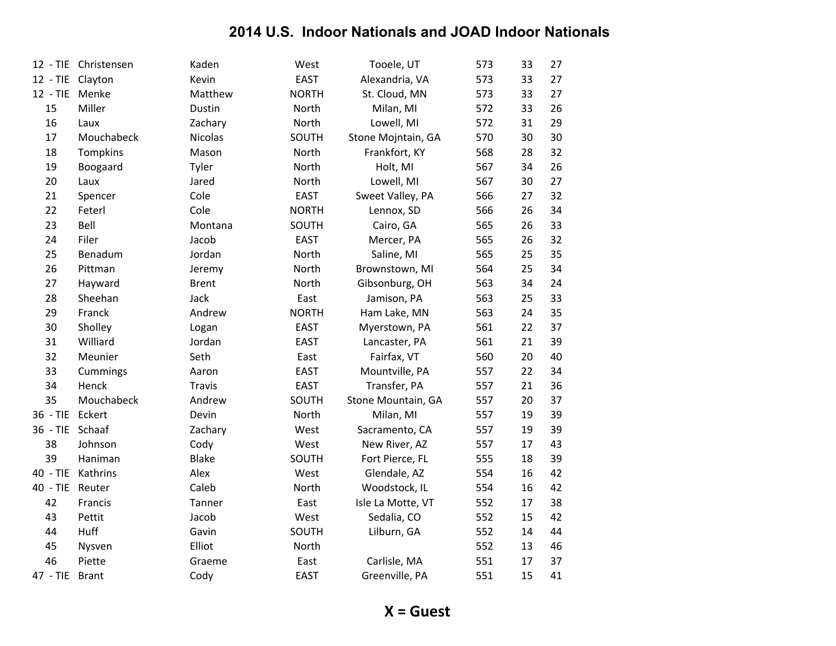|                 | 12 - TIE Christensen | Kaden        | West         | Tooele, UT         | 573 | 33 | 27 |
|-----------------|----------------------|--------------|--------------|--------------------|-----|----|----|
| $12 - TIE$      | Clayton              | Kevin        | <b>EAST</b>  | Alexandria, VA     | 573 | 33 | 27 |
| $12 - TIE$      | Menke                | Matthew      | <b>NORTH</b> | St. Cloud, MN      | 573 | 33 | 27 |
| 15              | Miller               | Dustin       | North        | Milan, MI          | 572 | 33 | 26 |
| 16              | Laux                 | Zachary      | North        | Lowell, MI         | 572 | 31 | 29 |
| 17              | Mouchabeck           | Nicolas      | SOUTH        | Stone Mojntain, GA | 570 | 30 | 30 |
| 18              | Tompkins             | Mason        | North        | Frankfort, KY      | 568 | 28 | 32 |
| 19              | Boogaard             | Tyler        | North        | Holt, MI           | 567 | 34 | 26 |
| 20              | Laux                 | Jared        | North        | Lowell, MI         | 567 | 30 | 27 |
| 21              | Spencer              | Cole         | EAST         | Sweet Valley, PA   | 566 | 27 | 32 |
| 22              | Feterl               | Cole         | <b>NORTH</b> | Lennox, SD         | 566 | 26 | 34 |
| 23              | Bell                 | Montana      | SOUTH        | Cairo, GA          | 565 | 26 | 33 |
| 24              | Filer                | Jacob        | <b>EAST</b>  | Mercer, PA         | 565 | 26 | 32 |
| 25              | Benadum              | Jordan       | North        | Saline, MI         | 565 | 25 | 35 |
| 26              | Pittman              | Jeremy       | North        | Brownstown, MI     | 564 | 25 | 34 |
| 27              | Hayward              | <b>Brent</b> | North        | Gibsonburg, OH     | 563 | 34 | 24 |
| 28              | Sheehan              | Jack         | East         | Jamison, PA        | 563 | 25 | 33 |
| 29              | Franck               | Andrew       | <b>NORTH</b> | Ham Lake, MN       | 563 | 24 | 35 |
| 30              | Sholley              | Logan        | <b>EAST</b>  | Myerstown, PA      | 561 | 22 | 37 |
| 31              | Williard             | Jordan       | <b>EAST</b>  | Lancaster, PA      | 561 | 21 | 39 |
| 32              | Meunier              | Seth         | East         | Fairfax, VT        | 560 | 20 | 40 |
| 33              | Cummings             | Aaron        | <b>EAST</b>  | Mountville, PA     | 557 | 22 | 34 |
| 34              | Henck                | Travis       | <b>EAST</b>  | Transfer, PA       | 557 | 21 | 36 |
| 35              | Mouchabeck           | Andrew       | SOUTH        | Stone Mountain, GA | 557 | 20 | 37 |
| $36 - TIE$      | Eckert               | Devin        | North        | Milan, MI          | 557 | 19 | 39 |
| 36 - TIE Schaaf |                      | Zachary      | West         | Sacramento, CA     | 557 | 19 | 39 |
| 38              | Johnson              | Cody         | West         | New River, AZ      | 557 | 17 | 43 |
| 39              | Haniman              | <b>Blake</b> | SOUTH        | Fort Pierce, FL    | 555 | 18 | 39 |
| $40 - TIE$      | Kathrins             | Alex         | West         | Glendale, AZ       | 554 | 16 | 42 |
| $40 - TIE$      | Reuter               | Caleb        | North        | Woodstock, IL      | 554 | 16 | 42 |
| 42              | Francis              | Tanner       | East         | Isle La Motte, VT  | 552 | 17 | 38 |
| 43              | Pettit               | Jacob        | West         | Sedalia, CO        | 552 | 15 | 42 |
| 44              | Huff                 | Gavin        | SOUTH        | Lilburn, GA        | 552 | 14 | 44 |
| 45              | Nysven               | Elliot       | North        |                    | 552 | 13 | 46 |
| 46              | Piette               | Graeme       | East         | Carlisle, MA       | 551 | 17 | 37 |
| 47 - TIE        | <b>Brant</b>         | Cody         | <b>EAST</b>  | Greenville, PA     | 551 | 15 | 41 |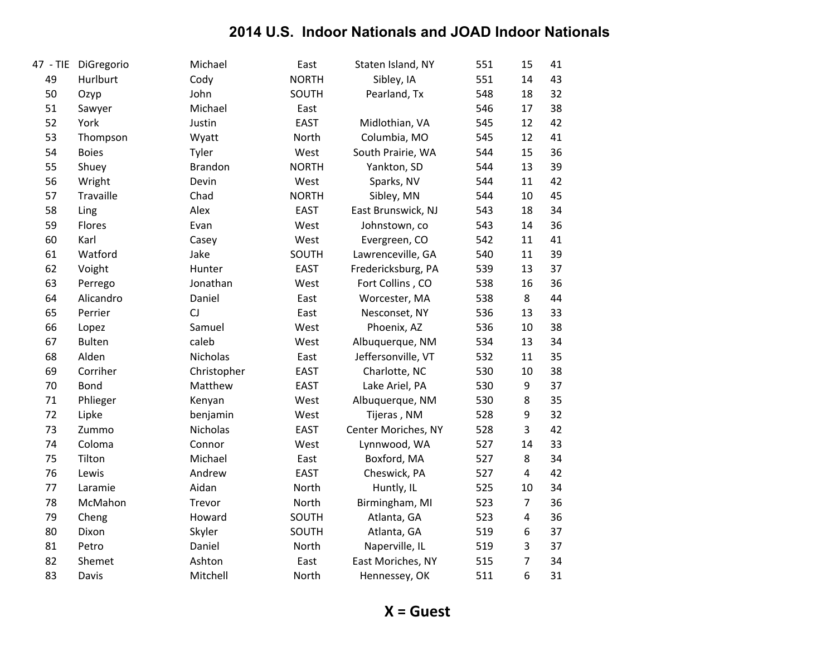| 47 - TIE | DiGregorio    | Michael        | East         | Staten Island, NY   | 551 | 15               | 41 |
|----------|---------------|----------------|--------------|---------------------|-----|------------------|----|
| 49       | Hurlburt      | Cody           | <b>NORTH</b> | Sibley, IA          | 551 | 14               | 43 |
| 50       | Ozyp          | John           | SOUTH        | Pearland, Tx        | 548 | 18               | 32 |
| 51       | Sawyer        | Michael        | East         |                     | 546 | 17               | 38 |
| 52       | York          | Justin         | <b>EAST</b>  | Midlothian, VA      | 545 | 12               | 42 |
| 53       | Thompson      | Wyatt          | North        | Columbia, MO        | 545 | 12               | 41 |
| 54       | <b>Boies</b>  | Tyler          | West         | South Prairie, WA   | 544 | 15               | 36 |
| 55       | Shuey         | <b>Brandon</b> | <b>NORTH</b> | Yankton, SD         | 544 | 13               | 39 |
| 56       | Wright        | Devin          | West         | Sparks, NV          | 544 | 11               | 42 |
| 57       | Travaille     | Chad           | <b>NORTH</b> | Sibley, MN          | 544 | 10               | 45 |
| 58       | Ling          | Alex           | <b>EAST</b>  | East Brunswick, NJ  | 543 | 18               | 34 |
| 59       | Flores        | Evan           | West         | Johnstown, co       | 543 | 14               | 36 |
| 60       | Karl          | Casey          | West         | Evergreen, CO       | 542 | 11               | 41 |
| 61       | Watford       | Jake           | SOUTH        | Lawrenceville, GA   | 540 | 11               | 39 |
| 62       | Voight        | Hunter         | <b>EAST</b>  | Fredericksburg, PA  | 539 | 13               | 37 |
| 63       | Perrego       | Jonathan       | West         | Fort Collins, CO    | 538 | 16               | 36 |
| 64       | Alicandro     | Daniel         | East         | Worcester, MA       | 538 | 8                | 44 |
| 65       | Perrier       | CJ             | East         | Nesconset, NY       | 536 | 13               | 33 |
| 66       | Lopez         | Samuel         | West         | Phoenix, AZ         | 536 | 10               | 38 |
| 67       | <b>Bulten</b> | caleb          | West         | Albuquerque, NM     | 534 | 13               | 34 |
| 68       | Alden         | Nicholas       | East         | Jeffersonville, VT  | 532 | 11               | 35 |
| 69       | Corriher      | Christopher    | <b>EAST</b>  | Charlotte, NC       | 530 | 10               | 38 |
| 70       | Bond          | Matthew        | <b>EAST</b>  | Lake Ariel, PA      | 530 | $\boldsymbol{9}$ | 37 |
| 71       | Phlieger      | Kenyan         | West         | Albuquerque, NM     | 530 | 8                | 35 |
| 72       | Lipke         | benjamin       | West         | Tijeras, NM         | 528 | 9                | 32 |
| 73       | Zummo         | Nicholas       | <b>EAST</b>  | Center Moriches, NY | 528 | $\overline{3}$   | 42 |
| 74       | Coloma        | Connor         | West         | Lynnwood, WA        | 527 | 14               | 33 |
| 75       | Tilton        | Michael        | East         | Boxford, MA         | 527 | 8                | 34 |
| 76       | Lewis         | Andrew         | <b>EAST</b>  | Cheswick, PA        | 527 | 4                | 42 |
| 77       | Laramie       | Aidan          | North        | Huntly, IL          | 525 | 10               | 34 |
| 78       | McMahon       | Trevor         | North        | Birmingham, MI      | 523 | $\overline{7}$   | 36 |
| 79       | Cheng         | Howard         | SOUTH        | Atlanta, GA         | 523 | $\overline{4}$   | 36 |
| 80       | Dixon         | Skyler         | SOUTH        | Atlanta, GA         | 519 | 6                | 37 |
| 81       | Petro         | Daniel         | North        | Naperville, IL      | 519 | 3                | 37 |
| 82       | Shemet        | Ashton         | East         | East Moriches, NY   | 515 | $\overline{7}$   | 34 |
| 83       | Davis         | Mitchell       | North        | Hennessey, OK       | 511 | 6                | 31 |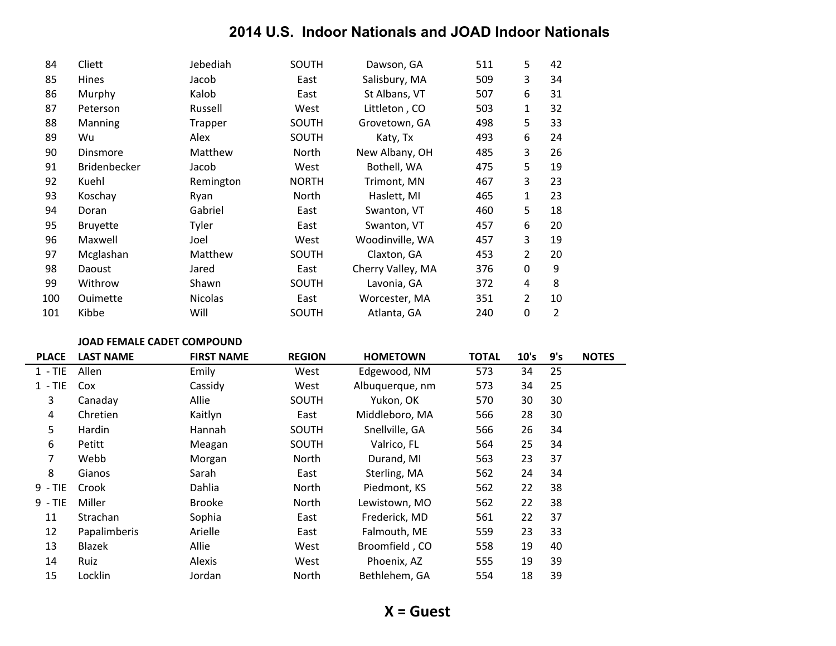| 84  | Cliett              | Jebediah       | <b>SOUTH</b> | Dawson, GA        | 511 | 5 | 42             |
|-----|---------------------|----------------|--------------|-------------------|-----|---|----------------|
| 85  | Hines               | Jacob          | East         | Salisbury, MA     | 509 | 3 | 34             |
| 86  | Murphy              | Kalob          | East         | St Albans, VT     | 507 | 6 | 31             |
| 87  | Peterson            | Russell        | West         | Littleton, CO     | 503 | 1 | 32             |
| 88  | Manning             | Trapper        | SOUTH        | Grovetown, GA     | 498 | 5 | 33             |
| 89  | Wu                  | Alex           | SOUTH        | Katy, Tx          | 493 | 6 | 24             |
| 90  | Dinsmore            | Matthew        | North        | New Albany, OH    | 485 | 3 | 26             |
| 91  | <b>Bridenbecker</b> | Jacob          | West         | Bothell, WA       | 475 | 5 | 19             |
| 92  | Kuehl               | Remington      | <b>NORTH</b> | Trimont, MN       | 467 | 3 | 23             |
| 93  | Koschay             | Ryan           | North        | Haslett, MI       | 465 | 1 | 23             |
| 94  | Doran               | Gabriel        | East         | Swanton, VT       | 460 | 5 | 18             |
| 95  | <b>Bruyette</b>     | Tyler          | East         | Swanton, VT       | 457 | 6 | 20             |
| 96  | Maxwell             | Joel           | West         | Woodinville, WA   | 457 | 3 | 19             |
| 97  | Mcglashan           | Matthew        | SOUTH        | Claxton, GA       | 453 | 2 | 20             |
| 98  | Daoust              | Jared          | East         | Cherry Valley, MA | 376 | 0 | 9              |
| 99  | Withrow             | Shawn          | SOUTH        | Lavonia, GA       | 372 | 4 | 8              |
| 100 | Ouimette            | <b>Nicolas</b> | East         | Worcester, MA     | 351 | 2 | 10             |
| 101 | Kibbe               | Will           | SOUTH        | Atlanta, GA       | 240 | 0 | $\overline{2}$ |

#### **JOAD FEMALE CADET COMPOUND**

| <b>PLACE</b> | <b>LAST NAME</b> | <b>FIRST NAME</b> | <b>REGION</b> | <b>HOMETOWN</b> | <b>TOTAL</b> | 10's | 9's | <b>NOTES</b> |
|--------------|------------------|-------------------|---------------|-----------------|--------------|------|-----|--------------|
| $1 - TIE$    | Allen            | Emily             | West          | Edgewood, NM    | 573          | 34   | 25  |              |
| $1 - TIE$    | Cox              | Cassidy           | West          | Albuquerque, nm | 573          | 34   | 25  |              |
| 3            | Canaday          | Allie             | SOUTH         | Yukon, OK       | 570          | 30   | 30  |              |
| 4            | Chretien         | Kaitlyn           | East          | Middleboro, MA  | 566          | 28   | 30  |              |
| 5            | Hardin           | Hannah            | SOUTH         | Snellville, GA  | 566          | 26   | 34  |              |
| 6            | Petitt           | Meagan            | SOUTH         | Valrico, FL     | 564          | 25   | 34  |              |
| 7            | Webb             | Morgan            | North         | Durand, MI      | 563          | 23   | 37  |              |
| 8            | Gianos           | Sarah             | East          | Sterling, MA    | 562          | 24   | 34  |              |
| $9 - TIE$    | Crook            | Dahlia            | North         | Piedmont, KS    | 562          | 22   | 38  |              |
| $9 - TIE$    | Miller           | <b>Brooke</b>     | North         | Lewistown, MO   | 562          | 22   | 38  |              |
| 11           | Strachan         | Sophia            | East          | Frederick, MD   | 561          | 22   | 37  |              |
| 12           | Papalimberis     | Arielle           | East          | Falmouth, ME    | 559          | 23   | 33  |              |
| 13           | Blazek           | Allie             | West          | Broomfield, CO  | 558          | 19   | 40  |              |
| 14           | Ruiz             | Alexis            | West          | Phoenix, AZ     | 555          | 19   | 39  |              |
| 15           | Locklin          | Jordan            | North         | Bethlehem, GA   | 554          | 18   | 39  |              |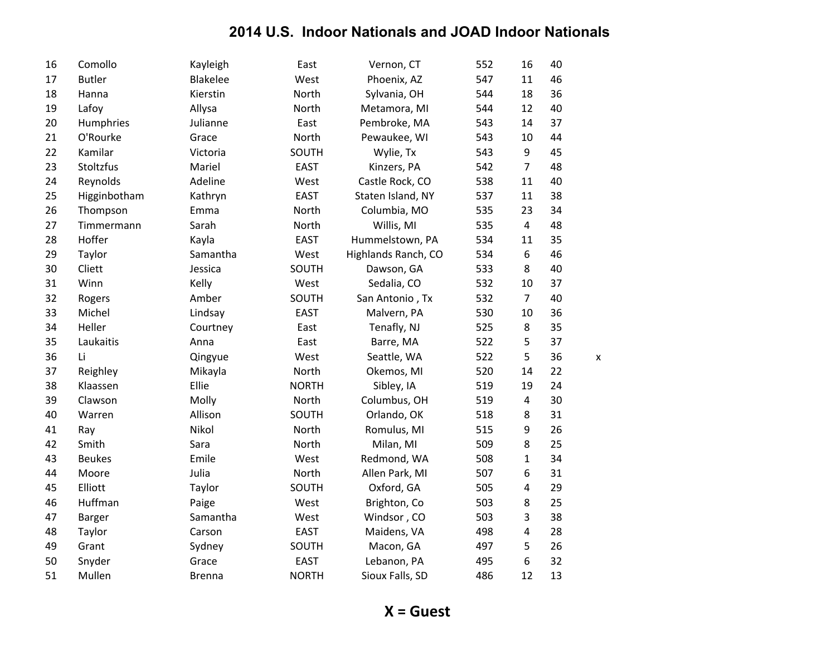| 16 | Comollo       | Kayleigh        | East         | Vernon, CT          | 552 | 16             | 40 |   |
|----|---------------|-----------------|--------------|---------------------|-----|----------------|----|---|
| 17 | <b>Butler</b> | <b>Blakelee</b> | West         | Phoenix, AZ         | 547 | 11             | 46 |   |
| 18 | Hanna         | Kierstin        | North        | Sylvania, OH        | 544 | 18             | 36 |   |
| 19 | Lafoy         | Allysa          | North        | Metamora, MI        | 544 | 12             | 40 |   |
| 20 | Humphries     | Julianne        | East         | Pembroke, MA        | 543 | 14             | 37 |   |
| 21 | O'Rourke      | Grace           | North        | Pewaukee, WI        | 543 | 10             | 44 |   |
| 22 | Kamilar       | Victoria        | SOUTH        | Wylie, Tx           | 543 | $9\,$          | 45 |   |
| 23 | Stoltzfus     | Mariel          | <b>EAST</b>  | Kinzers, PA         | 542 | $\overline{7}$ | 48 |   |
| 24 | Reynolds      | Adeline         | West         | Castle Rock, CO     | 538 | 11             | 40 |   |
| 25 | Higginbotham  | Kathryn         | <b>EAST</b>  | Staten Island, NY   | 537 | 11             | 38 |   |
| 26 | Thompson      | Emma            | North        | Columbia, MO        | 535 | 23             | 34 |   |
| 27 | Timmermann    | Sarah           | North        | Willis, MI          | 535 | $\overline{4}$ | 48 |   |
| 28 | Hoffer        | Kayla           | <b>EAST</b>  | Hummelstown, PA     | 534 | 11             | 35 |   |
| 29 | Taylor        | Samantha        | West         | Highlands Ranch, CO | 534 | 6              | 46 |   |
| 30 | Cliett        | Jessica         | SOUTH        | Dawson, GA          | 533 | 8              | 40 |   |
| 31 | Winn          | Kelly           | West         | Sedalia, CO         | 532 | 10             | 37 |   |
| 32 | Rogers        | Amber           | SOUTH        | San Antonio, Tx     | 532 | $\overline{7}$ | 40 |   |
| 33 | Michel        | Lindsay         | <b>EAST</b>  | Malvern, PA         | 530 | 10             | 36 |   |
| 34 | Heller        | Courtney        | East         | Tenafly, NJ         | 525 | $\,8\,$        | 35 |   |
| 35 | Laukaitis     | Anna            | East         | Barre, MA           | 522 | 5              | 37 |   |
| 36 | Li            | Qingyue         | West         | Seattle, WA         | 522 | 5              | 36 | X |
| 37 | Reighley      | Mikayla         | North        | Okemos, MI          | 520 | 14             | 22 |   |
| 38 | Klaassen      | Ellie           | <b>NORTH</b> | Sibley, IA          | 519 | 19             | 24 |   |
| 39 | Clawson       | Molly           | North        | Columbus, OH        | 519 | $\overline{4}$ | 30 |   |
| 40 | Warren        | Allison         | SOUTH        | Orlando, OK         | 518 | $\,8\,$        | 31 |   |
| 41 | Ray           | Nikol           | North        | Romulus, MI         | 515 | 9              | 26 |   |
| 42 | Smith         | Sara            | North        | Milan, MI           | 509 | 8              | 25 |   |
| 43 | <b>Beukes</b> | Emile           | West         | Redmond, WA         | 508 | $\mathbf{1}$   | 34 |   |
| 44 | Moore         | Julia           | North        | Allen Park, MI      | 507 | 6              | 31 |   |
| 45 | Elliott       | Taylor          | SOUTH        | Oxford, GA          | 505 | $\overline{4}$ | 29 |   |
| 46 | Huffman       | Paige           | West         | Brighton, Co        | 503 | 8              | 25 |   |
| 47 | <b>Barger</b> | Samantha        | West         | Windsor, CO         | 503 | 3              | 38 |   |
| 48 | Taylor        | Carson          | <b>EAST</b>  | Maidens, VA         | 498 | $\overline{4}$ | 28 |   |
| 49 | Grant         | Sydney          | SOUTH        | Macon, GA           | 497 | 5              | 26 |   |
| 50 | Snyder        | Grace           | <b>EAST</b>  | Lebanon, PA         | 495 | 6              | 32 |   |
| 51 | Mullen        | <b>Brenna</b>   | <b>NORTH</b> | Sioux Falls, SD     | 486 | 12             | 13 |   |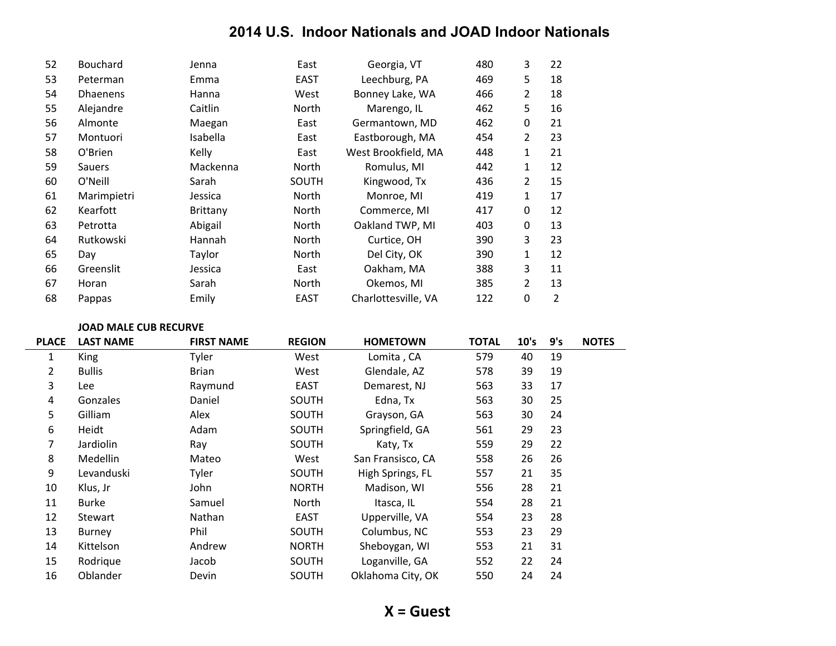| 52 | <b>Bouchard</b> | Jenna           | East        | Georgia, VT         | 480 | 3 | 22 |
|----|-----------------|-----------------|-------------|---------------------|-----|---|----|
| 53 | Peterman        | Emma            | <b>EAST</b> | Leechburg, PA       | 469 | 5 | 18 |
| 54 | <b>Dhaenens</b> | Hanna           | West        | Bonney Lake, WA     | 466 | 2 | 18 |
| 55 | Alejandre       | Caitlin         | North       | Marengo, IL         | 462 | 5 | 16 |
| 56 | Almonte         | Maegan          | East        | Germantown, MD      | 462 | 0 | 21 |
| 57 | Montuori        | <b>Isabella</b> | East        | Eastborough, MA     | 454 | 2 | 23 |
| 58 | O'Brien         | Kelly           | East        | West Brookfield, MA | 448 | 1 | 21 |
| 59 | <b>Sauers</b>   | Mackenna        | North       | Romulus, MI         | 442 | 1 | 12 |
| 60 | O'Neill         | Sarah           | SOUTH       | Kingwood, Tx        | 436 | 2 | 15 |
| 61 | Marimpietri     | Jessica         | North       | Monroe, MI          | 419 | 1 | 17 |
| 62 | Kearfott        | <b>Brittany</b> | North       | Commerce, MI        | 417 | 0 | 12 |
| 63 | Petrotta        | Abigail         | North       | Oakland TWP, MI     | 403 | 0 | 13 |
| 64 | Rutkowski       | <b>Hannah</b>   | North       | Curtice, OH         | 390 | 3 | 23 |
| 65 | Day             | Taylor          | North       | Del City, OK        | 390 | 1 | 12 |
| 66 | Greenslit       | Jessica         | East        | Oakham, MA          | 388 | 3 | 11 |
| 67 | Horan           | Sarah           | North       | Okemos, MI          | 385 | 2 | 13 |
| 68 | Pappas          | Emily           | <b>EAST</b> | Charlottesville, VA | 122 | 0 | 2  |

#### **JOAD MALE CUB RECURVE**

| <b>PLACE</b> | <b>LAST NAME</b> | <b>FIRST NAME</b> | <b>REGION</b> | <b>HOMETOWN</b>   | <b>TOTAL</b> | 10's | 9's | <b>NOTES</b> |
|--------------|------------------|-------------------|---------------|-------------------|--------------|------|-----|--------------|
| 1            | King             | Tyler             | West          | Lomita, CA        | 579          | 40   | 19  |              |
| 2            | <b>Bullis</b>    | <b>Brian</b>      | West          | Glendale, AZ      | 578          | 39   | 19  |              |
| 3            | Lee              | Raymund           | <b>EAST</b>   | Demarest, NJ      | 563          | 33   | 17  |              |
| 4            | Gonzales         | Daniel            | SOUTH         | Edna, Tx          | 563          | 30   | 25  |              |
| 5            | Gilliam          | Alex              | SOUTH         | Grayson, GA       | 563          | 30   | 24  |              |
| 6            | Heidt            | Adam              | SOUTH         | Springfield, GA   | 561          | 29   | 23  |              |
| 7            | Jardiolin        | Ray               | SOUTH         | Katy, Tx          | 559          | 29   | 22  |              |
| 8            | <b>Medellin</b>  | Mateo             | West          | San Fransisco, CA | 558          | 26   | 26  |              |
| 9            | Levanduski       | Tyler             | SOUTH         | High Springs, FL  | 557          | 21   | 35  |              |
| 10           | Klus, Jr         | John              | <b>NORTH</b>  | Madison, WI       | 556          | 28   | 21  |              |
| 11           | Burke            | Samuel            | <b>North</b>  | Itasca, IL        | 554          | 28   | 21  |              |
| 12           | Stewart          | Nathan            | <b>EAST</b>   | Upperville, VA    | 554          | 23   | 28  |              |
| 13           | Burney           | Phil              | SOUTH         | Columbus, NC      | 553          | 23   | 29  |              |
| 14           | Kittelson        | Andrew            | <b>NORTH</b>  | Sheboygan, WI     | 553          | 21   | 31  |              |
| 15           | Rodrigue         | Jacob             | SOUTH         | Loganville, GA    | 552          | 22   | 24  |              |
| 16           | Oblander         | Devin             | SOUTH         | Oklahoma City, OK | 550          | 24   | 24  |              |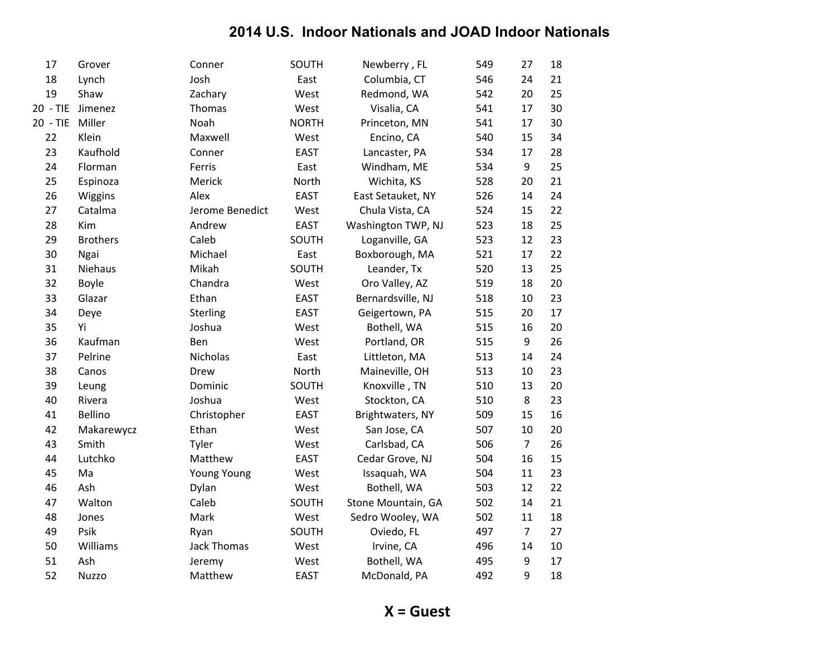| 17       | Grover          | Conner             | SOUTH        | Newberry, FL       | 549 | 27             | 18 |
|----------|-----------------|--------------------|--------------|--------------------|-----|----------------|----|
| 18       | Lynch           | Josh               | East         | Columbia, CT       | 546 | 24             | 21 |
| 19       | Shaw            | Zachary            | West         | Redmond, WA        | 542 | 20             | 25 |
| 20 - TIE | Jimenez         | Thomas             | West         | Visalia, CA        | 541 | 17             | 30 |
| 20 - TIE | Miller          | Noah               | <b>NORTH</b> | Princeton, MN      | 541 | 17             | 30 |
| 22       | Klein           | Maxwell            | West         | Encino, CA         | 540 | 15             | 34 |
| 23       | Kaufhold        | Conner             | <b>EAST</b>  | Lancaster, PA      | 534 | 17             | 28 |
| 24       | Florman         | Ferris             | East         | Windham, ME        | 534 | 9              | 25 |
| 25       | Espinoza        | Merick             | North        | Wichita, KS        | 528 | 20             | 21 |
| 26       | Wiggins         | Alex               | EAST         | East Setauket, NY  | 526 | 14             | 24 |
| 27       | Catalma         | Jerome Benedict    | West         | Chula Vista, CA    | 524 | 15             | 22 |
| 28       | Kim             | Andrew             | <b>EAST</b>  | Washington TWP, NJ | 523 | 18             | 25 |
| 29       | <b>Brothers</b> | Caleb              | SOUTH        | Loganville, GA     | 523 | 12             | 23 |
| 30       | Ngai            | Michael            | East         | Boxborough, MA     | 521 | 17             | 22 |
| 31       | Niehaus         | Mikah              | SOUTH        | Leander, Tx        | 520 | 13             | 25 |
| 32       | Boyle           | Chandra            | West         | Oro Valley, AZ     | 519 | 18             | 20 |
| 33       | Glazar          | Ethan              | <b>EAST</b>  | Bernardsville, NJ  | 518 | 10             | 23 |
| 34       | Deye            | Sterling           | <b>EAST</b>  | Geigertown, PA     | 515 | 20             | 17 |
| 35       | Yi              | Joshua             | West         | Bothell, WA        | 515 | 16             | 20 |
| 36       | Kaufman         | Ben                | West         | Portland, OR       | 515 | 9              | 26 |
| 37       | Pelrine         | Nicholas           | East         | Littleton, MA      | 513 | 14             | 24 |
| 38       | Canos           | Drew               | North        | Maineville, OH     | 513 | 10             | 23 |
| 39       | Leung           | Dominic            | SOUTH        | Knoxville, TN      | 510 | 13             | 20 |
| 40       | Rivera          | Joshua             | West         | Stockton, CA       | 510 | 8              | 23 |
| 41       | Bellino         | Christopher        | <b>EAST</b>  | Brightwaters, NY   | 509 | 15             | 16 |
| 42       | Makarewycz      | Ethan              | West         | San Jose, CA       | 507 | 10             | 20 |
| 43       | Smith           | Tyler              | West         | Carlsbad, CA       | 506 | $\overline{7}$ | 26 |
| 44       | Lutchko         | Matthew            | <b>EAST</b>  | Cedar Grove, NJ    | 504 | 16             | 15 |
| 45       | Ma              | <b>Young Young</b> | West         | Issaquah, WA       | 504 | 11             | 23 |
| 46       | Ash             | Dylan              | West         | Bothell, WA        | 503 | 12             | 22 |
| 47       | Walton          | Caleb              | SOUTH        | Stone Mountain, GA | 502 | 14             | 21 |
| 48       | Jones           | Mark               | West         | Sedro Wooley, WA   | 502 | 11             | 18 |
| 49       | Psik            | Ryan               | SOUTH        | Oviedo, FL         | 497 | $\overline{7}$ | 27 |
| 50       | Williams        | <b>Jack Thomas</b> | West         | Irvine, CA         | 496 | 14             | 10 |
| 51       | Ash             | Jeremy             | West         | Bothell, WA        | 495 | 9              | 17 |
| 52       | Nuzzo           | Matthew            | <b>EAST</b>  | McDonald, PA       | 492 | 9              | 18 |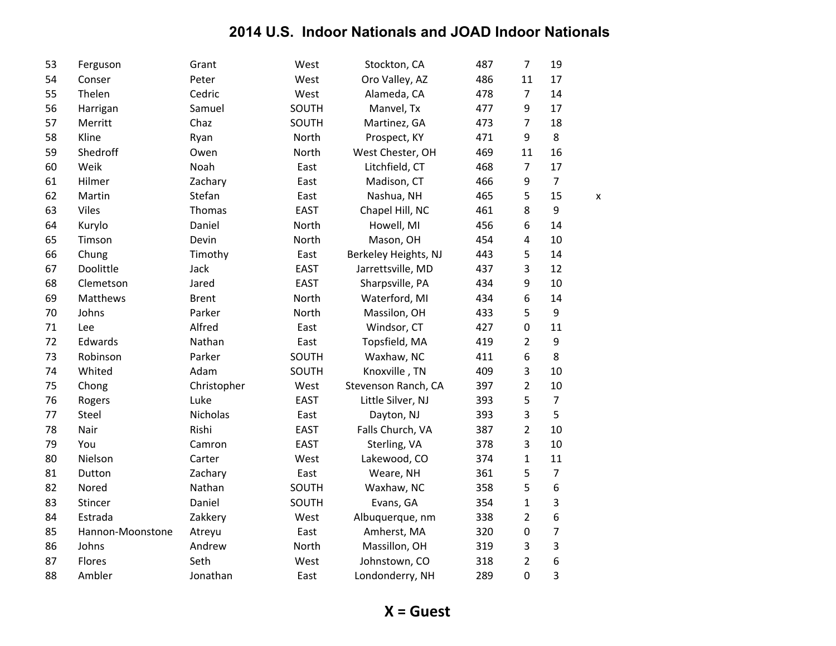| 53 | Ferguson         | Grant        | West        | Stockton, CA         | 487 | $\overline{7}$   | 19             |   |
|----|------------------|--------------|-------------|----------------------|-----|------------------|----------------|---|
| 54 | Conser           | Peter        | West        | Oro Valley, AZ       | 486 | 11               | 17             |   |
| 55 | Thelen           | Cedric       | West        | Alameda, CA          | 478 | $\overline{7}$   | 14             |   |
| 56 | Harrigan         | Samuel       | SOUTH       | Manvel, Tx           | 477 | 9                | 17             |   |
| 57 | Merritt          | Chaz         | SOUTH       | Martinez, GA         | 473 | $\overline{7}$   | 18             |   |
| 58 | Kline            | Ryan         | North       | Prospect, KY         | 471 | 9                | 8              |   |
| 59 | Shedroff         | Owen         | North       | West Chester, OH     | 469 | 11               | 16             |   |
| 60 | Weik             | Noah         | East        | Litchfield, CT       | 468 | $\overline{7}$   | 17             |   |
| 61 | Hilmer           | Zachary      | East        | Madison, CT          | 466 | 9                | $\overline{7}$ |   |
| 62 | Martin           | Stefan       | East        | Nashua, NH           | 465 | 5                | 15             | X |
| 63 | Viles            | Thomas       | <b>EAST</b> | Chapel Hill, NC      | 461 | 8                | 9              |   |
| 64 | Kurylo           | Daniel       | North       | Howell, MI           | 456 | 6                | 14             |   |
| 65 | Timson           | Devin        | North       | Mason, OH            | 454 | 4                | 10             |   |
| 66 | Chung            | Timothy      | East        | Berkeley Heights, NJ | 443 | 5                | 14             |   |
| 67 | Doolittle        | Jack         | <b>EAST</b> | Jarrettsville, MD    | 437 | 3                | 12             |   |
| 68 | Clemetson        | Jared        | <b>EAST</b> | Sharpsville, PA      | 434 | 9                | 10             |   |
| 69 | Matthews         | <b>Brent</b> | North       | Waterford, MI        | 434 | 6                | 14             |   |
| 70 | Johns            | Parker       | North       | Massilon, OH         | 433 | 5                | 9              |   |
| 71 | Lee              | Alfred       | East        | Windsor, CT          | 427 | $\mathbf 0$      | 11             |   |
| 72 | Edwards          | Nathan       | East        | Topsfield, MA        | 419 | $\overline{2}$   | 9              |   |
| 73 | Robinson         | Parker       | SOUTH       | Waxhaw, NC           | 411 | 6                | 8              |   |
| 74 | Whited           | Adam         | SOUTH       | Knoxville, TN        | 409 | 3                | 10             |   |
| 75 | Chong            | Christopher  | West        | Stevenson Ranch, CA  | 397 | $\overline{2}$   | 10             |   |
| 76 | Rogers           | Luke         | <b>EAST</b> | Little Silver, NJ    | 393 | 5                | $\overline{7}$ |   |
| 77 | Steel            | Nicholas     | East        | Dayton, NJ           | 393 | 3                | 5              |   |
| 78 | Nair             | Rishi        | <b>EAST</b> | Falls Church, VA     | 387 | $\overline{2}$   | 10             |   |
| 79 | You              | Camron       | <b>EAST</b> | Sterling, VA         | 378 | 3                | 10             |   |
| 80 | Nielson          | Carter       | West        | Lakewood, CO         | 374 | $\mathbf{1}$     | 11             |   |
| 81 | Dutton           | Zachary      | East        | Weare, NH            | 361 | 5                | $\overline{7}$ |   |
| 82 | Nored            | Nathan       | SOUTH       | Waxhaw, NC           | 358 | 5                | 6              |   |
| 83 | Stincer          | Daniel       | SOUTH       | Evans, GA            | 354 | $\mathbf{1}$     | 3              |   |
| 84 | Estrada          | Zakkery      | West        | Albuquerque, nm      | 338 | $\overline{2}$   | 6              |   |
| 85 | Hannon-Moonstone | Atreyu       | East        | Amherst, MA          | 320 | $\boldsymbol{0}$ | $\overline{7}$ |   |
| 86 | Johns            | Andrew       | North       | Massillon, OH        | 319 | 3                | 3              |   |
| 87 | Flores           | Seth         | West        | Johnstown, CO        | 318 | $\overline{2}$   | 6              |   |
| 88 | Ambler           | Jonathan     | East        | Londonderry, NH      | 289 | $\mathbf 0$      | 3              |   |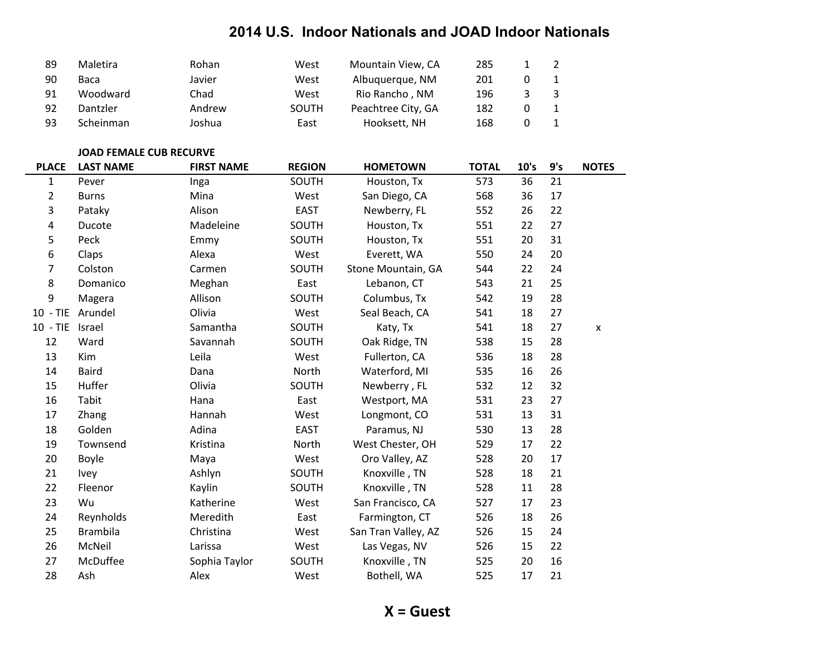| 89 | <b>Maletira</b> | Rohan  | West  | Mountain View, CA  | 285 |  |
|----|-----------------|--------|-------|--------------------|-----|--|
| 90 | Baca            | Javier | West  | Albuquerque, NM    | 201 |  |
| 91 | Woodward        | Chad   | West  | Rio Rancho, NM     | 196 |  |
| 92 | Dantzler        | Andrew | SOUTH | Peachtree City, GA | 182 |  |
| 93 | Scheinman       | Joshua | East  | Hooksett, NH       | 168 |  |

#### **JOAD FEMALE CUB RECURVE**

| <b>PLACE</b> | <b>LAST NAME</b> | <b>FIRST NAME</b> | <b>REGION</b> | <b>HOMETOWN</b>     | <b>TOTAL</b> | 10's | 9's | <b>NOTES</b>       |
|--------------|------------------|-------------------|---------------|---------------------|--------------|------|-----|--------------------|
| 1            | Pever            | Inga              | SOUTH         | Houston, Tx         | 573          | 36   | 21  |                    |
| 2            | <b>Burns</b>     | Mina              | West          | San Diego, CA       | 568          | 36   | 17  |                    |
| 3            | Pataky           | Alison            | <b>EAST</b>   | Newberry, FL        | 552          | 26   | 22  |                    |
| 4            | Ducote           | Madeleine         | SOUTH         | Houston, Tx         | 551          | 22   | 27  |                    |
| 5            | Peck             | Emmy              | SOUTH         | Houston, Tx         | 551          | 20   | 31  |                    |
| 6            | Claps            | Alexa             | West          | Everett, WA         | 550          | 24   | 20  |                    |
| 7            | Colston          | Carmen            | SOUTH         | Stone Mountain, GA  | 544          | 22   | 24  |                    |
| 8            | Domanico         | Meghan            | East          | Lebanon, CT         | 543          | 21   | 25  |                    |
| 9            | Magera           | Allison           | SOUTH         | Columbus, Tx        | 542          | 19   | 28  |                    |
| $10 - TIE$   | Arundel          | Olivia            | West          | Seal Beach, CA      | 541          | 18   | 27  |                    |
| $10 - TIE$   | Israel           | Samantha          | SOUTH         | Katy, Tx            | 541          | 18   | 27  | $\pmb{\mathsf{x}}$ |
| 12           | Ward             | Savannah          | SOUTH         | Oak Ridge, TN       | 538          | 15   | 28  |                    |
| 13           | Kim              | Leila             | West          | Fullerton, CA       | 536          | 18   | 28  |                    |
| 14           | <b>Baird</b>     | Dana              | North         | Waterford, MI       | 535          | 16   | 26  |                    |
| 15           | Huffer           | Olivia            | SOUTH         | Newberry, FL        | 532          | 12   | 32  |                    |
| 16           | Tabit            | Hana              | East          | Westport, MA        | 531          | 23   | 27  |                    |
| 17           | Zhang            | Hannah            | West          | Longmont, CO        | 531          | 13   | 31  |                    |
| 18           | Golden           | Adina             | <b>EAST</b>   | Paramus, NJ         | 530          | 13   | 28  |                    |
| 19           | Townsend         | Kristina          | North         | West Chester, OH    | 529          | 17   | 22  |                    |
| 20           | <b>Boyle</b>     | Maya              | West          | Oro Valley, AZ      | 528          | 20   | 17  |                    |
| 21           | Ivey             | Ashlyn            | SOUTH         | Knoxville, TN       | 528          | 18   | 21  |                    |
| 22           | Fleenor          | Kaylin            | SOUTH         | Knoxville, TN       | 528          | 11   | 28  |                    |
| 23           | Wu               | Katherine         | West          | San Francisco, CA   | 527          | 17   | 23  |                    |
| 24           | Reynholds        | Meredith          | East          | Farmington, CT      | 526          | 18   | 26  |                    |
| 25           | <b>Brambila</b>  | Christina         | West          | San Tran Valley, AZ | 526          | 15   | 24  |                    |
| 26           | McNeil           | Larissa           | West          | Las Vegas, NV       | 526          | 15   | 22  |                    |
| 27           | McDuffee         | Sophia Taylor     | SOUTH         | Knoxville, TN       | 525          | 20   | 16  |                    |
| 28           | Ash              | Alex              | West          | Bothell, WA         | 525          | 17   | 21  |                    |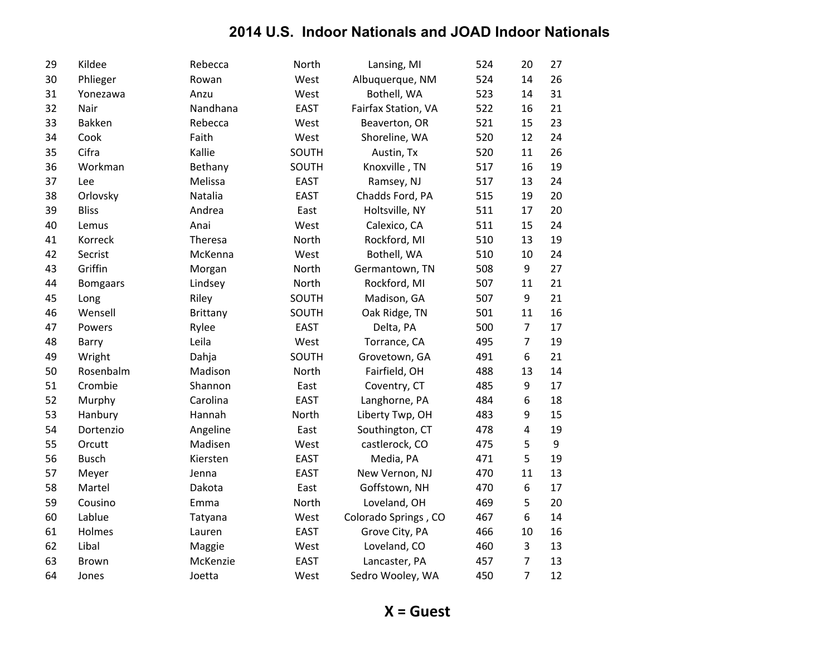| 29 | Kildee          | Rebecca         | North       | Lansing, MI          | 524 | 20             | 27 |
|----|-----------------|-----------------|-------------|----------------------|-----|----------------|----|
| 30 | Phlieger        | Rowan           | West        | Albuquerque, NM      | 524 | 14             | 26 |
| 31 | Yonezawa        | Anzu            | West        | Bothell, WA          | 523 | 14             | 31 |
| 32 | Nair            | Nandhana        | <b>EAST</b> | Fairfax Station, VA  | 522 | 16             | 21 |
| 33 | Bakken          | Rebecca         | West        | Beaverton, OR        | 521 | 15             | 23 |
| 34 | Cook            | Faith           | West        | Shoreline, WA        | 520 | 12             | 24 |
| 35 | Cifra           | Kallie          | SOUTH       | Austin, Tx           | 520 | 11             | 26 |
| 36 | Workman         | Bethany         | SOUTH       | Knoxville, TN        | 517 | 16             | 19 |
| 37 | Lee             | Melissa         | <b>EAST</b> | Ramsey, NJ           | 517 | 13             | 24 |
| 38 | Orlovsky        | Natalia         | <b>EAST</b> | Chadds Ford, PA      | 515 | 19             | 20 |
| 39 | <b>Bliss</b>    | Andrea          | East        | Holtsville, NY       | 511 | 17             | 20 |
| 40 | Lemus           | Anai            | West        | Calexico, CA         | 511 | 15             | 24 |
| 41 | Korreck         | Theresa         | North       | Rockford, MI         | 510 | 13             | 19 |
| 42 | Secrist         | McKenna         | West        | Bothell, WA          | 510 | 10             | 24 |
| 43 | Griffin         | Morgan          | North       | Germantown, TN       | 508 | 9              | 27 |
| 44 | <b>Bomgaars</b> | Lindsey         | North       | Rockford, MI         | 507 | 11             | 21 |
| 45 | Long            | Riley           | SOUTH       | Madison, GA          | 507 | 9              | 21 |
| 46 | Wensell         | <b>Brittany</b> | SOUTH       | Oak Ridge, TN        | 501 | 11             | 16 |
| 47 | Powers          | Rylee           | <b>EAST</b> | Delta, PA            | 500 | $\overline{7}$ | 17 |
| 48 | Barry           | Leila           | West        | Torrance, CA         | 495 | $\overline{7}$ | 19 |
| 49 | Wright          | Dahja           | SOUTH       | Grovetown, GA        | 491 | 6              | 21 |
| 50 | Rosenbalm       | Madison         | North       | Fairfield, OH        | 488 | 13             | 14 |
| 51 | Crombie         | Shannon         | East        | Coventry, CT         | 485 | 9              | 17 |
| 52 | Murphy          | Carolina        | <b>EAST</b> | Langhorne, PA        | 484 | 6              | 18 |
| 53 | Hanbury         | Hannah          | North       | Liberty Twp, OH      | 483 | 9              | 15 |
| 54 | Dortenzio       | Angeline        | East        | Southington, CT      | 478 | 4              | 19 |
| 55 | Orcutt          | Madisen         | West        | castlerock, CO       | 475 | 5              | 9  |
| 56 | <b>Busch</b>    | Kiersten        | <b>EAST</b> | Media, PA            | 471 | 5              | 19 |
| 57 | Meyer           | Jenna           | <b>EAST</b> | New Vernon, NJ       | 470 | 11             | 13 |
| 58 | Martel          | Dakota          | East        | Goffstown, NH        | 470 | 6              | 17 |
| 59 | Cousino         | Emma            | North       | Loveland, OH         | 469 | 5              | 20 |
| 60 | Lablue          | Tatyana         | West        | Colorado Springs, CO | 467 | 6              | 14 |
| 61 | Holmes          | Lauren          | <b>EAST</b> | Grove City, PA       | 466 | 10             | 16 |
| 62 | Libal           | Maggie          | West        | Loveland, CO         | 460 | 3              | 13 |
| 63 | Brown           | McKenzie        | <b>EAST</b> | Lancaster, PA        | 457 | $\overline{7}$ | 13 |
| 64 | Jones           | Joetta          | West        | Sedro Wooley, WA     | 450 | 7              | 12 |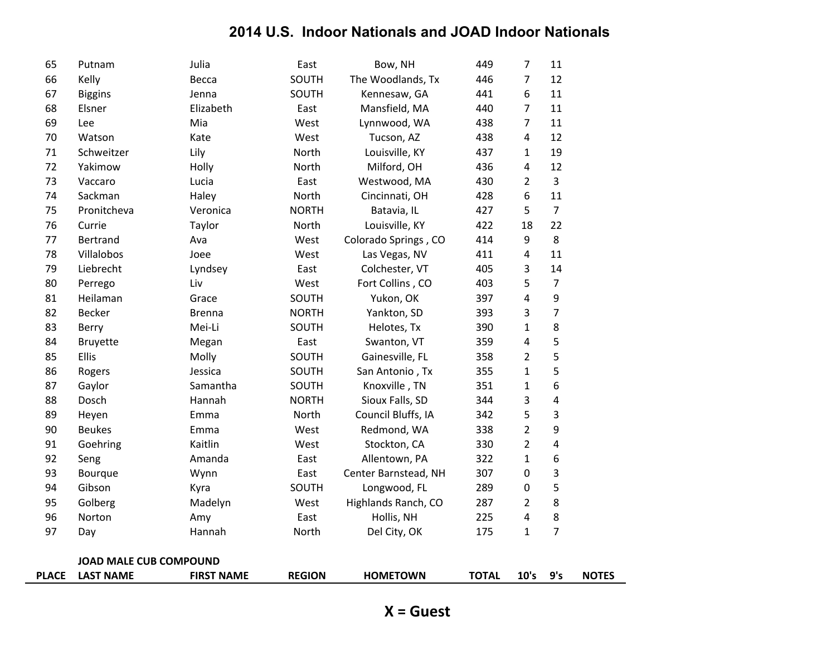| <b>PLACE</b> | <b>LAST NAME</b>              | <b>FIRST NAME</b> | <b>REGION</b> | <b>HOMETOWN</b>      | <b>TOTAL</b> | 10's           | 9's            | <b>NOTES</b> |
|--------------|-------------------------------|-------------------|---------------|----------------------|--------------|----------------|----------------|--------------|
|              | <b>JOAD MALE CUB COMPOUND</b> |                   |               |                      |              |                |                |              |
|              |                               |                   |               |                      |              |                |                |              |
| 97           | Day                           | Hannah            | North         | Del City, OK         | 175          | $\mathbf{1}$   | $\overline{7}$ |              |
| 96           | Norton                        | Amy               | East          | Hollis, NH           | 225          | 4              | 8              |              |
| 95           | Golberg                       | Madelyn           | West          | Highlands Ranch, CO  | 287          | $\overline{2}$ | 8              |              |
| 94           | Gibson                        | Kyra              | SOUTH         | Longwood, FL         | 289          | 0              | 5              |              |
| 93           | Bourque                       | Wynn              | East          | Center Barnstead, NH | 307          | 0              | 3              |              |
| 92           | Seng                          | Amanda            | East          | Allentown, PA        | 322          | $\mathbf{1}$   | 6              |              |
| 91           | Goehring                      | Kaitlin           | West          | Stockton, CA         | 330          | $\overline{2}$ | 4              |              |
| 90           | <b>Beukes</b>                 | Emma              | West          | Redmond, WA          | 338          | $\overline{2}$ | 9              |              |
| 89           | Heyen                         | Emma              | North         | Council Bluffs, IA   | 342          | 5              | 3              |              |
| 88           | Dosch                         | Hannah            | <b>NORTH</b>  | Sioux Falls, SD      | 344          | 3              | 4              |              |
| 87           | Gaylor                        | Samantha          | SOUTH         | Knoxville, TN        | 351          | $\mathbf{1}$   | 6              |              |
| 86           | Rogers                        | Jessica           | SOUTH         | San Antonio, Tx      | 355          | $\mathbf{1}$   | 5              |              |
| 85           | Ellis                         | Molly             | SOUTH         | Gainesville, FL      | 358          | 2              | 5              |              |
| 84           | <b>Bruyette</b>               | Megan             | East          | Swanton, VT          | 359          | 4              | 5              |              |
| 83           | Berry                         | Mei-Li            | SOUTH         | Helotes, Tx          | 390          | $\mathbf{1}$   | 8              |              |
| 82           | Becker                        | <b>Brenna</b>     | <b>NORTH</b>  | Yankton, SD          | 393          | 3              | $\overline{7}$ |              |
| 81           | Heilaman                      | Grace             | SOUTH         | Yukon, OK            | 397          | 4              | 9              |              |
| 80           | Perrego                       | Liv               | West          | Fort Collins, CO     | 403          | 5              | $\overline{7}$ |              |
| 79           | Liebrecht                     | Lyndsey           | East          | Colchester, VT       | 405          | 3              | 14             |              |
| 78           | Villalobos                    | Joee              | West          | Las Vegas, NV        | 411          | 4              | 11             |              |
| 77           | Bertrand                      | Ava               | West          | Colorado Springs, CO | 414          | 9              | 8              |              |
| 76           | Currie                        | Taylor            | North         | Louisville, KY       | 422          | 18             | 22             |              |
| 75           | Pronitcheva                   | Veronica          | <b>NORTH</b>  | Batavia, IL          | 427          | 5              | $\overline{7}$ |              |
| 74           | Sackman                       | Haley             | North         | Cincinnati, OH       | 428          | 6              | 11             |              |
| 73           | Vaccaro                       | Lucia             | East          | Westwood, MA         | 430          | 2              | 3              |              |
| 72           | Yakimow                       | Holly             | North         | Milford, OH          | 436          | 4              | 12             |              |
| 71           | Schweitzer                    | Lily              | North         | Louisville, KY       | 437          | $\mathbf{1}$   | 19             |              |
| 70           | Watson                        | Kate              | West          | Tucson, AZ           | 438          | 4              | 12             |              |
| 69           | Lee                           | Mia               | West          | Lynnwood, WA         | 438          | 7              | 11             |              |
| 68           | Elsner                        | Elizabeth         | East          | Mansfield, MA        | 440          | $\overline{7}$ | 11             |              |
| 67           | <b>Biggins</b>                | Jenna             | SOUTH         | Kennesaw, GA         | 441          | 6              | 11             |              |
| 66           | Kelly                         | Becca             | SOUTH         | The Woodlands, Tx    | 446          | $\overline{7}$ | 12             |              |
| 65           | Putnam                        | Julia             | East          | Bow, NH              | 449          | $\overline{7}$ | 11             |              |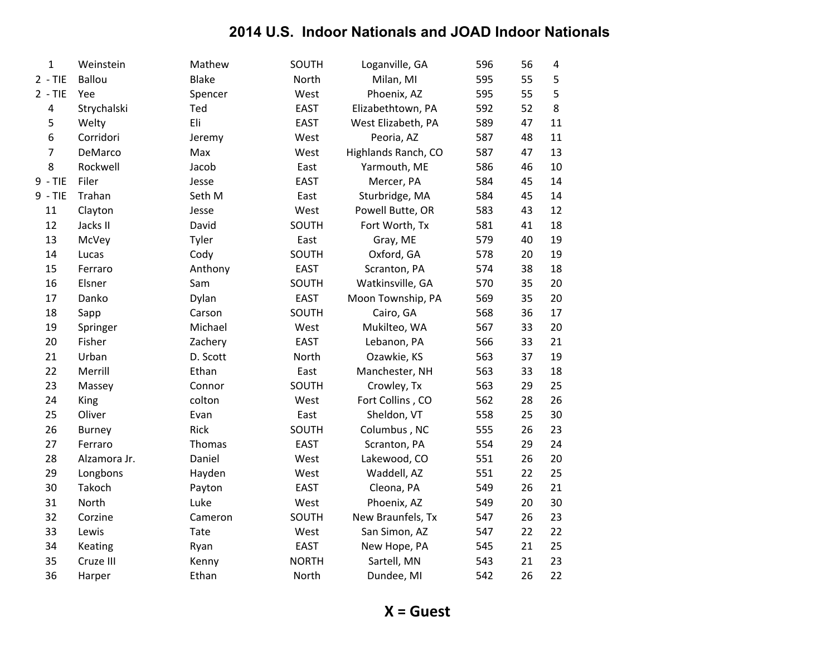| $\mathbf{1}$ | Weinstein     | Mathew       | SOUTH        | Loganville, GA      | 596 | 56 | $\sqrt{4}$ |
|--------------|---------------|--------------|--------------|---------------------|-----|----|------------|
| $2 - TIE$    | Ballou        | <b>Blake</b> | North        | Milan, MI           | 595 | 55 | 5          |
| $2 - TIE$    | Yee           | Spencer      | West         | Phoenix, AZ         | 595 | 55 | 5          |
| 4            | Strychalski   | Ted          | <b>EAST</b>  | Elizabethtown, PA   | 592 | 52 | 8          |
| 5            | Welty         | Eli          | <b>EAST</b>  | West Elizabeth, PA  | 589 | 47 | 11         |
| $\,$ 6 $\,$  | Corridori     | Jeremy       | West         | Peoria, AZ          | 587 | 48 | 11         |
| 7            | DeMarco       | Max          | West         | Highlands Ranch, CO | 587 | 47 | 13         |
| 8            | Rockwell      | Jacob        | East         | Yarmouth, ME        | 586 | 46 | 10         |
| $9 - TIE$    | Filer         | Jesse        | <b>EAST</b>  | Mercer, PA          | 584 | 45 | 14         |
| $9 - TIE$    | Trahan        | Seth M       | East         | Sturbridge, MA      | 584 | 45 | 14         |
| $11\,$       | Clayton       | Jesse        | West         | Powell Butte, OR    | 583 | 43 | 12         |
| 12           | Jacks II      | David        | SOUTH        | Fort Worth, Tx      | 581 | 41 | 18         |
| 13           | McVey         | Tyler        | East         | Gray, ME            | 579 | 40 | 19         |
| 14           | Lucas         | Cody         | SOUTH        | Oxford, GA          | 578 | 20 | 19         |
| 15           | Ferraro       | Anthony      | <b>EAST</b>  | Scranton, PA        | 574 | 38 | 18         |
| 16           | Elsner        | Sam          | SOUTH        | Watkinsville, GA    | 570 | 35 | 20         |
| 17           | Danko         | Dylan        | <b>EAST</b>  | Moon Township, PA   | 569 | 35 | 20         |
| 18           | Sapp          | Carson       | SOUTH        | Cairo, GA           | 568 | 36 | 17         |
| 19           | Springer      | Michael      | West         | Mukilteo, WA        | 567 | 33 | 20         |
| 20           | Fisher        | Zachery      | <b>EAST</b>  | Lebanon, PA         | 566 | 33 | 21         |
| 21           | Urban         | D. Scott     | North        | Ozawkie, KS         | 563 | 37 | 19         |
| 22           | Merrill       | Ethan        | East         | Manchester, NH      | 563 | 33 | 18         |
| 23           | Massey        | Connor       | SOUTH        | Crowley, Tx         | 563 | 29 | 25         |
| 24           | King          | colton       | West         | Fort Collins, CO    | 562 | 28 | 26         |
| 25           | Oliver        | Evan         | East         | Sheldon, VT         | 558 | 25 | 30         |
| 26           | <b>Burney</b> | Rick         | SOUTH        | Columbus, NC        | 555 | 26 | 23         |
| 27           | Ferraro       | Thomas       | <b>EAST</b>  | Scranton, PA        | 554 | 29 | 24         |
| 28           | Alzamora Jr.  | Daniel       | West         | Lakewood, CO        | 551 | 26 | 20         |
| 29           | Longbons      | Hayden       | West         | Waddell, AZ         | 551 | 22 | 25         |
| 30           | Takoch        | Payton       | <b>EAST</b>  | Cleona, PA          | 549 | 26 | 21         |
| 31           | North         | Luke         | West         | Phoenix, AZ         | 549 | 20 | 30         |
| 32           | Corzine       | Cameron      | SOUTH        | New Braunfels, Tx   | 547 | 26 | 23         |
| 33           | Lewis         | Tate         | West         | San Simon, AZ       | 547 | 22 | 22         |
| 34           | Keating       | Ryan         | <b>EAST</b>  | New Hope, PA        | 545 | 21 | 25         |
| 35           | Cruze III     | Kenny        | <b>NORTH</b> | Sartell, MN         | 543 | 21 | 23         |
| 36           | Harper        | Ethan        | North        | Dundee, MI          | 542 | 26 | 22         |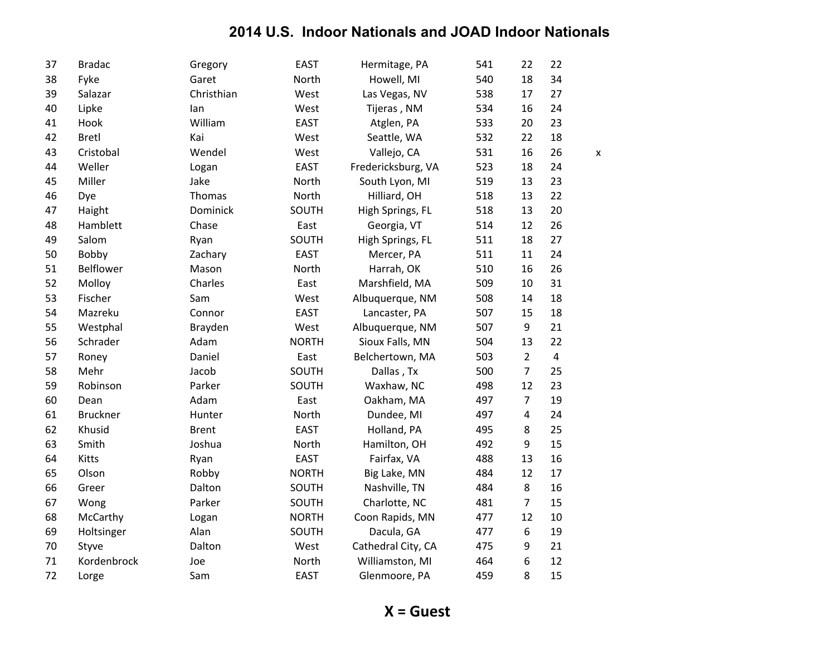| 37 | <b>Bradac</b>   | Gregory      | <b>EAST</b>  | Hermitage, PA      | 541 | 22               | 22                      |   |
|----|-----------------|--------------|--------------|--------------------|-----|------------------|-------------------------|---|
| 38 | Fyke            | Garet        | North        | Howell, MI         | 540 | 18               | 34                      |   |
| 39 | Salazar         | Christhian   | West         | Las Vegas, NV      | 538 | 17               | 27                      |   |
| 40 | Lipke           | lan          | West         | Tijeras, NM        | 534 | 16               | 24                      |   |
| 41 | Hook            | William      | <b>EAST</b>  | Atglen, PA         | 533 | 20               | 23                      |   |
| 42 | <b>Bretl</b>    | Kai          | West         | Seattle, WA        | 532 | 22               | 18                      |   |
| 43 | Cristobal       | Wendel       | West         | Vallejo, CA        | 531 | 16               | 26                      | X |
| 44 | Weller          | Logan        | <b>EAST</b>  | Fredericksburg, VA | 523 | 18               | 24                      |   |
| 45 | Miller          | Jake         | North        | South Lyon, MI     | 519 | 13               | 23                      |   |
| 46 | Dye             | Thomas       | North        | Hilliard, OH       | 518 | 13               | 22                      |   |
| 47 | Haight          | Dominick     | SOUTH        | High Springs, FL   | 518 | 13               | 20                      |   |
| 48 | Hamblett        | Chase        | East         | Georgia, VT        | 514 | 12               | 26                      |   |
| 49 | Salom           | Ryan         | SOUTH        | High Springs, FL   | 511 | 18               | 27                      |   |
| 50 | Bobby           | Zachary      | <b>EAST</b>  | Mercer, PA         | 511 | 11               | 24                      |   |
| 51 | Belflower       | Mason        | North        | Harrah, OK         | 510 | 16               | 26                      |   |
| 52 | Molloy          | Charles      | East         | Marshfield, MA     | 509 | 10               | 31                      |   |
| 53 | Fischer         | Sam          | West         | Albuquerque, NM    | 508 | 14               | 18                      |   |
| 54 | Mazreku         | Connor       | <b>EAST</b>  | Lancaster, PA      | 507 | 15               | 18                      |   |
| 55 | Westphal        | Brayden      | West         | Albuquerque, NM    | 507 | 9                | 21                      |   |
| 56 | Schrader        | Adam         | <b>NORTH</b> | Sioux Falls, MN    | 504 | 13               | 22                      |   |
| 57 | Roney           | Daniel       | East         | Belchertown, MA    | 503 | $\overline{2}$   | $\overline{\mathbf{4}}$ |   |
| 58 | Mehr            | Jacob        | SOUTH        | Dallas, Tx         | 500 | $\overline{7}$   | 25                      |   |
| 59 | Robinson        | Parker       | SOUTH        | Waxhaw, NC         | 498 | 12               | 23                      |   |
| 60 | Dean            | Adam         | East         | Oakham, MA         | 497 | $\overline{7}$   | 19                      |   |
| 61 | <b>Bruckner</b> | Hunter       | North        | Dundee, MI         | 497 | $\overline{4}$   | 24                      |   |
| 62 | Khusid          | <b>Brent</b> | <b>EAST</b>  | Holland, PA        | 495 | 8                | 25                      |   |
| 63 | Smith           | Joshua       | North        | Hamilton, OH       | 492 | 9                | 15                      |   |
| 64 | <b>Kitts</b>    | Ryan         | <b>EAST</b>  | Fairfax, VA        | 488 | 13               | 16                      |   |
| 65 | Olson           | Robby        | <b>NORTH</b> | Big Lake, MN       | 484 | 12               | 17                      |   |
| 66 | Greer           | Dalton       | SOUTH        | Nashville, TN      | 484 | 8                | 16                      |   |
| 67 | Wong            | Parker       | SOUTH        | Charlotte, NC      | 481 | $\overline{7}$   | 15                      |   |
| 68 | McCarthy        | Logan        | <b>NORTH</b> | Coon Rapids, MN    | 477 | 12               | 10                      |   |
| 69 | Holtsinger      | Alan         | SOUTH        | Dacula, GA         | 477 | $\boldsymbol{6}$ | 19                      |   |
| 70 | Styve           | Dalton       | West         | Cathedral City, CA | 475 | 9                | 21                      |   |
| 71 | Kordenbrock     | Joe          | North        | Williamston, MI    | 464 | 6                | 12                      |   |
| 72 | Lorge           | Sam          | <b>EAST</b>  | Glenmoore, PA      | 459 | 8                | 15                      |   |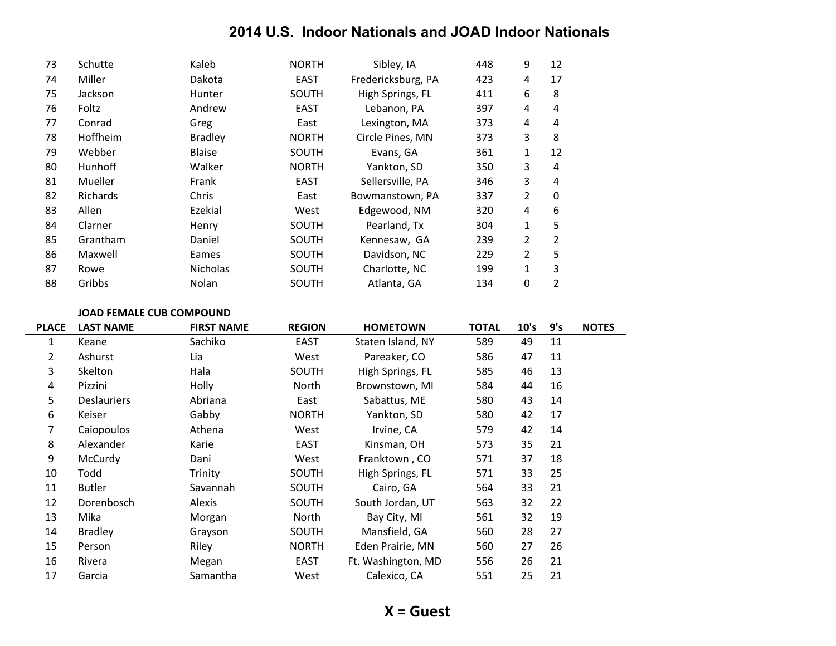| 73 | Schutte         | Kaleb           | <b>NORTH</b> | Sibley, IA         | 448 | 9              | 12 |
|----|-----------------|-----------------|--------------|--------------------|-----|----------------|----|
| 74 | Miller          | Dakota          | EAST         | Fredericksburg, PA | 423 | 4              | 17 |
| 75 | Jackson         | Hunter          | <b>SOUTH</b> | High Springs, FL   | 411 | 6              | 8  |
| 76 | Foltz           | Andrew          | <b>EAST</b>  | Lebanon, PA        | 397 | 4              | 4  |
| 77 | Conrad          | Greg            | East         | Lexington, MA      | 373 | 4              | 4  |
| 78 | Hoffheim        | <b>Bradley</b>  | <b>NORTH</b> | Circle Pines, MN   | 373 | 3              | 8  |
| 79 | Webber          | <b>Blaise</b>   | SOUTH        | Evans, GA          | 361 | 1              | 12 |
| 80 | <b>Hunhoff</b>  | Walker          | <b>NORTH</b> | Yankton, SD        | 350 | 3              | 4  |
| 81 | Mueller         | Frank           | <b>EAST</b>  | Sellersville, PA   | 346 | 3              | 4  |
| 82 | <b>Richards</b> | Chris           | East         | Bowmanstown, PA    | 337 | 2              | 0  |
| 83 | Allen           | Ezekial         | West         | Edgewood, NM       | 320 | 4              | 6  |
| 84 | Clarner         | Henry           | <b>SOUTH</b> | Pearland, Tx       | 304 | 1              | 5  |
| 85 | Grantham        | Daniel          | <b>SOUTH</b> | Kennesaw, GA       | 239 | 2              | 2  |
| 86 | Maxwell         | Eames           | SOUTH        | Davidson, NC       | 229 | $\overline{2}$ | 5  |
| 87 | Rowe            | <b>Nicholas</b> | <b>SOUTH</b> | Charlotte, NC      | 199 | 1              | 3  |
| 88 | Gribbs          | Nolan           | SOUTH        | Atlanta, GA        | 134 | 0              | 2  |

#### **JOAD FEMALE CUB COMPOUND**

| <b>PLACE</b> | <b>LAST NAME</b>   | <b>FIRST NAME</b> | <b>REGION</b> | <b>HOMETOWN</b>    | <b>TOTAL</b> | 10's | 9's | <b>NOTES</b> |
|--------------|--------------------|-------------------|---------------|--------------------|--------------|------|-----|--------------|
| 1            | Keane              | Sachiko           | <b>EAST</b>   | Staten Island, NY  | 589          | 49   | 11  |              |
| 2            | Ashurst            | Lia               | West          | Pareaker, CO       | 586          | 47   | 11  |              |
| 3            | Skelton            | Hala              | SOUTH         | High Springs, FL   | 585          | 46   | 13  |              |
| 4            | Pizzini            | Holly             | North         | Brownstown, MI     | 584          | 44   | 16  |              |
| 5            | <b>Deslauriers</b> | Abriana           | East          | Sabattus, ME       | 580          | 43   | 14  |              |
| 6            | Keiser             | Gabby             | <b>NORTH</b>  | Yankton, SD        | 580          | 42   | 17  |              |
| 7            | Caiopoulos         | Athena            | West          | Irvine, CA         | 579          | 42   | 14  |              |
| 8            | Alexander          | Karie             | <b>EAST</b>   | Kinsman, OH        | 573          | 35   | 21  |              |
| 9            | McCurdy            | Dani              | West          | Franktown, CO      | 571          | 37   | 18  |              |
| 10           | Todd               | Trinity           | SOUTH         | High Springs, FL   | 571          | 33   | 25  |              |
| 11           | <b>Butler</b>      | Savannah          | SOUTH         | Cairo, GA          | 564          | 33   | 21  |              |
| 12           | Dorenbosch         | Alexis            | SOUTH         | South Jordan, UT   | 563          | 32   | 22  |              |
| 13           | Mika               | Morgan            | North         | Bay City, MI       | 561          | 32   | 19  |              |
| 14           | <b>Bradley</b>     | Grayson           | SOUTH         | Mansfield, GA      | 560          | 28   | 27  |              |
| 15           | Person             | Riley             | <b>NORTH</b>  | Eden Prairie, MN   | 560          | 27   | 26  |              |
| 16           | Rivera             | Megan             | <b>EAST</b>   | Ft. Washington, MD | 556          | 26   | 21  |              |
| 17           | Garcia             | Samantha          | West          | Calexico, CA       | 551          | 25   | 21  |              |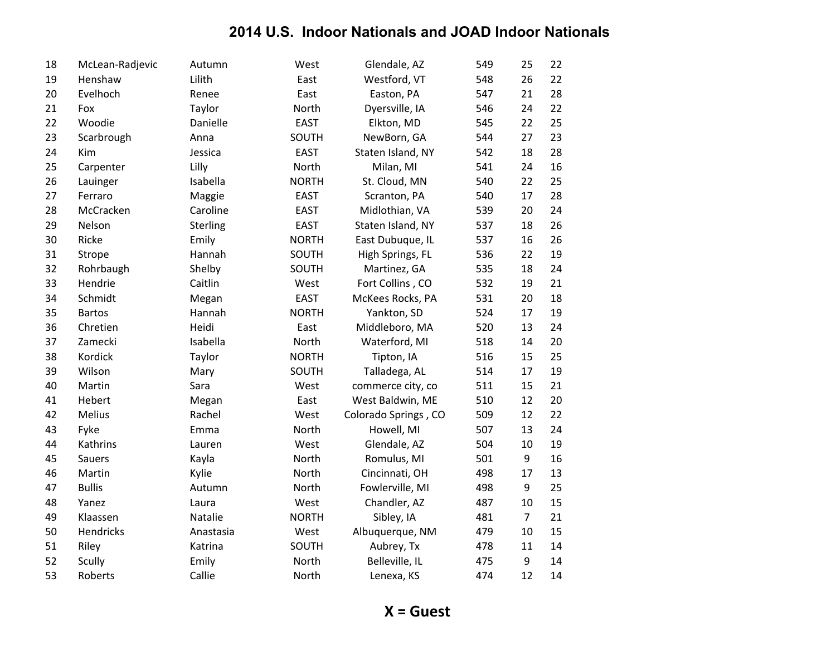| 18 | McLean-Radjevic | Autumn    | West         | Glendale, AZ         | 549 | 25             | 22 |
|----|-----------------|-----------|--------------|----------------------|-----|----------------|----|
| 19 | Henshaw         | Lilith    | East         | Westford, VT         | 548 | 26             | 22 |
| 20 | Evelhoch        | Renee     | East         | Easton, PA           | 547 | 21             | 28 |
| 21 | Fox             | Taylor    | North        | Dyersville, IA       | 546 | 24             | 22 |
| 22 | Woodie          | Danielle  | <b>EAST</b>  | Elkton, MD           | 545 | 22             | 25 |
| 23 | Scarbrough      | Anna      | SOUTH        | NewBorn, GA          | 544 | 27             | 23 |
| 24 | Kim             | Jessica   | <b>EAST</b>  | Staten Island, NY    | 542 | 18             | 28 |
| 25 | Carpenter       | Lilly     | North        | Milan, MI            | 541 | 24             | 16 |
| 26 | Lauinger        | Isabella  | <b>NORTH</b> | St. Cloud, MN        | 540 | 22             | 25 |
| 27 | Ferraro         | Maggie    | <b>EAST</b>  | Scranton, PA         | 540 | 17             | 28 |
| 28 | McCracken       | Caroline  | <b>EAST</b>  | Midlothian, VA       | 539 | 20             | 24 |
| 29 | Nelson          | Sterling  | <b>EAST</b>  | Staten Island, NY    | 537 | 18             | 26 |
| 30 | Ricke           | Emily     | <b>NORTH</b> | East Dubuque, IL     | 537 | 16             | 26 |
| 31 | Strope          | Hannah    | SOUTH        | High Springs, FL     | 536 | 22             | 19 |
| 32 | Rohrbaugh       | Shelby    | SOUTH        | Martinez, GA         | 535 | 18             | 24 |
| 33 | Hendrie         | Caitlin   | West         | Fort Collins, CO     | 532 | 19             | 21 |
| 34 | Schmidt         | Megan     | <b>EAST</b>  | McKees Rocks, PA     | 531 | 20             | 18 |
| 35 | <b>Bartos</b>   | Hannah    | <b>NORTH</b> | Yankton, SD          | 524 | 17             | 19 |
| 36 | Chretien        | Heidi     | East         | Middleboro, MA       | 520 | 13             | 24 |
| 37 | Zamecki         | Isabella  | North        | Waterford, MI        | 518 | 14             | 20 |
| 38 | Kordick         | Taylor    | <b>NORTH</b> | Tipton, IA           | 516 | 15             | 25 |
| 39 | Wilson          | Mary      | SOUTH        | Talladega, AL        | 514 | 17             | 19 |
| 40 | Martin          | Sara      | West         | commerce city, co    | 511 | 15             | 21 |
| 41 | Hebert          | Megan     | East         | West Baldwin, ME     | 510 | 12             | 20 |
| 42 | Melius          | Rachel    | West         | Colorado Springs, CO | 509 | 12             | 22 |
| 43 | Fyke            | Emma      | North        | Howell, MI           | 507 | 13             | 24 |
| 44 | Kathrins        | Lauren    | West         | Glendale, AZ         | 504 | 10             | 19 |
| 45 | Sauers          | Kayla     | North        | Romulus, MI          | 501 | 9              | 16 |
| 46 | Martin          | Kylie     | North        | Cincinnati, OH       | 498 | 17             | 13 |
| 47 | <b>Bullis</b>   | Autumn    | North        | Fowlerville, MI      | 498 | 9              | 25 |
| 48 | Yanez           | Laura     | West         | Chandler, AZ         | 487 | 10             | 15 |
| 49 | Klaassen        | Natalie   | <b>NORTH</b> | Sibley, IA           | 481 | $\overline{7}$ | 21 |
| 50 | Hendricks       | Anastasia | West         | Albuquerque, NM      | 479 | 10             | 15 |
| 51 | Riley           | Katrina   | SOUTH        | Aubrey, Tx           | 478 | 11             | 14 |
| 52 | Scully          | Emily     | North        | Belleville, IL       | 475 | 9              | 14 |
| 53 | Roberts         | Callie    | North        | Lenexa, KS           | 474 | 12             | 14 |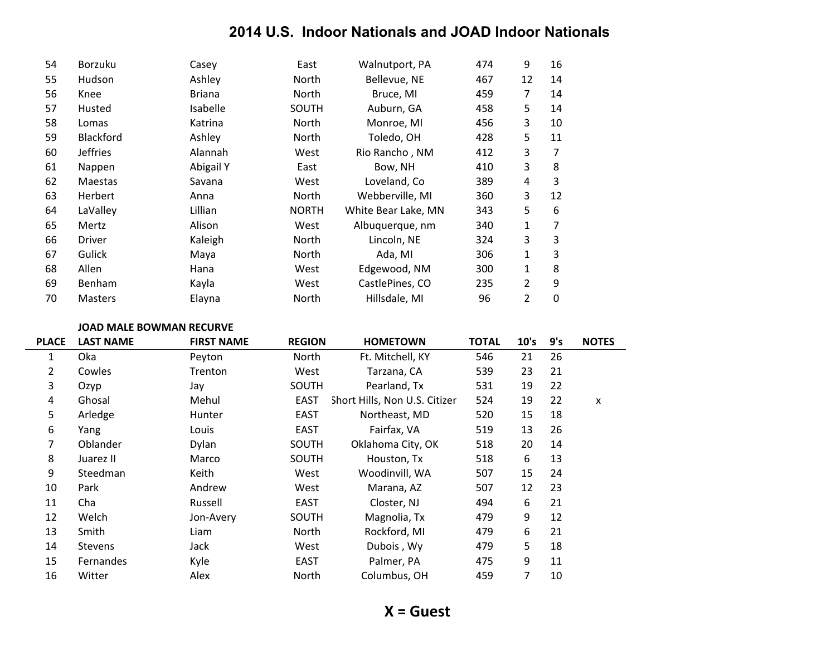| 54 | <b>Borzuku</b> | Casey         | East         | Walnutport, PA      | 474 | 9              | 16          |
|----|----------------|---------------|--------------|---------------------|-----|----------------|-------------|
| 55 | Hudson         | Ashley        | North        | Bellevue, NE        | 467 | 12             | 14          |
| 56 | Knee           | <b>Briana</b> | North        | Bruce, MI           | 459 | 7              | 14          |
| 57 | Husted         | Isabelle      | SOUTH        | Auburn, GA          | 458 | 5              | 14          |
| 58 | Lomas          | Katrina       | North        | Monroe, MI          | 456 | 3              | 10          |
| 59 | Blackford      | Ashley        | North        | Toledo, OH          | 428 | 5              | 11          |
| 60 | Jeffries       | Alannah       | West         | Rio Rancho, NM      | 412 | 3              | 7           |
| 61 | Nappen         | Abigail Y     | East         | Bow, NH             | 410 | 3              | 8           |
| 62 | Maestas        | Savana        | West         | Loveland, Co        | 389 | 4              | 3           |
| 63 | <b>Herbert</b> | Anna          | North        | Webberville, MI     | 360 | 3              | 12          |
| 64 | LaValley       | Lillian       | <b>NORTH</b> | White Bear Lake, MN | 343 | 5              | 6           |
| 65 | Mertz          | Alison        | West         | Albuquerque, nm     | 340 | 1              | 7           |
| 66 | <b>Driver</b>  | Kaleigh       | North        | Lincoln, NE         | 324 | 3              | 3           |
| 67 | Gulick         | Maya          | North        | Ada, MI             | 306 | 1              | 3           |
| 68 | Allen          | Hana          | West         | Edgewood, NM        | 300 | 1              | 8           |
| 69 | <b>Benham</b>  | Kayla         | West         | CastlePines, CO     | 235 | $\overline{2}$ | 9           |
| 70 | <b>Masters</b> | Elayna        | North        | Hillsdale, MI       | 96  | 2              | $\mathbf 0$ |

#### **JOAD MALE BOWMAN RECURVE**

| <b>PLACE</b>   | <b>LAST NAME</b> | <b>FIRST NAME</b> | <b>REGION</b> | <b>HOMETOWN</b>               | <b>TOTAL</b> | 10's | 9's | <b>NOTES</b> |
|----------------|------------------|-------------------|---------------|-------------------------------|--------------|------|-----|--------------|
| 1              | Oka              | Peyton            | North         | Ft. Mitchell, KY              | 546          | 21   | 26  |              |
| $\overline{2}$ | Cowles           | Trenton           | West          | Tarzana, CA                   | 539          | 23   | 21  |              |
| 3              | Ozyp             | Jay               | SOUTH         | Pearland, Tx                  | 531          | 19   | 22  |              |
| 4              | Ghosal           | Mehul             | <b>EAST</b>   | Short Hills, Non U.S. Citizer | 524          | 19   | 22  | X            |
| 5              | Arledge          | <b>Hunter</b>     | <b>EAST</b>   | Northeast, MD                 | 520          | 15   | 18  |              |
| 6              | Yang             | Louis             | EAST          | Fairfax, VA                   | 519          | 13   | 26  |              |
| 7              | Oblander         | Dylan             | SOUTH         | Oklahoma City, OK             | 518          | 20   | 14  |              |
| 8              | Juarez II        | Marco             | SOUTH         | Houston, Tx                   | 518          | 6    | 13  |              |
| 9              | Steedman         | Keith             | West          | Woodinvill, WA                | 507          | 15   | 24  |              |
| 10             | Park             | Andrew            | West          | Marana, AZ                    | 507          | 12   | 23  |              |
| 11             | Cha              | Russell           | EAST          | Closter, NJ                   | 494          | 6    | 21  |              |
| 12             | Welch            | Jon-Avery         | SOUTH         | Magnolia, Tx                  | 479          | 9    | 12  |              |
| 13             | Smith            | Liam              | North         | Rockford, MI                  | 479          | 6    | 21  |              |
| 14             | <b>Stevens</b>   | Jack              | West          | Dubois, Wy                    | 479          | 5    | 18  |              |
| 15             | Fernandes        | Kyle              | EAST          | Palmer, PA                    | 475          | 9    | 11  |              |
| 16             | Witter           | Alex              | North         | Columbus, OH                  | 459          | 7    | 10  |              |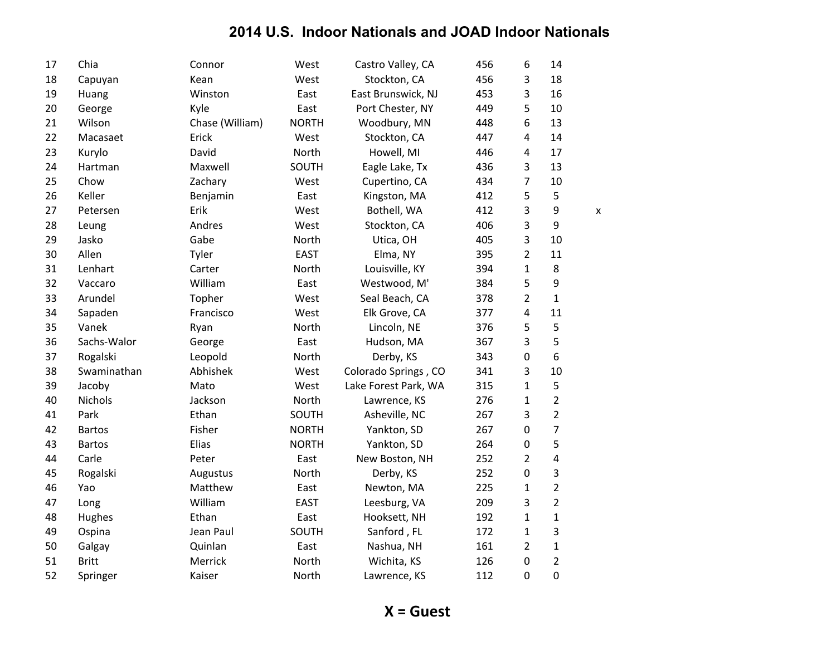| 17 | Chia           | Connor          | West         | Castro Valley, CA    | 456 | 6                       | 14               |   |
|----|----------------|-----------------|--------------|----------------------|-----|-------------------------|------------------|---|
| 18 | Capuyan        | Kean            | West         | Stockton, CA         | 456 | 3                       | 18               |   |
| 19 | Huang          | Winston         | East         | East Brunswick, NJ   | 453 | 3                       | 16               |   |
| 20 | George         | Kyle            | East         | Port Chester, NY     | 449 | 5                       | 10               |   |
| 21 | Wilson         | Chase (William) | <b>NORTH</b> | Woodbury, MN         | 448 | $\boldsymbol{6}$        | 13               |   |
| 22 | Macasaet       | Erick           | West         | Stockton, CA         | 447 | $\overline{4}$          | 14               |   |
| 23 | Kurylo         | David           | North        | Howell, MI           | 446 | 4                       | 17               |   |
| 24 | Hartman        | Maxwell         | SOUTH        | Eagle Lake, Tx       | 436 | 3                       | 13               |   |
| 25 | Chow           | Zachary         | West         | Cupertino, CA        | 434 | 7                       | 10               |   |
| 26 | Keller         | Benjamin        | East         | Kingston, MA         | 412 | 5                       | 5                |   |
| 27 | Petersen       | Erik            | West         | Bothell, WA          | 412 | 3                       | $\boldsymbol{9}$ | X |
| 28 | Leung          | Andres          | West         | Stockton, CA         | 406 | 3                       | $\boldsymbol{9}$ |   |
| 29 | Jasko          | Gabe            | North        | Utica, OH            | 405 | 3                       | 10               |   |
| 30 | Allen          | Tyler           | <b>EAST</b>  | Elma, NY             | 395 | $\overline{2}$          | 11               |   |
| 31 | Lenhart        | Carter          | North        | Louisville, KY       | 394 | $\mathbf 1$             | 8                |   |
| 32 | Vaccaro        | William         | East         | Westwood, M'         | 384 | 5                       | 9                |   |
| 33 | Arundel        | Topher          | West         | Seal Beach, CA       | 378 | $\overline{2}$          | $\mathbf{1}$     |   |
| 34 | Sapaden        | Francisco       | West         | Elk Grove, CA        | 377 | $\overline{4}$          | 11               |   |
| 35 | Vanek          | Ryan            | North        | Lincoln, NE          | 376 | 5                       | 5                |   |
| 36 | Sachs-Walor    | George          | East         | Hudson, MA           | 367 | 3                       | 5                |   |
| 37 | Rogalski       | Leopold         | North        | Derby, KS            | 343 | $\mathbf 0$             | 6                |   |
| 38 | Swaminathan    | Abhishek        | West         | Colorado Springs, CO | 341 | 3                       | 10               |   |
| 39 | Jacoby         | Mato            | West         | Lake Forest Park, WA | 315 | $\mathbf 1$             | 5                |   |
| 40 | <b>Nichols</b> | Jackson         | North        | Lawrence, KS         | 276 | $\mathbf{1}$            | $\overline{2}$   |   |
| 41 | Park           | Ethan           | SOUTH        | Asheville, NC        | 267 | 3                       | $\overline{2}$   |   |
| 42 | <b>Bartos</b>  | Fisher          | <b>NORTH</b> | Yankton, SD          | 267 | $\mathbf 0$             | $\overline{7}$   |   |
| 43 | <b>Bartos</b>  | Elias           | <b>NORTH</b> | Yankton, SD          | 264 | $\mathbf 0$             | 5                |   |
| 44 | Carle          | Peter           | East         | New Boston, NH       | 252 | $\overline{2}$          | $\overline{4}$   |   |
| 45 | Rogalski       | Augustus        | North        | Derby, KS            | 252 | $\mathbf 0$             | 3                |   |
| 46 | Yao            | Matthew         | East         | Newton, MA           | 225 | 1                       | $\overline{2}$   |   |
| 47 | Long           | William         | <b>EAST</b>  | Leesburg, VA         | 209 | 3                       | $\overline{2}$   |   |
| 48 | Hughes         | Ethan           | East         | Hooksett, NH         | 192 | $\mathbf 1$             | $\mathbf{1}$     |   |
| 49 | Ospina         | Jean Paul       | SOUTH        | Sanford, FL          | 172 | $\mathbf{1}$            | 3                |   |
| 50 | Galgay         | Quinlan         | East         | Nashua, NH           | 161 | $\overline{\mathbf{c}}$ | $\mathbf 1$      |   |
| 51 | <b>Britt</b>   | Merrick         | North        | Wichita, KS          | 126 | $\pmb{0}$               | $\overline{2}$   |   |
| 52 | Springer       | Kaiser          | North        | Lawrence, KS         | 112 | $\mathbf 0$             | $\mathbf 0$      |   |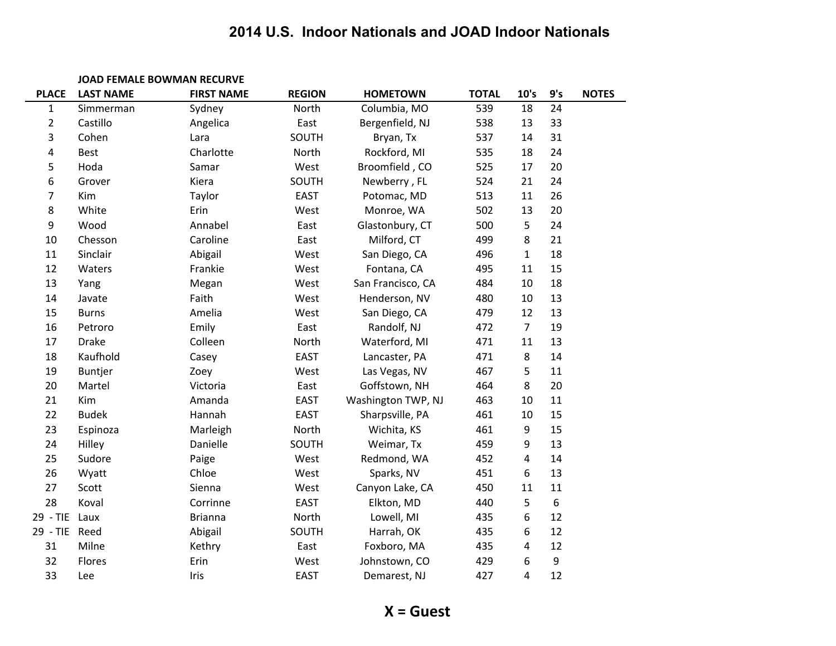|                | <b>JOAD FEMALE BOWMAN RECURVE</b> |                   |               |                    |              |                |     |              |
|----------------|-----------------------------------|-------------------|---------------|--------------------|--------------|----------------|-----|--------------|
| <b>PLACE</b>   | <b>LAST NAME</b>                  | <b>FIRST NAME</b> | <b>REGION</b> | <b>HOMETOWN</b>    | <b>TOTAL</b> | 10's           | 9's | <b>NOTES</b> |
| $\mathbf{1}$   | Simmerman                         | Sydney            | North         | Columbia, MO       | 539          | 18             | 24  |              |
| $\overline{2}$ | Castillo                          | Angelica          | East          | Bergenfield, NJ    | 538          | 13             | 33  |              |
| 3              | Cohen                             | Lara              | SOUTH         | Bryan, Tx          | 537          | 14             | 31  |              |
| 4              | <b>Best</b>                       | Charlotte         | North         | Rockford, MI       | 535          | 18             | 24  |              |
| 5              | Hoda                              | Samar             | West          | Broomfield, CO     | 525          | 17             | 20  |              |
| 6              | Grover                            | Kiera             | SOUTH         | Newberry, FL       | 524          | 21             | 24  |              |
| 7              | Kim                               | Taylor            | <b>EAST</b>   | Potomac, MD        | 513          | 11             | 26  |              |
| 8              | White                             | Erin              | West          | Monroe, WA         | 502          | 13             | 20  |              |
| 9              | Wood                              | Annabel           | East          | Glastonbury, CT    | 500          | 5              | 24  |              |
| 10             | Chesson                           | Caroline          | East          | Milford, CT        | 499          | 8              | 21  |              |
| 11             | Sinclair                          | Abigail           | West          | San Diego, CA      | 496          | $\mathbf{1}$   | 18  |              |
| 12             | Waters                            | Frankie           | West          | Fontana, CA        | 495          | 11             | 15  |              |
| 13             | Yang                              | Megan             | West          | San Francisco, CA  | 484          | 10             | 18  |              |
| 14             | Javate                            | Faith             | West          | Henderson, NV      | 480          | $10\,$         | 13  |              |
| 15             | <b>Burns</b>                      | Amelia            | West          | San Diego, CA      | 479          | 12             | 13  |              |
| 16             | Petroro                           | Emily             | East          | Randolf, NJ        | 472          | $\overline{7}$ | 19  |              |
| 17             | <b>Drake</b>                      | Colleen           | North         | Waterford, MI      | 471          | 11             | 13  |              |
| 18             | Kaufhold                          | Casey             | <b>EAST</b>   | Lancaster, PA      | 471          | 8              | 14  |              |
| 19             | Buntjer                           | Zoey              | West          | Las Vegas, NV      | 467          | 5              | 11  |              |
| 20             | Martel                            | Victoria          | East          | Goffstown, NH      | 464          | 8              | 20  |              |
| 21             | Kim                               | Amanda            | <b>EAST</b>   | Washington TWP, NJ | 463          | 10             | 11  |              |
| 22             | <b>Budek</b>                      | Hannah            | <b>EAST</b>   | Sharpsville, PA    | 461          | 10             | 15  |              |
| 23             | Espinoza                          | Marleigh          | North         | Wichita, KS        | 461          | 9              | 15  |              |
| 24             | Hilley                            | Danielle          | SOUTH         | Weimar, Tx         | 459          | 9              | 13  |              |
| 25             | Sudore                            | Paige             | West          | Redmond, WA        | 452          | $\pmb{4}$      | 14  |              |
| 26             | Wyatt                             | Chloe             | West          | Sparks, NV         | 451          | 6              | 13  |              |
| 27             | Scott                             | Sienna            | West          | Canyon Lake, CA    | 450          | 11             | 11  |              |
| 28             | Koval                             | Corrinne          | <b>EAST</b>   | Elkton, MD         | 440          | 5              | 6   |              |
| 29 - TIE Laux  |                                   | <b>Brianna</b>    | North         | Lowell, MI         | 435          | 6              | 12  |              |
| 29 - TIE Reed  |                                   | Abigail           | SOUTH         | Harrah, OK         | 435          | 6              | 12  |              |
| 31             | Milne                             | Kethry            | East          | Foxboro, MA        | 435          | 4              | 12  |              |
| 32             | Flores                            | Erin              | West          | Johnstown, CO      | 429          | 6              | 9   |              |
| 33             | Lee                               | Iris              | <b>EAST</b>   | Demarest, NJ       | 427          | 4              | 12  |              |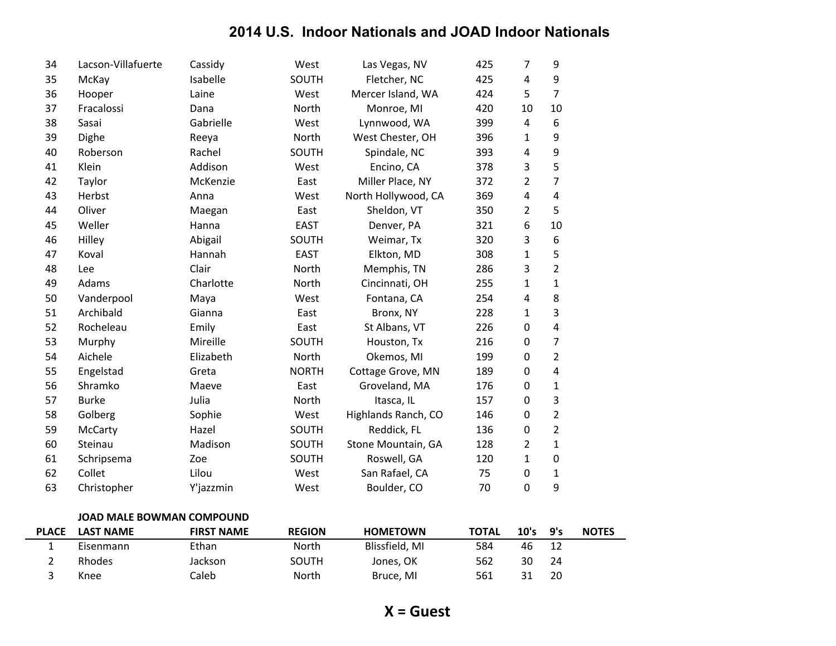| 34 | Lacson-Villafuerte | Cassidy   | West         | Las Vegas, NV       | 425 | 7                | 9                       |
|----|--------------------|-----------|--------------|---------------------|-----|------------------|-------------------------|
| 35 | McKay              | Isabelle  | SOUTH        | Fletcher, NC        | 425 | 4                | 9                       |
| 36 | Hooper             | Laine     | West         | Mercer Island, WA   | 424 | 5                | $\overline{7}$          |
| 37 | Fracalossi         | Dana      | North        | Monroe, MI          | 420 | 10               | 10                      |
| 38 | Sasai              | Gabrielle | West         | Lynnwood, WA        | 399 | 4                | 6                       |
| 39 | Dighe              | Reeya     | North        | West Chester, OH    | 396 | 1                | 9                       |
| 40 | Roberson           | Rachel    | SOUTH        | Spindale, NC        | 393 | 4                | 9                       |
| 41 | Klein              | Addison   | West         | Encino, CA          | 378 | 3                | 5                       |
| 42 | Taylor             | McKenzie  | East         | Miller Place, NY    | 372 | $\overline{2}$   | 7                       |
| 43 | Herbst             | Anna      | West         | North Hollywood, CA | 369 | 4                | 4                       |
| 44 | Oliver             | Maegan    | East         | Sheldon, VT         | 350 | $\overline{2}$   | 5                       |
| 45 | Weller             | Hanna     | <b>EAST</b>  | Denver, PA          | 321 | 6                | 10                      |
| 46 | Hilley             | Abigail   | SOUTH        | Weimar, Tx          | 320 | 3                | 6                       |
| 47 | Koval              | Hannah    | <b>EAST</b>  | Elkton, MD          | 308 | $\mathbf{1}$     | 5                       |
| 48 | Lee                | Clair     | North        | Memphis, TN         | 286 | 3                | $\overline{2}$          |
| 49 | Adams              | Charlotte | North        | Cincinnati, OH      | 255 | $\mathbf{1}$     | $\mathbf 1$             |
| 50 | Vanderpool         | Maya      | West         | Fontana, CA         | 254 | 4                | 8                       |
| 51 | Archibald          | Gianna    | East         | Bronx, NY           | 228 | 1                | 3                       |
| 52 | Rocheleau          | Emily     | East         | St Albans, VT       | 226 | 0                | 4                       |
| 53 | Murphy             | Mireille  | SOUTH        | Houston, Tx         | 216 | $\boldsymbol{0}$ | 7                       |
| 54 | Aichele            | Elizabeth | North        | Okemos, MI          | 199 | $\boldsymbol{0}$ | 2                       |
| 55 | Engelstad          | Greta     | <b>NORTH</b> | Cottage Grove, MN   | 189 | $\boldsymbol{0}$ | $\overline{\mathbf{4}}$ |
| 56 | Shramko            | Maeve     | East         | Groveland, MA       | 176 | $\boldsymbol{0}$ | 1                       |
| 57 | <b>Burke</b>       | Julia     | North        | Itasca, IL          | 157 | $\boldsymbol{0}$ | 3                       |
| 58 | Golberg            | Sophie    | West         | Highlands Ranch, CO | 146 | $\boldsymbol{0}$ | $\overline{c}$          |
| 59 | McCarty            | Hazel     | SOUTH        | Reddick, FL         | 136 | 0                | $\overline{2}$          |
| 60 | Steinau            | Madison   | SOUTH        | Stone Mountain, GA  | 128 | $\overline{2}$   | $\mathbf{1}$            |
| 61 | Schripsema         | Zoe       | SOUTH        | Roswell, GA         | 120 | $\mathbf{1}$     | $\pmb{0}$               |
| 62 | Collet             | Lilou     | West         | San Rafael, CA      | 75  | 0                | 1                       |
| 63 | Christopher        | Y'jazzmin | West         | Boulder, CO         | 70  | $\mathbf 0$      | 9                       |
|    |                    |           |              |                     |     |                  |                         |

#### JOAD MALE BOWMAN COMPOUND

| <b>PLACE</b> | <b>LAST NAME</b> | <b>FIRST NAME</b> | <b>REGION</b> | <b>HOMETOWN</b> | <b>TOTAL</b> | 10's | 9's | <b>NOTES</b> |
|--------------|------------------|-------------------|---------------|-----------------|--------------|------|-----|--------------|
|              | Eisenmann        | Ethan             | North         | Blissfield, MI  | 584          | 46   |     |              |
|              | Rhodes           | Jackson           | SOUTH         | Jones, OK       | 562          | 30   | 24  |              |
|              | Knee             | Caleb             | North         | Bruce, MI       | 561          |      | 20  |              |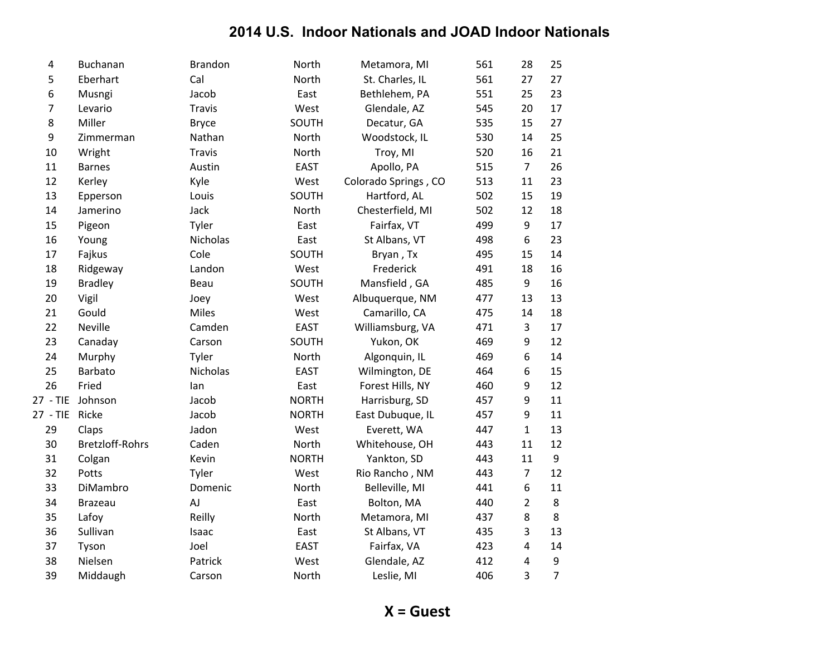| 4              | Buchanan               | <b>Brandon</b> | North        | Metamora, MI         | 561 | 28             | 25             |
|----------------|------------------------|----------------|--------------|----------------------|-----|----------------|----------------|
| 5              | Eberhart               | Cal            | North        | St. Charles, IL      | 561 | 27             | 27             |
| 6              | Musngi                 | Jacob          | East         | Bethlehem, PA        | 551 | 25             | 23             |
| $\overline{7}$ | Levario                | <b>Travis</b>  | West         | Glendale, AZ         | 545 | 20             | 17             |
| 8              | Miller                 | <b>Bryce</b>   | SOUTH        | Decatur, GA          | 535 | 15             | 27             |
| 9              | Zimmerman              | Nathan         | North        | Woodstock, IL        | 530 | 14             | 25             |
| 10             | Wright                 | <b>Travis</b>  | North        | Troy, MI             | 520 | 16             | 21             |
| 11             | <b>Barnes</b>          | Austin         | <b>EAST</b>  | Apollo, PA           | 515 | $\overline{7}$ | 26             |
| 12             | Kerley                 | Kyle           | West         | Colorado Springs, CO | 513 | 11             | 23             |
| 13             | Epperson               | Louis          | SOUTH        | Hartford, AL         | 502 | 15             | 19             |
| 14             | Jamerino               | Jack           | North        | Chesterfield, MI     | 502 | 12             | 18             |
| 15             | Pigeon                 | Tyler          | East         | Fairfax, VT          | 499 | 9              | 17             |
| 16             | Young                  | Nicholas       | East         | St Albans, VT        | 498 | 6              | 23             |
| 17             | Fajkus                 | Cole           | SOUTH        | Bryan, Tx            | 495 | 15             | 14             |
| 18             | Ridgeway               | Landon         | West         | Frederick            | 491 | 18             | 16             |
| 19             | <b>Bradley</b>         | Beau           | SOUTH        | Mansfield, GA        | 485 | 9              | 16             |
| 20             | Vigil                  | Joey           | West         | Albuquerque, NM      | 477 | 13             | 13             |
| 21             | Gould                  | Miles          | West         | Camarillo, CA        | 475 | 14             | 18             |
| 22             | Neville                | Camden         | <b>EAST</b>  | Williamsburg, VA     | 471 | 3              | 17             |
| 23             | Canaday                | Carson         | SOUTH        | Yukon, OK            | 469 | 9              | 12             |
| 24             | Murphy                 | Tyler          | North        | Algonquin, IL        | 469 | 6              | 14             |
| 25             | Barbato                | Nicholas       | <b>EAST</b>  | Wilmington, DE       | 464 | 6              | 15             |
| 26             | Fried                  | lan            | East         | Forest Hills, NY     | 460 | 9              | 12             |
| 27 - TIE       | Johnson                | Jacob          | <b>NORTH</b> | Harrisburg, SD       | 457 | 9              | 11             |
| 27 - TIE       | Ricke                  | Jacob          | <b>NORTH</b> | East Dubuque, IL     | 457 | 9              | 11             |
| 29             | Claps                  | Jadon          | West         | Everett, WA          | 447 | $\mathbf{1}$   | 13             |
| 30             | <b>Bretzloff-Rohrs</b> | Caden          | North        | Whitehouse, OH       | 443 | 11             | 12             |
| 31             | Colgan                 | Kevin          | <b>NORTH</b> | Yankton, SD          | 443 | 11             | 9              |
| 32             | Potts                  | Tyler          | West         | Rio Rancho, NM       | 443 | $\overline{7}$ | 12             |
| 33             | DiMambro               | Domenic        | North        | Belleville, MI       | 441 | 6              | 11             |
| 34             | <b>Brazeau</b>         | AJ             | East         | Bolton, MA           | 440 | $\overline{2}$ | 8              |
| 35             | Lafoy                  | Reilly         | North        | Metamora, MI         | 437 | 8              | 8              |
| 36             | Sullivan               | Isaac          | East         | St Albans, VT        | 435 | 3              | 13             |
| 37             | Tyson                  | Joel           | <b>EAST</b>  | Fairfax, VA          | 423 | 4              | 14             |
| 38             | Nielsen                | Patrick        | West         | Glendale, AZ         | 412 | 4              | 9              |
| 39             | Middaugh               | Carson         | North        | Leslie, MI           | 406 | 3              | $\overline{7}$ |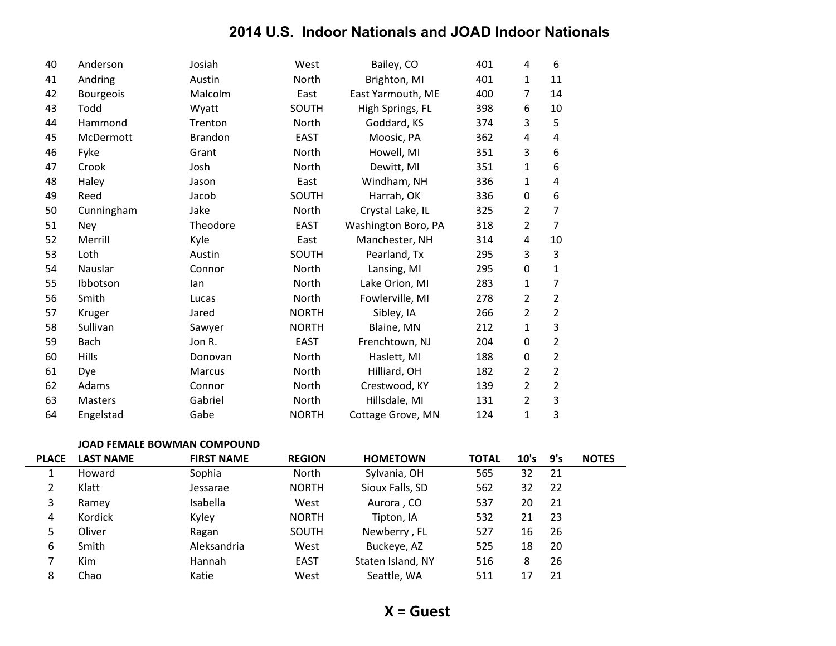| 40 | Anderson         | Josiah         | West         | Bailey, CO          | 401 | 4                | 6              |
|----|------------------|----------------|--------------|---------------------|-----|------------------|----------------|
| 41 | Andring          | Austin         | North        | Brighton, MI        | 401 | 1                | 11             |
| 42 | <b>Bourgeois</b> | Malcolm        | East         | East Yarmouth, ME   | 400 | 7                | 14             |
| 43 | Todd             | Wyatt          | SOUTH        | High Springs, FL    | 398 | 6                | 10             |
| 44 | Hammond          | Trenton        | North        | Goddard, KS         | 374 | 3                | 5              |
| 45 | McDermott        | <b>Brandon</b> | <b>EAST</b>  | Moosic, PA          | 362 | 4                | 4              |
| 46 | Fyke             | Grant          | North        | Howell, MI          | 351 | 3                | 6              |
| 47 | Crook            | Josh           | North        | Dewitt, MI          | 351 | 1                | 6              |
| 48 | Haley            | Jason          | East         | Windham, NH         | 336 | 1                | 4              |
| 49 | Reed             | Jacob          | SOUTH        | Harrah, OK          | 336 | $\mathbf 0$      | 6              |
| 50 | Cunningham       | Jake           | North        | Crystal Lake, IL    | 325 | 2                | $\overline{7}$ |
| 51 | Ney              | Theodore       | <b>EAST</b>  | Washington Boro, PA | 318 | 2                | $\overline{7}$ |
| 52 | Merrill          | Kyle           | East         | Manchester, NH      | 314 | 4                | 10             |
| 53 | Loth             | Austin         | SOUTH        | Pearland, Tx        | 295 | 3                | 3              |
| 54 | Nauslar          | Connor         | North        | Lansing, MI         | 295 | $\boldsymbol{0}$ | 1              |
| 55 | Ibbotson         | lan            | North        | Lake Orion, MI      | 283 | 1                | 7              |
| 56 | Smith            | Lucas          | North        | Fowlerville, MI     | 278 | 2                | $\overline{2}$ |
| 57 | Kruger           | Jared          | <b>NORTH</b> | Sibley, IA          | 266 | $\overline{2}$   | $\overline{2}$ |
| 58 | Sullivan         | Sawyer         | <b>NORTH</b> | Blaine, MN          | 212 | 1                | 3              |
| 59 | Bach             | Jon R.         | <b>EAST</b>  | Frenchtown, NJ      | 204 | $\mathbf 0$      | $\overline{2}$ |
| 60 | <b>Hills</b>     | Donovan        | North        | Haslett, MI         | 188 | $\mathbf 0$      | $\overline{2}$ |
| 61 | Dye              | <b>Marcus</b>  | North        | Hilliard, OH        | 182 | 2                | $\overline{2}$ |
| 62 | Adams            | Connor         | North        | Crestwood, KY       | 139 | 2                | $\overline{2}$ |
| 63 | <b>Masters</b>   | Gabriel        | North        | Hillsdale, MI       | 131 | 2                | 3              |
| 64 | Engelstad        | Gabe           | <b>NORTH</b> | Cottage Grove, MN   | 124 | $\mathbf{1}$     | 3              |

#### JOAD FEMALE BOWMAN COMPOUND

| <b>PLACE</b> | <b>LAST NAME</b> | <b>FIRST NAME</b> | <b>REGION</b> | <b>HOMETOWN</b>   | <b>TOTAL</b> | 10's | 9's | <b>NOTES</b> |
|--------------|------------------|-------------------|---------------|-------------------|--------------|------|-----|--------------|
|              | Howard           | Sophia            | North         | Sylvania, OH      | 565          | 32   | 21  |              |
| 2            | Klatt            | Jessarae          | <b>NORTH</b>  | Sioux Falls, SD   | 562          | 32   | -22 |              |
| 3            | Ramey            | Isabella          | West          | Aurora, CO        | 537          | 20   | 21  |              |
| 4            | Kordick          | Kyley             | <b>NORTH</b>  | Tipton, IA        | 532          | 21   | -23 |              |
| 5            | Oliver           | Ragan             | SOUTH         | Newberry, FL      | 527          | 16   | 26  |              |
| 6            | Smith            | Aleksandria       | West          | Buckeye, AZ       | 525          | 18   | 20  |              |
|              | <b>Kim</b>       | Hannah            | EAST          | Staten Island, NY | 516          | 8    | 26  |              |
| 8            | Chao             | Katie             | West          | Seattle, WA       | 511          | 17   | 21  |              |